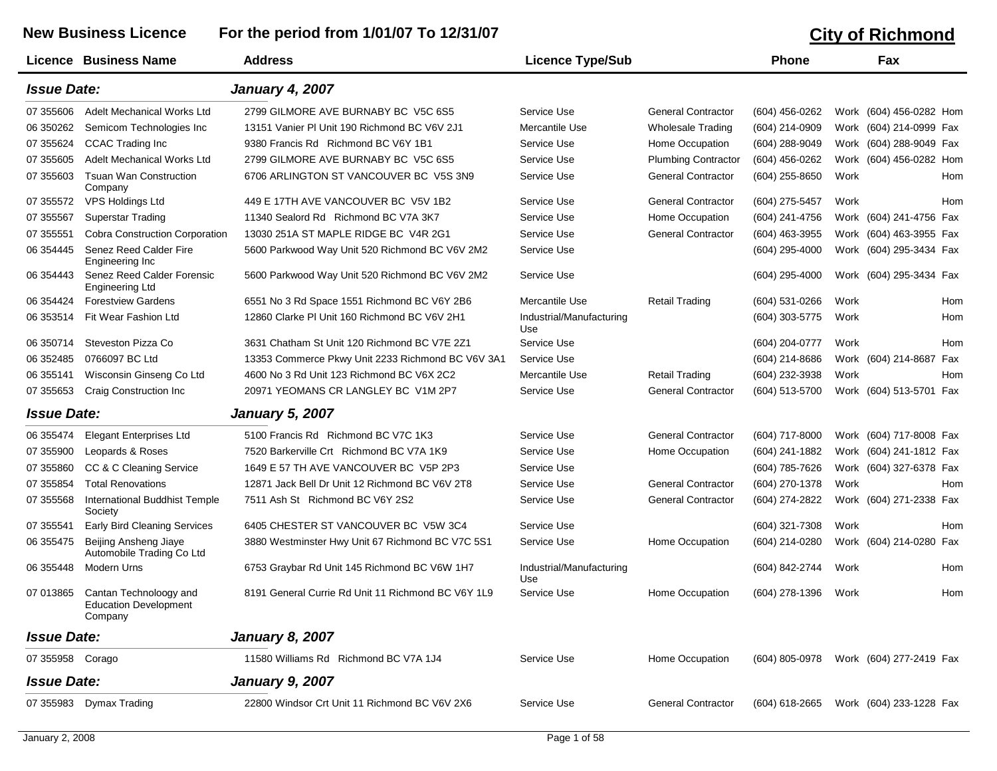## New Business Licence For the period from 1/01/07 To 12/31/07 **City of Richmond**

|                    | Licence Business Name                                             | <b>Address</b>                                     | <b>Licence Type/Sub</b>         |                            | <b>Phone</b>     |      | Fax                        |
|--------------------|-------------------------------------------------------------------|----------------------------------------------------|---------------------------------|----------------------------|------------------|------|----------------------------|
| <b>Issue Date:</b> |                                                                   | <b>January 4, 2007</b>                             |                                 |                            |                  |      |                            |
| 07 355606          | Adelt Mechanical Works Ltd                                        | 2799 GILMORE AVE BURNABY BC V5C 6S5                | Service Use                     | <b>General Contractor</b>  | (604) 456-0262   |      | Work (604) 456-0282 Hom    |
| 06 350262          | Semicom Technologies Inc                                          | 13151 Vanier PI Unit 190 Richmond BC V6V 2J1       | Mercantile Use                  | <b>Wholesale Trading</b>   | (604) 214-0909   |      | Work (604) 214-0999 Fax    |
| 07 355624          | CCAC Trading Inc                                                  | 9380 Francis Rd Richmond BC V6Y 1B1                | Service Use                     | Home Occupation            | (604) 288-9049   |      | Work (604) 288-9049 Fax    |
| 07 355605          | Adelt Mechanical Works Ltd                                        | 2799 GILMORE AVE BURNABY BC V5C 6S5                | Service Use                     | <b>Plumbing Contractor</b> | $(604)$ 456-0262 |      | Work (604) 456-0282 Hom    |
| 07 355603          | <b>Tsuan Wan Construction</b><br>Company                          | 6706 ARLINGTON ST VANCOUVER BC V5S 3N9             | Service Use                     | <b>General Contractor</b>  | (604) 255-8650   | Work | Hom                        |
| 07 355572          | <b>VPS Holdings Ltd</b>                                           | 449 E 17TH AVE VANCOUVER BC V5V 1B2                | Service Use                     | <b>General Contractor</b>  | (604) 275-5457   | Work | Hom                        |
| 07 355567          | <b>Superstar Trading</b>                                          | 11340 Sealord Rd Richmond BC V7A 3K7               | Service Use                     | Home Occupation            | (604) 241-4756   |      | Work (604) 241-4756 Fax    |
| 07 355551          | <b>Cobra Construction Corporation</b>                             | 13030 251A ST MAPLE RIDGE BC V4R 2G1               | Service Use                     | <b>General Contractor</b>  | (604) 463-3955   |      | Work (604) 463-3955 Fax    |
| 06 354445          | Senez Reed Calder Fire<br>Engineering Inc                         | 5600 Parkwood Way Unit 520 Richmond BC V6V 2M2     | Service Use                     |                            | (604) 295-4000   |      | Work (604) 295-3434 Fax    |
| 06 354443          | Senez Reed Calder Forensic<br>Engineering Ltd                     | 5600 Parkwood Way Unit 520 Richmond BC V6V 2M2     | Service Use                     |                            | $(604)$ 295-4000 |      | Work (604) 295-3434 Fax    |
| 06 354424          | <b>Forestview Gardens</b>                                         | 6551 No 3 Rd Space 1551 Richmond BC V6Y 2B6        | Mercantile Use                  | <b>Retail Trading</b>      | (604) 531-0266   | Work | Hom                        |
| 06 353514          | Fit Wear Fashion Ltd                                              | 12860 Clarke PI Unit 160 Richmond BC V6V 2H1       | Industrial/Manufacturing<br>Use |                            | (604) 303-5775   | Work | Hom                        |
| 06 350714          | Steveston Pizza Co                                                | 3631 Chatham St Unit 120 Richmond BC V7E 2Z1       | Service Use                     |                            | (604) 204-0777   | Work | Hom                        |
| 06 352485          | 0766097 BC Ltd                                                    | 13353 Commerce Pkwy Unit 2233 Richmond BC V6V 3A1  | Service Use                     |                            | (604) 214-8686   |      | Work (604) 214-8687<br>Fax |
| 06 355141          | Wisconsin Ginseng Co Ltd                                          | 4600 No 3 Rd Unit 123 Richmond BC V6X 2C2          | Mercantile Use                  | <b>Retail Trading</b>      | (604) 232-3938   | Work | Hom                        |
| 07 355653          | Craig Construction Inc                                            | 20971 YEOMANS CR LANGLEY BC V1M 2P7                | Service Use                     | <b>General Contractor</b>  | (604) 513-5700   |      | Work (604) 513-5701 Fax    |
| <b>Issue Date:</b> |                                                                   | <b>January 5, 2007</b>                             |                                 |                            |                  |      |                            |
| 06 355474          | <b>Elegant Enterprises Ltd</b>                                    | 5100 Francis Rd Richmond BC V7C 1K3                | Service Use                     | <b>General Contractor</b>  | (604) 717-8000   |      | Work (604) 717-8008 Fax    |
| 07 355900          | Leopards & Roses                                                  | 7520 Barkerville Crt Richmond BC V7A 1K9           | Service Use                     | Home Occupation            | (604) 241-1882   |      | Work (604) 241-1812 Fax    |
| 07 355860          | CC & C Cleaning Service                                           | 1649 E 57 TH AVE VANCOUVER BC V5P 2P3              | Service Use                     |                            | (604) 785-7626   |      | Work (604) 327-6378 Fax    |
| 07 355854          | <b>Total Renovations</b>                                          | 12871 Jack Bell Dr Unit 12 Richmond BC V6V 2T8     | Service Use                     | <b>General Contractor</b>  | (604) 270-1378   | Work | Hom                        |
| 07 355568          | <b>International Buddhist Temple</b><br>Society                   | 7511 Ash St Richmond BC V6Y 2S2                    | Service Use                     | <b>General Contractor</b>  | (604) 274-2822   |      | Work (604) 271-2338 Fax    |
| 07 355541          | <b>Early Bird Cleaning Services</b>                               | 6405 CHESTER ST VANCOUVER BC V5W 3C4               | Service Use                     |                            | (604) 321-7308   | Work | Hom                        |
| 06 355475          | Beijing Ansheng Jiaye<br>Automobile Trading Co Ltd                | 3880 Westminster Hwy Unit 67 Richmond BC V7C 5S1   | Service Use                     | Home Occupation            | (604) 214-0280   |      | Work (604) 214-0280<br>Fax |
| 06 355448          | Modern Urns                                                       | 6753 Graybar Rd Unit 145 Richmond BC V6W 1H7       | Industrial/Manufacturing<br>Use |                            | (604) 842-2744   | Work | Hom                        |
| 07 013865          | Cantan Technoloogy and<br><b>Education Development</b><br>Company | 8191 General Currie Rd Unit 11 Richmond BC V6Y 1L9 | Service Use                     | Home Occupation            | (604) 278-1396   | Work | Hom                        |
| <b>Issue Date:</b> |                                                                   | <b>January 8, 2007</b>                             |                                 |                            |                  |      |                            |
| 07 355958 Corago   |                                                                   | 11580 Williams Rd Richmond BC V7A 1J4              | Service Use                     | Home Occupation            | (604) 805-0978   |      | Work (604) 277-2419 Fax    |
| <b>Issue Date:</b> |                                                                   | <b>January 9, 2007</b>                             |                                 |                            |                  |      |                            |
|                    | 07 355983 Dymax Trading                                           | 22800 Windsor Crt Unit 11 Richmond BC V6V 2X6      | Service Use                     | <b>General Contractor</b>  | (604) 618-2665   |      | Work (604) 233-1228 Fax    |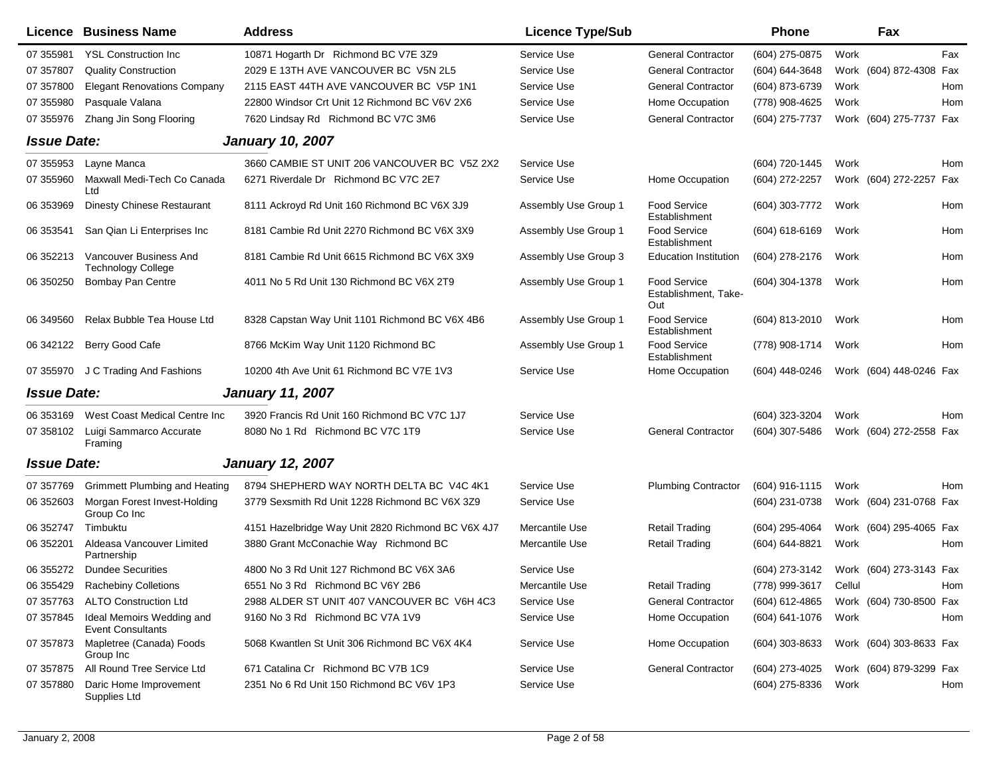|                    | Licence Business Name                                 | <b>Address</b>                                     | <b>Licence Type/Sub</b> |                                             | <b>Phone</b>          |      | Fax                     |     |
|--------------------|-------------------------------------------------------|----------------------------------------------------|-------------------------|---------------------------------------------|-----------------------|------|-------------------------|-----|
| 07 355981          | <b>YSL Construction Inc</b>                           | 10871 Hogarth Dr Richmond BC V7E 3Z9               | Service Use             | <b>General Contractor</b>                   | (604) 275-0875        | Work |                         | Fax |
| 07 357807          | <b>Quality Construction</b>                           | 2029 E 13TH AVE VANCOUVER BC V5N 2L5               | Service Use             | <b>General Contractor</b>                   | (604) 644-3648        |      | Work (604) 872-4308     | Fax |
| 07 357800          | <b>Elegant Renovations Company</b>                    | 2115 EAST 44TH AVE VANCOUVER BC V5P 1N1            | Service Use             | <b>General Contractor</b>                   | (604) 873-6739        | Work |                         | Hom |
| 07 355980          | Pasquale Valana                                       | 22800 Windsor Crt Unit 12 Richmond BC V6V 2X6      | Service Use             | Home Occupation                             | (778) 908-4625        | Work |                         | Hom |
| 07 355976          | Zhang Jin Song Flooring                               | 7620 Lindsay Rd Richmond BC V7C 3M6                | Service Use             | <b>General Contractor</b>                   | (604) 275-7737        |      | Work (604) 275-7737 Fax |     |
| <b>Issue Date:</b> |                                                       | <b>January 10, 2007</b>                            |                         |                                             |                       |      |                         |     |
| 07 355953          | Layne Manca                                           | 3660 CAMBIE ST UNIT 206 VANCOUVER BC V5Z 2X2       | Service Use             |                                             | (604) 720-1445        | Work |                         | Hom |
| 07 355960          | Maxwall Medi-Tech Co Canada<br>Ltd                    | 6271 Riverdale Dr Richmond BC V7C 2E7              | Service Use             | Home Occupation                             | (604) 272-2257        |      | Work (604) 272-2257     | Fax |
| 06 353969          | Dinesty Chinese Restaurant                            | 8111 Ackroyd Rd Unit 160 Richmond BC V6X 3J9       | Assembly Use Group 1    | Food Service<br>Establishment               | (604) 303-7772        | Work |                         | Hom |
| 06 353541          | San Qian Li Enterprises Inc                           | 8181 Cambie Rd Unit 2270 Richmond BC V6X 3X9       | Assembly Use Group 1    | Food Service<br>Establishment               | $(604)$ 618-6169      | Work |                         | Hom |
| 06 352213          | Vancouver Business And<br><b>Technology College</b>   | 8181 Cambie Rd Unit 6615 Richmond BC V6X 3X9       | Assembly Use Group 3    | <b>Education Institution</b>                | (604) 278-2176        | Work |                         | Hom |
| 06 350250          | <b>Bombay Pan Centre</b>                              | 4011 No 5 Rd Unit 130 Richmond BC V6X 2T9          | Assembly Use Group 1    | Food Service<br>Establishment, Take-<br>Out | (604) 304-1378        | Work |                         | Hom |
| 06 34 95 60        | Relax Bubble Tea House Ltd                            | 8328 Capstan Way Unit 1101 Richmond BC V6X 4B6     | Assembly Use Group 1    | Food Service<br>Establishment               | (604) 813-2010        | Work |                         | Hom |
| 06 342122          | Berry Good Cafe                                       | 8766 McKim Way Unit 1120 Richmond BC               | Assembly Use Group 1    | Food Service<br>Establishment               | (778) 908-1714        | Work |                         | Hom |
| 07 355970          | J C Trading And Fashions                              | 10200 4th Ave Unit 61 Richmond BC V7E 1V3          | Service Use             | Home Occupation                             | (604) 448-0246        |      | Work (604) 448-0246 Fax |     |
| <b>Issue Date:</b> |                                                       | <b>January 11, 2007</b>                            |                         |                                             |                       |      |                         |     |
| 06 353169          | West Coast Medical Centre Inc                         | 3920 Francis Rd Unit 160 Richmond BC V7C 1J7       | Service Use             |                                             | (604) 323-3204        | Work |                         | Hom |
| 07 358102          | Luigi Sammarco Accurate<br>Framing                    | 8080 No 1 Rd Richmond BC V7C 1T9                   | Service Use             | <b>General Contractor</b>                   | $(604)$ 307-5486      |      | Work (604) 272-2558 Fax |     |
| <b>Issue Date:</b> |                                                       | <b>January 12, 2007</b>                            |                         |                                             |                       |      |                         |     |
| 07 357769          | <b>Grimmett Plumbing and Heating</b>                  | 8794 SHEPHERD WAY NORTH DELTA BC V4C 4K1           | Service Use             | <b>Plumbing Contractor</b>                  | (604) 916-1115        | Work |                         | Hom |
| 06 352603          | Morgan Forest Invest-Holding<br>Group Co Inc          | 3779 Sexsmith Rd Unit 1228 Richmond BC V6X 3Z9     | Service Use             |                                             | (604) 231-0738        |      | Work (604) 231-0768 Fax |     |
| 06 352747          | Timbuktu                                              | 4151 Hazelbridge Way Unit 2820 Richmond BC V6X 4J7 | Mercantile Use          | <b>Retail Trading</b>                       | (604) 295-4064        |      | Work (604) 295-4065 Fax |     |
| 06 352201          | Aldeasa Vancouver Limited<br>Partnership              | 3880 Grant McConachie Way Richmond BC              | Mercantile Use          | <b>Retail Trading</b>                       | (604) 644-8821        | Work |                         | Hom |
| 06 355272          | <b>Dundee Securities</b>                              | 4800 No 3 Rd Unit 127 Richmond BC V6X 3A6          | Service Use             |                                             | (604) 273-3142        |      | Work (604) 273-3143 Fax |     |
|                    | 06 355429 Rachebiny Colletions                        | 6551 No 3 Rd Richmond BC V6Y 2B6                   | Mercantile Use          | <b>Retail Trading</b>                       | (778) 999-3617 Cellul |      |                         | Hom |
|                    | 07 357763 ALTO Construction Ltd                       | 2988 ALDER ST UNIT 407 VANCOUVER BC V6H 4C3        | Service Use             | <b>General Contractor</b>                   | (604) 612-4865        |      | Work (604) 730-8500 Fax |     |
| 07 357845          | Ideal Memoirs Wedding and<br><b>Event Consultants</b> | 9160 No 3 Rd Richmond BC V7A 1V9                   | Service Use             | Home Occupation                             | (604) 641-1076        | Work |                         | Hom |
| 07 357873          | Mapletree (Canada) Foods<br>Group Inc                 | 5068 Kwantlen St Unit 306 Richmond BC V6X 4K4      | Service Use             | Home Occupation                             | (604) 303-8633        |      | Work (604) 303-8633 Fax |     |
| 07 357875          | All Round Tree Service Ltd                            | 671 Catalina Cr Richmond BC V7B 1C9                | Service Use             | <b>General Contractor</b>                   | (604) 273-4025        |      | Work (604) 879-3299 Fax |     |
|                    | 07 357880 Daric Home Improvement<br>Supplies Ltd      | 2351 No 6 Rd Unit 150 Richmond BC V6V 1P3          | Service Use             |                                             | (604) 275-8336        | Work |                         | Hom |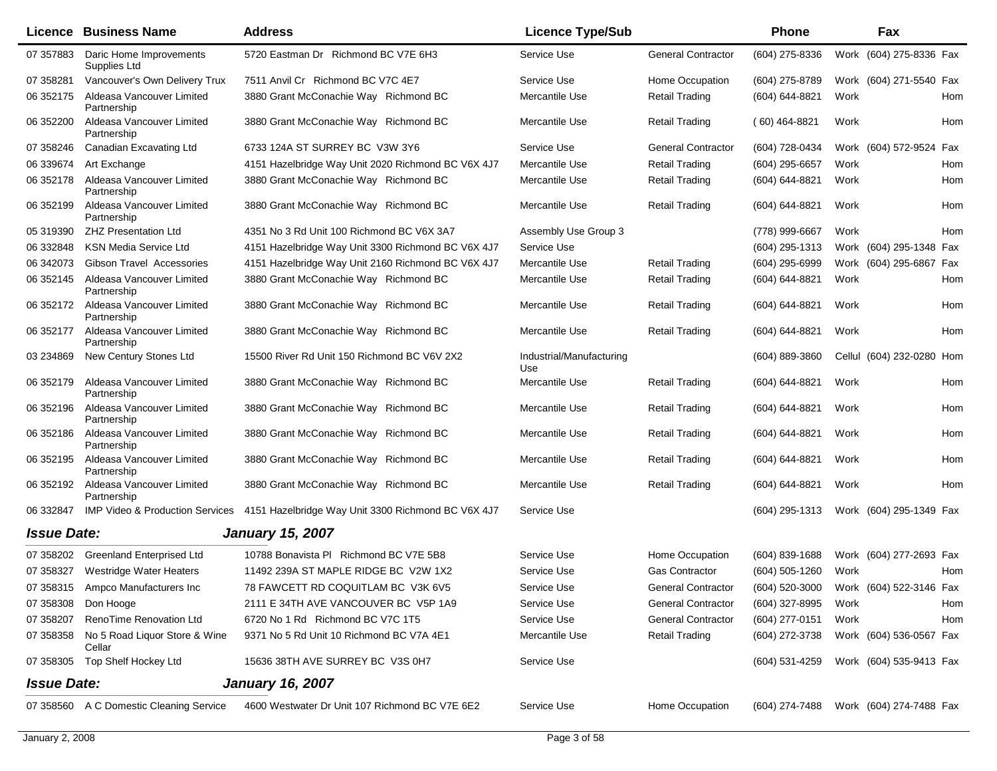|                    | <b>Licence Business Name</b>             | <b>Address</b>                                                                     | <b>Licence Type/Sub</b>         |                           | <b>Phone</b>       | Fax                                    |
|--------------------|------------------------------------------|------------------------------------------------------------------------------------|---------------------------------|---------------------------|--------------------|----------------------------------------|
| 07 357883          | Daric Home Improvements<br>Supplies Ltd  | 5720 Eastman Dr Richmond BC V7E 6H3                                                | Service Use                     | <b>General Contractor</b> | (604) 275-8336     | Work (604) 275-8336 Fax                |
| 07 358281          | Vancouver's Own Delivery Trux            | 7511 Anvil Cr Richmond BC V7C 4E7                                                  | Service Use                     | Home Occupation           | (604) 275-8789     | Work (604) 271-5540 Fax                |
| 06 352175          | Aldeasa Vancouver Limited<br>Partnership | 3880 Grant McConachie Way Richmond BC                                              | Mercantile Use                  | <b>Retail Trading</b>     | (604) 644-8821     | Work<br>Hom                            |
| 06 352200          | Aldeasa Vancouver Limited<br>Partnership | 3880 Grant McConachie Way Richmond BC                                              | Mercantile Use                  | <b>Retail Trading</b>     | $(60)$ 464-8821    | Hom<br>Work                            |
| 07 358246          | Canadian Excavating Ltd                  | 6733 124A ST SURREY BC V3W 3Y6                                                     | Service Use                     | <b>General Contractor</b> | (604) 728-0434     | Work (604) 572-9524 Fax                |
| 06 339674          | Art Exchange                             | 4151 Hazelbridge Way Unit 2020 Richmond BC V6X 4J7                                 | Mercantile Use                  | <b>Retail Trading</b>     | (604) 295-6657     | Work<br>Hom                            |
| 06 352178          | Aldeasa Vancouver Limited<br>Partnership | 3880 Grant McConachie Way Richmond BC                                              | Mercantile Use                  | Retail Trading            | (604) 644-8821     | Work<br>Hom                            |
| 06 352199          | Aldeasa Vancouver Limited<br>Partnership | 3880 Grant McConachie Way Richmond BC                                              | Mercantile Use                  | <b>Retail Trading</b>     | (604) 644-8821     | Work<br>Hom                            |
| 05 319390          | <b>ZHZ Presentation Ltd</b>              | 4351 No 3 Rd Unit 100 Richmond BC V6X 3A7                                          | Assembly Use Group 3            |                           | (778) 999-6667     | Work<br>Hom                            |
| 06 332848          | <b>KSN Media Service Ltd</b>             | 4151 Hazelbridge Way Unit 3300 Richmond BC V6X 4J7                                 | Service Use                     |                           | (604) 295-1313     | Work (604) 295-1348 Fax                |
| 06 34 20 73        | <b>Gibson Travel Accessories</b>         | 4151 Hazelbridge Way Unit 2160 Richmond BC V6X 4J7                                 | Mercantile Use                  | <b>Retail Trading</b>     | (604) 295-6999     | Work (604) 295-6867 Fax                |
| 06 352145          | Aldeasa Vancouver Limited<br>Partnership | 3880 Grant McConachie Way Richmond BC                                              | Mercantile Use                  | <b>Retail Trading</b>     | (604) 644-8821     | Work<br>Hom                            |
| 06 352172          | Aldeasa Vancouver Limited<br>Partnership | 3880 Grant McConachie Way Richmond BC                                              | Mercantile Use                  | <b>Retail Trading</b>     | $(604) 644 - 8821$ | Work<br>Hom                            |
| 06 352177          | Aldeasa Vancouver Limited<br>Partnership | 3880 Grant McConachie Way Richmond BC                                              | Mercantile Use                  | <b>Retail Trading</b>     | $(604) 644 - 8821$ | Work<br>Hom                            |
| 03 234869          | New Century Stones Ltd                   | 15500 River Rd Unit 150 Richmond BC V6V 2X2                                        | Industrial/Manufacturing<br>Use |                           | (604) 889-3860     | Cellul (604) 232-0280 Hom              |
| 06 352179          | Aldeasa Vancouver Limited<br>Partnership | 3880 Grant McConachie Way Richmond BC                                              | Mercantile Use                  | <b>Retail Trading</b>     | (604) 644-8821     | Work<br>Hom                            |
| 06 352196          | Aldeasa Vancouver Limited<br>Partnership | 3880 Grant McConachie Way Richmond BC                                              | Mercantile Use                  | <b>Retail Trading</b>     | $(604) 644 - 8821$ | Work<br>Hom                            |
| 06 352186          | Aldeasa Vancouver Limited<br>Partnership | 3880 Grant McConachie Way Richmond BC                                              | Mercantile Use                  | <b>Retail Trading</b>     | $(604) 644 - 8821$ | Work<br>Hom                            |
| 06 352195          | Aldeasa Vancouver Limited<br>Partnership | 3880 Grant McConachie Way Richmond BC                                              | Mercantile Use                  | <b>Retail Trading</b>     | (604) 644-8821     | Work<br>Hom                            |
| 06 352192          | Aldeasa Vancouver Limited<br>Partnership | 3880 Grant McConachie Way Richmond BC                                              | Mercantile Use                  | <b>Retail Trading</b>     | $(604) 644 - 8821$ | Hom<br>Work                            |
| 06 332847          |                                          | IMP Video & Production Services 4151 Hazelbridge Way Unit 3300 Richmond BC V6X 4J7 | Service Use                     |                           | $(604)$ 295-1313   | Work (604) 295-1349 Fax                |
| <b>Issue Date:</b> |                                          | <b>January 15, 2007</b>                                                            |                                 |                           |                    |                                        |
| 07 358202          | <b>Greenland Enterprised Ltd</b>         | 10788 Bonavista PI Richmond BC V7E 5B8                                             | Service Use                     | Home Occupation           | $(604)$ 839-1688   | Work (604) 277-2693 Fax                |
|                    | 07 358327 Westridge Water Heaters        | 11492 239A ST MAPLE RIDGE BC V2W 1X2                                               | Service Use                     | <b>Gas Contractor</b>     | (604) 505-1260     | Work<br>Hom                            |
|                    | 07 358315 Ampco Manufacturers Inc        | 78 FAWCETT RD COQUITLAM BC V3K 6V5                                                 | Service Use                     | <b>General Contractor</b> |                    | (604) 520-3000 Work (604) 522-3146 Fax |
| 07 358308          | Don Hooge                                | 2111 E 34TH AVE VANCOUVER BC V5P 1A9                                               | Service Use                     | <b>General Contractor</b> | $(604)$ 327-8995   | Work<br>Hom                            |
| 07 358207          | RenoTime Renovation Ltd                  | 6720 No 1 Rd Richmond BC V7C 1T5                                                   | Service Use                     | <b>General Contractor</b> | (604) 277-0151     | Work<br>Hom                            |
| 07 358358          | No 5 Road Liquor Store & Wine<br>Cellar  | 9371 No 5 Rd Unit 10 Richmond BC V7A 4E1                                           | Mercantile Use                  | <b>Retail Trading</b>     | (604) 272-3738     | Work (604) 536-0567 Fax                |
| 07 358305          | Top Shelf Hockey Ltd                     | 15636 38TH AVE SURREY BC V3S 0H7                                                   | Service Use                     |                           | (604) 531-4259     | Work (604) 535-9413 Fax                |
| <b>Issue Date:</b> |                                          | <b>January 16, 2007</b>                                                            |                                 |                           |                    |                                        |
|                    | 07 358560 A C Domestic Cleaning Service  | 4600 Westwater Dr Unit 107 Richmond BC V7E 6E2                                     | Service Use                     | Home Occupation           |                    | (604) 274-7488 Work (604) 274-7488 Fax |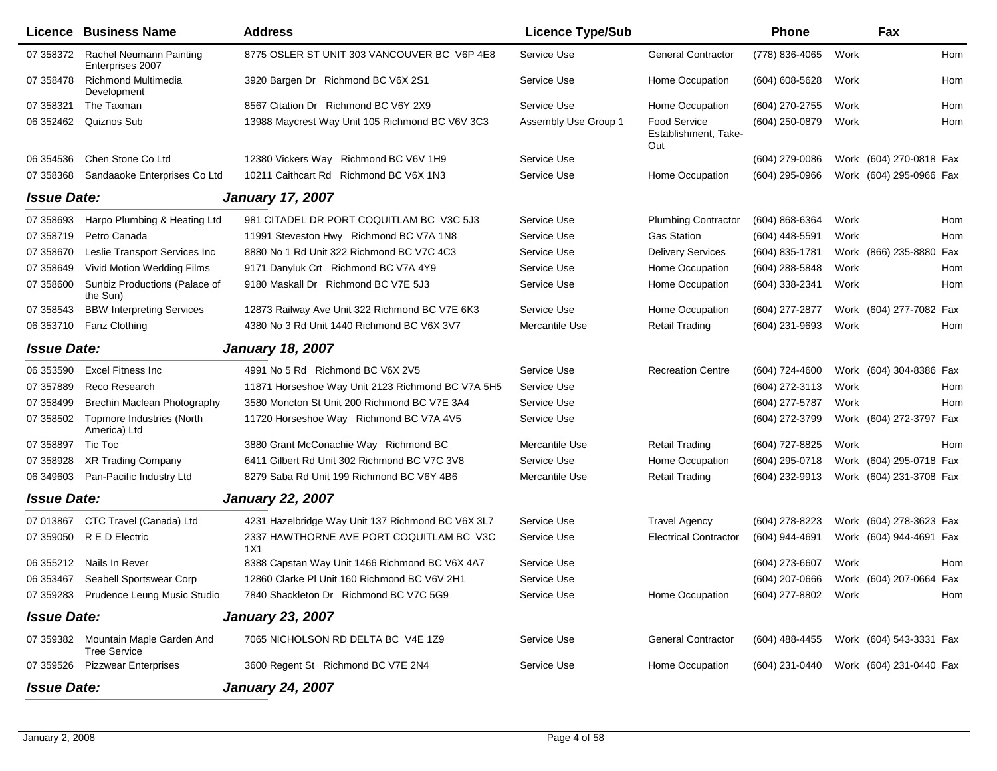|                    | Licence Business Name                                      | <b>Address</b>                                    | <b>Licence Type/Sub</b> |                                             | <b>Phone</b>        |      | Fax                     |     |
|--------------------|------------------------------------------------------------|---------------------------------------------------|-------------------------|---------------------------------------------|---------------------|------|-------------------------|-----|
| 07 358372          | Rachel Neumann Painting<br>Enterprises 2007                | 8775 OSLER ST UNIT 303 VANCOUVER BC V6P 4E8       | Service Use             | <b>General Contractor</b>                   | (778) 836-4065      | Work |                         | Hom |
| 07 358478          | <b>Richmond Multimedia</b><br>Development                  | 3920 Bargen Dr Richmond BC V6X 2S1                | Service Use             | Home Occupation                             | (604) 608-5628      | Work |                         | Hom |
| 07 358321          | The Taxman                                                 | 8567 Citation Dr Richmond BC V6Y 2X9              | Service Use             | Home Occupation                             | (604) 270-2755      | Work |                         | Hom |
| 06 352462          | Quiznos Sub                                                | 13988 Maycrest Way Unit 105 Richmond BC V6V 3C3   | Assembly Use Group 1    | Food Service<br>Establishment, Take-<br>Out | (604) 250-0879      | Work |                         | Hom |
| 06 354536          | Chen Stone Co Ltd                                          | 12380 Vickers Way Richmond BC V6V 1H9             | Service Use             |                                             | (604) 279-0086      |      | Work (604) 270-0818 Fax |     |
| 07 358368          | Sandaaoke Enterprises Co Ltd                               | 10211 Caithcart Rd Richmond BC V6X 1N3            | Service Use             | Home Occupation                             | (604) 295-0966      |      | Work (604) 295-0966 Fax |     |
| <b>Issue Date:</b> |                                                            | <b>January 17, 2007</b>                           |                         |                                             |                     |      |                         |     |
| 07 358693          | Harpo Plumbing & Heating Ltd                               | 981 CITADEL DR PORT COQUITLAM BC V3C 5J3          | Service Use             | <b>Plumbing Contractor</b>                  | $(604) 868 - 6364$  | Work |                         | Hom |
| 07 358719          | Petro Canada                                               | 11991 Steveston Hwy Richmond BC V7A 1N8           | Service Use             | <b>Gas Station</b>                          | (604) 448-5591      | Work |                         | Hom |
| 07 358670          | Leslie Transport Services Inc                              | 8880 No 1 Rd Unit 322 Richmond BC V7C 4C3         | Service Use             | <b>Delivery Services</b>                    | (604) 835-1781      |      | Work (866) 235-8880     | Fax |
| 07 358649          | Vivid Motion Wedding Films                                 | 9171 Danyluk Crt Richmond BC V7A 4Y9              | Service Use             | Home Occupation                             | (604) 288-5848      | Work |                         | Hom |
| 07 358600          | Sunbiz Productions (Palace of<br>the Sun)                  | 9180 Maskall Dr Richmond BC V7E 5J3               | Service Use             | Home Occupation                             | (604) 338-2341      | Work |                         | Hom |
| 07 358543          | <b>BBW Interpreting Services</b>                           | 12873 Railway Ave Unit 322 Richmond BC V7E 6K3    | Service Use             | Home Occupation                             | (604) 277-2877      |      | Work (604) 277-7082 Fax |     |
| 06 353710          | Fanz Clothing                                              | 4380 No 3 Rd Unit 1440 Richmond BC V6X 3V7        | Mercantile Use          | <b>Retail Trading</b>                       | (604) 231-9693      | Work |                         | Hom |
| <b>Issue Date:</b> |                                                            | <b>January 18, 2007</b>                           |                         |                                             |                     |      |                         |     |
| 06 353590          | <b>Excel Fitness Inc</b>                                   | 4991 No 5 Rd Richmond BC V6X 2V5                  | Service Use             | <b>Recreation Centre</b>                    | (604) 724-4600      |      | Work (604) 304-8386 Fax |     |
| 07 357889          | Reco Research                                              | 11871 Horseshoe Way Unit 2123 Richmond BC V7A 5H5 | Service Use             |                                             | (604) 272-3113      | Work |                         | Hom |
| 07 358499          | Brechin Maclean Photography                                | 3580 Moncton St Unit 200 Richmond BC V7E 3A4      | Service Use             |                                             | (604) 277-5787      | Work |                         | Hom |
| 07 358502          | Topmore Industries (North<br>America) Ltd                  | 11720 Horseshoe Way Richmond BC V7A 4V5           | Service Use             |                                             | (604) 272-3799      |      | Work (604) 272-3797 Fax |     |
| 07 358897          | Tic Toc                                                    | 3880 Grant McConachie Way Richmond BC             | Mercantile Use          | <b>Retail Trading</b>                       | (604) 727-8825      | Work |                         | Hom |
| 07 358928          | XR Trading Company                                         | 6411 Gilbert Rd Unit 302 Richmond BC V7C 3V8      | Service Use             | Home Occupation                             | (604) 295-0718      |      | Work (604) 295-0718 Fax |     |
| 06 34 960 3        | Pan-Pacific Industry Ltd                                   | 8279 Saba Rd Unit 199 Richmond BC V6Y 4B6         | Mercantile Use          | <b>Retail Trading</b>                       | (604) 232-9913      |      | Work (604) 231-3708 Fax |     |
| <b>Issue Date:</b> |                                                            | <b>January 22, 2007</b>                           |                         |                                             |                     |      |                         |     |
| 07 013867          | CTC Travel (Canada) Ltd                                    | 4231 Hazelbridge Way Unit 137 Richmond BC V6X 3L7 | Service Use             | <b>Travel Agency</b>                        | (604) 278-8223      |      | Work (604) 278-3623 Fax |     |
| 07 359050          | R E D Electric                                             | 2337 HAWTHORNE AVE PORT COQUITLAM BC V3C<br>1X1   | Service Use             | <b>Electrical Contractor</b>                | (604) 944-4691      |      | Work (604) 944-4691 Fax |     |
| 06 355212          | Nails In Rever                                             | 8388 Capstan Way Unit 1466 Richmond BC V6X 4A7    | Service Use             |                                             | (604) 273-6607      | Work |                         | Hom |
| 06 353467          | Seabell Sportswear Corp                                    | 12860 Clarke PI Unit 160 Richmond BC V6V 2H1      | Service Use             |                                             | $(604)$ 207-0666    |      | Work (604) 207-0664 Fax |     |
|                    | 07 359283 Prudence Leung Music Studio                      | 7840 Shackleton Dr Richmond BC V7C 5G9            | Service Use             | Home Occupation                             | (604) 277-8802 Work |      |                         | Hom |
| <b>Issue Date:</b> |                                                            | <b>January 23, 2007</b>                           |                         |                                             |                     |      |                         |     |
|                    | 07 359382 Mountain Maple Garden And<br><b>Tree Service</b> | 7065 NICHOLSON RD DELTA BC V4E 1Z9                | Service Use             | <b>General Contractor</b>                   | (604) 488-4455      |      | Work (604) 543-3331 Fax |     |
|                    | 07 359526 Pizzwear Enterprises                             | 3600 Regent St Richmond BC V7E 2N4                | Service Use             | Home Occupation                             | (604) 231-0440      |      | Work (604) 231-0440 Fax |     |
| <b>Issue Date:</b> |                                                            | <b>January 24, 2007</b>                           |                         |                                             |                     |      |                         |     |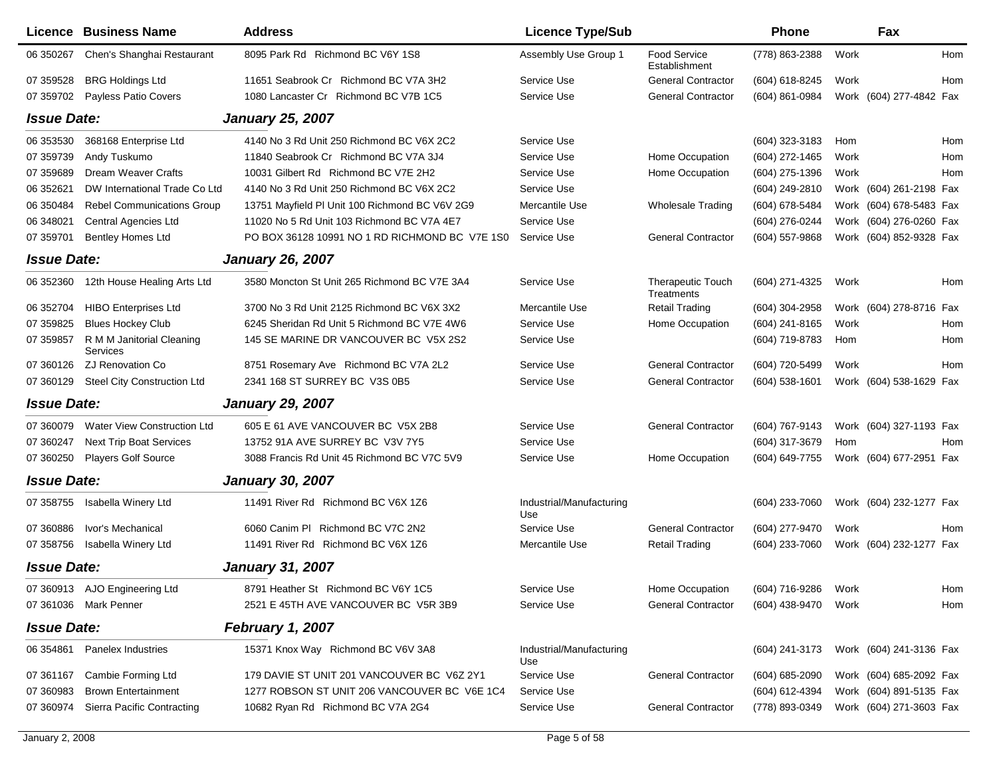|                    | <b>Licence Business Name</b>          | <b>Address</b>                                 | <b>Licence Type/Sub</b>         |                                        | Phone               |      | Fax                     |     |
|--------------------|---------------------------------------|------------------------------------------------|---------------------------------|----------------------------------------|---------------------|------|-------------------------|-----|
| 06 350267          | Chen's Shanghai Restaurant            | 8095 Park Rd Richmond BC V6Y 1S8               | Assembly Use Group 1            | <b>Food Service</b><br>Establishment   | (778) 863-2388      | Work |                         | Hom |
| 07 359528          | <b>BRG Holdings Ltd</b>               | 11651 Seabrook Cr Richmond BC V7A 3H2          | Service Use                     | <b>General Contractor</b>              | (604) 618-8245      | Work |                         | Hom |
| 07 359702          | <b>Payless Patio Covers</b>           | 1080 Lancaster Cr Richmond BC V7B 1C5          | Service Use                     | <b>General Contractor</b>              | (604) 861-0984      |      | Work (604) 277-4842 Fax |     |
| <b>Issue Date:</b> |                                       | <b>January 25, 2007</b>                        |                                 |                                        |                     |      |                         |     |
| 06 353530          | 368168 Enterprise Ltd                 | 4140 No 3 Rd Unit 250 Richmond BC V6X 2C2      | Service Use                     |                                        | (604) 323-3183      | Hom  |                         | Hom |
| 07 359739          | Andy Tuskumo                          | 11840 Seabrook Cr Richmond BC V7A 3J4          | Service Use                     | Home Occupation                        | (604) 272-1465      | Work |                         | Hom |
| 07 359689          | Dream Weaver Crafts                   | 10031 Gilbert Rd Richmond BC V7E 2H2           | Service Use                     | Home Occupation                        | (604) 275-1396      | Work |                         | Hom |
| 06 35 26 21        | DW International Trade Co Ltd         | 4140 No 3 Rd Unit 250 Richmond BC V6X 2C2      | Service Use                     |                                        | (604) 249-2810      |      | Work (604) 261-2198 Fax |     |
| 06 350484          | <b>Rebel Communications Group</b>     | 13751 Mayfield PI Unit 100 Richmond BC V6V 2G9 | Mercantile Use                  | <b>Wholesale Trading</b>               | (604) 678-5484      |      | Work (604) 678-5483 Fax |     |
| 06 348021          | Central Agencies Ltd                  | 11020 No 5 Rd Unit 103 Richmond BC V7A 4E7     | Service Use                     |                                        | (604) 276-0244      |      | Work (604) 276-0260 Fax |     |
| 07 359701          | <b>Bentley Homes Ltd</b>              | PO BOX 36128 10991 NO 1 RD RICHMOND BC V7E 1S0 | Service Use                     | <b>General Contractor</b>              | (604) 557-9868      |      | Work (604) 852-9328 Fax |     |
| <b>Issue Date:</b> |                                       | <b>January 26, 2007</b>                        |                                 |                                        |                     |      |                         |     |
| 06 352360          | 12th House Healing Arts Ltd           | 3580 Moncton St Unit 265 Richmond BC V7E 3A4   | Service Use                     | <b>Therapeutic Touch</b><br>Treatments | (604) 271-4325      | Work |                         | Hom |
| 06 352704          | <b>HIBO Enterprises Ltd</b>           | 3700 No 3 Rd Unit 2125 Richmond BC V6X 3X2     | Mercantile Use                  | <b>Retail Trading</b>                  | (604) 304-2958      |      | Work (604) 278-8716 Fax |     |
| 07 359825          | <b>Blues Hockey Club</b>              | 6245 Sheridan Rd Unit 5 Richmond BC V7E 4W6    | Service Use                     | Home Occupation                        | (604) 241-8165      | Work |                         | Hom |
| 07 359857          | R M M Janitorial Cleaning<br>Services | 145 SE MARINE DR VANCOUVER BC V5X 2S2          | Service Use                     |                                        | (604) 719-8783      | Hom  |                         | Hom |
| 07 360126          | ZJ Renovation Co                      | 8751 Rosemary Ave Richmond BC V7A 2L2          | Service Use                     | <b>General Contractor</b>              | (604) 720-5499      | Work |                         | Hom |
| 07 360129          | Steel City Construction Ltd           | 2341 168 ST SURREY BC V3S 0B5                  | Service Use                     | <b>General Contractor</b>              | (604) 538-1601      |      | Work (604) 538-1629 Fax |     |
| <b>Issue Date:</b> |                                       | <b>January 29, 2007</b>                        |                                 |                                        |                     |      |                         |     |
| 07 360079          | Water View Construction Ltd           | 605 E 61 AVE VANCOUVER BC V5X 2B8              | Service Use                     | <b>General Contractor</b>              | (604) 767-9143      |      | Work (604) 327-1193 Fax |     |
| 07 360247          | <b>Next Trip Boat Services</b>        | 13752 91A AVE SURREY BC V3V 7Y5                | Service Use                     |                                        | (604) 317-3679      | Hom  |                         | Hom |
| 07 360250          | <b>Players Golf Source</b>            | 3088 Francis Rd Unit 45 Richmond BC V7C 5V9    | Service Use                     | Home Occupation                        | (604) 649-7755      |      | Work (604) 677-2951 Fax |     |
| <b>Issue Date:</b> |                                       | <b>January 30, 2007</b>                        |                                 |                                        |                     |      |                         |     |
| 07 358755          | Isabella Winery Ltd                   | 11491 River Rd Richmond BC V6X 1Z6             | Industrial/Manufacturing<br>Use |                                        | $(604)$ 233-7060    |      | Work (604) 232-1277 Fax |     |
| 07 360886          | Ivor's Mechanical                     | 6060 Canim PI Richmond BC V7C 2N2              | Service Use                     | <b>General Contractor</b>              | (604) 277-9470      | Work |                         | Hom |
| 07 358756          | Isabella Winery Ltd                   | 11491 River Rd Richmond BC V6X 1Z6             | Mercantile Use                  | <b>Retail Trading</b>                  | (604) 233-7060      |      | Work (604) 232-1277 Fax |     |
| <b>Issue Date:</b> |                                       | <b>January 31, 2007</b>                        |                                 |                                        |                     |      |                         |     |
|                    | 07 360913 AJO Engineering Ltd         | 8791 Heather St Richmond BC V6Y 1C5            | Service Use                     | Home Occupation                        | (604) 716-9286 Work |      |                         | Hom |
|                    | 07 361036 Mark Penner                 | 2521 E 45TH AVE VANCOUVER BC V5R 3B9           | Service Use                     | <b>General Contractor</b>              | (604) 438-9470 Work |      |                         | Hom |
| <b>Issue Date:</b> |                                       | <b>February 1, 2007</b>                        |                                 |                                        |                     |      |                         |     |
| 06 354861          | <b>Panelex Industries</b>             | 15371 Knox Way Richmond BC V6V 3A8             | Industrial/Manufacturing<br>Use |                                        | (604) 241-3173      |      | Work (604) 241-3136 Fax |     |
| 07 361167          | Cambie Forming Ltd                    | 179 DAVIE ST UNIT 201 VANCOUVER BC V6Z 2Y1     | Service Use                     | <b>General Contractor</b>              | $(604)$ 685-2090    |      | Work (604) 685-2092 Fax |     |
| 07 360983          | <b>Brown Entertainment</b>            | 1277 ROBSON ST UNIT 206 VANCOUVER BC V6E 1C4   | Service Use                     |                                        | (604) 612-4394      |      | Work (604) 891-5135 Fax |     |
| 07 360974          | Sierra Pacific Contracting            | 10682 Ryan Rd Richmond BC V7A 2G4              | Service Use                     | <b>General Contractor</b>              | (778) 893-0349      |      | Work (604) 271-3603 Fax |     |
|                    |                                       |                                                |                                 |                                        |                     |      |                         |     |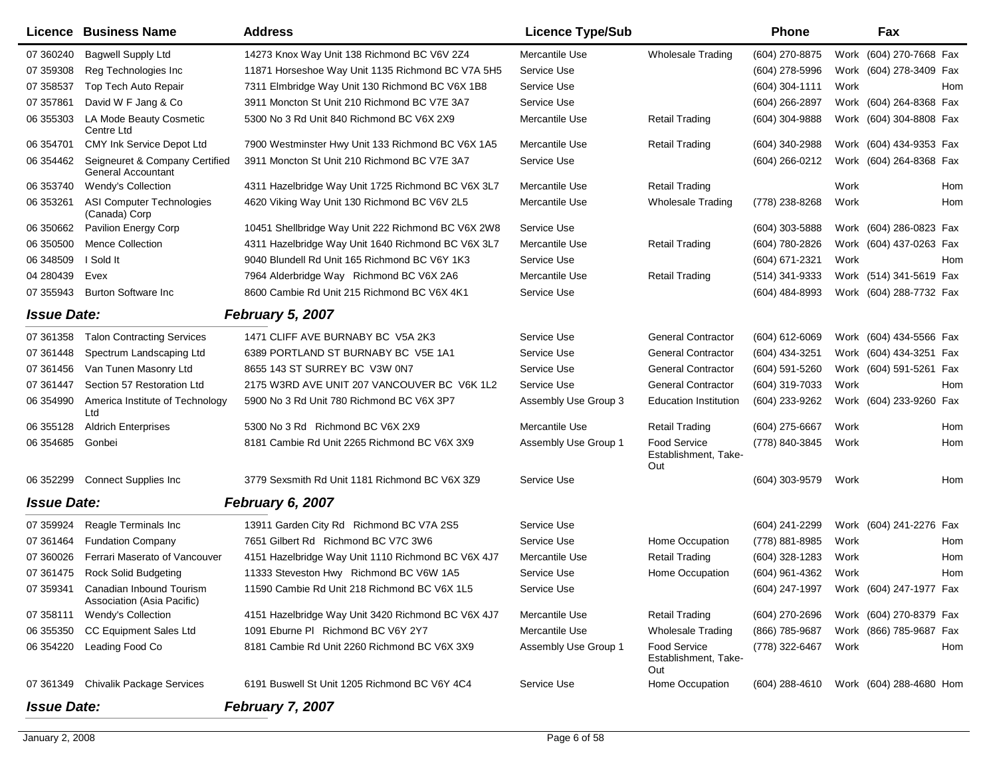|                    | Licence Business Name                                       | <b>Address</b>                                     | <b>Licence Type/Sub</b> |                                                    | <b>Phone</b>     |      | Fax                                    |
|--------------------|-------------------------------------------------------------|----------------------------------------------------|-------------------------|----------------------------------------------------|------------------|------|----------------------------------------|
| 07 360240          | <b>Bagwell Supply Ltd</b>                                   | 14273 Knox Way Unit 138 Richmond BC V6V 2Z4        | Mercantile Use          | <b>Wholesale Trading</b>                           | (604) 270-8875   |      | Work (604) 270-7668 Fax                |
| 07 359308          | Reg Technologies Inc.                                       | 11871 Horseshoe Way Unit 1135 Richmond BC V7A 5H5  | Service Use             |                                                    | (604) 278-5996   |      | Work (604) 278-3409 Fax                |
| 07 358537          | Top Tech Auto Repair                                        | 7311 Elmbridge Way Unit 130 Richmond BC V6X 1B8    | Service Use             |                                                    | (604) 304-1111   | Work | Hom                                    |
| 07 357861          | David W F Jang & Co                                         | 3911 Moncton St Unit 210 Richmond BC V7E 3A7       | Service Use             |                                                    | (604) 266-2897   |      | Work (604) 264-8368 Fax                |
| 06 355303          | LA Mode Beauty Cosmetic<br>Centre Ltd                       | 5300 No 3 Rd Unit 840 Richmond BC V6X 2X9          | Mercantile Use          | <b>Retail Trading</b>                              | (604) 304-9888   |      | Work (604) 304-8808 Fax                |
| 06 354701          | CMY Ink Service Depot Ltd                                   | 7900 Westminster Hwy Unit 133 Richmond BC V6X 1A5  | Mercantile Use          | <b>Retail Trading</b>                              | (604) 340-2988   |      | Work (604) 434-9353 Fax                |
| 06 354462          | Seigneuret & Company Certified<br><b>General Accountant</b> | 3911 Moncton St Unit 210 Richmond BC V7E 3A7       | Service Use             |                                                    | (604) 266-0212   |      | Work (604) 264-8368 Fax                |
| 06 353740          | Wendy's Collection                                          | 4311 Hazelbridge Way Unit 1725 Richmond BC V6X 3L7 | Mercantile Use          | <b>Retail Trading</b>                              |                  | Work | <b>Hom</b>                             |
| 06 353261          | ASI Computer Technologies<br>(Canada) Corp                  | 4620 Viking Way Unit 130 Richmond BC V6V 2L5       | Mercantile Use          | <b>Wholesale Trading</b>                           | (778) 238-8268   | Work | Hom                                    |
| 06 35 0662         | Pavilion Energy Corp                                        | 10451 Shellbridge Way Unit 222 Richmond BC V6X 2W8 | Service Use             |                                                    | (604) 303-5888   |      | Work (604) 286-0823 Fax                |
| 06 350500          | <b>Mence Collection</b>                                     | 4311 Hazelbridge Way Unit 1640 Richmond BC V6X 3L7 | Mercantile Use          | <b>Retail Trading</b>                              | (604) 780-2826   |      | Work (604) 437-0263 Fax                |
| 06 348509          | I Sold It                                                   | 9040 Blundell Rd Unit 165 Richmond BC V6Y 1K3      | Service Use             |                                                    | (604) 671-2321   | Work | Hom                                    |
| 04 280439          | Evex                                                        | 7964 Alderbridge Way Richmond BC V6X 2A6           | Mercantile Use          | <b>Retail Trading</b>                              | $(514)$ 341-9333 |      | Work (514) 341-5619 Fax                |
| 07 355943          | <b>Burton Software Inc</b>                                  | 8600 Cambie Rd Unit 215 Richmond BC V6X 4K1        | Service Use             |                                                    | (604) 484-8993   |      | Work (604) 288-7732 Fax                |
| <b>Issue Date:</b> |                                                             | February 5, 2007                                   |                         |                                                    |                  |      |                                        |
| 07 361358          | <b>Talon Contracting Services</b>                           | 1471 CLIFF AVE BURNABY BC V5A 2K3                  | Service Use             | <b>General Contractor</b>                          | $(604)$ 612-6069 |      | Work (604) 434-5566 Fax                |
| 07 361448          | Spectrum Landscaping Ltd                                    | 6389 PORTLAND ST BURNABY BC V5E 1A1                | Service Use             | <b>General Contractor</b>                          | (604) 434-3251   |      | Work (604) 434-3251 Fax                |
| 07 361456          | Van Tunen Masonry Ltd                                       | 8655 143 ST SURREY BC V3W 0N7                      | Service Use             | <b>General Contractor</b>                          | (604) 591-5260   |      | Work (604) 591-5261 Fax                |
| 07 361447          | Section 57 Restoration Ltd                                  | 2175 W3RD AVE UNIT 207 VANCOUVER BC V6K 1L2        | Service Use             | <b>General Contractor</b>                          | (604) 319-7033   | Work | Hom                                    |
| 06 354990          | America Institute of Technology<br>Ltd                      | 5900 No 3 Rd Unit 780 Richmond BC V6X 3P7          | Assembly Use Group 3    | Education Institution                              | (604) 233-9262   |      | Work (604) 233-9260 Fax                |
| 06 355128          | <b>Aldrich Enterprises</b>                                  | 5300 No 3 Rd Richmond BC V6X 2X9                   | Mercantile Use          | <b>Retail Trading</b>                              | (604) 275-6667   | Work | Hom                                    |
| 06 354 685         | Gonbei                                                      | 8181 Cambie Rd Unit 2265 Richmond BC V6X 3X9       | Assembly Use Group 1    | <b>Food Service</b><br>Establishment, Take-<br>Out | (778) 840-3845   | Work | Hom                                    |
| 06 352299          | <b>Connect Supplies Inc</b>                                 | 3779 Sexsmith Rd Unit 1181 Richmond BC V6X 3Z9     | Service Use             |                                                    | (604) 303-9579   | Work | Hom                                    |
| <b>Issue Date:</b> |                                                             | February 6, 2007                                   |                         |                                                    |                  |      |                                        |
| 07 359924          | Reagle Terminals Inc                                        | 13911 Garden City Rd Richmond BC V7A 2S5           | Service Use             |                                                    | (604) 241-2299   |      | Work (604) 241-2276 Fax                |
| 07 361464          | <b>Fundation Company</b>                                    | 7651 Gilbert Rd Richmond BC V7C 3W6                | Service Use             | Home Occupation                                    | (778) 881-8985   | Work | Hom                                    |
| 07 360026          | Ferrari Maserato of Vancouver                               | 4151 Hazelbridge Way Unit 1110 Richmond BC V6X 4J7 | Mercantile Use          | <b>Retail Trading</b>                              | (604) 328-1283   | Work | Hom                                    |
| 07 361475          | <b>Rock Solid Budgeting</b>                                 | 11333 Steveston Hwy Richmond BC V6W 1A5            | Service Use             | Home Occupation                                    | (604) 961-4362   | Work | Hom                                    |
| 07 359341          | Canadian Inbound Tourism<br>Association (Asia Pacific)      | 11590 Cambie Rd Unit 218 Richmond BC V6X 1L5       | Service Use             |                                                    |                  |      | (604) 247-1997 Work (604) 247-1977 Fax |
| 07 358111          | Wendy's Collection                                          | 4151 Hazelbridge Way Unit 3420 Richmond BC V6X 4J7 | Mercantile Use          | <b>Retail Trading</b>                              | (604) 270-2696   |      | Work (604) 270-8379 Fax                |
| 06 355350          | CC Equipment Sales Ltd                                      | 1091 Eburne PI Richmond BC V6Y 2Y7                 | Mercantile Use          | <b>Wholesale Trading</b>                           | (866) 785-9687   |      | Work (866) 785-9687 Fax                |
| 06 354220          | Leading Food Co                                             | 8181 Cambie Rd Unit 2260 Richmond BC V6X 3X9       | Assembly Use Group 1    | Food Service<br>Establishment, Take-<br>Out        | (778) 322-6467   | Work | Hom                                    |
| 07 361349          | <b>Chivalik Package Services</b>                            | 6191 Buswell St Unit 1205 Richmond BC V6Y 4C4      | Service Use             | Home Occupation                                    | (604) 288-4610   |      | Work (604) 288-4680 Hom                |
| <b>Issue Date:</b> |                                                             | <b>February 7, 2007</b>                            |                         |                                                    |                  |      |                                        |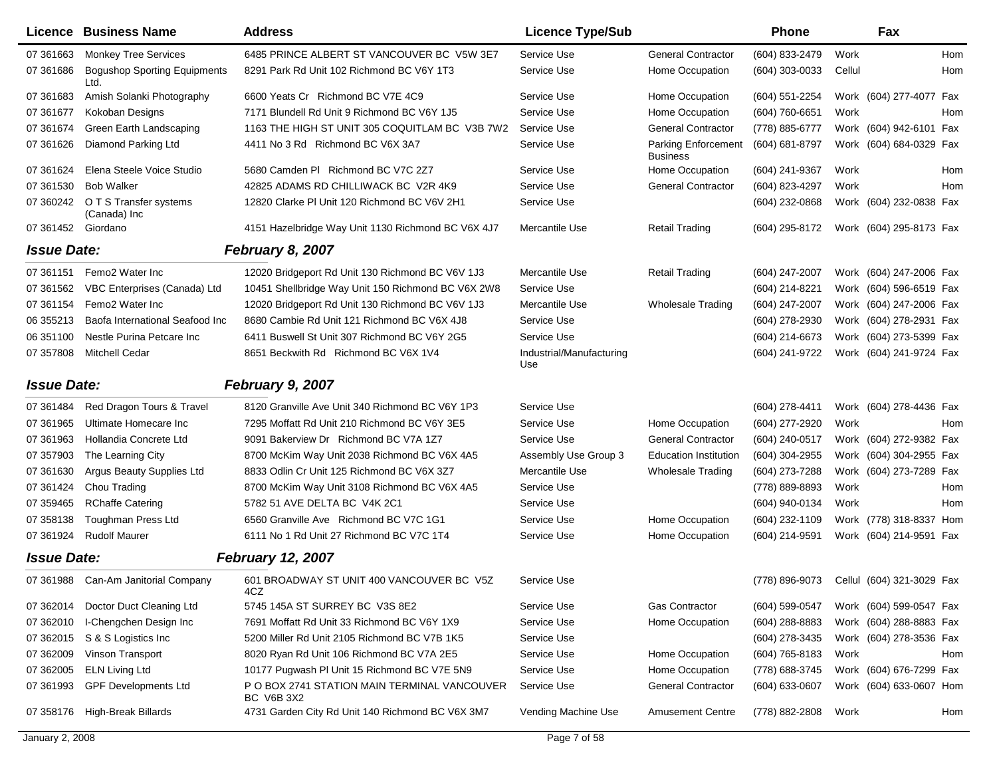|                    | <b>Licence Business Name</b>                | <b>Address</b>                                                    | <b>Licence Type/Sub</b>         |                                        | <b>Phone</b>       |        | Fax                       |     |
|--------------------|---------------------------------------------|-------------------------------------------------------------------|---------------------------------|----------------------------------------|--------------------|--------|---------------------------|-----|
| 07 361 663         | <b>Monkey Tree Services</b>                 | 6485 PRINCE ALBERT ST VANCOUVER BC V5W 3E7                        | Service Use                     | General Contractor                     | (604) 833-2479     | Work   |                           | Hom |
| 07 361 686         | <b>Bogushop Sporting Equipments</b><br>Ltd. | 8291 Park Rd Unit 102 Richmond BC V6Y 1T3                         | Service Use                     | Home Occupation                        | (604) 303-0033     | Cellul |                           | Hom |
| 07 361 683         | Amish Solanki Photography                   | 6600 Yeats Cr Richmond BC V7E 4C9                                 | Service Use                     | Home Occupation                        | (604) 551-2254     |        | Work (604) 277-4077 Fax   |     |
| 07 361677          | Kokoban Designs                             | 7171 Blundell Rd Unit 9 Richmond BC V6Y 1J5                       | Service Use                     | Home Occupation                        | $(604) 760 - 6651$ | Work   |                           | Hom |
| 07 361 674         | Green Earth Landscaping                     | 1163 THE HIGH ST UNIT 305 COQUITLAM BC V3B 7W2                    | Service Use                     | <b>General Contractor</b>              | (778) 885-6777     |        | Work (604) 942-6101 Fax   |     |
| 07 361626          | Diamond Parking Ltd                         | 4411 No 3 Rd Richmond BC V6X 3A7                                  | Service Use                     | Parking Enforcement<br><b>Business</b> | (604) 681-8797     |        | Work (604) 684-0329 Fax   |     |
| 07 361624          | Elena Steele Voice Studio                   | 5680 Camden PI Richmond BC V7C 2Z7                                | Service Use                     | Home Occupation                        | (604) 241-9367     | Work   |                           | Hom |
| 07 361530          | <b>Bob Walker</b>                           | 42825 ADAMS RD CHILLIWACK BC V2R 4K9                              | Service Use                     | <b>General Contractor</b>              | (604) 823-4297     | Work   |                           | Hom |
| 07 360242          | O T S Transfer systems<br>(Canada) Inc      | 12820 Clarke PI Unit 120 Richmond BC V6V 2H1                      | Service Use                     |                                        | (604) 232-0868     |        | Work (604) 232-0838 Fax   |     |
| 07 361452 Giordano |                                             | 4151 Hazelbridge Way Unit 1130 Richmond BC V6X 4J7                | Mercantile Use                  | <b>Retail Trading</b>                  | (604) 295-8172     |        | Work (604) 295-8173 Fax   |     |
| <b>Issue Date:</b> |                                             | February 8, 2007                                                  |                                 |                                        |                    |        |                           |     |
| 07 361151          | Femo2 Water Inc                             | 12020 Bridgeport Rd Unit 130 Richmond BC V6V 1J3                  | Mercantile Use                  | <b>Retail Trading</b>                  | $(604)$ 247-2007   |        | Work (604) 247-2006 Fax   |     |
| 07 361562          | VBC Enterprises (Canada) Ltd                | 10451 Shellbridge Way Unit 150 Richmond BC V6X 2W8                | Service Use                     |                                        | (604) 214-8221     |        | Work (604) 596-6519 Fax   |     |
| 07 361154          | Femo2 Water Inc                             | 12020 Bridgeport Rd Unit 130 Richmond BC V6V 1J3                  | Mercantile Use                  | <b>Wholesale Trading</b>               | (604) 247-2007     |        | Work (604) 247-2006 Fax   |     |
| 06 355213          | Baofa International Seafood Inc             | 8680 Cambie Rd Unit 121 Richmond BC V6X 4J8                       | Service Use                     |                                        | (604) 278-2930     |        | Work (604) 278-2931 Fax   |     |
| 06 351100          | Nestle Purina Petcare Inc                   | 6411 Buswell St Unit 307 Richmond BC V6Y 2G5                      | Service Use                     |                                        | (604) 214-6673     |        | Work (604) 273-5399 Fax   |     |
| 07 357808          | <b>Mitchell Cedar</b>                       | 8651 Beckwith Rd Richmond BC V6X 1V4                              | Industrial/Manufacturing<br>Use |                                        | (604) 241-9722     |        | Work (604) 241-9724 Fax   |     |
| <b>Issue Date:</b> |                                             | February 9, 2007                                                  |                                 |                                        |                    |        |                           |     |
| 07 361484          | Red Dragon Tours & Travel                   | 8120 Granville Ave Unit 340 Richmond BC V6Y 1P3                   | Service Use                     |                                        | (604) 278-4411     |        | Work (604) 278-4436 Fax   |     |
| 07 361965          | Ultimate Homecare Inc                       | 7295 Moffatt Rd Unit 210 Richmond BC V6Y 3E5                      | Service Use                     | Home Occupation                        | (604) 277-2920     | Work   |                           | Hom |
| 07 361 963         | Hollandia Concrete Ltd                      | 9091 Bakerview Dr Richmond BC V7A 1Z7                             | Service Use                     | <b>General Contractor</b>              | (604) 240-0517     |        | Work (604) 272-9382 Fax   |     |
| 07 357903          | The Learning City                           | 8700 McKim Way Unit 2038 Richmond BC V6X 4A5                      | Assembly Use Group 3            | Education Institution                  | (604) 304-2955     |        | Work (604) 304-2955 Fax   |     |
| 07 361630          | <b>Argus Beauty Supplies Ltd</b>            | 8833 Odlin Cr Unit 125 Richmond BC V6X 3Z7                        | Mercantile Use                  | <b>Wholesale Trading</b>               | (604) 273-7288     |        | Work (604) 273-7289 Fax   |     |
| 07 361424          | Chou Trading                                | 8700 McKim Way Unit 3108 Richmond BC V6X 4A5                      | Service Use                     |                                        | (778) 889-8893     | Work   |                           | Hom |
| 07 359465          | <b>RChaffe Catering</b>                     | 5782 51 AVE DELTA BC V4K 2C1                                      | Service Use                     |                                        | (604) 940-0134     | Work   |                           | Hom |
| 07 358138          | <b>Toughman Press Ltd</b>                   | 6560 Granville Ave Richmond BC V7C 1G1                            | Service Use                     | Home Occupation                        | (604) 232-1109     |        | Work (778) 318-8337 Hom   |     |
| 07 361924          | <b>Rudolf Maurer</b>                        | 6111 No 1 Rd Unit 27 Richmond BC V7C 1T4                          | Service Use                     | Home Occupation                        | (604) 214-9591     |        | Work (604) 214-9591 Fax   |     |
| <b>Issue Date:</b> |                                             | <b>February 12, 2007</b>                                          |                                 |                                        |                    |        |                           |     |
|                    | 07 361988 Can-Am Janitorial Company         | 601 BROADWAY ST UNIT 400 VANCOUVER BC V5Z<br>4CZ                  | Service Use                     |                                        | (778) 896-9073     |        | Cellul (604) 321-3029 Fax |     |
| 07 362014          | Doctor Duct Cleaning Ltd                    | 5745 145A ST SURREY BC V3S 8E2                                    | Service Use                     | Gas Contractor                         | (604) 599-0547     |        | Work (604) 599-0547 Fax   |     |
| 07 362010          | I-Chengchen Design Inc                      | 7691 Moffatt Rd Unit 33 Richmond BC V6Y 1X9                       | Service Use                     | Home Occupation                        | (604) 288-8883     |        | Work (604) 288-8883 Fax   |     |
| 07 362015          | S & S Logistics Inc                         | 5200 Miller Rd Unit 2105 Richmond BC V7B 1K5                      | Service Use                     |                                        | (604) 278-3435     |        | Work (604) 278-3536 Fax   |     |
| 07 362009          | Vinson Transport                            | 8020 Ryan Rd Unit 106 Richmond BC V7A 2E5                         | Service Use                     | Home Occupation                        | (604) 765-8183     | Work   |                           | Hom |
| 07 362005          | <b>ELN Living Ltd</b>                       | 10177 Pugwash PI Unit 15 Richmond BC V7E 5N9                      | Service Use                     | Home Occupation                        | (778) 688-3745     |        | Work (604) 676-7299 Fax   |     |
| 07 361993          | <b>GPF Developments Ltd</b>                 | P O BOX 2741 STATION MAIN TERMINAL VANCOUVER<br><b>BC V6B 3X2</b> | Service Use                     | <b>General Contractor</b>              | (604) 633-0607     |        | Work (604) 633-0607 Hom   |     |
| 07 358176          | <b>High-Break Billards</b>                  | 4731 Garden City Rd Unit 140 Richmond BC V6X 3M7                  | Vending Machine Use             | <b>Amusement Centre</b>                | (778) 882-2808     | Work   |                           | Hom |

 $\mathbf{r}$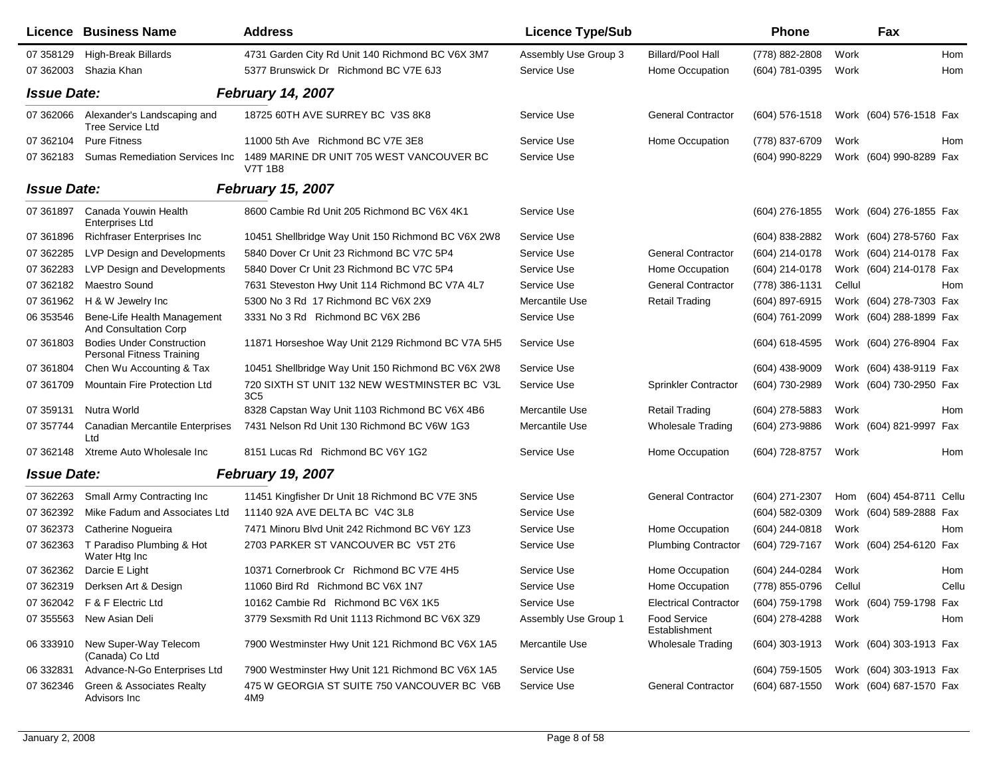|                    | <b>Licence Business Name</b>                                  | <b>Address</b>                                                  | <b>Licence Type/Sub</b> |                                      | <b>Phone</b>     |        | Fax                     |       |
|--------------------|---------------------------------------------------------------|-----------------------------------------------------------------|-------------------------|--------------------------------------|------------------|--------|-------------------------|-------|
| 07 358129          | High-Break Billards                                           | 4731 Garden City Rd Unit 140 Richmond BC V6X 3M7                | Assembly Use Group 3    | <b>Billard/Pool Hall</b>             | (778) 882-2808   | Work   |                         | Hom   |
| 07 362003          | Shazia Khan                                                   | 5377 Brunswick Dr Richmond BC V7E 6J3                           | Service Use             | Home Occupation                      | (604) 781-0395   | Work   |                         | Hom   |
| <b>Issue Date:</b> |                                                               | <b>February 14, 2007</b>                                        |                         |                                      |                  |        |                         |       |
| 07 362066          | Alexander's Landscaping and<br><b>Tree Service Ltd</b>        | 18725 60TH AVE SURREY BC V3S 8K8                                | Service Use             | <b>General Contractor</b>            | $(604)$ 576-1518 |        | Work (604) 576-1518 Fax |       |
| 07 362104          | <b>Pure Fitness</b>                                           | 11000 5th Ave Richmond BC V7E 3E8                               | Service Use             | Home Occupation                      | (778) 837-6709   | Work   |                         | Hom   |
| 07 362183          | <b>Sumas Remediation Services Inc.</b>                        | 1489 MARINE DR UNIT 705 WEST VANCOUVER BC<br><b>V7T 1B8</b>     | Service Use             |                                      | (604) 990-8229   |        | Work (604) 990-8289 Fax |       |
| <b>Issue Date:</b> |                                                               | <b>February 15, 2007</b>                                        |                         |                                      |                  |        |                         |       |
| 07 361897          | Canada Youwin Health<br>Enterprises Ltd                       | 8600 Cambie Rd Unit 205 Richmond BC V6X 4K1                     | Service Use             |                                      | (604) 276-1855   |        | Work (604) 276-1855 Fax |       |
| 07 361896          | <b>Richfraser Enterprises Inc</b>                             | 10451 Shellbridge Way Unit 150 Richmond BC V6X 2W8              | Service Use             |                                      | $(604)$ 838-2882 |        | Work (604) 278-5760 Fax |       |
| 07 362285          | LVP Design and Developments                                   | 5840 Dover Cr Unit 23 Richmond BC V7C 5P4                       | Service Use             | <b>General Contractor</b>            | (604) 214-0178   |        | Work (604) 214-0178 Fax |       |
| 07 362283          | LVP Design and Developments                                   | 5840 Dover Cr Unit 23 Richmond BC V7C 5P4                       | Service Use             | Home Occupation                      | (604) 214-0178   |        | Work (604) 214-0178 Fax |       |
| 07 362182          | Maestro Sound                                                 | 7631 Steveston Hwy Unit 114 Richmond BC V7A 4L7                 | Service Use             | <b>General Contractor</b>            | (778) 386-1131   | Cellul |                         | Hom   |
| 07 361 962         | H & W Jewelry Inc                                             | 5300 No 3 Rd 17 Richmond BC V6X 2X9                             | Mercantile Use          | <b>Retail Trading</b>                | (604) 897-6915   |        | Work (604) 278-7303 Fax |       |
| 06 353546          | Bene-Life Health Management<br>And Consultation Corp          | 3331 No 3 Rd Richmond BC V6X 2B6                                | Service Use             |                                      | (604) 761-2099   |        | Work (604) 288-1899 Fax |       |
| 07 361803          | <b>Bodies Under Construction</b><br>Personal Fitness Training | 11871 Horseshoe Way Unit 2129 Richmond BC V7A 5H5               | Service Use             |                                      | $(604)$ 618-4595 |        | Work (604) 276-8904 Fax |       |
| 07 361804          | Chen Wu Accounting & Tax                                      | 10451 Shellbridge Way Unit 150 Richmond BC V6X 2W8              | Service Use             |                                      | (604) 438-9009   |        | Work (604) 438-9119 Fax |       |
| 07 361709          | Mountain Fire Protection Ltd                                  | 720 SIXTH ST UNIT 132 NEW WESTMINSTER BC V3L<br>3C <sub>5</sub> | Service Use             | <b>Sprinkler Contractor</b>          | (604) 730-2989   |        | Work (604) 730-2950 Fax |       |
| 07 359131          | Nutra World                                                   | 8328 Capstan Way Unit 1103 Richmond BC V6X 4B6                  | Mercantile Use          | <b>Retail Trading</b>                | (604) 278-5883   | Work   |                         | Hom   |
| 07 357744          | Canadian Mercantile Enterprises<br>Ltd                        | 7431 Nelson Rd Unit 130 Richmond BC V6W 1G3                     | Mercantile Use          | <b>Wholesale Trading</b>             | (604) 273-9886   |        | Work (604) 821-9997 Fax |       |
| 07 362148          | Xtreme Auto Wholesale Inc                                     | 8151 Lucas Rd Richmond BC V6Y 1G2                               | Service Use             | Home Occupation                      | (604) 728-8757   | Work   |                         | Hom   |
| <b>Issue Date:</b> |                                                               | <b>February 19, 2007</b>                                        |                         |                                      |                  |        |                         |       |
| 07 362263          | Small Army Contracting Inc                                    | 11451 Kingfisher Dr Unit 18 Richmond BC V7E 3N5                 | Service Use             | <b>General Contractor</b>            | (604) 271-2307   | Hom    | (604) 454-8711 Cellu    |       |
| 07 362392          | Mike Fadum and Associates Ltd                                 | 11140 92A AVE DELTA BC V4C 3L8                                  | Service Use             |                                      | (604) 582-0309   |        | Work (604) 589-2888 Fax |       |
| 07 362373          | Catherine Nogueira                                            | 7471 Minoru Blvd Unit 242 Richmond BC V6Y 1Z3                   | Service Use             | Home Occupation                      | (604) 244-0818   | Work   |                         | Hom   |
| 07 362363          | T Paradiso Plumbing & Hot<br>Water Htg Inc                    | 2703 PARKER ST VANCOUVER BC V5T 2T6                             | Service Use             | <b>Plumbing Contractor</b>           | (604) 729-7167   |        | Work (604) 254-6120 Fax |       |
| 07 362362          | Darcie E Light                                                | 10371 Cornerbrook Cr Richmond BC V7E 4H5                        | Service Use             | Home Occupation                      | (604) 244-0284   | Work   |                         | Hom   |
|                    | 07 362319 Derksen Art & Design                                | 11060 Bird Rd Richmond BC V6X 1N7                               | Service Use             | Home Occupation                      | (778) 855-0796   | Cellul |                         | Cellu |
|                    | 07 362042    F & F Electric Ltd                               | 10162 Cambie Rd Richmond BC V6X 1K5                             | Service Use             | <b>Electrical Contractor</b>         | (604) 759-1798   |        | Work (604) 759-1798 Fax |       |
|                    | 07 355563 New Asian Deli                                      | 3779 Sexsmith Rd Unit 1113 Richmond BC V6X 3Z9                  | Assembly Use Group 1    | <b>Food Service</b><br>Establishment | (604) 278-4288   | Work   |                         | Hom   |
|                    | 06 333910 New Super-Way Telecom<br>(Canada) Co Ltd            | 7900 Westminster Hwy Unit 121 Richmond BC V6X 1A5               | Mercantile Use          | <b>Wholesale Trading</b>             | (604) 303-1913   |        | Work (604) 303-1913 Fax |       |
| 06 332831          | Advance-N-Go Enterprises Ltd                                  | 7900 Westminster Hwy Unit 121 Richmond BC V6X 1A5               | Service Use             |                                      | (604) 759-1505   |        | Work (604) 303-1913 Fax |       |
| 07 362346          | Green & Associates Realty<br>Advisors Inc                     | 475 W GEORGIA ST SUITE 750 VANCOUVER BC V6B<br>4M9              | Service Use             | <b>General Contractor</b>            | (604) 687-1550   |        | Work (604) 687-1570 Fax |       |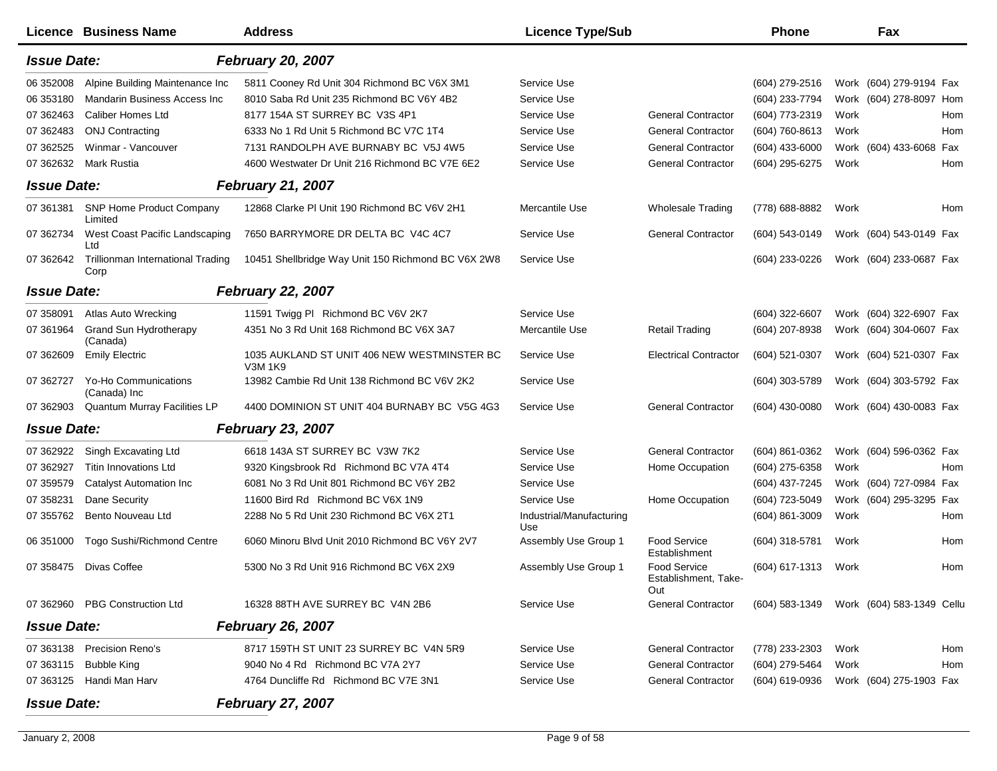|                    | <b>Licence Business Name</b>                     | <b>Address</b>                                         | <b>Licence Type/Sub</b>         |                                             | <b>Phone</b>                             |      | Fax                     |     |
|--------------------|--------------------------------------------------|--------------------------------------------------------|---------------------------------|---------------------------------------------|------------------------------------------|------|-------------------------|-----|
| <b>Issue Date:</b> |                                                  | <b>February 20, 2007</b>                               |                                 |                                             |                                          |      |                         |     |
| 06 352008          | Alpine Building Maintenance Inc                  | 5811 Cooney Rd Unit 304 Richmond BC V6X 3M1            | Service Use                     |                                             | (604) 279-2516                           |      | Work (604) 279-9194 Fax |     |
| 06 353180          | Mandarin Business Access Inc                     | 8010 Saba Rd Unit 235 Richmond BC V6Y 4B2              | Service Use                     |                                             | (604) 233-7794                           |      | Work (604) 278-8097 Hom |     |
| 07 362463          | <b>Caliber Homes Ltd</b>                         | 8177 154A ST SURREY BC V3S 4P1                         | Service Use                     | <b>General Contractor</b>                   | (604) 773-2319                           | Work |                         | Hom |
| 07 362483          | <b>ONJ Contracting</b>                           | 6333 No 1 Rd Unit 5 Richmond BC V7C 1T4                | Service Use                     | <b>General Contractor</b>                   | (604) 760-8613                           | Work |                         | Hom |
| 07 362525          | Winmar - Vancouver                               | 7131 RANDOLPH AVE BURNABY BC V5J 4W5                   | Service Use                     | <b>General Contractor</b>                   | (604) 433-6000                           |      | Work (604) 433-6068 Fax |     |
| 07 362632          | Mark Rustia                                      | 4600 Westwater Dr Unit 216 Richmond BC V7E 6E2         | Service Use                     | <b>General Contractor</b>                   | (604) 295-6275                           | Work |                         | Hom |
| <b>Issue Date:</b> |                                                  | <b>February 21, 2007</b>                               |                                 |                                             |                                          |      |                         |     |
| 07 361381          | <b>SNP Home Product Company</b><br>Limited       | 12868 Clarke PI Unit 190 Richmond BC V6V 2H1           | Mercantile Use                  | <b>Wholesale Trading</b>                    | (778) 688-8882                           | Work |                         | Hom |
| 07 362734          | West Coast Pacific Landscaping<br>Ltd            | 7650 BARRYMORE DR DELTA BC V4C 4C7                     | Service Use                     | <b>General Contractor</b>                   | (604) 543-0149                           |      | Work (604) 543-0149 Fax |     |
| 07 362642          | <b>Trillionman International Trading</b><br>Corp | 10451 Shellbridge Way Unit 150 Richmond BC V6X 2W8     | Service Use                     |                                             | (604) 233-0226                           |      | Work (604) 233-0687 Fax |     |
| <b>Issue Date:</b> |                                                  | <b>February 22, 2007</b>                               |                                 |                                             |                                          |      |                         |     |
| 07 358091          | <b>Atlas Auto Wrecking</b>                       | 11591 Twigg PI Richmond BC V6V 2K7                     | Service Use                     |                                             | (604) 322-6607                           |      | Work (604) 322-6907 Fax |     |
| 07 361964          | <b>Grand Sun Hydrotherapy</b><br>(Canada)        | 4351 No 3 Rd Unit 168 Richmond BC V6X 3A7              | Mercantile Use                  | <b>Retail Trading</b>                       | (604) 207-8938                           |      | Work (604) 304-0607 Fax |     |
| 07 362609          | <b>Emily Electric</b>                            | 1035 AUKLAND ST UNIT 406 NEW WESTMINSTER BC<br>V3M 1K9 | Service Use                     | <b>Electrical Contractor</b>                | (604) 521-0307                           |      | Work (604) 521-0307 Fax |     |
| 07 362727          | Yo-Ho Communications<br>(Canada) Inc             | 13982 Cambie Rd Unit 138 Richmond BC V6V 2K2           | Service Use                     |                                             | (604) 303-5789                           |      | Work (604) 303-5792 Fax |     |
| 07 362903          | Quantum Murray Facilities LP                     | 4400 DOMINION ST UNIT 404 BURNABY BC V5G 4G3           | Service Use                     | <b>General Contractor</b>                   | (604) 430-0080                           |      | Work (604) 430-0083 Fax |     |
| <b>Issue Date:</b> |                                                  | <b>February 23, 2007</b>                               |                                 |                                             |                                          |      |                         |     |
| 07 362922          | Singh Excavating Ltd                             | 6618 143A ST SURREY BC V3W 7K2                         | Service Use                     | <b>General Contractor</b>                   | (604) 861-0362                           |      | Work (604) 596-0362 Fax |     |
| 07 362927          | <b>Titin Innovations Ltd</b>                     | 9320 Kingsbrook Rd Richmond BC V7A 4T4                 | Service Use                     | Home Occupation                             | (604) 275-6358                           | Work |                         | Hom |
| 07 359579          | <b>Catalyst Automation Inc</b>                   | 6081 No 3 Rd Unit 801 Richmond BC V6Y 2B2              | Service Use                     |                                             | (604) 437-7245                           |      | Work (604) 727-0984 Fax |     |
| 07 358231          | Dane Security                                    | 11600 Bird Rd Richmond BC V6X 1N9                      | Service Use                     | Home Occupation                             | (604) 723-5049                           |      | Work (604) 295-3295 Fax |     |
| 07 355762          | Bento Nouveau Ltd                                | 2288 No 5 Rd Unit 230 Richmond BC V6X 2T1              | Industrial/Manufacturing<br>Use |                                             | (604) 861-3009                           | Work |                         | Hom |
| 06 351000          | Togo Sushi/Richmond Centre                       | 6060 Minoru Blvd Unit 2010 Richmond BC V6Y 2V7         | Assembly Use Group 1            | <b>Food Service</b><br>Establishment        | $(604)$ 318-5781                         | Work |                         | Hom |
| 07 358475          | Divas Coffee                                     | 5300 No 3 Rd Unit 916 Richmond BC V6X 2X9              | Assembly Use Group 1            | Food Service<br>Establishment, Take-<br>Out | (604) 617-1313                           | Work |                         | Hom |
|                    | 07 362960 PBG Construction Ltd                   | 16328 88TH AVE SURREY BC V4N 2B6                       | Service Use                     | <b>General Contractor</b>                   | (604) 583-1349 Work (604) 583-1349 Cellu |      |                         |     |
| <b>Issue Date:</b> |                                                  | <b>February 26, 2007</b>                               |                                 |                                             |                                          |      |                         |     |
| 07 363138          | <b>Precision Reno's</b>                          | 8717 159TH ST UNIT 23 SURREY BC V4N 5R9                | Service Use                     | <b>General Contractor</b>                   | (778) 233-2303                           | Work |                         | Hom |
| 07 363115          | <b>Bubble King</b>                               | 9040 No 4 Rd Richmond BC V7A 2Y7                       | Service Use                     | <b>General Contractor</b>                   | (604) 279-5464                           | Work |                         | Hom |
| 07 363125          | Handi Man Harv                                   | 4764 Duncliffe Rd Richmond BC V7E 3N1                  | Service Use                     | <b>General Contractor</b>                   | (604) 619-0936                           |      | Work (604) 275-1903 Fax |     |
| <b>Issue Date:</b> |                                                  | <b>February 27, 2007</b>                               |                                 |                                             |                                          |      |                         |     |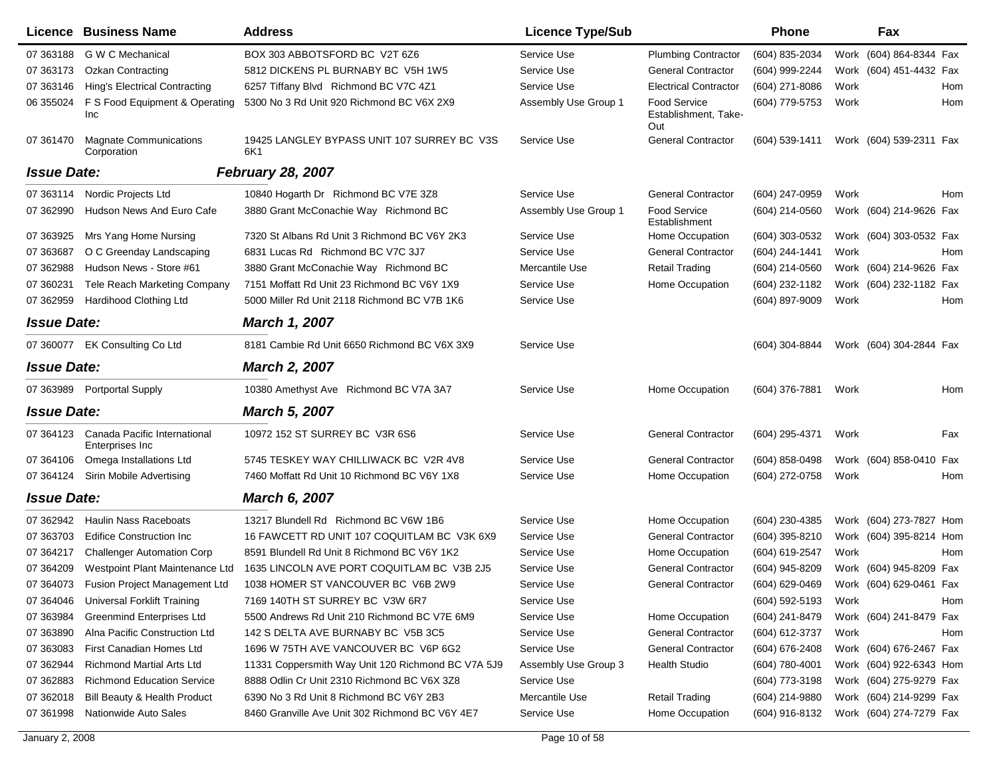|                    | Licence Business Name                            | <b>Address</b>                                     | <b>Licence Type/Sub</b> |                                             | Phone            |      | Fax                     |     |
|--------------------|--------------------------------------------------|----------------------------------------------------|-------------------------|---------------------------------------------|------------------|------|-------------------------|-----|
| 07 363188          | G W C Mechanical                                 | BOX 303 ABBOTSFORD BC V2T 6Z6                      | Service Use             | <b>Plumbing Contractor</b>                  | (604) 835-2034   |      | Work (604) 864-8344 Fax |     |
| 07 363173          | <b>Ozkan Contracting</b>                         | 5812 DICKENS PL BURNABY BC V5H 1W5                 | Service Use             | <b>General Contractor</b>                   | (604) 999-2244   |      | Work (604) 451-4432 Fax |     |
| 07 363146          | <b>Hing's Electrical Contracting</b>             | 6257 Tiffany Blvd Richmond BC V7C 4Z1              | Service Use             | <b>Electrical Contractor</b>                | (604) 271-8086   | Work |                         | Hom |
| 06 355024          | F S Food Equipment & Operating<br>Inc            | 5300 No 3 Rd Unit 920 Richmond BC V6X 2X9          | Assembly Use Group 1    | Food Service<br>Establishment, Take-<br>Out | (604) 779-5753   | Work |                         | Hom |
| 07 361470          | <b>Magnate Communications</b><br>Corporation     | 19425 LANGLEY BYPASS UNIT 107 SURREY BC V3S<br>6K1 | Service Use             | <b>General Contractor</b>                   | (604) 539-1411   |      | Work (604) 539-2311 Fax |     |
| <b>Issue Date:</b> |                                                  | <b>February 28, 2007</b>                           |                         |                                             |                  |      |                         |     |
| 07 363114          | Nordic Projects Ltd                              | 10840 Hogarth Dr Richmond BC V7E 3Z8               | Service Use             | <b>General Contractor</b>                   | (604) 247-0959   | Work |                         | Hom |
| 07 362990          | Hudson News And Euro Cafe                        | 3880 Grant McConachie Way Richmond BC              | Assembly Use Group 1    | Food Service<br>Establishment               | (604) 214-0560   |      | Work (604) 214-9626 Fax |     |
| 07 363925          | Mrs Yang Home Nursing                            | 7320 St Albans Rd Unit 3 Richmond BC V6Y 2K3       | Service Use             | Home Occupation                             | $(604)$ 303-0532 |      | Work (604) 303-0532 Fax |     |
| 07 363687          | O C Greenday Landscaping                         | 6831 Lucas Rd Richmond BC V7C 3J7                  | Service Use             | <b>General Contractor</b>                   | (604) 244-1441   | Work |                         | Hom |
| 07 362988          | Hudson News - Store #61                          | 3880 Grant McConachie Way Richmond BC              | Mercantile Use          | <b>Retail Trading</b>                       | (604) 214-0560   |      | Work (604) 214-9626 Fax |     |
| 07 360231          | Tele Reach Marketing Company                     | 7151 Moffatt Rd Unit 23 Richmond BC V6Y 1X9        | Service Use             | Home Occupation                             | (604) 232-1182   |      | Work (604) 232-1182 Fax |     |
| 07 362959          | Hardihood Clothing Ltd                           | 5000 Miller Rd Unit 2118 Richmond BC V7B 1K6       | Service Use             |                                             | (604) 897-9009   | Work |                         | Hom |
| <b>Issue Date:</b> |                                                  | <b>March 1, 2007</b>                               |                         |                                             |                  |      |                         |     |
|                    | 07 360077 EK Consulting Co Ltd                   | 8181 Cambie Rd Unit 6650 Richmond BC V6X 3X9       | Service Use             |                                             | (604) 304-8844   |      | Work (604) 304-2844 Fax |     |
| <b>Issue Date:</b> |                                                  | <b>March 2, 2007</b>                               |                         |                                             |                  |      |                         |     |
|                    | 07 363989 Portportal Supply                      | 10380 Amethyst Ave Richmond BC V7A 3A7             | Service Use             | Home Occupation                             | (604) 376-7881   | Work |                         | Hom |
| <b>Issue Date:</b> |                                                  | <b>March 5, 2007</b>                               |                         |                                             |                  |      |                         |     |
| 07 364123          | Canada Pacific International<br>Enterprises Inc. | 10972 152 ST SURREY BC V3R 6S6                     | Service Use             | <b>General Contractor</b>                   | (604) 295-4371   | Work |                         | Fax |
| 07 364106          | Omega Installations Ltd                          | 5745 TESKEY WAY CHILLIWACK BC V2R 4V8              | Service Use             | <b>General Contractor</b>                   | $(604)$ 858-0498 |      | Work (604) 858-0410 Fax |     |
| 07 364124          | Sirin Mobile Advertising                         | 7460 Moffatt Rd Unit 10 Richmond BC V6Y 1X8        | Service Use             | Home Occupation                             | (604) 272-0758   | Work |                         | Hom |
| <b>Issue Date:</b> |                                                  | <b>March 6, 2007</b>                               |                         |                                             |                  |      |                         |     |
| 07 362942          | Haulin Nass Raceboats                            | 13217 Blundell Rd Richmond BC V6W 1B6              | Service Use             | Home Occupation                             | $(604)$ 230-4385 |      | Work (604) 273-7827 Hom |     |
| 07 363703          | <b>Edifice Construction Inc.</b>                 | 16 FAWCETT RD UNIT 107 COQUITLAM BC V3K 6X9        | Service Use             | <b>General Contractor</b>                   | (604) 395-8210   |      | Work (604) 395-8214 Hom |     |
| 07 364217          | <b>Challenger Automation Corp</b>                | 8591 Blundell Rd Unit 8 Richmond BC V6Y 1K2        | Service Use             | Home Occupation                             | (604) 619-2547   | Work |                         | Hom |
| 07 364209          | Westpoint Plant Maintenance Ltd                  | 1635 LINCOLN AVE PORT COQUITLAM BC V3B 2J5         | Service Use             | <b>General Contractor</b>                   | (604) 945-8209   |      | Work (604) 945-8209 Fax |     |
| 07 364073          | Fusion Project Management Ltd                    | 1038 HOMER ST VANCOUVER BC V6B 2W9                 | Service Use             | <b>General Contractor</b>                   | (604) 629-0469   |      | Work (604) 629-0461 Fax |     |
| 07 364046          | Universal Forklift Training                      | 7169 140TH ST SURREY BC V3W 6R7                    | Service Use             |                                             | (604) 592-5193   | Work |                         | Hom |
| 07 363984          | Greenmind Enterprises Ltd                        | 5500 Andrews Rd Unit 210 Richmond BC V7E 6M9       | Service Use             | Home Occupation                             | (604) 241-8479   |      | Work (604) 241-8479 Fax |     |
| 07 363890          | Alna Pacific Construction Ltd                    | 142 S DELTA AVE BURNABY BC V5B 3C5                 | Service Use             | <b>General Contractor</b>                   | (604) 612-3737   | Work |                         | Hom |
| 07 363083          | First Canadian Homes Ltd                         | 1696 W 75TH AVE VANCOUVER BC V6P 6G2               | Service Use             | <b>General Contractor</b>                   | (604) 676-2408   |      | Work (604) 676-2467 Fax |     |
| 07 362944          | <b>Richmond Martial Arts Ltd</b>                 | 11331 Coppersmith Way Unit 120 Richmond BC V7A 5J9 | Assembly Use Group 3    | Health Studio                               | $(604)$ 780-4001 |      | Work (604) 922-6343 Hom |     |
| 07 362883          | <b>Richmond Education Service</b>                | 8888 Odlin Cr Unit 2310 Richmond BC V6X 3Z8        | Service Use             |                                             | (604) 773-3198   |      | Work (604) 275-9279 Fax |     |
| 07 362018          | Bill Beauty & Health Product                     | 6390 No 3 Rd Unit 8 Richmond BC V6Y 2B3            | Mercantile Use          | <b>Retail Trading</b>                       | (604) 214-9880   |      | Work (604) 214-9299 Fax |     |
| 07 361998          | Nationwide Auto Sales                            | 8460 Granville Ave Unit 302 Richmond BC V6Y 4E7    | Service Use             | Home Occupation                             | (604) 916-8132   |      | Work (604) 274-7279 Fax |     |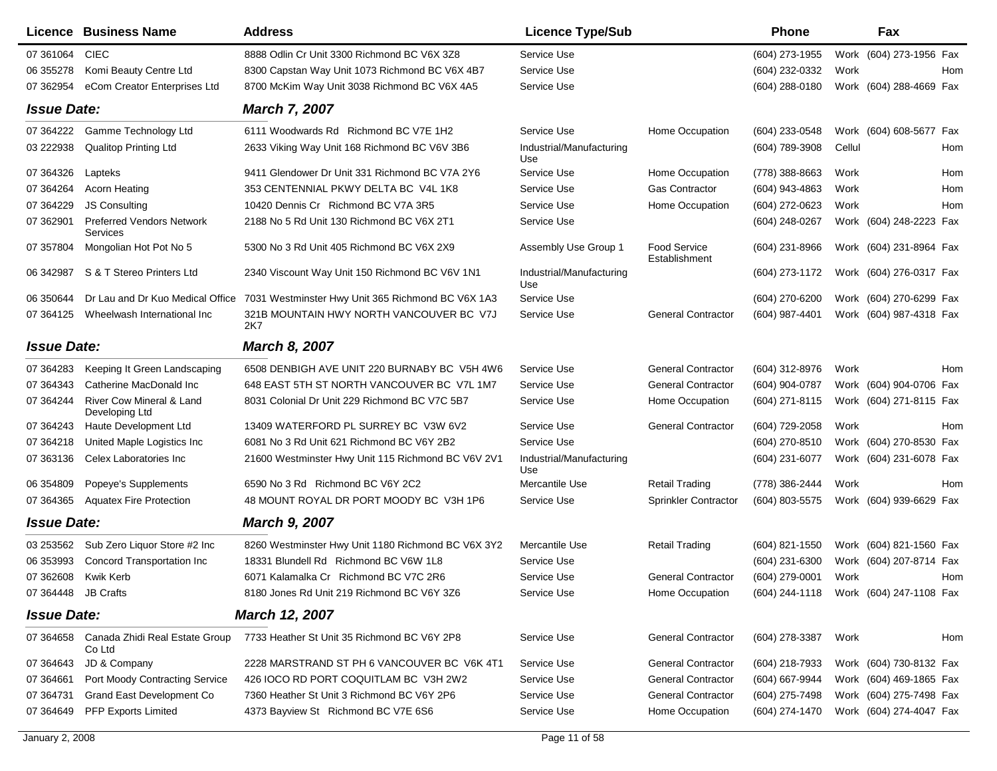|                     | <b>Licence Business Name</b>                 | <b>Address</b>                                     | <b>Licence Type/Sub</b>         |                               | <b>Phone</b>     |        | Fax                                    |     |
|---------------------|----------------------------------------------|----------------------------------------------------|---------------------------------|-------------------------------|------------------|--------|----------------------------------------|-----|
| 07 361064           | <b>CIEC</b>                                  | 8888 Odlin Cr Unit 3300 Richmond BC V6X 3Z8        | Service Use                     |                               | (604) 273-1955   |        | Work (604) 273-1956 Fax                |     |
| 06 355278           | Komi Beauty Centre Ltd                       | 8300 Capstan Way Unit 1073 Richmond BC V6X 4B7     | Service Use                     |                               | (604) 232-0332   | Work   |                                        | Hom |
| 07 362954           | eCom Creator Enterprises Ltd                 | 8700 McKim Way Unit 3038 Richmond BC V6X 4A5       | Service Use                     |                               | $(604)$ 288-0180 |        | Work (604) 288-4669 Fax                |     |
| <b>Issue Date:</b>  |                                              | <b>March 7, 2007</b>                               |                                 |                               |                  |        |                                        |     |
| 07 364222           | Gamme Technology Ltd                         | 6111 Woodwards Rd Richmond BC V7E 1H2              | Service Use                     | Home Occupation               | (604) 233-0548   |        | Work (604) 608-5677 Fax                |     |
| 03 222938           | <b>Qualitop Printing Ltd</b>                 | 2633 Viking Way Unit 168 Richmond BC V6V 3B6       | Industrial/Manufacturing<br>Use |                               | (604) 789-3908   | Cellul |                                        | Hom |
| 07 364326           | Lapteks                                      | 9411 Glendower Dr Unit 331 Richmond BC V7A 2Y6     | Service Use                     | Home Occupation               | (778) 388-8663   | Work   |                                        | Hom |
| 07 364264           | <b>Acorn Heating</b>                         | 353 CENTENNIAL PKWY DELTA BC V4L 1K8               | Service Use                     | Gas Contractor                | (604) 943-4863   | Work   |                                        | Hom |
| 07 364229           | <b>JS Consulting</b>                         | 10420 Dennis Cr Richmond BC V7A 3R5                | Service Use                     | Home Occupation               | (604) 272-0623   | Work   |                                        | Hom |
| 07 362901           | <b>Preferred Vendors Network</b><br>Services | 2188 No 5 Rd Unit 130 Richmond BC V6X 2T1          | Service Use                     |                               | (604) 248-0267   |        | Work (604) 248-2223 Fax                |     |
| 07 357804           | Mongolian Hot Pot No 5                       | 5300 No 3 Rd Unit 405 Richmond BC V6X 2X9          | Assembly Use Group 1            | Food Service<br>Establishment | $(604)$ 231-8966 |        | Work (604) 231-8964 Fax                |     |
| 06 34 2987          | S & T Stereo Printers Ltd                    | 2340 Viscount Way Unit 150 Richmond BC V6V 1N1     | Industrial/Manufacturing<br>Use |                               | (604) 273-1172   |        | Work (604) 276-0317 Fax                |     |
| 06 350 644          | Dr Lau and Dr Kuo Medical Office             | 7031 Westminster Hwy Unit 365 Richmond BC V6X 1A3  | Service Use                     |                               | (604) 270-6200   |        | Work (604) 270-6299 Fax                |     |
| 07 364125           | Wheelwash International Inc                  | 321B MOUNTAIN HWY NORTH VANCOUVER BC V7J<br>2K7    | Service Use                     | <b>General Contractor</b>     | (604) 987-4401   |        | Work (604) 987-4318 Fax                |     |
| <b>Issue Date:</b>  |                                              | <b>March 8, 2007</b>                               |                                 |                               |                  |        |                                        |     |
| 07 364283           | Keeping It Green Landscaping                 | 6508 DENBIGH AVE UNIT 220 BURNABY BC V5H 4W6       | Service Use                     | <b>General Contractor</b>     | (604) 312-8976   | Work   |                                        | Hom |
| 07 364343           | Catherine MacDonald Inc                      | 648 EAST 5TH ST NORTH VANCOUVER BC V7L 1M7         | Service Use                     | <b>General Contractor</b>     | (604) 904-0787   |        | Work (604) 904-0706 Fax                |     |
| 07 364244           | River Cow Mineral & Land<br>Developing Ltd   | 8031 Colonial Dr Unit 229 Richmond BC V7C 5B7      | Service Use                     | Home Occupation               | (604) 271-8115   |        | Work (604) 271-8115 Fax                |     |
| 07 364243           | Haute Development Ltd                        | 13409 WATERFORD PL SURREY BC V3W 6V2               | Service Use                     | <b>General Contractor</b>     | (604) 729-2058   | Work   |                                        | Hom |
| 07 364218           | United Maple Logistics Inc                   | 6081 No 3 Rd Unit 621 Richmond BC V6Y 2B2          | Service Use                     |                               | (604) 270-8510   |        | Work (604) 270-8530 Fax                |     |
| 07 363136           | Celex Laboratories Inc                       | 21600 Westminster Hwy Unit 115 Richmond BC V6V 2V1 | Industrial/Manufacturing<br>Use |                               | (604) 231-6077   |        | Work (604) 231-6078 Fax                |     |
| 06 354809           | Popeye's Supplements                         | 6590 No 3 Rd Richmond BC V6Y 2C2                   | Mercantile Use                  | <b>Retail Trading</b>         | (778) 386-2444   | Work   |                                        | Hom |
| 07 364365           | <b>Aquatex Fire Protection</b>               | 48 MOUNT ROYAL DR PORT MOODY BC V3H 1P6            | Service Use                     | Sprinkler Contractor          | (604) 803-5575   |        | Work (604) 939-6629 Fax                |     |
| <b>Issue Date:</b>  |                                              | <b>March 9, 2007</b>                               |                                 |                               |                  |        |                                        |     |
| 03 253562           | Sub Zero Liquor Store #2 Inc                 | 8260 Westminster Hwy Unit 1180 Richmond BC V6X 3Y2 | Mercantile Use                  | <b>Retail Trading</b>         | (604) 821-1550   |        | Work (604) 821-1560 Fax                |     |
| 06 353993           | Concord Transportation Inc                   | 18331 Blundell Rd Richmond BC V6W 1L8              | Service Use                     |                               | (604) 231-6300   |        | Work (604) 207-8714 Fax                |     |
| 07 362608           | Kwik Kerb                                    | 6071 Kalamalka Cr Richmond BC V7C 2R6              | Service Use                     | <b>General Contractor</b>     | (604) 279-0001   | Work   |                                        | Hom |
| 07 364448 JB Crafts |                                              | 8180 Jones Rd Unit 219 Richmond BC V6Y 3Z6         | Service Use                     | Home Occupation               |                  |        | (604) 244-1118 Work (604) 247-1108 Fax |     |
| <b>Issue Date:</b>  |                                              | <b>March 12, 2007</b>                              |                                 |                               |                  |        |                                        |     |
| 07 364658           | Canada Zhidi Real Estate Group<br>Co Ltd     | 7733 Heather St Unit 35 Richmond BC V6Y 2P8        | Service Use                     | <b>General Contractor</b>     | (604) 278-3387   | Work   |                                        | Hom |
| 07 364643           | JD & Company                                 | 2228 MARSTRAND ST PH 6 VANCOUVER BC V6K 4T1        | Service Use                     | <b>General Contractor</b>     | (604) 218-7933   |        | Work (604) 730-8132 Fax                |     |
| 07 364661           | Port Moody Contracting Service               | 426 IOCO RD PORT COQUITLAM BC V3H 2W2              | Service Use                     | <b>General Contractor</b>     | (604) 667-9944   |        | Work (604) 469-1865 Fax                |     |
| 07 364731           | Grand East Development Co                    | 7360 Heather St Unit 3 Richmond BC V6Y 2P6         | Service Use                     | <b>General Contractor</b>     | (604) 275-7498   |        | Work (604) 275-7498 Fax                |     |
| 07 364649           | PFP Exports Limited                          | 4373 Bayview St Richmond BC V7E 6S6                | Service Use                     | Home Occupation               | (604) 274-1470   |        | Work (604) 274-4047 Fax                |     |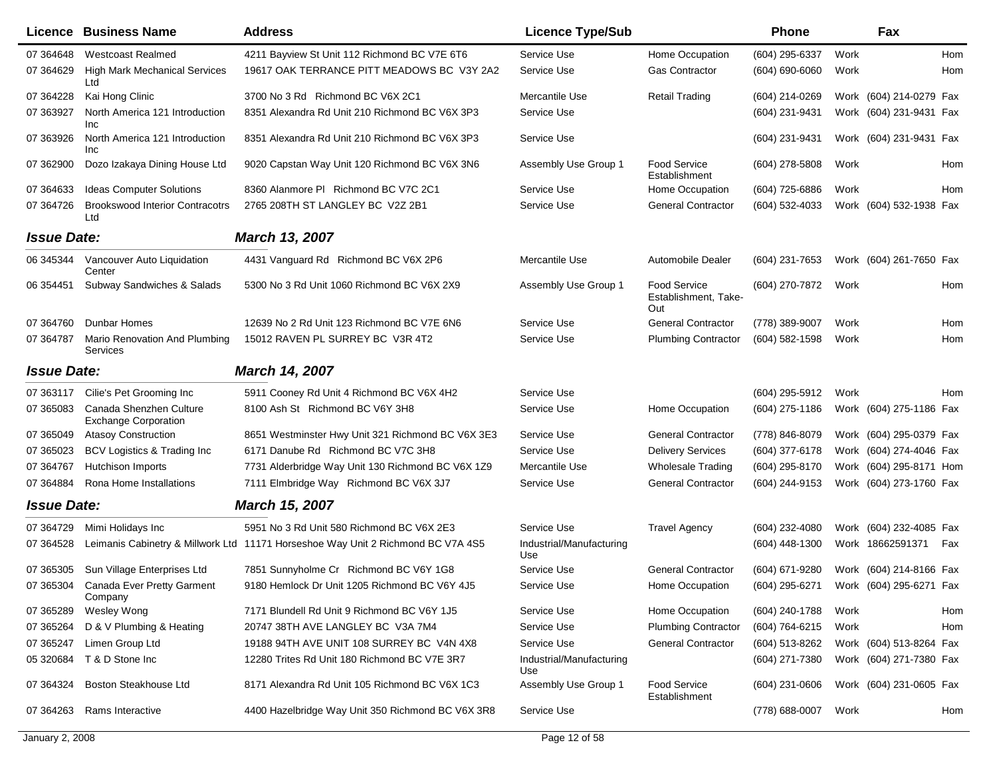|                    | Licence Business Name                                  | <b>Address</b>                                                                   | <b>Licence Type/Sub</b>         |                                                    | <b>Phone</b>                           |      | Fax                     |     |
|--------------------|--------------------------------------------------------|----------------------------------------------------------------------------------|---------------------------------|----------------------------------------------------|----------------------------------------|------|-------------------------|-----|
| 07 364648          | <b>Westcoast Realmed</b>                               | 4211 Bayview St Unit 112 Richmond BC V7E 6T6                                     | Service Use                     | Home Occupation                                    | (604) 295-6337                         | Work |                         | Hom |
| 07 364629          | <b>High Mark Mechanical Services</b><br>Ltd            | 19617 OAK TERRANCE PITT MEADOWS BC V3Y 2A2                                       | Service Use                     | <b>Gas Contractor</b>                              | $(604) 690 - 6060$                     | Work |                         | Hom |
| 07 364228          | Kai Hong Clinic                                        | 3700 No 3 Rd Richmond BC V6X 2C1                                                 | Mercantile Use                  | <b>Retail Trading</b>                              | (604) 214-0269                         |      | Work (604) 214-0279 Fax |     |
| 07 363927          | North America 121 Introduction<br>Inc                  | 8351 Alexandra Rd Unit 210 Richmond BC V6X 3P3                                   | Service Use                     |                                                    | (604) 231-9431                         |      | Work (604) 231-9431 Fax |     |
| 07 363926          | North America 121 Introduction<br><b>Inc</b>           | 8351 Alexandra Rd Unit 210 Richmond BC V6X 3P3                                   | Service Use                     |                                                    | (604) 231-9431                         |      | Work (604) 231-9431 Fax |     |
| 07 362900          | Dozo Izakaya Dining House Ltd                          | 9020 Capstan Way Unit 120 Richmond BC V6X 3N6                                    | Assembly Use Group 1            | Food Service<br>Establishment                      | (604) 278-5808                         | Work |                         | Hom |
| 07 364633          | <b>Ideas Computer Solutions</b>                        | 8360 Alanmore PI Richmond BC V7C 2C1                                             | Service Use                     | Home Occupation                                    | (604) 725-6886                         | Work |                         | Hom |
| 07 364726          | <b>Brookswood Interior Contracotrs</b><br>Ltd          | 2765 208TH ST LANGLEY BC V2Z 2B1                                                 | Service Use                     | <b>General Contractor</b>                          | (604) 532-4033                         |      | Work (604) 532-1938 Fax |     |
| <b>Issue Date:</b> |                                                        | March 13, 2007                                                                   |                                 |                                                    |                                        |      |                         |     |
| 06 345344          | Vancouver Auto Liquidation<br>Center                   | 4431 Vanguard Rd Richmond BC V6X 2P6                                             | Mercantile Use                  | Automobile Dealer                                  | (604) 231-7653                         |      | Work (604) 261-7650 Fax |     |
| 06 354451          | Subway Sandwiches & Salads                             | 5300 No 3 Rd Unit 1060 Richmond BC V6X 2X9                                       | Assembly Use Group 1            | <b>Food Service</b><br>Establishment, Take-<br>Out | (604) 270-7872                         | Work |                         | Hom |
| 07 364760          | Dunbar Homes                                           | 12639 No 2 Rd Unit 123 Richmond BC V7E 6N6                                       | Service Use                     | <b>General Contractor</b>                          | (778) 389-9007                         | Work |                         | Hom |
| 07 364787          | Mario Renovation And Plumbing<br>Services              | 15012 RAVEN PL SURREY BC V3R 4T2                                                 | Service Use                     | <b>Plumbing Contractor</b>                         | (604) 582-1598                         | Work |                         | Hom |
| <b>Issue Date:</b> |                                                        | March 14, 2007                                                                   |                                 |                                                    |                                        |      |                         |     |
| 07 363117          | Cilie's Pet Grooming Inc                               | 5911 Cooney Rd Unit 4 Richmond BC V6X 4H2                                        | Service Use                     |                                                    | (604) 295-5912                         | Work |                         | Hom |
| 07 365083          | Canada Shenzhen Culture<br><b>Exchange Corporation</b> | 8100 Ash St Richmond BC V6Y 3H8                                                  | Service Use                     | Home Occupation                                    | $(604)$ 275-1186                       |      | Work (604) 275-1186 Fax |     |
| 07 365049          | <b>Atasoy Construction</b>                             | 8651 Westminster Hwy Unit 321 Richmond BC V6X 3E3                                | Service Use                     | <b>General Contractor</b>                          | (778) 846-8079                         |      | Work (604) 295-0379 Fax |     |
| 07 365023          | BCV Logistics & Trading Inc                            | 6171 Danube Rd Richmond BC V7C 3H8                                               | Service Use                     | <b>Delivery Services</b>                           | (604) 377-6178                         |      | Work (604) 274-4046 Fax |     |
| 07 364767          | Hutchison Imports                                      | 7731 Alderbridge Way Unit 130 Richmond BC V6X 1Z9                                | Mercantile Use                  | <b>Wholesale Trading</b>                           | (604) 295-8170                         |      | Work (604) 295-8171 Hom |     |
| 07 364884          | Rona Home Installations                                | 7111 Elmbridge Way Richmond BC V6X 3J7                                           | Service Use                     | <b>General Contractor</b>                          | (604) 244-9153                         |      | Work (604) 273-1760 Fax |     |
| <b>Issue Date:</b> |                                                        | March 15, 2007                                                                   |                                 |                                                    |                                        |      |                         |     |
| 07 364729          | Mimi Holidays Inc                                      | 5951 No 3 Rd Unit 580 Richmond BC V6X 2E3                                        | Service Use                     | <b>Travel Agency</b>                               | (604) 232-4080                         |      | Work (604) 232-4085 Fax |     |
| 07 364528          |                                                        | Leimanis Cabinetry & Millwork Ltd 11171 Horseshoe Way Unit 2 Richmond BC V7A 4S5 | Industrial/Manufacturing<br>Use |                                                    | $(604)$ 448-1300                       |      | Work 18662591371        | Fax |
| 07 365305          | Sun Village Enterprises Ltd                            | 7851 Sunnyholme Cr Richmond BC V6Y 1G8                                           | Service Use                     | <b>General Contractor</b>                          | (604) 671-9280                         |      | Work (604) 214-8166 Fax |     |
|                    | 07 365304 Canada Ever Pretty Garment<br>Company        | 9180 Hemlock Dr Unit 1205 Richmond BC V6Y 4J5                                    | Service Use                     | Home Occupation                                    | (604) 295-6271 Work (604) 295-6271 Fax |      |                         |     |
| 07 365289          | Wesley Wong                                            | 7171 Blundell Rd Unit 9 Richmond BC V6Y 1J5                                      | Service Use                     | Home Occupation                                    | (604) 240-1788                         | Work |                         | Hom |
| 07 365264          | D & V Plumbing & Heating                               | 20747 38TH AVE LANGLEY BC V3A 7M4                                                | Service Use                     | <b>Plumbing Contractor</b>                         | (604) 764-6215                         | Work |                         | Hom |
| 07 365247          | Limen Group Ltd                                        | 19188 94TH AVE UNIT 108 SURREY BC V4N 4X8                                        | Service Use                     | <b>General Contractor</b>                          | (604) 513-8262                         |      | Work (604) 513-8264 Fax |     |
| 05 320684          | T & D Stone Inc                                        | 12280 Trites Rd Unit 180 Richmond BC V7E 3R7                                     | Industrial/Manufacturing<br>Use |                                                    | (604) 271-7380                         |      | Work (604) 271-7380 Fax |     |
| 07 364324          | Boston Steakhouse Ltd                                  | 8171 Alexandra Rd Unit 105 Richmond BC V6X 1C3                                   | Assembly Use Group 1            | <b>Food Service</b><br>Establishment               | $(604)$ 231-0606                       |      | Work (604) 231-0605 Fax |     |
| 07 364263          | Rams Interactive                                       | 4400 Hazelbridge Way Unit 350 Richmond BC V6X 3R8                                | Service Use                     |                                                    | (778) 688-0007                         | Work |                         | Hom |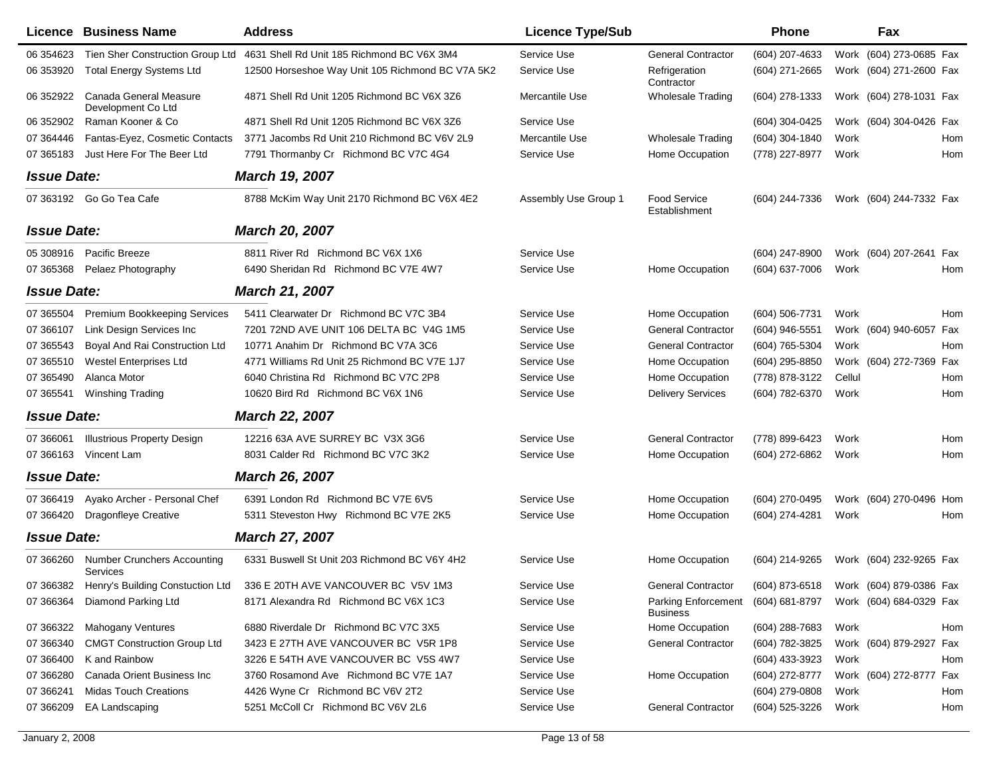|                    | Licence Business Name                        | <b>Address</b>                                                                 | <b>Licence Type/Sub</b> |                                               | <b>Phone</b>   |        | Fax                                    |     |
|--------------------|----------------------------------------------|--------------------------------------------------------------------------------|-------------------------|-----------------------------------------------|----------------|--------|----------------------------------------|-----|
| 06 354623          | Tien Sher Construction Group Ltd             | 4631 Shell Rd Unit 185 Richmond BC V6X 3M4                                     | Service Use             | <b>General Contractor</b>                     | (604) 207-4633 |        | Work (604) 273-0685 Fax                |     |
| 06 353920          | <b>Total Energy Systems Ltd</b>              | 12500 Horseshoe Way Unit 105 Richmond BC V7A 5K2                               | Service Use             | Refrigeration<br>Contractor                   | (604) 271-2665 |        | Work (604) 271-2600 Fax                |     |
| 06 352922          | Canada General Measure<br>Development Co Ltd | 4871 Shell Rd Unit 1205 Richmond BC V6X 3Z6                                    | Mercantile Use          | <b>Wholesale Trading</b>                      | (604) 278-1333 |        | Work (604) 278-1031 Fax                |     |
| 06 352902          | Raman Kooner & Co                            | 4871 Shell Rd Unit 1205 Richmond BC V6X 3Z6                                    | Service Use             |                                               | (604) 304-0425 |        | Work (604) 304-0426 Fax                |     |
| 07 364446          | Fantas-Eyez, Cosmetic Contacts               | 3771 Jacombs Rd Unit 210 Richmond BC V6V 2L9                                   | Mercantile Use          | <b>Wholesale Trading</b>                      | (604) 304-1840 | Work   |                                        | Hom |
| 07 365183          | Just Here For The Beer Ltd                   | 7791 Thormanby Cr Richmond BC V7C 4G4                                          | Service Use             | Home Occupation                               | (778) 227-8977 | Work   |                                        | Hom |
| <b>Issue Date:</b> |                                              | March 19, 2007                                                                 |                         |                                               |                |        |                                        |     |
|                    | 07 363192 Go Go Tea Cafe                     | 8788 McKim Way Unit 2170 Richmond BC V6X 4E2                                   | Assembly Use Group 1    | Food Service<br>Establishment                 | (604) 244-7336 |        | Work (604) 244-7332 Fax                |     |
| <b>Issue Date:</b> |                                              | <b>March 20, 2007</b>                                                          |                         |                                               |                |        |                                        |     |
| 05 308916          | Pacific Breeze                               | 8811 River Rd Richmond BC V6X 1X6                                              | Service Use             |                                               | (604) 247-8900 |        | Work (604) 207-2641                    | Fax |
| 07 365368          | Pelaez Photography                           | 6490 Sheridan Rd Richmond BC V7E 4W7                                           | Service Use             | Home Occupation                               | (604) 637-7006 | Work   |                                        | Hom |
| <b>Issue Date:</b> |                                              | <b>March 21, 2007</b>                                                          |                         |                                               |                |        |                                        |     |
| 07 365504          | Premium Bookkeeping Services                 | 5411 Clearwater Dr Richmond BC V7C 3B4                                         | Service Use             | Home Occupation                               | (604) 506-7731 | Work   |                                        | Hom |
| 07 366107          | Link Design Services Inc                     | 7201 72ND AVE UNIT 106 DELTA BC V4G 1M5                                        | Service Use             | <b>General Contractor</b>                     | (604) 946-5551 |        | Work (604) 940-6057                    | Fax |
| 07 365543          | Boyal And Rai Construction Ltd               | 10771 Anahim Dr Richmond BC V7A 3C6                                            | Service Use             | <b>General Contractor</b>                     | (604) 765-5304 | Work   |                                        | Hom |
| 07 365510          | <b>Westel Enterprises Ltd</b>                | 4771 Williams Rd Unit 25 Richmond BC V7E 1J7                                   | Service Use             | Home Occupation                               | (604) 295-8850 |        | Work (604) 272-7369                    | Fax |
| 07 365490          | Alanca Motor                                 | 6040 Christina Rd Richmond BC V7C 2P8                                          | Service Use             | Home Occupation                               | (778) 878-3122 | Cellul |                                        | Hom |
| 07 365541          | Winshing Trading                             | 10620 Bird Rd Richmond BC V6X 1N6                                              | Service Use             | <b>Delivery Services</b>                      | (604) 782-6370 | Work   |                                        | Hom |
| <b>Issue Date:</b> |                                              | <b>March 22, 2007</b>                                                          |                         |                                               |                |        |                                        |     |
| 07 366061          | <b>Illustrious Property Design</b>           | 12216 63A AVE SURREY BC V3X 3G6                                                | Service Use             | <b>General Contractor</b>                     | (778) 899-6423 | Work   |                                        | Hom |
| 07 366163          | Vincent Lam                                  | 8031 Calder Rd Richmond BC V7C 3K2                                             | Service Use             | Home Occupation                               | (604) 272-6862 | Work   |                                        | Hom |
| <b>Issue Date:</b> |                                              | <b>March 26, 2007</b>                                                          |                         |                                               |                |        |                                        |     |
| 07 366419          | Ayako Archer - Personal Chef                 | 6391 London Rd Richmond BC V7E 6V5                                             | Service Use             | Home Occupation                               | (604) 270-0495 |        | Work (604) 270-0496 Hom                |     |
| 07 36 64 20        | Dragonfleye Creative                         | 5311 Steveston Hwy Richmond BC V7E 2K5                                         | Service Use             | Home Occupation                               | (604) 274-4281 | Work   |                                        | Hom |
| <b>Issue Date:</b> |                                              | <b>March 27, 2007</b>                                                          |                         |                                               |                |        |                                        |     |
| 07 366260          | <b>Number Crunchers Accounting</b>           | 6331 Buswell St Unit 203 Richmond BC V6Y 4H2                                   | Service Use             | Home Occupation                               | (604) 214-9265 |        | Work (604) 232-9265 Fax                |     |
|                    | Services                                     | 07 366382 Henry's Building Constuction Ltd 336 E 20TH AVE VANCOUVER BC V5V 1M3 | Service Use             | <b>General Contractor</b>                     |                |        | (604) 873-6518 Work (604) 879-0386 Fax |     |
|                    | 07 366364 Diamond Parking Ltd                | 8171 Alexandra Rd Richmond BC V6X 1C3                                          | Service Use             | <b>Parking Enforcement</b><br><b>Business</b> |                |        | (604) 681-8797 Work (604) 684-0329 Fax |     |
| 07 366322          | <b>Mahogany Ventures</b>                     | 6880 Riverdale Dr Richmond BC V7C 3X5                                          | Service Use             | Home Occupation                               | (604) 288-7683 | Work   |                                        | Hom |
| 07 366340          | <b>CMGT Construction Group Ltd</b>           | 3423 E 27TH AVE VANCOUVER BC V5R 1P8                                           | Service Use             | <b>General Contractor</b>                     | (604) 782-3825 |        | Work (604) 879-2927 Fax                |     |
| 07 366400          | K and Rainbow                                | 3226 E 54TH AVE VANCOUVER BC V5S 4W7                                           | Service Use             |                                               | (604) 433-3923 | Work   |                                        | Hom |
| 07 366280          | Canada Orient Business Inc                   | 3760 Rosamond Ave Richmond BC V7E 1A7                                          | Service Use             | Home Occupation                               | (604) 272-8777 |        | Work (604) 272-8777 Fax                |     |
| 07 366241          | <b>Midas Touch Creations</b>                 | 4426 Wyne Cr Richmond BC V6V 2T2                                               | Service Use             |                                               | (604) 279-0808 | Work   |                                        | Hom |
| 07 366209          | EA Landscaping                               | 5251 McColl Cr Richmond BC V6V 2L6                                             | Service Use             | <b>General Contractor</b>                     | (604) 525-3226 | Work   |                                        | Hom |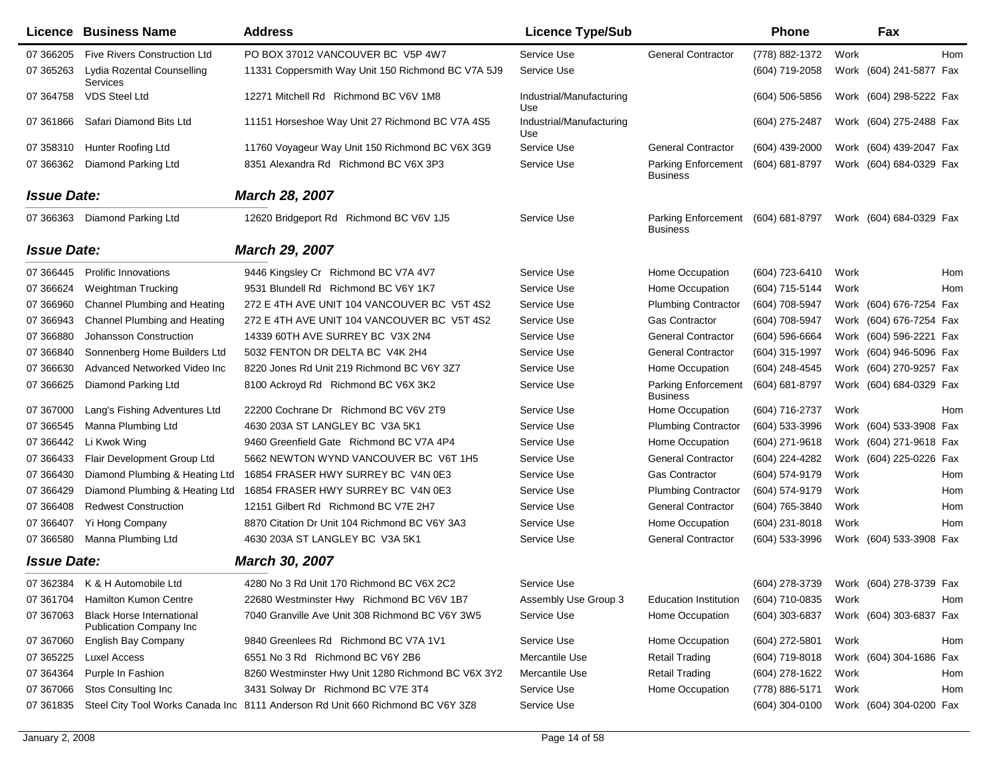|                    | Licence Business Name                                              | <b>Address</b>                                                                 | <b>Licence Type/Sub</b>         |                                        | Phone            |      | Fax                     |     |
|--------------------|--------------------------------------------------------------------|--------------------------------------------------------------------------------|---------------------------------|----------------------------------------|------------------|------|-------------------------|-----|
| 07 366205          | <b>Five Rivers Construction Ltd</b>                                | PO BOX 37012 VANCOUVER BC V5P 4W7                                              | Service Use                     | <b>General Contractor</b>              | (778) 882-1372   | Work |                         | Hom |
| 07 365263          | Lydia Rozental Counselling<br>Services                             | 11331 Coppersmith Way Unit 150 Richmond BC V7A 5J9                             | Service Use                     |                                        | (604) 719-2058   |      | Work (604) 241-5877 Fax |     |
| 07 364758          | <b>VDS Steel Ltd</b>                                               | 12271 Mitchell Rd Richmond BC V6V 1M8                                          | Industrial/Manufacturing<br>Use |                                        | $(604)$ 506-5856 |      | Work (604) 298-5222 Fax |     |
| 07 361866          | Safari Diamond Bits Ltd                                            | 11151 Horseshoe Way Unit 27 Richmond BC V7A 4S5                                | Industrial/Manufacturing<br>Use |                                        | (604) 275-2487   |      | Work (604) 275-2488 Fax |     |
| 07 358310          | <b>Hunter Roofing Ltd</b>                                          | 11760 Voyageur Way Unit 150 Richmond BC V6X 3G9                                | Service Use                     | <b>General Contractor</b>              | (604) 439-2000   |      | Work (604) 439-2047 Fax |     |
| 07 366362          | Diamond Parking Ltd                                                | 8351 Alexandra Rd Richmond BC V6X 3P3                                          | Service Use                     | Parking Enforcement<br><b>Business</b> | (604) 681-8797   |      | Work (604) 684-0329 Fax |     |
| <b>Issue Date:</b> |                                                                    | <b>March 28, 2007</b>                                                          |                                 |                                        |                  |      |                         |     |
|                    | 07 366363 Diamond Parking Ltd                                      | 12620 Bridgeport Rd Richmond BC V6V 1J5                                        | Service Use                     | Parking Enforcement<br><b>Business</b> | (604) 681-8797   |      | Work (604) 684-0329 Fax |     |
| <b>Issue Date:</b> |                                                                    | <b>March 29, 2007</b>                                                          |                                 |                                        |                  |      |                         |     |
| 07 366445          | <b>Prolific Innovations</b>                                        | 9446 Kingsley Cr Richmond BC V7A 4V7                                           | Service Use                     | Home Occupation                        | (604) 723-6410   | Work |                         | Hom |
| 07 366624          | <b>Weightman Trucking</b>                                          | 9531 Blundell Rd Richmond BC V6Y 1K7                                           | Service Use                     | Home Occupation                        | (604) 715-5144   | Work |                         | Hom |
| 07 366960          | Channel Plumbing and Heating                                       | 272 E 4TH AVE UNIT 104 VANCOUVER BC V5T 4S2                                    | Service Use                     | <b>Plumbing Contractor</b>             | (604) 708-5947   |      | Work (604) 676-7254 Fax |     |
| 07 366943          | Channel Plumbing and Heating                                       | 272 E 4TH AVE UNIT 104 VANCOUVER BC V5T 4S2                                    | Service Use                     | <b>Gas Contractor</b>                  | (604) 708-5947   |      | Work (604) 676-7254 Fax |     |
| 07 36 6880         | Johansson Construction                                             | 14339 60TH AVE SURREY BC V3X 2N4                                               | Service Use                     | <b>General Contractor</b>              | (604) 596-6664   |      | Work (604) 596-2221 Fax |     |
| 07 36 6840         | Sonnenberg Home Builders Ltd                                       | 5032 FENTON DR DELTA BC V4K 2H4                                                | Service Use                     | <b>General Contractor</b>              | (604) 315-1997   |      | Work (604) 946-5096 Fax |     |
| 07 366630          | Advanced Networked Video Inc                                       | 8220 Jones Rd Unit 219 Richmond BC V6Y 3Z7                                     | Service Use                     | Home Occupation                        | (604) 248-4545   |      | Work (604) 270-9257 Fax |     |
| 07 366625          | Diamond Parking Ltd                                                | 8100 Ackroyd Rd Richmond BC V6X 3K2                                            | Service Use                     | Parking Enforcement<br><b>Business</b> | (604) 681-8797   |      | Work (604) 684-0329 Fax |     |
| 07 367000          | Lang's Fishing Adventures Ltd                                      | 22200 Cochrane Dr Richmond BC V6V 2T9                                          | Service Use                     | Home Occupation                        | (604) 716-2737   | Work |                         | Hom |
| 07 366545          | Manna Plumbing Ltd                                                 | 4630 203A ST LANGLEY BC V3A 5K1                                                | Service Use                     | <b>Plumbing Contractor</b>             | (604) 533-3996   |      | Work (604) 533-3908 Fax |     |
| 07 36 6442         | Li Kwok Wing                                                       | 9460 Greenfield Gate Richmond BC V7A 4P4                                       | Service Use                     | Home Occupation                        | (604) 271-9618   |      | Work (604) 271-9618 Fax |     |
| 07 366433          | Flair Development Group Ltd                                        | 5662 NEWTON WYND VANCOUVER BC V6T 1H5                                          | Service Use                     | <b>General Contractor</b>              | (604) 224-4282   |      | Work (604) 225-0226 Fax |     |
| 07 36 64 30        | Diamond Plumbing & Heating Ltd                                     | 16854 FRASER HWY SURREY BC V4N 0E3                                             | Service Use                     | <b>Gas Contractor</b>                  | (604) 574-9179   | Work |                         | Hom |
| 07 366429          |                                                                    | Diamond Plumbing & Heating Ltd 16854 FRASER HWY SURREY BC V4N 0E3              | Service Use                     | <b>Plumbing Contractor</b>             | (604) 574-9179   | Work |                         | Hom |
| 07 36 640 8        | <b>Redwest Construction</b>                                        | 12151 Gilbert Rd Richmond BC V7E 2H7                                           | Service Use                     | <b>General Contractor</b>              | (604) 765-3840   | Work |                         | Hom |
| 07 366407          | Yi Hong Company                                                    | 8870 Citation Dr Unit 104 Richmond BC V6Y 3A3                                  | Service Use                     | Home Occupation                        | (604) 231-8018   | Work |                         | Hom |
| 07 366580          | Manna Plumbing Ltd                                                 | 4630 203A ST LANGLEY BC V3A 5K1                                                | Service Use                     | <b>General Contractor</b>              | (604) 533-3996   |      | Work (604) 533-3908 Fax |     |
| <b>Issue Date:</b> |                                                                    | March 30, 2007                                                                 |                                 |                                        |                  |      |                         |     |
|                    | 07 362384 K & H Automobile Ltd                                     | 4280 No 3 Rd Unit 170 Richmond BC V6X 2C2                                      | Service Use                     |                                        | (604) 278-3739   |      | Work (604) 278-3739 Fax |     |
|                    | 07 361704 Hamilton Kumon Centre                                    | 22680 Westminster Hwy Richmond BC V6V 1B7                                      | Assembly Use Group 3            | Education Institution                  | (604) 710-0835   | Work |                         | Hom |
| 07 367063          | <b>Black Horse International</b><br><b>Publication Company Inc</b> | 7040 Granville Ave Unit 308 Richmond BC V6Y 3W5                                | Service Use                     | Home Occupation                        | (604) 303-6837   |      | Work (604) 303-6837 Fax |     |
| 07 367060          | English Bay Company                                                | 9840 Greenlees Rd Richmond BC V7A 1V1                                          | Service Use                     | Home Occupation                        | (604) 272-5801   | Work |                         | Hom |
| 07 365225          | Luxel Access                                                       | 6551 No 3 Rd Richmond BC V6Y 2B6                                               | Mercantile Use                  | <b>Retail Trading</b>                  | $(604)$ 719-8018 |      | Work (604) 304-1686 Fax |     |
| 07 364364          | Purple In Fashion                                                  | 8260 Westminster Hwy Unit 1280 Richmond BC V6X 3Y2                             | Mercantile Use                  | <b>Retail Trading</b>                  | (604) 278-1622   | Work |                         | Hom |
| 07 367066          | Stos Consulting Inc                                                | 3431 Solway Dr Richmond BC V7E 3T4                                             | Service Use                     | Home Occupation                        | (778) 886-5171   | Work |                         | Hom |
| 07 361835          |                                                                    | Steel City Tool Works Canada Inc 8111 Anderson Rd Unit 660 Richmond BC V6Y 3Z8 | Service Use                     |                                        | $(604)$ 304-0100 |      | Work (604) 304-0200 Fax |     |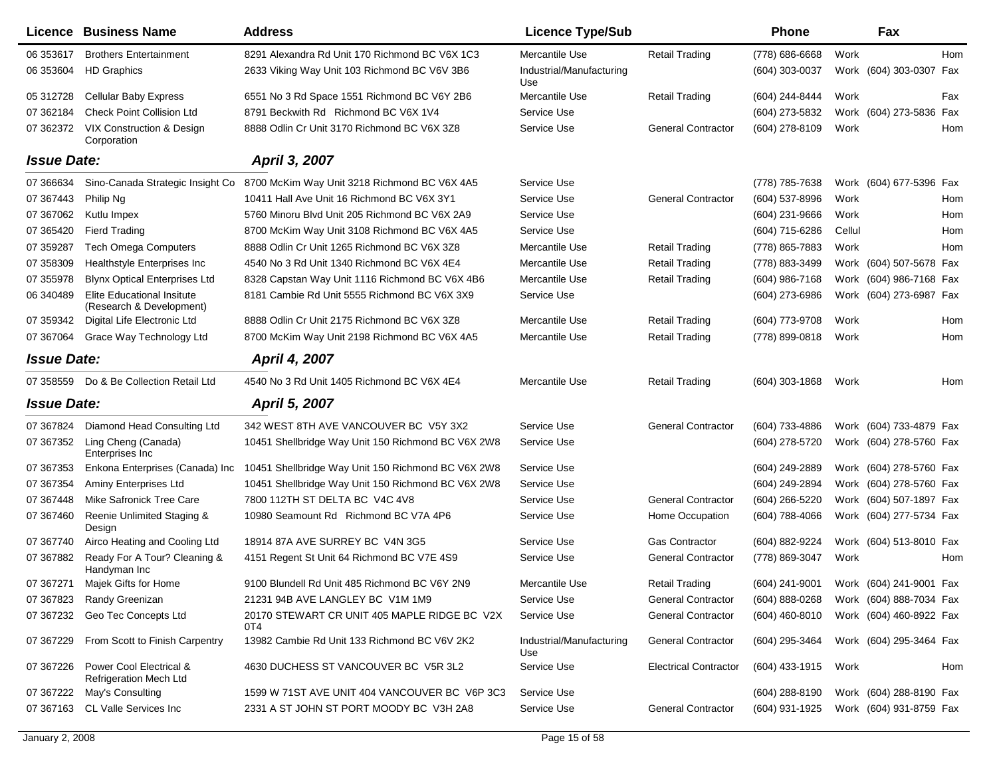|                    | <b>Licence Business Name</b>                                  | <b>Address</b>                                      | <b>Licence Type/Sub</b>         |                              | <b>Phone</b>                           |        | Fax                     |     |
|--------------------|---------------------------------------------------------------|-----------------------------------------------------|---------------------------------|------------------------------|----------------------------------------|--------|-------------------------|-----|
| 06 353617          | <b>Brothers Entertainment</b>                                 | 8291 Alexandra Rd Unit 170 Richmond BC V6X 1C3      | Mercantile Use                  | <b>Retail Trading</b>        | (778) 686-6668                         | Work   |                         | Hom |
| 06 353604          | <b>HD Graphics</b>                                            | 2633 Viking Way Unit 103 Richmond BC V6V 3B6        | Industrial/Manufacturing<br>Use |                              | (604) 303-0037                         |        | Work (604) 303-0307 Fax |     |
| 05 312728          | <b>Cellular Baby Express</b>                                  | 6551 No 3 Rd Space 1551 Richmond BC V6Y 2B6         | Mercantile Use                  | <b>Retail Trading</b>        | (604) 244-8444                         | Work   |                         | Fax |
| 07 362184          | <b>Check Point Collision Ltd</b>                              | 8791 Beckwith Rd Richmond BC V6X 1V4                | Service Use                     |                              | (604) 273-5832                         |        | Work (604) 273-5836     | Fax |
| 07 362372          | VIX Construction & Design<br>Corporation                      | 8888 Odlin Cr Unit 3170 Richmond BC V6X 3Z8         | Service Use                     | <b>General Contractor</b>    | (604) 278-8109                         | Work   |                         | Hom |
| <b>Issue Date:</b> |                                                               | April 3, 2007                                       |                                 |                              |                                        |        |                         |     |
| 07 36 6634         | Sino-Canada Strategic Insight Co                              | 8700 McKim Way Unit 3218 Richmond BC V6X 4A5        | Service Use                     |                              | (778) 785-7638                         |        | Work (604) 677-5396 Fax |     |
| 07 367443          | Philip Ng                                                     | 10411 Hall Ave Unit 16 Richmond BC V6X 3Y1          | Service Use                     | <b>General Contractor</b>    | (604) 537-8996                         | Work   |                         | Hom |
| 07 367062          | Kutlu Impex                                                   | 5760 Minoru Blvd Unit 205 Richmond BC V6X 2A9       | Service Use                     |                              | $(604)$ 231-9666                       | Work   |                         | Hom |
| 07 365420          | <b>Fierd Trading</b>                                          | 8700 McKim Way Unit 3108 Richmond BC V6X 4A5        | Service Use                     |                              | (604) 715-6286                         | Cellul |                         | Hom |
| 07 359287          | <b>Tech Omega Computers</b>                                   | 8888 Odlin Cr Unit 1265 Richmond BC V6X 3Z8         | Mercantile Use                  | <b>Retail Trading</b>        | (778) 865-7883                         | Work   |                         | Hom |
| 07 358309          | Healthstyle Enterprises Inc                                   | 4540 No 3 Rd Unit 1340 Richmond BC V6X 4E4          | Mercantile Use                  | <b>Retail Trading</b>        | (778) 883-3499                         |        | Work (604) 507-5678 Fax |     |
| 07 355978          | <b>Blynx Optical Enterprises Ltd</b>                          | 8328 Capstan Way Unit 1116 Richmond BC V6X 4B6      | Mercantile Use                  | <b>Retail Trading</b>        | (604) 986-7168                         |        | Work (604) 986-7168 Fax |     |
| 06 34 04 89        | <b>Elite Educational Insitute</b><br>(Research & Development) | 8181 Cambie Rd Unit 5555 Richmond BC V6X 3X9        | Service Use                     |                              | (604) 273-6986                         |        | Work (604) 273-6987 Fax |     |
| 07 359342          | Digital Life Electronic Ltd                                   | 8888 Odlin Cr Unit 2175 Richmond BC V6X 3Z8         | Mercantile Use                  | <b>Retail Trading</b>        | (604) 773-9708                         | Work   |                         | Hom |
| 07 367064          | Grace Way Technology Ltd                                      | 8700 McKim Way Unit 2198 Richmond BC V6X 4A5        | Mercantile Use                  | <b>Retail Trading</b>        | (778) 899-0818                         | Work   |                         | Hom |
| <b>Issue Date:</b> |                                                               | <b>April 4, 2007</b>                                |                                 |                              |                                        |        |                         |     |
| 07 358559          | Do & Be Collection Retail Ltd                                 | 4540 No 3 Rd Unit 1405 Richmond BC V6X 4E4          | Mercantile Use                  | <b>Retail Trading</b>        | $(604)$ 303-1868                       | Work   |                         | Hom |
| <b>Issue Date:</b> |                                                               | <b>April 5, 2007</b>                                |                                 |                              |                                        |        |                         |     |
| 07 367824          | Diamond Head Consulting Ltd                                   | 342 WEST 8TH AVE VANCOUVER BC V5Y 3X2               | Service Use                     | <b>General Contractor</b>    | (604) 733-4886                         |        | Work (604) 733-4879 Fax |     |
| 07 367352          | Ling Cheng (Canada)<br>Enterprises Inc                        | 10451 Shellbridge Way Unit 150 Richmond BC V6X 2W8  | Service Use                     |                              | (604) 278-5720                         |        | Work (604) 278-5760 Fax |     |
| 07 367353          | Enkona Enterprises (Canada) Inc                               | 10451 Shellbridge Way Unit 150 Richmond BC V6X 2W8  | Service Use                     |                              | (604) 249-2889                         |        | Work (604) 278-5760 Fax |     |
| 07 367354          | Aminy Enterprises Ltd                                         | 10451 Shellbridge Way Unit 150 Richmond BC V6X 2W8  | Service Use                     |                              | (604) 249-2894                         |        | Work (604) 278-5760 Fax |     |
| 07 367448          | Mike Safronick Tree Care                                      | 7800 112TH ST DELTA BC V4C 4V8                      | Service Use                     | <b>General Contractor</b>    | (604) 266-5220                         |        | Work (604) 507-1897 Fax |     |
| 07 367460          | Reenie Unlimited Staging &<br>Design                          | 10980 Seamount Rd Richmond BC V7A 4P6               | Service Use                     | Home Occupation              | (604) 788-4066                         |        | Work (604) 277-5734 Fax |     |
| 07 367740          | Airco Heating and Cooling Ltd                                 | 18914 87A AVE SURREY BC V4N 3G5                     | Service Use                     | <b>Gas Contractor</b>        | (604) 882-9224                         |        | Work (604) 513-8010 Fax |     |
| 07 367882          | Ready For A Tour? Cleaning &<br>Handyman Inc                  | 4151 Regent St Unit 64 Richmond BC V7E 4S9          | Service Use                     | <b>General Contractor</b>    | (778) 869-3047                         | Work   |                         | Hom |
|                    | 07 367271 Majek Gifts for Home                                | 9100 Blundell Rd Unit 485 Richmond BC V6Y 2N9       | Mercantile Use                  | <b>Retail Trading</b>        | (604) 241-9001 Work (604) 241-9001 Fax |        |                         |     |
| 07 367823          | Randy Greenizan                                               | 21231 94B AVE LANGLEY BC V1M 1M9                    | Service Use                     | <b>General Contractor</b>    | (604) 888-0268                         |        | Work (604) 888-7034 Fax |     |
| 07 367232          | Geo Tec Concepts Ltd                                          | 20170 STEWART CR UNIT 405 MAPLE RIDGE BC V2X<br>0T4 | Service Use                     | <b>General Contractor</b>    | (604) 460-8010                         |        | Work (604) 460-8922 Fax |     |
| 07 367229          | From Scott to Finish Carpentry                                | 13982 Cambie Rd Unit 133 Richmond BC V6V 2K2        | Industrial/Manufacturing<br>Use | <b>General Contractor</b>    | (604) 295-3464                         |        | Work (604) 295-3464 Fax |     |
| 07 367226          | Power Cool Electrical &<br>Refrigeration Mech Ltd             | 4630 DUCHESS ST VANCOUVER BC V5R 3L2                | Service Use                     | <b>Electrical Contractor</b> | (604) 433-1915                         | Work   |                         | Hom |
| 07 367222          | May's Consulting                                              | 1599 W 71ST AVE UNIT 404 VANCOUVER BC V6P 3C3       | Service Use                     |                              | $(604)$ 288-8190                       |        | Work (604) 288-8190 Fax |     |
| 07 367163          | CL Valle Services Inc                                         | 2331 A ST JOHN ST PORT MOODY BC V3H 2A8             | Service Use                     | <b>General Contractor</b>    | (604) 931-1925                         |        | Work (604) 931-8759 Fax |     |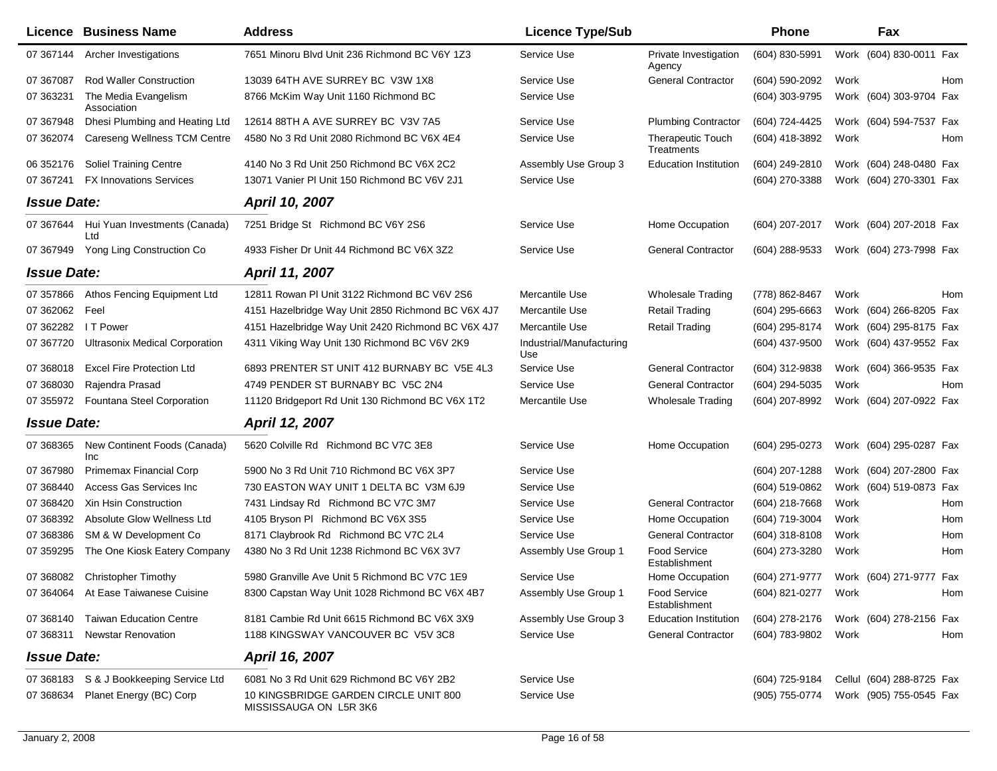|                    | <b>Licence Business Name</b>            | <b>Address</b>                                                  | <b>Licence Type/Sub</b>         |                                        | <b>Phone</b>        |      | Fax                                    |     |
|--------------------|-----------------------------------------|-----------------------------------------------------------------|---------------------------------|----------------------------------------|---------------------|------|----------------------------------------|-----|
| 07 367144          | Archer Investigations                   | 7651 Minoru Blvd Unit 236 Richmond BC V6Y 1Z3                   | Service Use                     | Private Investigation<br>Agency        | (604) 830-5991      |      | Work (604) 830-0011 Fax                |     |
| 07 367087          | <b>Rod Waller Construction</b>          | 13039 64TH AVE SURREY BC V3W 1X8                                | Service Use                     | <b>General Contractor</b>              | (604) 590-2092      | Work |                                        | Hom |
| 07 363231          | The Media Evangelism<br>Association     | 8766 McKim Way Unit 1160 Richmond BC                            | Service Use                     |                                        | (604) 303-9795      |      | Work (604) 303-9704 Fax                |     |
| 07 367948          | Dhesi Plumbing and Heating Ltd          | 12614 88TH A AVE SURREY BC V3V 7A5                              | Service Use                     | <b>Plumbing Contractor</b>             | (604) 724-4425      |      | Work (604) 594-7537 Fax                |     |
| 07 362074          | Careseng Wellness TCM Centre            | 4580 No 3 Rd Unit 2080 Richmond BC V6X 4E4                      | Service Use                     | <b>Therapeutic Touch</b><br>Treatments | (604) 418-3892      | Work |                                        | Hom |
| 06 352176          | <b>Soliel Training Centre</b>           | 4140 No 3 Rd Unit 250 Richmond BC V6X 2C2                       | Assembly Use Group 3            | <b>Education Institution</b>           | (604) 249-2810      |      | Work (604) 248-0480 Fax                |     |
| 07 367241          | <b>FX Innovations Services</b>          | 13071 Vanier PI Unit 150 Richmond BC V6V 2J1                    | Service Use                     |                                        | (604) 270-3388      |      | Work (604) 270-3301 Fax                |     |
| <b>Issue Date:</b> |                                         | April 10, 2007                                                  |                                 |                                        |                     |      |                                        |     |
| 07 367 644         | Hui Yuan Investments (Canada)<br>Ltd    | 7251 Bridge St Richmond BC V6Y 2S6                              | Service Use                     | Home Occupation                        | (604) 207-2017      |      | Work (604) 207-2018 Fax                |     |
| 07 367949          | Yong Ling Construction Co               | 4933 Fisher Dr Unit 44 Richmond BC V6X 3Z2                      | Service Use                     | <b>General Contractor</b>              | (604) 288-9533      |      | Work (604) 273-7998 Fax                |     |
| <b>Issue Date:</b> |                                         | April 11, 2007                                                  |                                 |                                        |                     |      |                                        |     |
| 07 357866          | Athos Fencing Equipment Ltd             | 12811 Rowan PI Unit 3122 Richmond BC V6V 2S6                    | Mercantile Use                  | <b>Wholesale Trading</b>               | (778) 862-8467      | Work |                                        | Hom |
| 07 362062          | Feel                                    | 4151 Hazelbridge Way Unit 2850 Richmond BC V6X 4J7              | Mercantile Use                  | <b>Retail Trading</b>                  | (604) 295-6663      |      | Work (604) 266-8205 Fax                |     |
| 07 362282          | I T Power                               | 4151 Hazelbridge Way Unit 2420 Richmond BC V6X 4J7              | Mercantile Use                  | <b>Retail Trading</b>                  | (604) 295-8174      |      | Work (604) 295-8175 Fax                |     |
| 07 367720          | <b>Ultrasonix Medical Corporation</b>   | 4311 Viking Way Unit 130 Richmond BC V6V 2K9                    | Industrial/Manufacturing<br>Use |                                        | (604) 437-9500      |      | Work (604) 437-9552 Fax                |     |
| 07 368018          | <b>Excel Fire Protection Ltd</b>        | 6893 PRENTER ST UNIT 412 BURNABY BC V5E 4L3                     | Service Use                     | <b>General Contractor</b>              | (604) 312-9838      |      | Work (604) 366-9535 Fax                |     |
| 07 368030          | Rajendra Prasad                         | 4749 PENDER ST BURNABY BC V5C 2N4                               | Service Use                     | <b>General Contractor</b>              | (604) 294-5035      | Work |                                        | Hom |
| 07 355972          | Fountana Steel Corporation              | 11120 Bridgeport Rd Unit 130 Richmond BC V6X 1T2                | Mercantile Use                  | <b>Wholesale Trading</b>               | (604) 207-8992      |      | Work (604) 207-0922 Fax                |     |
| <b>Issue Date:</b> |                                         | April 12, 2007                                                  |                                 |                                        |                     |      |                                        |     |
| 07 368365          | New Continent Foods (Canada)<br>Inc     | 5620 Colville Rd Richmond BC V7C 3E8                            | Service Use                     | Home Occupation                        | (604) 295-0273      |      | Work (604) 295-0287 Fax                |     |
| 07 367980          | <b>Primemax Financial Corp</b>          | 5900 No 3 Rd Unit 710 Richmond BC V6X 3P7                       | Service Use                     |                                        | (604) 207-1288      |      | Work (604) 207-2800 Fax                |     |
| 07 368440          | Access Gas Services Inc                 | 730 EASTON WAY UNIT 1 DELTA BC V3M 6J9                          | Service Use                     |                                        | (604) 519-0862      |      | Work (604) 519-0873 Fax                |     |
| 07 368420          | <b>Xin Hsin Construction</b>            | 7431 Lindsay Rd Richmond BC V7C 3M7                             | Service Use                     | <b>General Contractor</b>              | (604) 218-7668      | Work |                                        | Hom |
| 07 368392          | Absolute Glow Wellness Ltd              | 4105 Bryson PI Richmond BC V6X 3S5                              | Service Use                     | Home Occupation                        | (604) 719-3004      | Work |                                        | Hom |
| 07 368386          | SM & W Development Co                   | 8171 Claybrook Rd Richmond BC V7C 2L4                           | Service Use                     | <b>General Contractor</b>              | (604) 318-8108      | Work |                                        | Hom |
| 07 359295          | The One Kiosk Eatery Company            | 4380 No 3 Rd Unit 1238 Richmond BC V6X 3V7                      | Assembly Use Group 1            | <b>Food Service</b><br>Establishment   | (604) 273-3280      | Work |                                        | Hom |
| 07 368082          | <b>Christopher Timothy</b>              | 5980 Granville Ave Unit 5 Richmond BC V7C 1E9                   | Service Use                     | Home Occupation                        |                     |      | (604) 271-9777 Work (604) 271-9777 Fax |     |
|                    | 07 364064 At Ease Taiwanese Cuisine     | 8300 Capstan Way Unit 1028 Richmond BC V6X 4B7                  | Assembly Use Group 1            | <b>Food Service</b><br>Establishment   | (604) 821-0277 Work |      |                                        | Hom |
| 07 368140          | <b>Taiwan Education Centre</b>          | 8181 Cambie Rd Unit 6615 Richmond BC V6X 3X9                    | Assembly Use Group 3            | <b>Education Institution</b>           | (604) 278-2176      |      | Work (604) 278-2156 Fax                |     |
|                    | 07 368311 Newstar Renovation            | 1188 KINGSWAY VANCOUVER BC V5V 3C8                              | Service Use                     | <b>General Contractor</b>              | (604) 783-9802 Work |      |                                        | Hom |
| <b>Issue Date:</b> |                                         | <b>April 16, 2007</b>                                           |                                 |                                        |                     |      |                                        |     |
|                    | 07 368183 S & J Bookkeeping Service Ltd | 6081 No 3 Rd Unit 629 Richmond BC V6Y 2B2                       | Service Use                     |                                        | (604) 725-9184      |      | Cellul (604) 288-8725 Fax              |     |
| 07 368634          | Planet Energy (BC) Corp                 | 10 KINGSBRIDGE GARDEN CIRCLE UNIT 800<br>MISSISSAUGA ON L5R 3K6 | Service Use                     |                                        | (905) 755-0774      |      | Work (905) 755-0545 Fax                |     |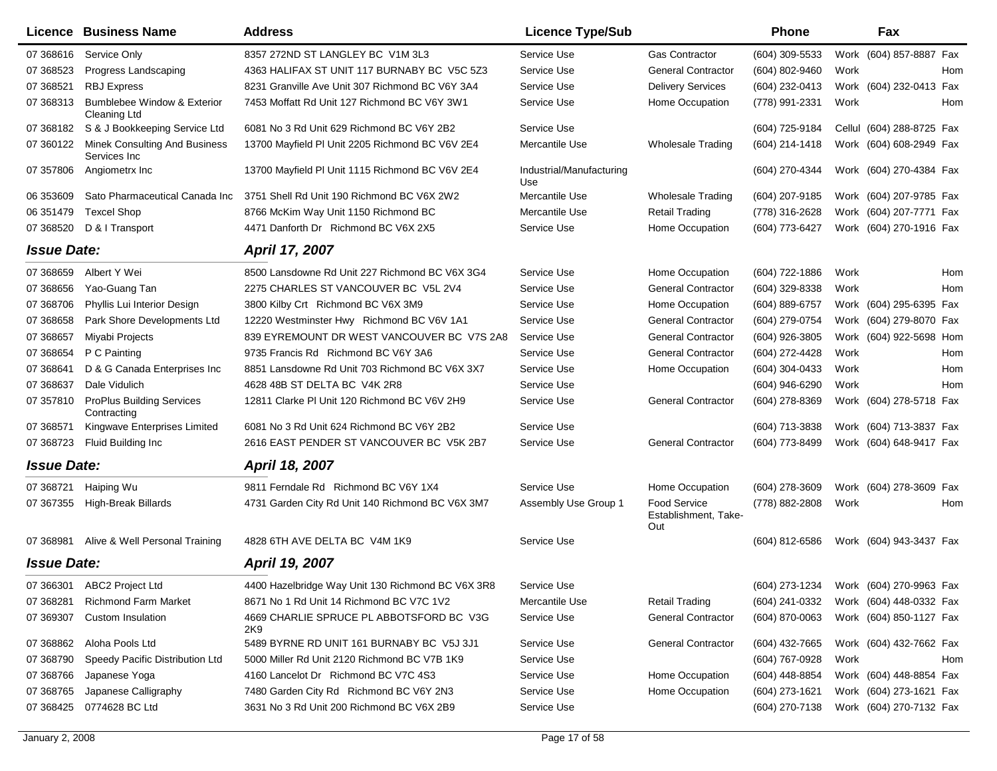|                    | <b>Licence Business Name</b>                         | <b>Address</b>                                    | <b>Licence Type/Sub</b>         |                                                    | <b>Phone</b>     |      | Fax                                    |
|--------------------|------------------------------------------------------|---------------------------------------------------|---------------------------------|----------------------------------------------------|------------------|------|----------------------------------------|
| 07 368616          | Service Only                                         | 8357 272ND ST LANGLEY BC V1M 3L3                  | Service Use                     | <b>Gas Contractor</b>                              | (604) 309-5533   |      | Work (604) 857-8887 Fax                |
| 07 368523          | Progress Landscaping                                 | 4363 HALIFAX ST UNIT 117 BURNABY BC V5C 5Z3       | Service Use                     | <b>General Contractor</b>                          | (604) 802-9460   | Work | Hom                                    |
| 07 368521          | <b>RBJ Express</b>                                   | 8231 Granville Ave Unit 307 Richmond BC V6Y 3A4   | Service Use                     | <b>Delivery Services</b>                           | (604) 232-0413   |      | Work (604) 232-0413 Fax                |
| 07 368313          | Bumblebee Window & Exterior<br><b>Cleaning Ltd</b>   | 7453 Moffatt Rd Unit 127 Richmond BC V6Y 3W1      | Service Use                     | Home Occupation                                    | (778) 991-2331   | Work | Hom                                    |
|                    | 07 368182 S & J Bookkeeping Service Ltd              | 6081 No 3 Rd Unit 629 Richmond BC V6Y 2B2         | Service Use                     |                                                    | (604) 725-9184   |      | Cellul (604) 288-8725 Fax              |
| 07 360122          | <b>Minek Consulting And Business</b><br>Services Inc | 13700 Mayfield PI Unit 2205 Richmond BC V6V 2E4   | Mercantile Use                  | <b>Wholesale Trading</b>                           | (604) 214-1418   |      | Work (604) 608-2949 Fax                |
| 07 357806          | Angiometrx Inc                                       | 13700 Mayfield PI Unit 1115 Richmond BC V6V 2E4   | Industrial/Manufacturing<br>Use |                                                    | (604) 270-4344   |      | Work (604) 270-4384 Fax                |
| 06 353609          | Sato Pharmaceutical Canada Inc                       | 3751 Shell Rd Unit 190 Richmond BC V6X 2W2        | Mercantile Use                  | <b>Wholesale Trading</b>                           | (604) 207-9185   |      | Work (604) 207-9785 Fax                |
| 06 351479          | <b>Texcel Shop</b>                                   | 8766 McKim Way Unit 1150 Richmond BC              | Mercantile Use                  | <b>Retail Trading</b>                              | (778) 316-2628   |      | Work (604) 207-7771 Fax                |
| 07 368520          | D & I Transport                                      | 4471 Danforth Dr Richmond BC V6X 2X5              | Service Use                     | Home Occupation                                    | (604) 773-6427   |      | Work (604) 270-1916 Fax                |
| <b>Issue Date:</b> |                                                      | April 17, 2007                                    |                                 |                                                    |                  |      |                                        |
| 07 368659          | Albert Y Wei                                         | 8500 Lansdowne Rd Unit 227 Richmond BC V6X 3G4    | Service Use                     | Home Occupation                                    | (604) 722-1886   | Work | Hom                                    |
| 07 368656          | Yao-Guang Tan                                        | 2275 CHARLES ST VANCOUVER BC V5L 2V4              | Service Use                     | <b>General Contractor</b>                          | (604) 329-8338   | Work | Hom                                    |
| 07 368706          | Phyllis Lui Interior Design                          | 3800 Kilby Crt Richmond BC V6X 3M9                | Service Use                     | Home Occupation                                    | (604) 889-6757   |      | Work (604) 295-6395 Fax                |
| 07 368658          | Park Shore Developments Ltd                          | 12220 Westminster Hwy Richmond BC V6V 1A1         | Service Use                     | <b>General Contractor</b>                          | (604) 279-0754   |      | Work (604) 279-8070 Fax                |
| 07 368657          | Miyabi Projects                                      | 839 EYREMOUNT DR WEST VANCOUVER BC V7S 2A8        | Service Use                     | <b>General Contractor</b>                          | (604) 926-3805   |      | Work (604) 922-5698 Hom                |
| 07 368654          | P C Painting                                         | 9735 Francis Rd Richmond BC V6Y 3A6               | Service Use                     | <b>General Contractor</b>                          | (604) 272-4428   | Work | Hom                                    |
| 07 368641          | D & G Canada Enterprises Inc                         | 8851 Lansdowne Rd Unit 703 Richmond BC V6X 3X7    | Service Use                     | Home Occupation                                    | (604) 304-0433   | Work | Hom                                    |
| 07 368637          | Dale Vidulich                                        | 4628 48B ST DELTA BC V4K 2R8                      | Service Use                     |                                                    | (604) 946-6290   | Work | Hom                                    |
| 07 357810          | <b>ProPlus Building Services</b><br>Contracting      | 12811 Clarke PI Unit 120 Richmond BC V6V 2H9      | Service Use                     | <b>General Contractor</b>                          | (604) 278-8369   |      | Work (604) 278-5718 Fax                |
| 07 368571          | Kingwave Enterprises Limited                         | 6081 No 3 Rd Unit 624 Richmond BC V6Y 2B2         | Service Use                     |                                                    | (604) 713-3838   |      | Work (604) 713-3837 Fax                |
| 07 368723          | Fluid Building Inc                                   | 2616 EAST PENDER ST VANCOUVER BC V5K 2B7          | Service Use                     | <b>General Contractor</b>                          | (604) 773-8499   |      | Work (604) 648-9417 Fax                |
| <b>Issue Date:</b> |                                                      | April 18, 2007                                    |                                 |                                                    |                  |      |                                        |
| 07 368721          | Haiping Wu                                           | 9811 Ferndale Rd Richmond BC V6Y 1X4              | Service Use                     | Home Occupation                                    | (604) 278-3609   |      | Work (604) 278-3609 Fax                |
| 07 367355          | <b>High-Break Billards</b>                           | 4731 Garden City Rd Unit 140 Richmond BC V6X 3M7  | Assembly Use Group 1            | <b>Food Service</b><br>Establishment, Take-<br>Out | (778) 882-2808   | Work | Hom                                    |
| 07 368981          | Alive & Well Personal Training                       | 4828 6TH AVE DELTA BC V4M 1K9                     | Service Use                     |                                                    | (604) 812-6586   |      | Work (604) 943-3437 Fax                |
| <b>Issue Date:</b> |                                                      | April 19, 2007                                    |                                 |                                                    |                  |      |                                        |
|                    | 07 366301 ABC2 Project Ltd                           | 4400 Hazelbridge Way Unit 130 Richmond BC V6X 3R8 | Service Use                     |                                                    |                  |      | (604) 273-1234 Work (604) 270-9963 Fax |
| 07 368281          | <b>Richmond Farm Market</b>                          | 8671 No 1 Rd Unit 14 Richmond BC V7C 1V2          | Mercantile Use                  | <b>Retail Trading</b>                              | (604) 241-0332   |      | Work (604) 448-0332 Fax                |
| 07 369307          | <b>Custom Insulation</b>                             | 4669 CHARLIE SPRUCE PL ABBOTSFORD BC V3G<br>2K9   | Service Use                     | <b>General Contractor</b>                          | $(604)$ 870-0063 |      | Work (604) 850-1127 Fax                |
| 07 368862          | Aloha Pools Ltd                                      | 5489 BYRNE RD UNIT 161 BURNABY BC V5J 3J1         | Service Use                     | <b>General Contractor</b>                          | (604) 432-7665   |      | Work (604) 432-7662 Fax                |
| 07 368790          | Speedy Pacific Distribution Ltd                      | 5000 Miller Rd Unit 2120 Richmond BC V7B 1K9      | Service Use                     |                                                    | (604) 767-0928   | Work | Hom                                    |
| 07 368766          | Japanese Yoga                                        | 4160 Lancelot Dr Richmond BC V7C 4S3              | Service Use                     | Home Occupation                                    | (604) 448-8854   |      | Work (604) 448-8854 Fax                |
| 07 368765          | Japanese Calligraphy                                 | 7480 Garden City Rd Richmond BC V6Y 2N3           | Service Use                     | Home Occupation                                    | (604) 273-1621   |      | Work (604) 273-1621 Fax                |
| 07 368425          | 0774628 BC Ltd                                       | 3631 No 3 Rd Unit 200 Richmond BC V6X 2B9         | Service Use                     |                                                    | (604) 270-7138   |      | Work (604) 270-7132 Fax                |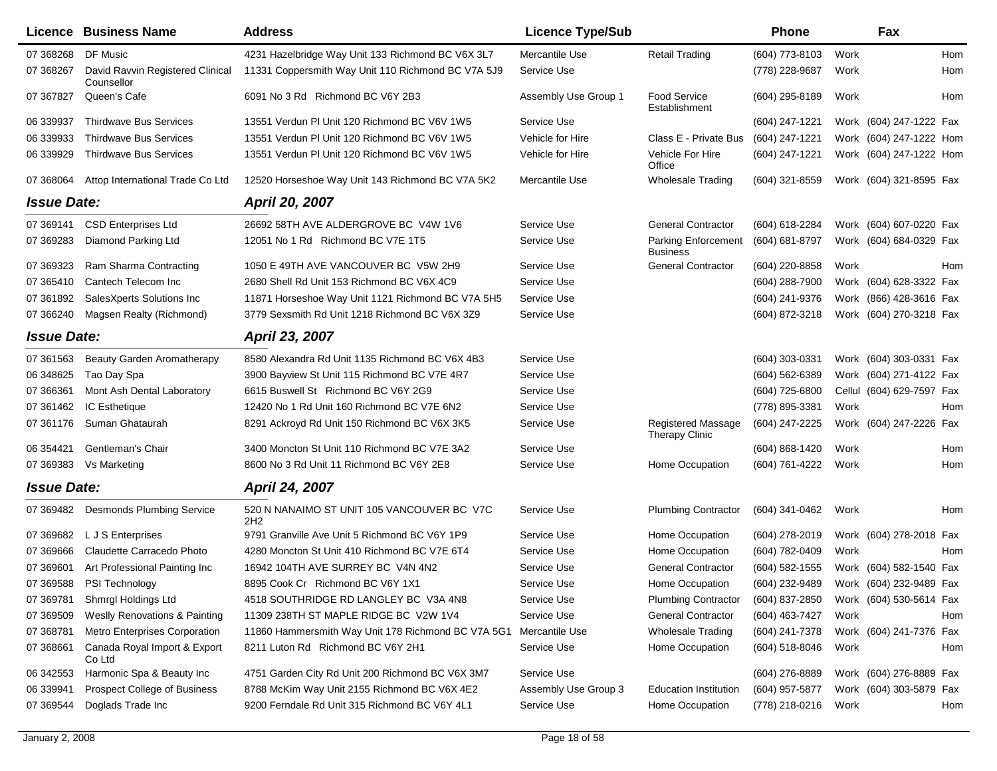|                    | Licence Business Name                          | <b>Address</b>                                     | <b>Licence Type/Sub</b> |                                             | <b>Phone</b>     |      | Fax                       |
|--------------------|------------------------------------------------|----------------------------------------------------|-------------------------|---------------------------------------------|------------------|------|---------------------------|
| 07 368268          | DF Music                                       | 4231 Hazelbridge Way Unit 133 Richmond BC V6X 3L7  | Mercantile Use          | <b>Retail Trading</b>                       | (604) 773-8103   | Work | Hom                       |
| 07 368267          | David Ravvin Registered Clinical<br>Counsellor | 11331 Coppersmith Way Unit 110 Richmond BC V7A 5J9 | Service Use             |                                             | (778) 228-9687   | Work | Hom                       |
| 07 367827          | Queen's Cafe                                   | 6091 No 3 Rd Richmond BC V6Y 2B3                   | Assembly Use Group 1    | <b>Food Service</b><br>Establishment        | (604) 295-8189   | Work | Hom                       |
| 06 339937          | <b>Thirdwave Bus Services</b>                  | 13551 Verdun PI Unit 120 Richmond BC V6V 1W5       | Service Use             |                                             | (604) 247-1221   |      | Work (604) 247-1222 Fax   |
| 06 339933          | <b>Thirdwave Bus Services</b>                  | 13551 Verdun PI Unit 120 Richmond BC V6V 1W5       | Vehicle for Hire        | Class E - Private Bus                       | (604) 247-1221   |      | Work (604) 247-1222 Hom   |
| 06 339929          | <b>Thirdwave Bus Services</b>                  | 13551 Verdun PI Unit 120 Richmond BC V6V 1W5       | Vehicle for Hire        | Vehicle For Hire<br>Office                  | (604) 247-1221   |      | Work (604) 247-1222 Hom   |
| 07 368064          | Attop International Trade Co Ltd               | 12520 Horseshoe Way Unit 143 Richmond BC V7A 5K2   | Mercantile Use          | <b>Wholesale Trading</b>                    | (604) 321-8559   |      | Work (604) 321-8595 Fax   |
| <b>Issue Date:</b> |                                                | <b>April 20, 2007</b>                              |                         |                                             |                  |      |                           |
| 07 369141          | <b>CSD Enterprises Ltd</b>                     | 26692 58TH AVE ALDERGROVE BC V4W 1V6               | Service Use             | <b>General Contractor</b>                   | (604) 618-2284   |      | Work (604) 607-0220 Fax   |
| 07 369283          | Diamond Parking Ltd                            | 12051 No 1 Rd Richmond BC V7E 1T5                  | Service Use             | Parking Enforcement<br><b>Business</b>      | (604) 681-8797   |      | Work (604) 684-0329 Fax   |
| 07 369323          | Ram Sharma Contracting                         | 1050 E 49TH AVE VANCOUVER BC V5W 2H9               | Service Use             | <b>General Contractor</b>                   | (604) 220-8858   | Work | Hom                       |
| 07 365410          | Cantech Telecom Inc                            | 2680 Shell Rd Unit 153 Richmond BC V6X 4C9         | Service Use             |                                             | (604) 288-7900   |      | Work (604) 628-3322 Fax   |
| 07 361892          | SalesXperts Solutions Inc                      | 11871 Horseshoe Way Unit 1121 Richmond BC V7A 5H5  | Service Use             |                                             | (604) 241-9376   |      | Work (866) 428-3616 Fax   |
| 07 366240          | Magsen Realty (Richmond)                       | 3779 Sexsmith Rd Unit 1218 Richmond BC V6X 3Z9     | Service Use             |                                             | (604) 872-3218   |      | Work (604) 270-3218 Fax   |
| <b>Issue Date:</b> |                                                | April 23, 2007                                     |                         |                                             |                  |      |                           |
| 07 361563          | Beauty Garden Aromatherapy                     | 8580 Alexandra Rd Unit 1135 Richmond BC V6X 4B3    | Service Use             |                                             | (604) 303-0331   |      | Work (604) 303-0331 Fax   |
| 06 348625          | Tao Day Spa                                    | 3900 Bayview St Unit 115 Richmond BC V7E 4R7       | Service Use             |                                             | (604) 562-6389   |      | Work (604) 271-4122 Fax   |
| 07 366361          | Mont Ash Dental Laboratory                     | 6615 Buswell St Richmond BC V6Y 2G9                | Service Use             |                                             | (604) 725-6800   |      | Cellul (604) 629-7597 Fax |
| 07 361462          | IC Esthetique                                  | 12420 No 1 Rd Unit 160 Richmond BC V7E 6N2         | Service Use             |                                             | (778) 895-3381   | Work | Hom                       |
| 07 361176          | Suman Ghataurah                                | 8291 Ackroyd Rd Unit 150 Richmond BC V6X 3K5       | Service Use             | <b>Registered Massage</b><br>Therapy Clinic | (604) 247-2225   |      | Work (604) 247-2226 Fax   |
| 06 354421          | Gentleman's Chair                              | 3400 Moncton St Unit 110 Richmond BC V7E 3A2       | Service Use             |                                             | (604) 868-1420   | Work | Hom                       |
| 07 369383          | Vs Marketing                                   | 8600 No 3 Rd Unit 11 Richmond BC V6Y 2E8           | Service Use             | Home Occupation                             | (604) 761-4222   | Work | <b>Hom</b>                |
| <b>Issue Date:</b> |                                                | <b>April 24, 2007</b>                              |                         |                                             |                  |      |                           |
| 07 369482          | <b>Desmonds Plumbing Service</b>               | 520 N NANAIMO ST UNIT 105 VANCOUVER BC V7C<br>2H2  | Service Use             | <b>Plumbing Contractor</b>                  | (604) 341-0462   | Work | Hom                       |
| 07 369682          | L J S Enterprises                              | 9791 Granville Ave Unit 5 Richmond BC V6Y 1P9      | Service Use             | Home Occupation                             | (604) 278-2019   |      | Work (604) 278-2018 Fax   |
| 07 369 666         | Claudette Carracedo Photo                      | 4280 Moncton St Unit 410 Richmond BC V7E 6T4       | Service Use             | Home Occupation                             | (604) 782-0409   | Work | Hom                       |
| 07 369601          | Art Professional Painting Inc                  | 16942 104TH AVE SURREY BC V4N 4N2                  | Service Use             | <b>General Contractor</b>                   | (604) 582-1555   |      | Work (604) 582-1540 Fax   |
| 07 369588          | PSI Technology                                 | 8895 Cook Cr Richmond BC V6Y 1X1                   | Service Use             | Home Occupation                             | (604) 232-9489   |      | Work (604) 232-9489 Fax   |
| 07 369781          | Shmrgl Holdings Ltd                            | 4518 SOUTHRIDGE RD LANGLEY BC V3A 4N8              | Service Use             | <b>Plumbing Contractor</b>                  | (604) 837-2850   |      | Work (604) 530-5614 Fax   |
| 07 369509          | <b>Weslly Renovations &amp; Painting</b>       | 11309 238TH ST MAPLE RIDGE BC V2W 1V4              | Service Use             | <b>General Contractor</b>                   | (604) 463-7427   | Work | Hom                       |
| 07 368781          | <b>Metro Enterprises Corporation</b>           | 11860 Hammersmith Way Unit 178 Richmond BC V7A 5G1 | Mercantile Use          | <b>Wholesale Trading</b>                    | (604) 241-7378   |      | Work (604) 241-7376 Fax   |
| 07 368661          | Canada Royal Import & Export<br>Co Ltd         | 8211 Luton Rd Richmond BC V6Y 2H1                  | Service Use             | Home Occupation                             | $(604)$ 518-8046 | Work | Hom                       |
| 06 342553          | Harmonic Spa & Beauty Inc                      | 4751 Garden City Rd Unit 200 Richmond BC V6X 3M7   | Service Use             |                                             | (604) 276-8889   |      | Work (604) 276-8889 Fax   |
| 06 339941          | Prospect College of Business                   | 8788 McKim Way Unit 2155 Richmond BC V6X 4E2       | Assembly Use Group 3    | <b>Education Institution</b>                | (604) 957-5877   |      | Work (604) 303-5879 Fax   |
| 07 369544          | Doglads Trade Inc                              | 9200 Ferndale Rd Unit 315 Richmond BC V6Y 4L1      | Service Use             | Home Occupation                             | (778) 218-0216   | Work | Hom                       |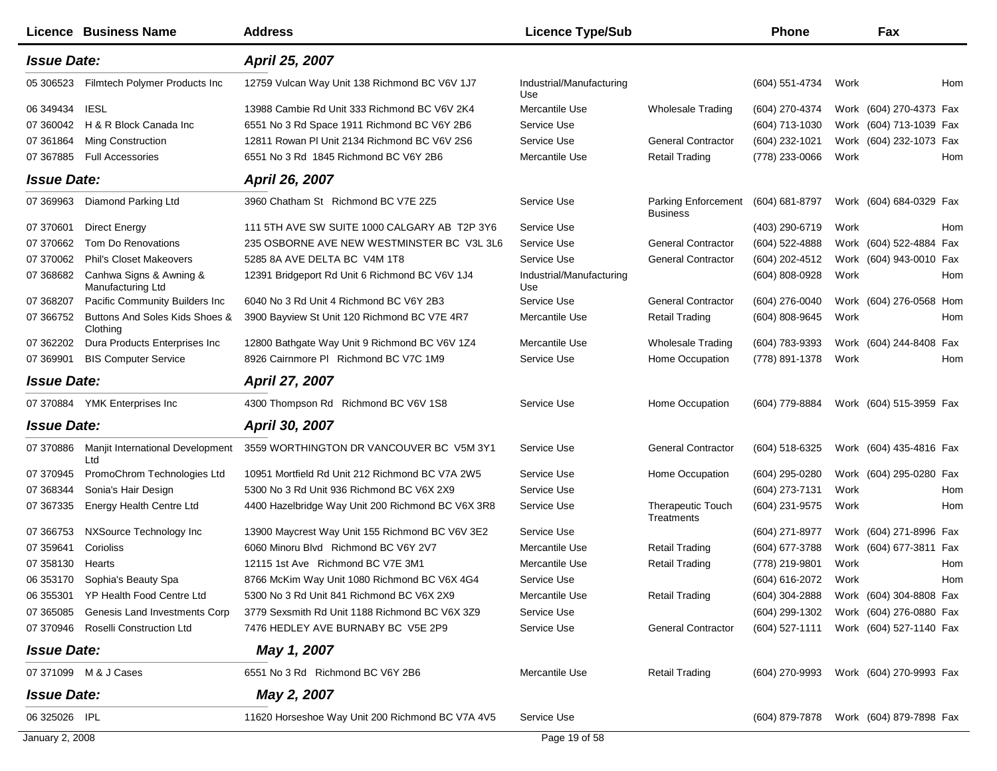|                    | <b>Licence Business Name</b>                 | <b>Address</b>                                    | <b>Licence Type/Sub</b>         |                                               | Phone                                  |      | Fax                     |            |
|--------------------|----------------------------------------------|---------------------------------------------------|---------------------------------|-----------------------------------------------|----------------------------------------|------|-------------------------|------------|
| <b>Issue Date:</b> |                                              | April 25, 2007                                    |                                 |                                               |                                        |      |                         |            |
| 05 30 6523         | Filmtech Polymer Products Inc                | 12759 Vulcan Way Unit 138 Richmond BC V6V 1J7     | Industrial/Manufacturing<br>Use |                                               | (604) 551-4734                         | Work |                         | Hom        |
| 06 349434          | <b>IESL</b>                                  | 13988 Cambie Rd Unit 333 Richmond BC V6V 2K4      | Mercantile Use                  | Wholesale Trading                             | (604) 270-4374                         |      | Work (604) 270-4373 Fax |            |
| 07 360042          | H & R Block Canada Inc                       | 6551 No 3 Rd Space 1911 Richmond BC V6Y 2B6       | Service Use                     |                                               | (604) 713-1030                         |      | Work (604) 713-1039 Fax |            |
| 07 361864          | Ming Construction                            | 12811 Rowan PI Unit 2134 Richmond BC V6V 2S6      | Service Use                     | <b>General Contractor</b>                     | (604) 232-1021                         |      | Work (604) 232-1073 Fax |            |
| 07 367885          | <b>Full Accessories</b>                      | 6551 No 3 Rd 1845 Richmond BC V6Y 2B6             | Mercantile Use                  | <b>Retail Trading</b>                         | (778) 233-0066                         | Work |                         | Hom        |
| <b>Issue Date:</b> |                                              | April 26, 2007                                    |                                 |                                               |                                        |      |                         |            |
| 07 369963          | Diamond Parking Ltd                          | 3960 Chatham St Richmond BC V7E 2Z5               | Service Use                     | <b>Parking Enforcement</b><br><b>Business</b> | $(604) 681 - 8797$                     |      | Work (604) 684-0329 Fax |            |
| 07 370601          | <b>Direct Energy</b>                         | 111 5TH AVE SW SUITE 1000 CALGARY AB T2P 3Y6      | Service Use                     |                                               | (403) 290-6719                         | Work |                         | Hom        |
| 07 370662          | Tom Do Renovations                           | 235 OSBORNE AVE NEW WESTMINSTER BC V3L 3L6        | Service Use                     | <b>General Contractor</b>                     | (604) 522-4888                         |      | Work (604) 522-4884 Fax |            |
| 07 370062          | <b>Phil's Closet Makeovers</b>               | 5285 8A AVE DELTA BC V4M 1T8                      | Service Use                     | <b>General Contractor</b>                     | (604) 202-4512                         |      | Work (604) 943-0010 Fax |            |
| 07 368682          | Canhwa Signs & Awning &<br>Manufacturing Ltd | 12391 Bridgeport Rd Unit 6 Richmond BC V6V 1J4    | Industrial/Manufacturing<br>Use |                                               | (604) 808-0928                         | Work |                         | Hom        |
| 07 368207          | Pacific Community Builders Inc               | 6040 No 3 Rd Unit 4 Richmond BC V6Y 2B3           | Service Use                     | <b>General Contractor</b>                     | (604) 276-0040                         |      | Work (604) 276-0568 Hom |            |
| 07 366752          | Buttons And Soles Kids Shoes &<br>Clothing   | 3900 Bayview St Unit 120 Richmond BC V7E 4R7      | Mercantile Use                  | <b>Retail Trading</b>                         | (604) 808-9645                         | Work |                         | Hom        |
| 07 362202          | Dura Products Enterprises Inc                | 12800 Bathgate Way Unit 9 Richmond BC V6V 1Z4     | Mercantile Use                  | <b>Wholesale Trading</b>                      | (604) 783-9393                         |      | Work (604) 244-8408 Fax |            |
| 07 369901          | <b>BIS Computer Service</b>                  | 8926 Cairnmore PI Richmond BC V7C 1M9             | Service Use                     | Home Occupation                               | (778) 891-1378                         | Work |                         | Hom        |
| <b>Issue Date:</b> |                                              | April 27, 2007                                    |                                 |                                               |                                        |      |                         |            |
|                    | 07 370884 YMK Enterprises Inc                | 4300 Thompson Rd Richmond BC V6V 1S8              | Service Use                     | Home Occupation                               | (604) 779-8884                         |      | Work (604) 515-3959 Fax |            |
| <b>Issue Date:</b> |                                              | April 30, 2007                                    |                                 |                                               |                                        |      |                         |            |
| 07 370886          | Manjit International Development<br>Ltd      | 3559 WORTHINGTON DR VANCOUVER BC V5M 3Y1          | Service Use                     | <b>General Contractor</b>                     | (604) 518-6325                         |      | Work (604) 435-4816 Fax |            |
| 07 370945          | PromoChrom Technologies Ltd                  | 10951 Mortfield Rd Unit 212 Richmond BC V7A 2W5   | Service Use                     | Home Occupation                               | (604) 295-0280                         |      | Work (604) 295-0280 Fax |            |
| 07 368344          | Sonia's Hair Design                          | 5300 No 3 Rd Unit 936 Richmond BC V6X 2X9         | Service Use                     |                                               | (604) 273-7131                         | Work |                         | <b>Hom</b> |
| 07 367335          | Energy Health Centre Ltd                     | 4400 Hazelbridge Way Unit 200 Richmond BC V6X 3R8 | Service Use                     | <b>Therapeutic Touch</b><br>Treatments        | (604) 231-9575                         | Work |                         | Hom        |
| 07 366753          | NXSource Technology Inc                      | 13900 Maycrest Way Unit 155 Richmond BC V6V 3E2   | Service Use                     |                                               | (604) 271-8977                         |      | Work (604) 271-8996 Fax |            |
| 07 359641          | Corioliss                                    | 6060 Minoru Blvd Richmond BC V6Y 2V7              | Mercantile Use                  | <b>Retail Trading</b>                         | (604) 677-3788                         |      | Work (604) 677-3811 Fax |            |
| 07 358130          | Hearts                                       | 12115 1st Ave Richmond BC V7E 3M1                 | Mercantile Use                  | Retail Trading                                | (778) 219-9801                         | Work |                         | Hom        |
| 06 353170          | Sophia's Beauty Spa                          | 8766 McKim Way Unit 1080 Richmond BC V6X 4G4      | Service Use                     |                                               | (604) 616-2072                         | Work |                         | Hom        |
|                    | 06 355301 YP Health Food Centre Ltd          | 5300 No 3 Rd Unit 841 Richmond BC V6X 2X9         | Mercantile Use                  | <b>Retail Trading</b>                         | (604) 304-2888                         |      | Work (604) 304-8808 Fax |            |
| 07 365085          | Genesis Land Investments Corp                | 3779 Sexsmith Rd Unit 1188 Richmond BC V6X 3Z9    | Service Use                     |                                               | $(604)$ 299-1302                       |      | Work (604) 276-0880 Fax |            |
|                    | 07 370946 Roselli Construction Ltd           | 7476 HEDLEY AVE BURNABY BC V5E 2P9                | Service Use                     | <b>General Contractor</b>                     | (604) 527-1111                         |      | Work (604) 527-1140 Fax |            |
| <b>Issue Date:</b> |                                              | May 1, 2007                                       |                                 |                                               |                                        |      |                         |            |
|                    | 07 371099 M & J Cases                        | 6551 No 3 Rd Richmond BC V6Y 2B6                  | Mercantile Use                  | <b>Retail Trading</b>                         | (604) 270-9993                         |      | Work (604) 270-9993 Fax |            |
| <b>Issue Date:</b> |                                              | May 2, 2007                                       |                                 |                                               |                                        |      |                         |            |
| 06 325026 IPL      |                                              | 11620 Horseshoe Way Unit 200 Richmond BC V7A 4V5  | Service Use                     |                                               | (604) 879-7878 Work (604) 879-7898 Fax |      |                         |            |
| January 2, 2008    |                                              |                                                   | Page 19 of 58                   |                                               |                                        |      |                         |            |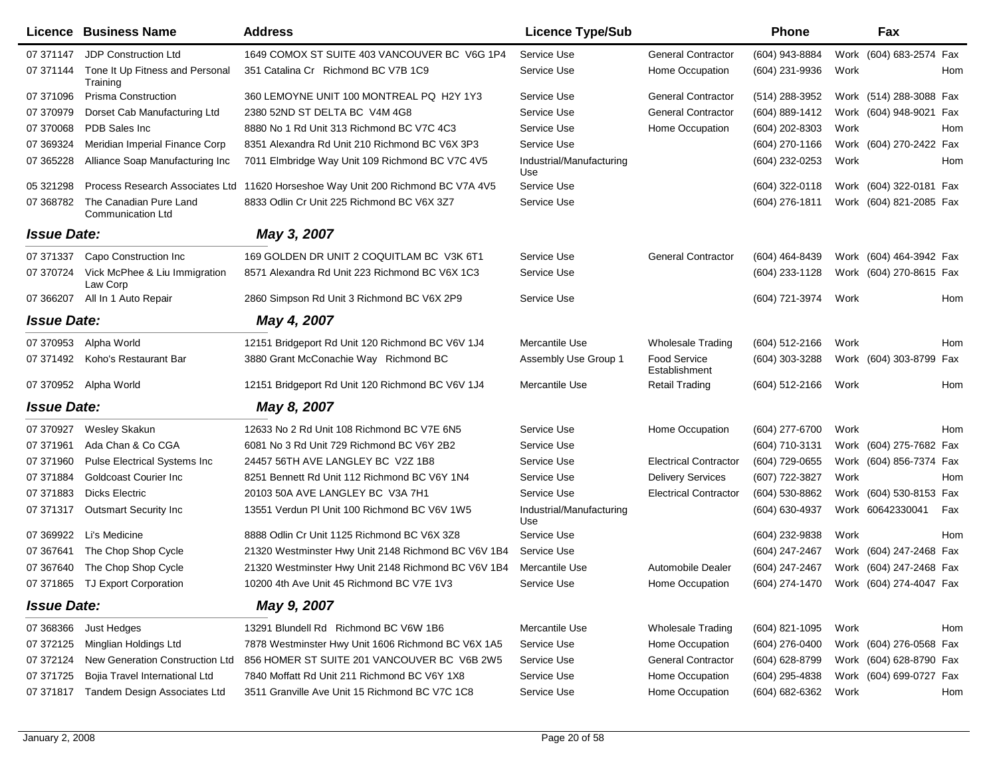|                    | Licence Business Name                              | <b>Address</b>                                                                   | <b>Licence Type/Sub</b>         |                                      | Phone            | Fax                        |
|--------------------|----------------------------------------------------|----------------------------------------------------------------------------------|---------------------------------|--------------------------------------|------------------|----------------------------|
| 07 371147          | <b>JDP Construction Ltd</b>                        | 1649 COMOX ST SUITE 403 VANCOUVER BC V6G 1P4                                     | Service Use                     | <b>General Contractor</b>            | (604) 943-8884   | Work (604) 683-2574 Fax    |
| 07 371144          | Tone It Up Fitness and Personal<br>Training        | 351 Catalina Cr Richmond BC V7B 1C9                                              | Service Use                     | Home Occupation                      | (604) 231-9936   | Work<br>Hom                |
| 07 371096          | <b>Prisma Construction</b>                         | 360 LEMOYNE UNIT 100 MONTREAL PQ H2Y 1Y3                                         | Service Use                     | <b>General Contractor</b>            | (514) 288-3952   | Work (514) 288-3088 Fax    |
| 07 370979          | Dorset Cab Manufacturing Ltd                       | 2380 52ND ST DELTA BC V4M 4G8                                                    | Service Use                     | <b>General Contractor</b>            | (604) 889-1412   | Work (604) 948-9021 Fax    |
| 07 370068          | PDB Sales Inc                                      | 8880 No 1 Rd Unit 313 Richmond BC V7C 4C3                                        | Service Use                     | Home Occupation                      | (604) 202-8303   | Work<br>Hom                |
| 07 369324          | Meridian Imperial Finance Corp                     | 8351 Alexandra Rd Unit 210 Richmond BC V6X 3P3                                   | Service Use                     |                                      | (604) 270-1166   | Work (604) 270-2422 Fax    |
| 07 365228          | Alliance Soap Manufacturing Inc                    | 7011 Elmbridge Way Unit 109 Richmond BC V7C 4V5                                  | Industrial/Manufacturing<br>Use |                                      | (604) 232-0253   | Work<br>Hom                |
| 05 321298          |                                                    | Process Research Associates Ltd 11620 Horseshoe Way Unit 200 Richmond BC V7A 4V5 | Service Use                     |                                      | (604) 322-0118   | Work (604) 322-0181 Fax    |
| 07 368782          | The Canadian Pure Land<br><b>Communication Ltd</b> | 8833 Odlin Cr Unit 225 Richmond BC V6X 3Z7                                       | Service Use                     |                                      | (604) 276-1811   | Work (604) 821-2085 Fax    |
| <b>Issue Date:</b> |                                                    | May 3, 2007                                                                      |                                 |                                      |                  |                            |
| 07 371337          | Capo Construction Inc                              | 169 GOLDEN DR UNIT 2 COQUITLAM BC V3K 6T1                                        | Service Use                     | <b>General Contractor</b>            | (604) 464-8439   | Work (604) 464-3942 Fax    |
| 07 370724          | Vick McPhee & Liu Immigration<br>Law Corp          | 8571 Alexandra Rd Unit 223 Richmond BC V6X 1C3                                   | Service Use                     |                                      | (604) 233-1128   | Work (604) 270-8615 Fax    |
| 07 366207          | All In 1 Auto Repair                               | 2860 Simpson Rd Unit 3 Richmond BC V6X 2P9                                       | Service Use                     |                                      | (604) 721-3974   | Work<br>Hom                |
| <b>Issue Date:</b> |                                                    | May 4, 2007                                                                      |                                 |                                      |                  |                            |
| 07 370953          | Alpha World                                        | 12151 Bridgeport Rd Unit 120 Richmond BC V6V 1J4                                 | Mercantile Use                  | <b>Wholesale Trading</b>             | $(604)$ 512-2166 | Work<br>Hom                |
| 07 371492          | Koho's Restaurant Bar                              | 3880 Grant McConachie Way Richmond BC                                            | Assembly Use Group 1            | <b>Food Service</b><br>Establishment | (604) 303-3288   | Work (604) 303-8799<br>Fax |
| 07 370952          | Alpha World                                        | 12151 Bridgeport Rd Unit 120 Richmond BC V6V 1J4                                 | Mercantile Use                  | Retail Trading                       | (604) 512-2166   | Work<br>Hom                |
| <b>Issue Date:</b> |                                                    | May 8, 2007                                                                      |                                 |                                      |                  |                            |
| 07 37 09 27        | <b>Wesley Skakun</b>                               | 12633 No 2 Rd Unit 108 Richmond BC V7E 6N5                                       | Service Use                     | Home Occupation                      | (604) 277-6700   | Work<br>Hom                |
| 07 371961          | Ada Chan & Co CGA                                  | 6081 No 3 Rd Unit 729 Richmond BC V6Y 2B2                                        | Service Use                     |                                      | (604) 710-3131   | Work (604) 275-7682 Fax    |
| 07 371960          | <b>Pulse Electrical Systems Inc</b>                | 24457 56TH AVE LANGLEY BC V2Z 1B8                                                | Service Use                     | <b>Electrical Contractor</b>         | (604) 729-0655   | Work (604) 856-7374 Fax    |
| 07 371884          | <b>Goldcoast Courier Inc</b>                       | 8251 Bennett Rd Unit 112 Richmond BC V6Y 1N4                                     | Service Use                     | <b>Delivery Services</b>             | (607) 722-3827   | Work<br>Hom                |
| 07 371883          | Dicks Electric                                     | 20103 50A AVE LANGLEY BC V3A 7H1                                                 | Service Use                     | <b>Electrical Contractor</b>         | (604) 530-8862   | Work (604) 530-8153 Fax    |
| 07 371317          | <b>Outsmart Security Inc</b>                       | 13551 Verdun PI Unit 100 Richmond BC V6V 1W5                                     | Industrial/Manufacturing<br>Use |                                      | (604) 630-4937   | Work 60642330041<br>Fax    |
| 07 369922          | Li's Medicine                                      | 8888 Odlin Cr Unit 1125 Richmond BC V6X 3Z8                                      | Service Use                     |                                      | (604) 232-9838   | Work<br>Hom                |
| 07 367641          | The Chop Shop Cycle                                | 21320 Westminster Hwy Unit 2148 Richmond BC V6V 1B4                              | Service Use                     |                                      | (604) 247-2467   | Work (604) 247-2468 Fax    |
| 07 367 640         | The Chop Shop Cycle                                | 21320 Westminster Hwy Unit 2148 Richmond BC V6V 1B4                              | Mercantile Use                  | Automobile Dealer                    | (604) 247-2467   | Work (604) 247-2468 Fax    |
|                    | 07 371865 TJ Export Corporation                    | 10200 4th Ave Unit 45 Richmond BC V7E 1V3                                        | Service Use                     | Home Occupation                      | (604) 274-1470   | Work (604) 274-4047 Fax    |
| <b>Issue Date:</b> |                                                    | May 9, 2007                                                                      |                                 |                                      |                  |                            |
| 07 368366          | Just Hedges                                        | 13291 Blundell Rd Richmond BC V6W 1B6                                            | Mercantile Use                  | <b>Wholesale Trading</b>             | (604) 821-1095   | Work<br>Hom                |
| 07 372125          | Minglian Holdings Ltd                              | 7878 Westminster Hwy Unit 1606 Richmond BC V6X 1A5                               | Service Use                     | Home Occupation                      | (604) 276-0400   | Work (604) 276-0568 Fax    |
| 07 372124          | New Generation Construction Ltd                    | 856 HOMER ST SUITE 201 VANCOUVER BC V6B 2W5                                      | Service Use                     | <b>General Contractor</b>            | (604) 628-8799   | Work (604) 628-8790 Fax    |
| 07 371725          | Bojia Travel International Ltd                     | 7840 Moffatt Rd Unit 211 Richmond BC V6Y 1X8                                     | Service Use                     | Home Occupation                      | (604) 295-4838   | Work (604) 699-0727 Fax    |
| 07 371817          | Tandem Design Associates Ltd                       | 3511 Granville Ave Unit 15 Richmond BC V7C 1C8                                   | Service Use                     | Home Occupation                      | (604) 682-6362   | Work<br>Hom                |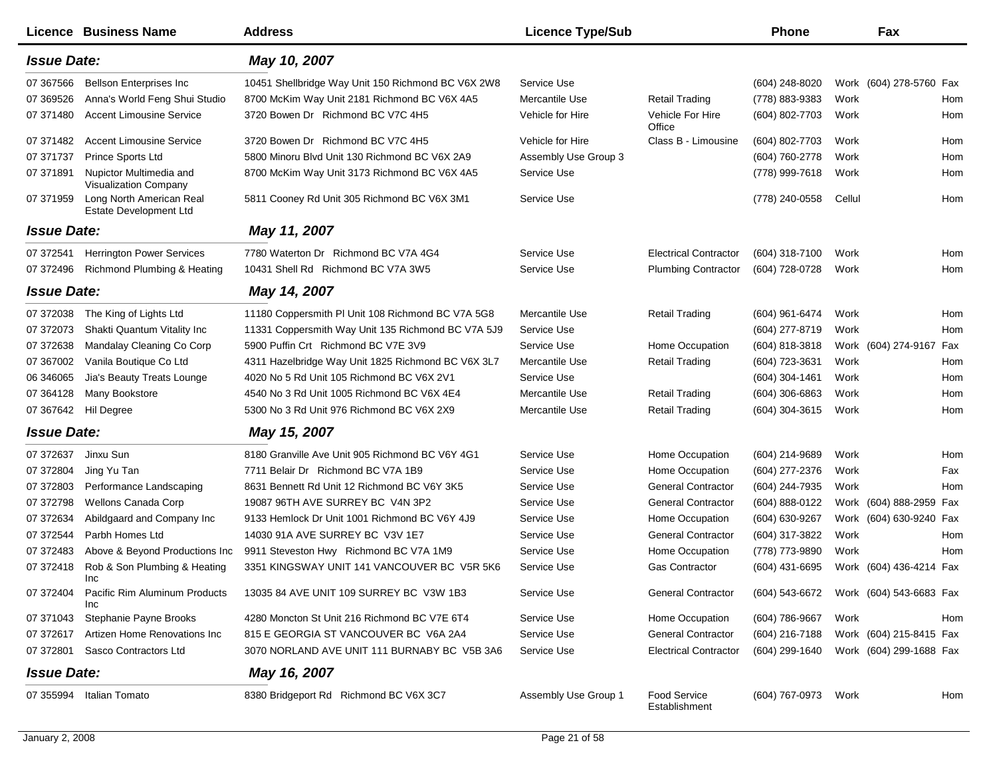|                    | <b>Licence Business Name</b>                            | <b>Address</b>                                     | <b>Licence Type/Sub</b> |                               | <b>Phone</b>     |        | Fax                     |     |
|--------------------|---------------------------------------------------------|----------------------------------------------------|-------------------------|-------------------------------|------------------|--------|-------------------------|-----|
| <b>Issue Date:</b> |                                                         | May 10, 2007                                       |                         |                               |                  |        |                         |     |
| 07 367566          | <b>Bellson Enterprises Inc</b>                          | 10451 Shellbridge Way Unit 150 Richmond BC V6X 2W8 | Service Use             |                               | (604) 248-8020   |        | Work (604) 278-5760 Fax |     |
| 07 369526          | Anna's World Feng Shui Studio                           | 8700 McKim Way Unit 2181 Richmond BC V6X 4A5       | Mercantile Use          | <b>Retail Trading</b>         | (778) 883-9383   | Work   |                         | Hom |
| 07 371480          | <b>Accent Limousine Service</b>                         | 3720 Bowen Dr Richmond BC V7C 4H5                  | Vehicle for Hire        | Vehicle For Hire<br>Office    | (604) 802-7703   | Work   |                         | Hom |
| 07 371482          | <b>Accent Limousine Service</b>                         | 3720 Bowen Dr Richmond BC V7C 4H5                  | Vehicle for Hire        | Class B - Limousine           | (604) 802-7703   | Work   |                         | Hom |
| 07 371737          | Prince Sports Ltd                                       | 5800 Minoru Blvd Unit 130 Richmond BC V6X 2A9      | Assembly Use Group 3    |                               | (604) 760-2778   | Work   |                         | Hom |
| 07 371891          | Nupictor Multimedia and<br><b>Visualization Company</b> | 8700 McKim Way Unit 3173 Richmond BC V6X 4A5       | Service Use             |                               | (778) 999-7618   | Work   |                         | Hom |
| 07 371959          | Long North American Real<br>Estate Development Ltd      | 5811 Cooney Rd Unit 305 Richmond BC V6X 3M1        | Service Use             |                               | (778) 240-0558   | Cellul |                         | Hom |
| <b>Issue Date:</b> |                                                         | May 11, 2007                                       |                         |                               |                  |        |                         |     |
| 07 37 2541         | <b>Herrington Power Services</b>                        | 7780 Waterton Dr Richmond BC V7A 4G4               | Service Use             | <b>Electrical Contractor</b>  | (604) 318-7100   | Work   |                         | Hom |
| 07 372496          | Richmond Plumbing & Heating                             | 10431 Shell Rd Richmond BC V7A 3W5                 | Service Use             | <b>Plumbing Contractor</b>    | (604) 728-0728   | Work   |                         | Hom |
| <b>Issue Date:</b> |                                                         | May 14, 2007                                       |                         |                               |                  |        |                         |     |
| 07 372038          | The King of Lights Ltd                                  | 11180 Coppersmith PI Unit 108 Richmond BC V7A 5G8  | Mercantile Use          | <b>Retail Trading</b>         | (604) 961-6474   | Work   |                         | Hom |
| 07 37 20 73        | Shakti Quantum Vitality Inc                             | 11331 Coppersmith Way Unit 135 Richmond BC V7A 5J9 | Service Use             |                               | (604) 277-8719   | Work   |                         | Hom |
| 07 372638          | Mandalay Cleaning Co Corp                               | 5900 Puffin Crt Richmond BC V7E 3V9                | Service Use             | Home Occupation               | (604) 818-3818   |        | Work (604) 274-9167 Fax |     |
| 07 367002          | Vanila Boutique Co Ltd                                  | 4311 Hazelbridge Way Unit 1825 Richmond BC V6X 3L7 | Mercantile Use          | <b>Retail Trading</b>         | (604) 723-3631   | Work   |                         | Hom |
| 06 34 60 65        | Jia's Beauty Treats Lounge                              | 4020 No 5 Rd Unit 105 Richmond BC V6X 2V1          | Service Use             |                               | $(604)$ 304-1461 | Work   |                         | Hom |
| 07 364128          | Many Bookstore                                          | 4540 No 3 Rd Unit 1005 Richmond BC V6X 4E4         | Mercantile Use          | <b>Retail Trading</b>         | $(604)$ 306-6863 | Work   |                         | Hom |
| 07 367642          | Hil Degree                                              | 5300 No 3 Rd Unit 976 Richmond BC V6X 2X9          | Mercantile Use          | <b>Retail Trading</b>         | (604) 304-3615   | Work   |                         | Hom |
| <b>Issue Date:</b> |                                                         | May 15, 2007                                       |                         |                               |                  |        |                         |     |
| 07 37 26 37        | Jinxu Sun                                               | 8180 Granville Ave Unit 905 Richmond BC V6Y 4G1    | Service Use             | Home Occupation               | (604) 214-9689   | Work   |                         | Hom |
| 07 372804          | Jing Yu Tan                                             | 7711 Belair Dr Richmond BC V7A 1B9                 | Service Use             | Home Occupation               | (604) 277-2376   | Work   |                         | Fax |
| 07 372803          | Performance Landscaping                                 | 8631 Bennett Rd Unit 12 Richmond BC V6Y 3K5        | Service Use             | <b>General Contractor</b>     | (604) 244-7935   | Work   |                         | Hom |
| 07 372798          | Wellons Canada Corp                                     | 19087 96TH AVE SURREY BC V4N 3P2                   | Service Use             | <b>General Contractor</b>     | (604) 888-0122   |        | Work (604) 888-2959 Fax |     |
| 07 372634          | Abildgaard and Company Inc                              | 9133 Hemlock Dr Unit 1001 Richmond BC V6Y 4J9      | Service Use             | Home Occupation               | (604) 630-9267   |        | Work (604) 630-9240 Fax |     |
| 07 372544          | Parbh Homes Ltd                                         | 14030 91A AVE SURREY BC V3V 1E7                    | Service Use             | <b>General Contractor</b>     | (604) 317-3822   | Work   |                         | Hom |
| 07 372483          | Above & Beyond Productions Inc                          | 9911 Steveston Hwy Richmond BC V7A 1M9             | Service Use             | Home Occupation               | (778) 773-9890   | Work   |                         | Hom |
| 07 372418          | Rob & Son Plumbing & Heating<br>Inc                     | 3351 KINGSWAY UNIT 141 VANCOUVER BC V5R 5K6        | Service Use             | Gas Contractor                | $(604)$ 431-6695 |        | Work (604) 436-4214 Fax |     |
| 07 372404          | Pacific Rim Aluminum Products<br>Inc                    | 13035 84 AVE UNIT 109 SURREY BC V3W 1B3            | Service Use             | <b>General Contractor</b>     | (604) 543-6672   |        | Work (604) 543-6683 Fax |     |
| 07 371043          | Stephanie Payne Brooks                                  | 4280 Moncton St Unit 216 Richmond BC V7E 6T4       | Service Use             | Home Occupation               | (604) 786-9667   | Work   |                         | Hom |
| 07 37 2617         | Artizen Home Renovations Inc                            | 815 E GEORGIA ST VANCOUVER BC V6A 2A4              | Service Use             | <b>General Contractor</b>     | (604) 216-7188   |        | Work (604) 215-8415 Fax |     |
| 07 372801          | Sasco Contractors Ltd                                   | 3070 NORLAND AVE UNIT 111 BURNABY BC V5B 3A6       | Service Use             | <b>Electrical Contractor</b>  | (604) 299-1640   |        | Work (604) 299-1688 Fax |     |
| <b>Issue Date:</b> |                                                         | May 16, 2007                                       |                         |                               |                  |        |                         |     |
| 07 355994          | Italian Tomato                                          | 8380 Bridgeport Rd Richmond BC V6X 3C7             | Assembly Use Group 1    | Food Service<br>Establishment | (604) 767-0973   | Work   |                         | Hom |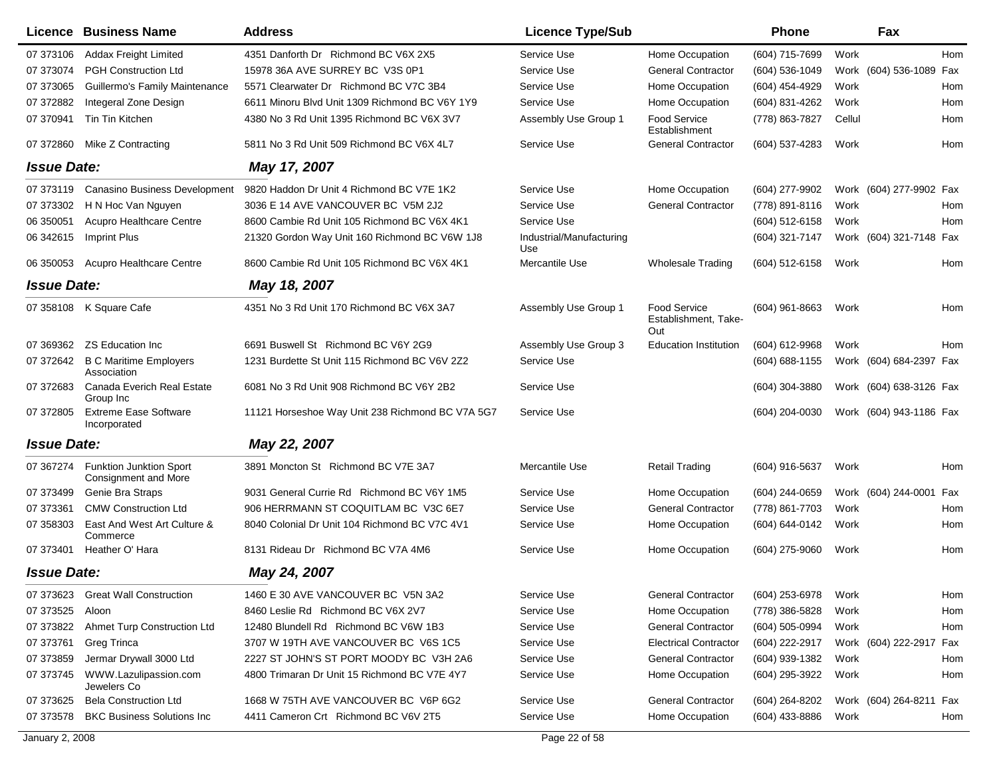|                    | Licence Business Name                                  | <b>Address</b>                                   | <b>Licence Type/Sub</b>         |                                                    | <b>Phone</b>     |        | Fax                     |            |
|--------------------|--------------------------------------------------------|--------------------------------------------------|---------------------------------|----------------------------------------------------|------------------|--------|-------------------------|------------|
| 07 373106          | <b>Addax Freight Limited</b>                           | 4351 Danforth Dr Richmond BC V6X 2X5             | Service Use                     | Home Occupation                                    | (604) 715-7699   | Work   |                         | Hom        |
| 07 373074          | <b>PGH Construction Ltd</b>                            | 15978 36A AVE SURREY BC V3S 0P1                  | Service Use                     | <b>General Contractor</b>                          | (604) 536-1049   |        | Work (604) 536-1089     | Fax        |
| 07 373065          | Guillermo's Family Maintenance                         | 5571 Clearwater Dr Richmond BC V7C 3B4           | Service Use                     | Home Occupation                                    | (604) 454-4929   | Work   |                         | Hom        |
| 07 372882          | Integeral Zone Design                                  | 6611 Minoru Blvd Unit 1309 Richmond BC V6Y 1Y9   | Service Use                     | Home Occupation                                    | (604) 831-4262   | Work   |                         | <b>Hom</b> |
| 07 370941          | Tin Tin Kitchen                                        | 4380 No 3 Rd Unit 1395 Richmond BC V6X 3V7       | Assembly Use Group 1            | Food Service<br>Establishment                      | (778) 863-7827   | Cellul |                         | Hom        |
| 07 372860          | Mike Z Contracting                                     | 5811 No 3 Rd Unit 509 Richmond BC V6X 4L7        | Service Use                     | <b>General Contractor</b>                          | (604) 537-4283   | Work   |                         | Hom        |
| <b>Issue Date:</b> |                                                        | May 17, 2007                                     |                                 |                                                    |                  |        |                         |            |
| 07 373119          | Canasino Business Development                          | 9820 Haddon Dr Unit 4 Richmond BC V7E 1K2        | Service Use                     | Home Occupation                                    | (604) 277-9902   |        | Work (604) 277-9902 Fax |            |
| 07 373302          | H N Hoc Van Nguyen                                     | 3036 E 14 AVE VANCOUVER BC V5M 2J2               | Service Use                     | <b>General Contractor</b>                          | (778) 891-8116   | Work   |                         | Hom        |
| 06 350051          | Acupro Healthcare Centre                               | 8600 Cambie Rd Unit 105 Richmond BC V6X 4K1      | Service Use                     |                                                    | (604) 512-6158   | Work   |                         | Hom        |
| 06 34 2615         | Imprint Plus                                           | 21320 Gordon Way Unit 160 Richmond BC V6W 1J8    | Industrial/Manufacturing<br>Use |                                                    | (604) 321-7147   |        | Work (604) 321-7148     | Fax        |
| 06 350053          | <b>Acupro Healthcare Centre</b>                        | 8600 Cambie Rd Unit 105 Richmond BC V6X 4K1      | Mercantile Use                  | <b>Wholesale Trading</b>                           | (604) 512-6158   | Work   |                         | Hom        |
| <b>Issue Date:</b> |                                                        | May 18, 2007                                     |                                 |                                                    |                  |        |                         |            |
|                    | 07 358108 K Square Cafe                                | 4351 No 3 Rd Unit 170 Richmond BC V6X 3A7        | Assembly Use Group 1            | <b>Food Service</b><br>Establishment, Take-<br>Out | $(604)$ 961-8663 | Work   |                         | Hom        |
| 07 369362          | <b>ZS Education Inc.</b>                               | 6691 Buswell St Richmond BC V6Y 2G9              | Assembly Use Group 3            | <b>Education Institution</b>                       | (604) 612-9968   | Work   |                         | Hom        |
| 07 372642          | <b>B C Maritime Employers</b><br>Association           | 1231 Burdette St Unit 115 Richmond BC V6V 2Z2    | Service Use                     |                                                    | (604) 688-1155   |        | Work (604) 684-2397 Fax |            |
| 07 37 268 3        | Canada Everich Real Estate<br>Group Inc                | 6081 No 3 Rd Unit 908 Richmond BC V6Y 2B2        | Service Use                     |                                                    | (604) 304-3880   |        | Work (604) 638-3126 Fax |            |
| 07 372805          | <b>Extreme Ease Software</b><br>Incorporated           | 11121 Horseshoe Way Unit 238 Richmond BC V7A 5G7 | Service Use                     |                                                    | (604) 204-0030   |        | Work (604) 943-1186 Fax |            |
| <b>Issue Date:</b> |                                                        | May 22, 2007                                     |                                 |                                                    |                  |        |                         |            |
| 07 367274          | <b>Funktion Junktion Sport</b><br>Consignment and More | 3891 Moncton St Richmond BC V7E 3A7              | Mercantile Use                  | <b>Retail Trading</b>                              | $(604)$ 916-5637 | Work   |                         | Hom        |
| 07 373499          | Genie Bra Straps                                       | 9031 General Currie Rd Richmond BC V6Y 1M5       | Service Use                     | Home Occupation                                    | (604) 244-0659   |        | Work (604) 244-0001     | Fax        |
| 07 37 3361         | <b>CMW Construction Ltd</b>                            | 906 HERRMANN ST COQUITLAM BC V3C 6E7             | Service Use                     | <b>General Contractor</b>                          | (778) 861-7703   | Work   |                         | Hom        |
| 07 358303          | East And West Art Culture &<br>Commerce                | 8040 Colonial Dr Unit 104 Richmond BC V7C 4V1    | Service Use                     | Home Occupation                                    | (604) 644-0142   | Work   |                         | Hom        |
| 07 373401          | Heather O' Hara                                        | 8131 Rideau Dr Richmond BC V7A 4M6               | Service Use                     | Home Occupation                                    | (604) 275-9060   | Work   |                         | Hom        |
| <b>Issue Date:</b> |                                                        | May 24, 2007                                     |                                 |                                                    |                  |        |                         |            |
| 07 373623          | <b>Great Wall Construction</b>                         | 1460 E 30 AVE VANCOUVER BC V5N 3A2               | Service Use                     | <b>General Contractor</b>                          | (604) 253-6978   | Work   |                         | Hom        |
| 07 37 35 25        | Aloon                                                  | 8460 Leslie Rd Richmond BC V6X 2V7               | Service Use                     | Home Occupation                                    | (778) 386-5828   | Work   |                         | Hom        |
| 07 373822          | Ahmet Turp Construction Ltd                            | 12480 Blundell Rd Richmond BC V6W 1B3            | Service Use                     | <b>General Contractor</b>                          | (604) 505-0994   | Work   |                         | Hom        |
| 07 373761          | Greg Trinca                                            | 3707 W 19TH AVE VANCOUVER BC V6S 1C5             | Service Use                     | <b>Electrical Contractor</b>                       | (604) 222-2917   |        | Work (604) 222-2917     | Fax        |
| 07 373859          | Jermar Drywall 3000 Ltd                                | 2227 ST JOHN'S ST PORT MOODY BC V3H 2A6          | Service Use                     | <b>General Contractor</b>                          | (604) 939-1382   | Work   |                         | Hom        |
| 07 37 37 45        | WWW.Lazulipassion.com<br>Jewelers Co                   | 4800 Trimaran Dr Unit 15 Richmond BC V7E 4Y7     | Service Use                     | Home Occupation                                    | (604) 295-3922   | Work   |                         | Hom        |
| 07 373625          | <b>Bela Construction Ltd</b>                           | 1668 W 75TH AVE VANCOUVER BC V6P 6G2             | Service Use                     | <b>General Contractor</b>                          | (604) 264-8202   |        | Work (604) 264-8211 Fax |            |
| 07 373578          | <b>BKC Business Solutions Inc</b>                      | 4411 Cameron Crt Richmond BC V6V 2T5             | Service Use                     | Home Occupation                                    | (604) 433-8886   | Work   |                         | Hom        |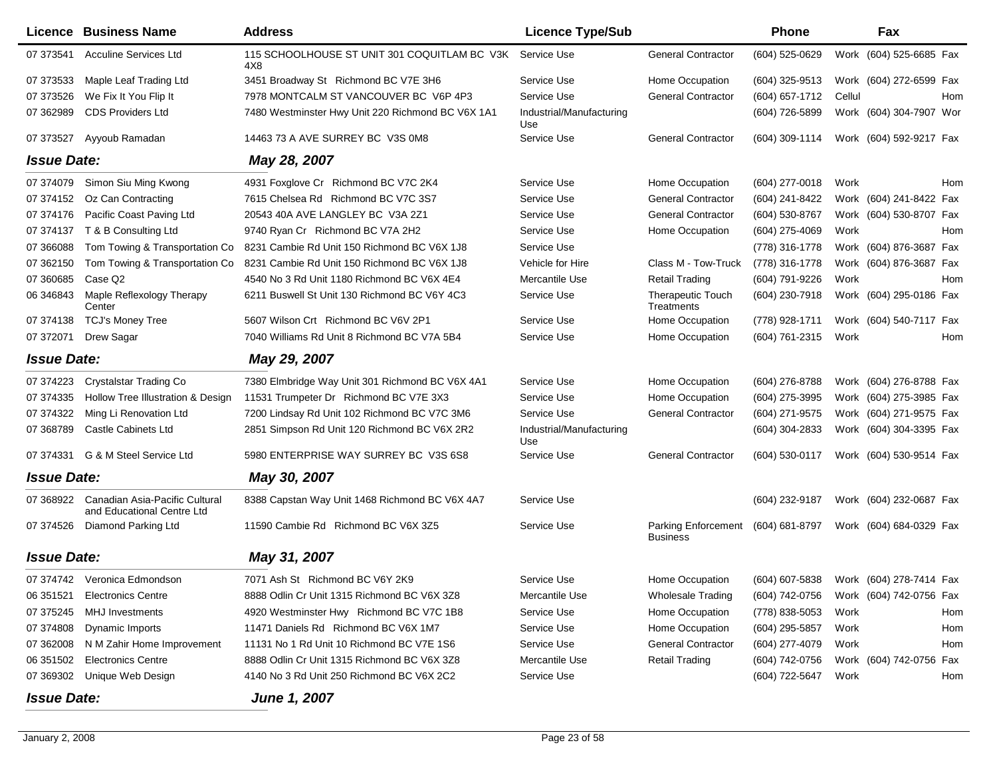|                    | Licence Business Name                                        | <b>Address</b>                                      | <b>Licence Type/Sub</b>         |                                               | Phone                                  |        | Fax                     |     |
|--------------------|--------------------------------------------------------------|-----------------------------------------------------|---------------------------------|-----------------------------------------------|----------------------------------------|--------|-------------------------|-----|
| 07 373541          | <b>Acculine Services Ltd</b>                                 | 115 SCHOOLHOUSE ST UNIT 301 COQUITLAM BC V3K<br>4X8 | Service Use                     | <b>General Contractor</b>                     | (604) 525-0629                         |        | Work (604) 525-6685 Fax |     |
| 07 37 35 33        | Maple Leaf Trading Ltd                                       | 3451 Broadway St Richmond BC V7E 3H6                | Service Use                     | Home Occupation                               | (604) 325-9513                         |        | Work (604) 272-6599 Fax |     |
| 07 373526          | We Fix It You Flip It                                        | 7978 MONTCALM ST VANCOUVER BC V6P 4P3               | Service Use                     | <b>General Contractor</b>                     | $(604)$ 657-1712                       | Cellul |                         | Hom |
| 07 362989          | <b>CDS Providers Ltd</b>                                     | 7480 Westminster Hwy Unit 220 Richmond BC V6X 1A1   | Industrial/Manufacturing<br>Use |                                               | (604) 726-5899                         |        | Work (604) 304-7907 Wor |     |
| 07 373527          | Ayyoub Ramadan                                               | 14463 73 A AVE SURREY BC V3S 0M8                    | Service Use                     | <b>General Contractor</b>                     | (604) 309-1114                         |        | Work (604) 592-9217 Fax |     |
| <b>Issue Date:</b> |                                                              | May 28, 2007                                        |                                 |                                               |                                        |        |                         |     |
| 07 374079          | Simon Siu Ming Kwong                                         | 4931 Foxglove Cr Richmond BC V7C 2K4                | Service Use                     | Home Occupation                               | (604) 277-0018                         | Work   |                         | Hom |
| 07 374152          | Oz Can Contracting                                           | 7615 Chelsea Rd Richmond BC V7C 3S7                 | Service Use                     | <b>General Contractor</b>                     | (604) 241-8422                         |        | Work (604) 241-8422 Fax |     |
| 07 374176          | Pacific Coast Paving Ltd                                     | 20543 40A AVE LANGLEY BC V3A 2Z1                    | Service Use                     | <b>General Contractor</b>                     | (604) 530-8767                         |        | Work (604) 530-8707 Fax |     |
| 07 374137          | T & B Consulting Ltd                                         | 9740 Ryan Cr Richmond BC V7A 2H2                    | Service Use                     | Home Occupation                               | (604) 275-4069                         | Work   |                         | Hom |
| 07 366088          | Tom Towing & Transportation Co                               | 8231 Cambie Rd Unit 150 Richmond BC V6X 1J8         | Service Use                     |                                               | (778) 316-1778                         |        | Work (604) 876-3687 Fax |     |
| 07 362150          | Tom Towing & Transportation Co                               | 8231 Cambie Rd Unit 150 Richmond BC V6X 1J8         | Vehicle for Hire                | Class M - Tow-Truck                           | (778) 316-1778                         |        | Work (604) 876-3687 Fax |     |
| 07 360 685         | Case Q <sub>2</sub>                                          | 4540 No 3 Rd Unit 1180 Richmond BC V6X 4E4          | Mercantile Use                  | <b>Retail Trading</b>                         | (604) 791-9226                         | Work   |                         | Hom |
| 06 34 6843         | Maple Reflexology Therapy<br>Center                          | 6211 Buswell St Unit 130 Richmond BC V6Y 4C3        | Service Use                     | <b>Therapeutic Touch</b><br>Treatments        | (604) 230-7918                         |        | Work (604) 295-0186 Fax |     |
| 07 374138          | <b>TCJ's Money Tree</b>                                      | 5607 Wilson Crt Richmond BC V6V 2P1                 | Service Use                     | Home Occupation                               | (778) 928-1711                         |        | Work (604) 540-7117 Fax |     |
| 07 37 2071         | Drew Sagar                                                   | 7040 Williams Rd Unit 8 Richmond BC V7A 5B4         | Service Use                     | Home Occupation                               | (604) 761-2315                         | Work   |                         | Hom |
| <b>Issue Date:</b> |                                                              | May 29, 2007                                        |                                 |                                               |                                        |        |                         |     |
| 07 374223          | Crystalstar Trading Co                                       | 7380 Elmbridge Way Unit 301 Richmond BC V6X 4A1     | Service Use                     | Home Occupation                               | (604) 276-8788                         |        | Work (604) 276-8788 Fax |     |
| 07 37 43 35        | Hollow Tree Illustration & Design                            | 11531 Trumpeter Dr Richmond BC V7E 3X3              | Service Use                     | Home Occupation                               | (604) 275-3995                         |        | Work (604) 275-3985 Fax |     |
| 07 374322          | Ming Li Renovation Ltd                                       | 7200 Lindsay Rd Unit 102 Richmond BC V7C 3M6        | Service Use                     | <b>General Contractor</b>                     | (604) 271-9575                         |        | Work (604) 271-9575 Fax |     |
| 07 368789          | <b>Castle Cabinets Ltd</b>                                   | 2851 Simpson Rd Unit 120 Richmond BC V6X 2R2        | Industrial/Manufacturing<br>Use |                                               | (604) 304-2833                         |        | Work (604) 304-3395 Fax |     |
|                    | 07 374331 G & M Steel Service Ltd                            | 5980 ENTERPRISE WAY SURREY BC V3S 6S8               | Service Use                     | <b>General Contractor</b>                     | (604) 530-0117                         |        | Work (604) 530-9514 Fax |     |
| <b>Issue Date:</b> |                                                              | May 30, 2007                                        |                                 |                                               |                                        |        |                         |     |
| 07 368922          | Canadian Asia-Pacific Cultural<br>and Educational Centre Ltd | 8388 Capstan Way Unit 1468 Richmond BC V6X 4A7      | Service Use                     |                                               | (604) 232-9187                         |        | Work (604) 232-0687 Fax |     |
| 07 374526          | Diamond Parking Ltd                                          | 11590 Cambie Rd Richmond BC V6X 3Z5                 | Service Use                     | <b>Parking Enforcement</b><br><b>Business</b> | (604) 681-8797                         |        | Work (604) 684-0329 Fax |     |
| <b>Issue Date:</b> |                                                              | May 31, 2007                                        |                                 |                                               |                                        |        |                         |     |
|                    | 07 374742 Veronica Edmondson                                 | 7071 Ash St Richmond BC V6Y 2K9                     | Service Use                     | Home Occupation                               | (604) 607-5838                         |        | Work (604) 278-7414 Fax |     |
|                    | 06 351521 Electronics Centre                                 | 8888 Odlin Cr Unit 1315 Richmond BC V6X 3Z8         | Mercantile Use                  | <b>Wholesale Trading</b>                      | (604) 742-0756 Work (604) 742-0756 Fax |        |                         |     |
| 07 375245          | <b>MHJ</b> Investments                                       | 4920 Westminster Hwy Richmond BC V7C 1B8            | Service Use                     | Home Occupation                               | (778) 838-5053                         | Work   |                         | Hom |
| 07 374808          | Dynamic Imports                                              | 11471 Daniels Rd Richmond BC V6X 1M7                | Service Use                     | Home Occupation                               | $(604)$ 295-5857                       | Work   |                         | Hom |
| 07 362008          | N M Zahir Home Improvement                                   | 11131 No 1 Rd Unit 10 Richmond BC V7E 1S6           | Service Use                     | <b>General Contractor</b>                     | (604) 277-4079                         | Work   |                         | Hom |
| 06 351502          | <b>Electronics Centre</b>                                    | 8888 Odlin Cr Unit 1315 Richmond BC V6X 3Z8         | Mercantile Use                  | <b>Retail Trading</b>                         | (604) 742-0756                         |        | Work (604) 742-0756 Fax |     |
|                    | 07 369302 Unique Web Design                                  | 4140 No 3 Rd Unit 250 Richmond BC V6X 2C2           | Service Use                     |                                               | (604) 722-5647 Work                    |        |                         | Hom |
| <b>Issue Date:</b> |                                                              | <b>June 1, 2007</b>                                 |                                 |                                               |                                        |        |                         |     |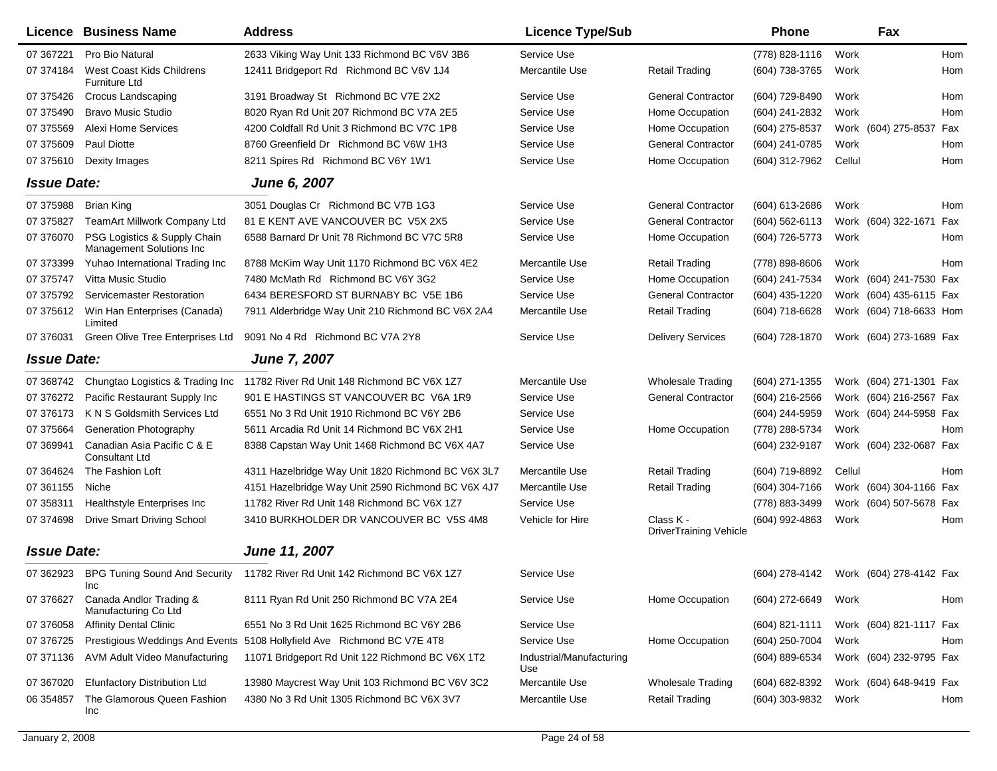|                    | <b>Licence Business Name</b>                             | <b>Address</b>                                                          | <b>Licence Type/Sub</b>         |                                            | <b>Phone</b>       |        | Fax                     |     |
|--------------------|----------------------------------------------------------|-------------------------------------------------------------------------|---------------------------------|--------------------------------------------|--------------------|--------|-------------------------|-----|
| 07 367221          | Pro Bio Natural                                          | 2633 Viking Way Unit 133 Richmond BC V6V 3B6                            | Service Use                     |                                            | (778) 828-1116     | Work   |                         | Hom |
| 07 374184          | West Coast Kids Childrens<br>Furniture Ltd               | 12411 Bridgeport Rd Richmond BC V6V 1J4                                 | Mercantile Use                  | <b>Retail Trading</b>                      | (604) 738-3765     | Work   |                         | Hom |
| 07 375426          | Crocus Landscaping                                       | 3191 Broadway St Richmond BC V7E 2X2                                    | Service Use                     | <b>General Contractor</b>                  | (604) 729-8490     | Work   |                         | Hom |
| 07 375490          | <b>Bravo Music Studio</b>                                | 8020 Ryan Rd Unit 207 Richmond BC V7A 2E5                               | Service Use                     | Home Occupation                            | (604) 241-2832     | Work   |                         | Hom |
| 07 375569          | Alexi Home Services                                      | 4200 Coldfall Rd Unit 3 Richmond BC V7C 1P8                             | Service Use                     | Home Occupation                            | (604) 275-8537     |        | Work (604) 275-8537     | Fax |
| 07 375609          | Paul Diotte                                              | 8760 Greenfield Dr Richmond BC V6W 1H3                                  | Service Use                     | <b>General Contractor</b>                  | (604) 241-0785     | Work   |                         | Hom |
| 07 375610          | Dexity Images                                            | 8211 Spires Rd Richmond BC V6Y 1W1                                      | Service Use                     | Home Occupation                            | (604) 312-7962     | Cellul |                         | Hom |
| <b>Issue Date:</b> |                                                          | June 6, 2007                                                            |                                 |                                            |                    |        |                         |     |
| 07 375988          | <b>Brian King</b>                                        | 3051 Douglas Cr Richmond BC V7B 1G3                                     | Service Use                     | <b>General Contractor</b>                  | (604) 613-2686     | Work   |                         | Hom |
| 07 37 58 27        | TeamArt Millwork Company Ltd                             | 81 E KENT AVE VANCOUVER BC V5X 2X5                                      | Service Use                     | <b>General Contractor</b>                  | $(604) 562 - 6113$ |        | Work (604) 322-1671     | Fax |
| 07 37 60 70        | PSG Logistics & Supply Chain<br>Management Solutions Inc | 6588 Barnard Dr Unit 78 Richmond BC V7C 5R8                             | Service Use                     | Home Occupation                            | (604) 726-5773     | Work   |                         | Hom |
| 07 373399          | Yuhao International Trading Inc                          | 8788 McKim Way Unit 1170 Richmond BC V6X 4E2                            | Mercantile Use                  | <b>Retail Trading</b>                      | (778) 898-8606     | Work   |                         | Hom |
| 07 37 57 47        | Vitta Music Studio                                       | 7480 McMath Rd Richmond BC V6Y 3G2                                      | Service Use                     | Home Occupation                            | (604) 241-7534     |        | Work (604) 241-7530 Fax |     |
| 07 375792          | Servicemaster Restoration                                | 6434 BERESFORD ST BURNABY BC V5E 1B6                                    | Service Use                     | <b>General Contractor</b>                  | (604) 435-1220     |        | Work (604) 435-6115 Fax |     |
| 07 375612          | Win Han Enterprises (Canada)<br>Limited                  | 7911 Alderbridge Way Unit 210 Richmond BC V6X 2A4                       | Mercantile Use                  | <b>Retail Trading</b>                      | (604) 718-6628     |        | Work (604) 718-6633 Hom |     |
| 07 37 60 31        | Green Olive Tree Enterprises Ltd                         | 9091 No 4 Rd Richmond BC V7A 2Y8                                        | Service Use                     | <b>Delivery Services</b>                   | (604) 728-1870     |        | Work (604) 273-1689 Fax |     |
| <b>Issue Date:</b> |                                                          | <b>June 7, 2007</b>                                                     |                                 |                                            |                    |        |                         |     |
| 07 368742          | Chungtao Logistics & Trading Inc                         | 11782 River Rd Unit 148 Richmond BC V6X 1Z7                             | Mercantile Use                  | <b>Wholesale Trading</b>                   | (604) 271-1355     |        | Work (604) 271-1301 Fax |     |
| 07 37 62 72        | Pacific Restaurant Supply Inc                            | 901 E HASTINGS ST VANCOUVER BC V6A 1R9                                  | Service Use                     | <b>General Contractor</b>                  | (604) 216-2566     |        | Work (604) 216-2567 Fax |     |
| 07 37 61 73        | K N S Goldsmith Services Ltd                             | 6551 No 3 Rd Unit 1910 Richmond BC V6Y 2B6                              | Service Use                     |                                            | (604) 244-5959     |        | Work (604) 244-5958 Fax |     |
| 07 375664          | Generation Photography                                   | 5611 Arcadia Rd Unit 14 Richmond BC V6X 2H1                             | Service Use                     | Home Occupation                            | (778) 288-5734     | Work   |                         | Hom |
| 07 369941          | Canadian Asia Pacific C & E<br>Consultant Ltd            | 8388 Capstan Way Unit 1468 Richmond BC V6X 4A7                          | Service Use                     |                                            | (604) 232-9187     |        | Work (604) 232-0687 Fax |     |
| 07 364624          | The Fashion Loft                                         | 4311 Hazelbridge Way Unit 1820 Richmond BC V6X 3L7                      | Mercantile Use                  | <b>Retail Trading</b>                      | (604) 719-8892     | Cellul |                         | Hom |
| 07 361155          | Niche                                                    | 4151 Hazelbridge Way Unit 2590 Richmond BC V6X 4J7                      | Mercantile Use                  | <b>Retail Trading</b>                      | (604) 304-7166     |        | Work (604) 304-1166 Fax |     |
| 07 358311          | Healthstyle Enterprises Inc                              | 11782 River Rd Unit 148 Richmond BC V6X 1Z7                             | Service Use                     |                                            | (778) 883-3499     |        | Work (604) 507-5678 Fax |     |
| 07 374698          | <b>Drive Smart Driving School</b>                        | 3410 BURKHOLDER DR VANCOUVER BC V5S 4M8                                 | Vehicle for Hire                | Class K -<br><b>DriverTraining Vehicle</b> | (604) 992-4863     | Work   |                         | Hom |
| <b>Issue Date:</b> |                                                          | June 11, 2007                                                           |                                 |                                            |                    |        |                         |     |
| 07 362923          | <b>BPG Tuning Sound And Security</b><br>Inc              | 11782 River Rd Unit 142 Richmond BC V6X 1Z7                             | Service Use                     |                                            | (604) 278-4142     |        | Work (604) 278-4142 Fax |     |
| 07 37 6627         | Canada Andlor Trading &<br>Manufacturing Co Ltd          | 8111 Ryan Rd Unit 250 Richmond BC V7A 2E4                               | Service Use                     | Home Occupation                            | (604) 272-6649     | Work   |                         | Hom |
| 07 37 6058         | <b>Affinity Dental Clinic</b>                            | 6551 No 3 Rd Unit 1625 Richmond BC V6Y 2B6                              | Service Use                     |                                            | $(604)$ 821-1111   |        | Work (604) 821-1117 Fax |     |
| 07 37 6725         |                                                          | Prestigious Weddings And Events 5108 Hollyfield Ave Richmond BC V7E 4T8 | Service Use                     | Home Occupation                            | (604) 250-7004     | Work   |                         | Hom |
| 07 371136          | AVM Adult Video Manufacturing                            | 11071 Bridgeport Rd Unit 122 Richmond BC V6X 1T2                        | Industrial/Manufacturing<br>Use |                                            | (604) 889-6534     |        | Work (604) 232-9795 Fax |     |
| 07 367020          | Efunfactory Distribution Ltd                             | 13980 Maycrest Way Unit 103 Richmond BC V6V 3C2                         | Mercantile Use                  | <b>Wholesale Trading</b>                   | (604) 682-8392     |        | Work (604) 648-9419 Fax |     |
| 06 354857          | The Glamorous Queen Fashion<br>Inc                       | 4380 No 3 Rd Unit 1305 Richmond BC V6X 3V7                              | Mercantile Use                  | <b>Retail Trading</b>                      | (604) 303-9832     | Work   |                         | Hom |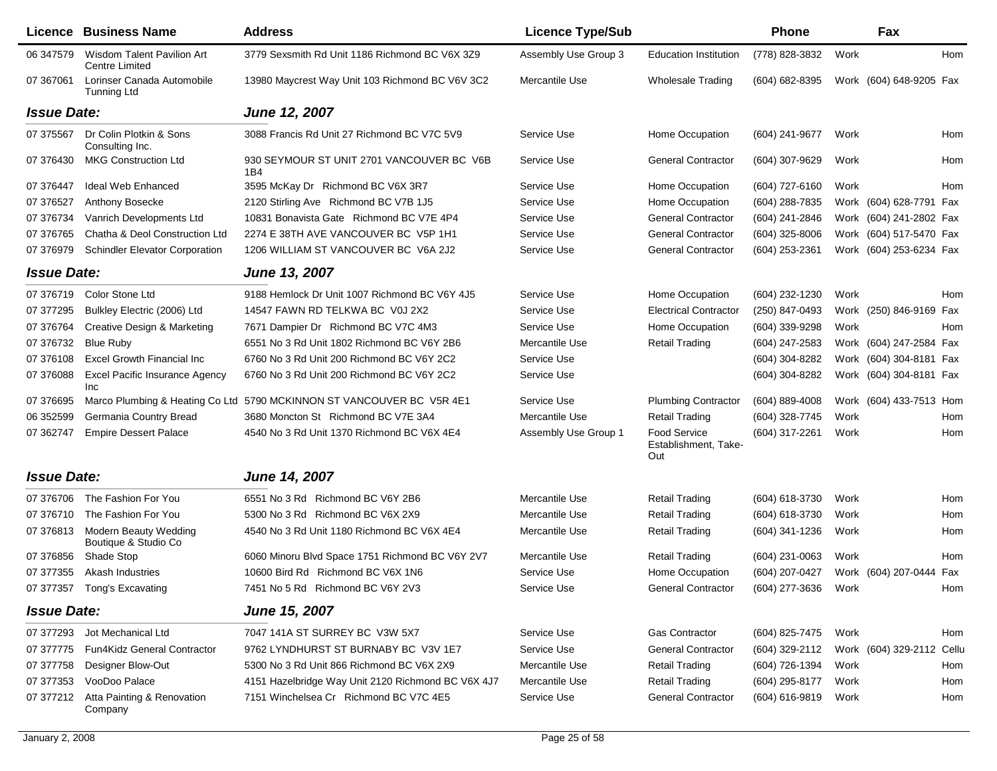|                    | Licence Business Name                                   | <b>Address</b>                                                        | <b>Licence Type/Sub</b> |                                             | <b>Phone</b>        |      | Fax                       |     |
|--------------------|---------------------------------------------------------|-----------------------------------------------------------------------|-------------------------|---------------------------------------------|---------------------|------|---------------------------|-----|
| 06 347579          | Wisdom Talent Pavilion Art<br><b>Centre Limited</b>     | 3779 Sexsmith Rd Unit 1186 Richmond BC V6X 3Z9                        | Assembly Use Group 3    | <b>Education Institution</b>                | (778) 828-3832      | Work |                           | Hom |
| 07 367061          | Lorinser Canada Automobile<br>Tunning Ltd               | 13980 Maycrest Way Unit 103 Richmond BC V6V 3C2                       | Mercantile Use          | <b>Wholesale Trading</b>                    | (604) 682-8395      |      | Work (604) 648-9205 Fax   |     |
| <b>Issue Date:</b> |                                                         | June 12, 2007                                                         |                         |                                             |                     |      |                           |     |
| 07 375567          | Dr Colin Plotkin & Sons<br>Consulting Inc.              | 3088 Francis Rd Unit 27 Richmond BC V7C 5V9                           | Service Use             | Home Occupation                             | (604) 241-9677      | Work |                           | Hom |
| 07 376430          | <b>MKG Construction Ltd</b>                             | 930 SEYMOUR ST UNIT 2701 VANCOUVER BC V6B<br>1B4                      | Service Use             | <b>General Contractor</b>                   | (604) 307-9629      | Work |                           | Hom |
| 07 37 6447         | <b>Ideal Web Enhanced</b>                               | 3595 McKay Dr Richmond BC V6X 3R7                                     | Service Use             | Home Occupation                             | (604) 727-6160      | Work |                           | Hom |
| 07 37 6527         | Anthony Bosecke                                         | 2120 Stirling Ave Richmond BC V7B 1J5                                 | Service Use             | Home Occupation                             | (604) 288-7835      |      | Work (604) 628-7791 Fax   |     |
| 07 37 67 34        | Vanrich Developments Ltd                                | 10831 Bonavista Gate Richmond BC V7E 4P4                              | Service Use             | <b>General Contractor</b>                   | (604) 241-2846      |      | Work (604) 241-2802 Fax   |     |
| 07 37 67 65        | Chatha & Deol Construction Ltd                          | 2274 E 38TH AVE VANCOUVER BC V5P 1H1                                  | Service Use             | <b>General Contractor</b>                   | $(604)$ 325-8006    |      | Work (604) 517-5470 Fax   |     |
| 07 376979          | <b>Schindler Elevator Corporation</b>                   | 1206 WILLIAM ST VANCOUVER BC V6A 2J2                                  | Service Use             | <b>General Contractor</b>                   | (604) 253-2361      |      | Work (604) 253-6234 Fax   |     |
| <b>Issue Date:</b> |                                                         | June 13, 2007                                                         |                         |                                             |                     |      |                           |     |
| 07 376719          | Color Stone Ltd                                         | 9188 Hemlock Dr Unit 1007 Richmond BC V6Y 4J5                         | Service Use             | Home Occupation                             | (604) 232-1230      | Work |                           | Hom |
| 07 377295          | Bulkley Electric (2006) Ltd                             | 14547 FAWN RD TELKWA BC V0J 2X2                                       | Service Use             | <b>Electrical Contractor</b>                | (250) 847-0493      |      | Work (250) 846-9169 Fax   |     |
| 07 37 67 64        | Creative Design & Marketing                             | 7671 Dampier Dr Richmond BC V7C 4M3                                   | Service Use             | Home Occupation                             | (604) 339-9298      | Work |                           | Hom |
| 07 37 67 32        | <b>Blue Ruby</b>                                        | 6551 No 3 Rd Unit 1802 Richmond BC V6Y 2B6                            | Mercantile Use          | <b>Retail Trading</b>                       | (604) 247-2583      |      | Work (604) 247-2584 Fax   |     |
| 07 376108          | <b>Excel Growth Financial Inc</b>                       | 6760 No 3 Rd Unit 200 Richmond BC V6Y 2C2                             | Service Use             |                                             | (604) 304-8282      |      | Work (604) 304-8181 Fax   |     |
| 07 376088          | <b>Excel Pacific Insurance Agency</b><br>Inc            | 6760 No 3 Rd Unit 200 Richmond BC V6Y 2C2                             | Service Use             |                                             | (604) 304-8282      |      | Work (604) 304-8181 Fax   |     |
| 07 37 6695         |                                                         | Marco Plumbing & Heating Co Ltd 5790 MCKINNON ST VANCOUVER BC V5R 4E1 | Service Use             | <b>Plumbing Contractor</b>                  | $(604)$ 889-4008    |      | Work (604) 433-7513 Hom   |     |
| 06 352599          | Germania Country Bread                                  | 3680 Moncton St Richmond BC V7E 3A4                                   | Mercantile Use          | <b>Retail Trading</b>                       | (604) 328-7745      | Work |                           | Hom |
| 07 362747          | <b>Empire Dessert Palace</b>                            | 4540 No 3 Rd Unit 1370 Richmond BC V6X 4E4                            | Assembly Use Group 1    | Food Service<br>Establishment, Take-<br>Out | (604) 317-2261      | Work |                           | Hom |
| <b>Issue Date:</b> |                                                         | June 14, 2007                                                         |                         |                                             |                     |      |                           |     |
|                    | 07 376706 The Fashion For You                           | 6551 No 3 Rd Richmond BC V6Y 2B6                                      | Mercantile Use          | <b>Retail Trading</b>                       | (604) 618-3730      | Work |                           | Hom |
|                    | 07 376710 The Fashion For You                           | 5300 No 3 Rd Richmond BC V6X 2X9                                      | Mercantile Use          | <b>Retail Trading</b>                       | (604) 618-3730      | Work |                           | Hom |
|                    | 07 376813 Modern Beauty Wedding<br>Boutique & Studio Co | 4540 No 3 Rd Unit 1180 Richmond BC V6X 4E4                            | Mercantile Use          | <b>Retail Trading</b>                       | (604) 341-1236      | Work |                           | Hom |
| 07 376856          | Shade Stop                                              | 6060 Minoru Blvd Space 1751 Richmond BC V6Y 2V7                       | Mercantile Use          | Retail Trading                              | (604) 231-0063      | Work |                           | Hom |
|                    | 07 377355 Akash Industries                              | 10600 Bird Rd Richmond BC V6X 1N6                                     | Service Use             | Home Occupation                             | (604) 207-0427      |      | Work (604) 207-0444 Fax   |     |
|                    | 07 377357 Tong's Excavating                             | 7451 No 5 Rd Richmond BC V6Y 2V3                                      | Service Use             | General Contractor                          | (604) 277-3636 Work |      |                           | Hom |
| <b>Issue Date:</b> |                                                         | June 15, 2007                                                         |                         |                                             |                     |      |                           |     |
|                    | 07 377293 Jot Mechanical Ltd                            | 7047 141A ST SURREY BC V3W 5X7                                        | Service Use             | <b>Gas Contractor</b>                       | (604) 825-7475      | Work |                           | Hom |
| 07 377775          | <b>Fun4Kidz General Contractor</b>                      | 9762 LYNDHURST ST BURNABY BC V3V 1E7                                  | Service Use             | <b>General Contractor</b>                   | (604) 329-2112      |      | Work (604) 329-2112 Cellu |     |
| 07 377758          | Designer Blow-Out                                       | 5300 No 3 Rd Unit 866 Richmond BC V6X 2X9                             | Mercantile Use          | <b>Retail Trading</b>                       | (604) 726-1394      | Work |                           | Hom |
| 07 377353          | VooDoo Palace                                           | 4151 Hazelbridge Way Unit 2120 Richmond BC V6X 4J7                    | Mercantile Use          | <b>Retail Trading</b>                       | (604) 295-8177      | Work |                           | Hom |
|                    | 07 377212 Atta Painting & Renovation<br>Company         | 7151 Winchelsea Cr Richmond BC V7C 4E5                                | Service Use             | <b>General Contractor</b>                   | (604) 616-9819      | Work |                           | Hom |
|                    |                                                         |                                                                       |                         |                                             |                     |      |                           |     |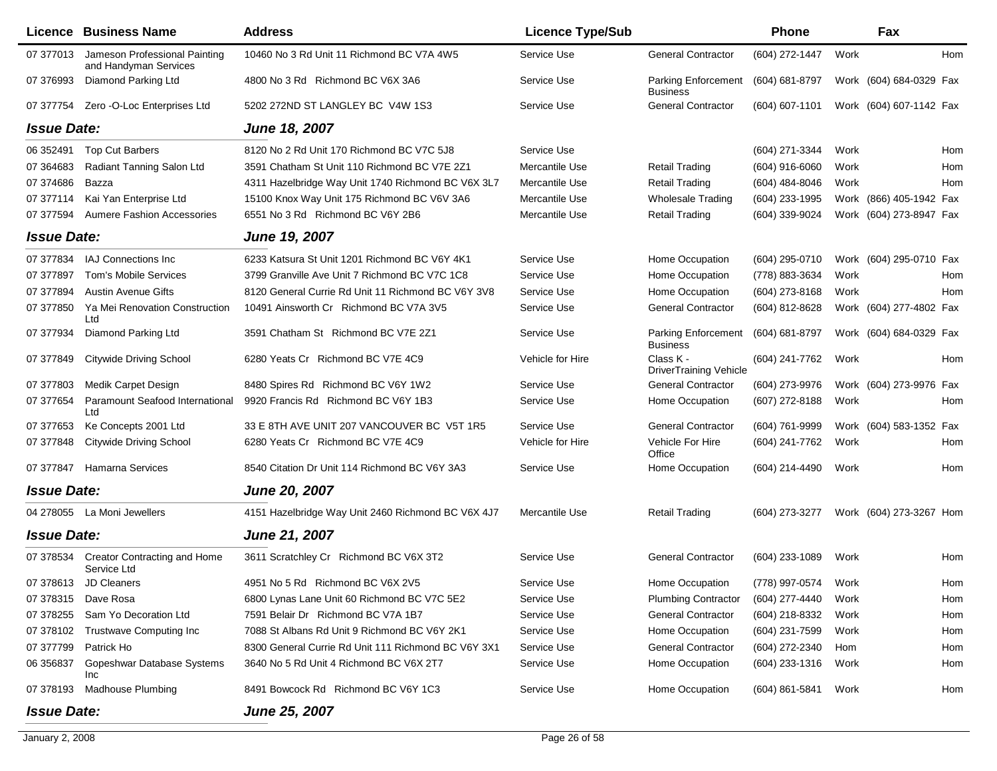|                    | <b>Licence Business Name</b>                           | <b>Address</b>                                      | <b>Licence Type/Sub</b> |                                               | Phone            |      | Fax                     |     |
|--------------------|--------------------------------------------------------|-----------------------------------------------------|-------------------------|-----------------------------------------------|------------------|------|-------------------------|-----|
| 07 377013          | Jameson Professional Painting<br>and Handyman Services | 10460 No 3 Rd Unit 11 Richmond BC V7A 4W5           | Service Use             | <b>General Contractor</b>                     | (604) 272-1447   | Work |                         | Hom |
| 07 376993          | Diamond Parking Ltd                                    | 4800 No 3 Rd Richmond BC V6X 3A6                    | Service Use             | <b>Parking Enforcement</b><br><b>Business</b> | (604) 681-8797   |      | Work (604) 684-0329 Fax |     |
| 07 377754          | Zero -O-Loc Enterprises Ltd                            | 5202 272ND ST LANGLEY BC V4W 1S3                    | Service Use             | <b>General Contractor</b>                     | (604) 607-1101   |      | Work (604) 607-1142 Fax |     |
| <b>Issue Date:</b> |                                                        | June 18, 2007                                       |                         |                                               |                  |      |                         |     |
| 06 352491          | <b>Top Cut Barbers</b>                                 | 8120 No 2 Rd Unit 170 Richmond BC V7C 5J8           | Service Use             |                                               | (604) 271-3344   | Work |                         | Hom |
| 07 364683          | Radiant Tanning Salon Ltd                              | 3591 Chatham St Unit 110 Richmond BC V7E 2Z1        | Mercantile Use          | <b>Retail Trading</b>                         | $(604)$ 916-6060 | Work |                         | Hom |
| 07 374686          | Bazza                                                  | 4311 Hazelbridge Way Unit 1740 Richmond BC V6X 3L7  | Mercantile Use          | <b>Retail Trading</b>                         | $(604)$ 484-8046 | Work |                         | Hom |
| 07 377114          | Kai Yan Enterprise Ltd                                 | 15100 Knox Way Unit 175 Richmond BC V6V 3A6         | Mercantile Use          | <b>Wholesale Trading</b>                      | (604) 233-1995   |      | Work (866) 405-1942 Fax |     |
| 07 377594          | <b>Aumere Fashion Accessories</b>                      | 6551 No 3 Rd Richmond BC V6Y 2B6                    | Mercantile Use          | <b>Retail Trading</b>                         | (604) 339-9024   |      | Work (604) 273-8947 Fax |     |
| <b>Issue Date:</b> |                                                        | June 19, 2007                                       |                         |                                               |                  |      |                         |     |
| 07 377834          | IAJ Connections Inc                                    | 6233 Katsura St Unit 1201 Richmond BC V6Y 4K1       | Service Use             | Home Occupation                               | (604) 295-0710   |      | Work (604) 295-0710 Fax |     |
| 07 377897          | Tom's Mobile Services                                  | 3799 Granville Ave Unit 7 Richmond BC V7C 1C8       | Service Use             | Home Occupation                               | (778) 883-3634   | Work |                         | Hom |
| 07 377894          | <b>Austin Avenue Gifts</b>                             | 8120 General Currie Rd Unit 11 Richmond BC V6Y 3V8  | Service Use             | Home Occupation                               | (604) 273-8168   | Work |                         | Hom |
| 07 377850          | Ya Mei Renovation Construction<br>Ltd                  | 10491 Ainsworth Cr Richmond BC V7A 3V5              | Service Use             | <b>General Contractor</b>                     | (604) 812-8628   |      | Work (604) 277-4802 Fax |     |
| 07 377934          | Diamond Parking Ltd                                    | 3591 Chatham St Richmond BC V7E 2Z1                 | Service Use             | <b>Parking Enforcement</b><br><b>Business</b> | (604) 681-8797   |      | Work (604) 684-0329 Fax |     |
| 07 377849          | <b>Citywide Driving School</b>                         | 6280 Yeats Cr Richmond BC V7E 4C9                   | Vehicle for Hire        | Class K -<br>DriverTraining Vehicle           | (604) 241-7762   | Work |                         | Hom |
| 07 377803          | Medik Carpet Design                                    | 8480 Spires Rd Richmond BC V6Y 1W2                  | Service Use             | <b>General Contractor</b>                     | (604) 273-9976   |      | Work (604) 273-9976 Fax |     |
| 07 377654          | Paramount Seafood International<br>Ltd                 | 9920 Francis Rd Richmond BC V6Y 1B3                 | Service Use             | Home Occupation                               | (607) 272-8188   | Work |                         | Hom |
| 07 377653          | Ke Concepts 2001 Ltd                                   | 33 E 8TH AVE UNIT 207 VANCOUVER BC V5T 1R5          | Service Use             | <b>General Contractor</b>                     | (604) 761-9999   |      | Work (604) 583-1352 Fax |     |
| 07 377848          | <b>Citywide Driving School</b>                         | 6280 Yeats Cr Richmond BC V7E 4C9                   | Vehicle for Hire        | Vehicle For Hire<br>Office                    | (604) 241-7762   | Work |                         | Hom |
| 07 377847          | <b>Hamarna Services</b>                                | 8540 Citation Dr Unit 114 Richmond BC V6Y 3A3       | Service Use             | Home Occupation                               | (604) 214-4490   | Work |                         | Hom |
| <b>Issue Date:</b> |                                                        | <b>June 20, 2007</b>                                |                         |                                               |                  |      |                         |     |
|                    | 04 278055 La Moni Jewellers                            | 4151 Hazelbridge Way Unit 2460 Richmond BC V6X 4J7  | Mercantile Use          | <b>Retail Trading</b>                         | (604) 273-3277   |      | Work (604) 273-3267 Hom |     |
| <b>Issue Date:</b> |                                                        | June 21, 2007                                       |                         |                                               |                  |      |                         |     |
|                    | 07 378534 Creator Contracting and Home<br>Service Ltd  | 3611 Scratchley Cr Richmond BC V6X 3T2              | Service Use             | <b>General Contractor</b>                     | (604) 233-1089   | Work |                         | Hom |
|                    | 07 378613 JD Cleaners                                  | 4951 No 5 Rd Richmond BC V6X 2V5                    | Service Use             | Home Occupation                               | (778) 997-0574   | Work |                         | Hom |
|                    | 07 378315 Dave Rosa                                    | 6800 Lynas Lane Unit 60 Richmond BC V7C 5E2         | Service Use             | <b>Plumbing Contractor</b>                    | (604) 277-4440   | Work |                         | Hom |
| 07 378255          | Sam Yo Decoration Ltd                                  | 7591 Belair Dr Richmond BC V7A 1B7                  | Service Use             | <b>General Contractor</b>                     | (604) 218-8332   | Work |                         | Hom |
| 07 378102          | <b>Trustwave Computing Inc</b>                         | 7088 St Albans Rd Unit 9 Richmond BC V6Y 2K1        | Service Use             | Home Occupation                               | (604) 231-7599   | Work |                         | Hom |
| 07 377799          | Patrick Ho                                             | 8300 General Currie Rd Unit 111 Richmond BC V6Y 3X1 | Service Use             | <b>General Contractor</b>                     | (604) 272-2340   | Hom  |                         | Hom |
| 06 35 6837         | Gopeshwar Database Systems<br>Inc                      | 3640 No 5 Rd Unit 4 Richmond BC V6X 2T7             | Service Use             | Home Occupation                               | (604) 233-1316   | Work |                         | Hom |
| 07 378193          | <b>Madhouse Plumbing</b>                               | 8491 Bowcock Rd Richmond BC V6Y 1C3                 | Service Use             | Home Occupation                               | (604) 861-5841   | Work |                         | Hom |
| <b>Issue Date:</b> |                                                        | <b>June 25, 2007</b>                                |                         |                                               |                  |      |                         |     |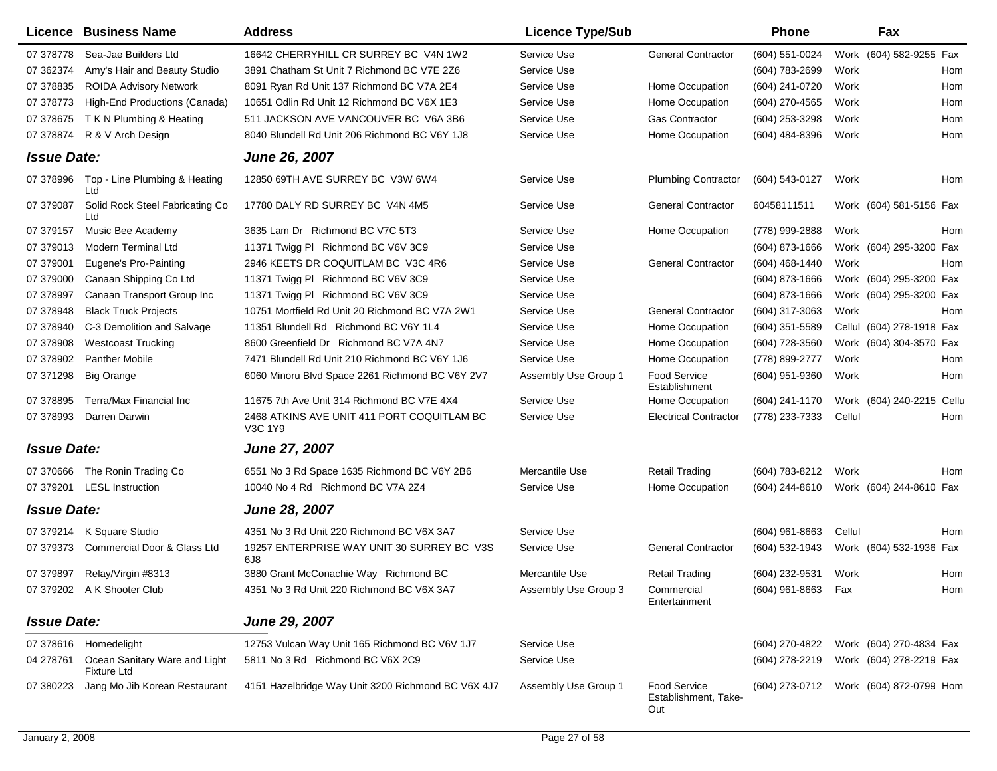|                    | Licence Business Name                               | <b>Address</b>                                        | <b>Licence Type/Sub</b> |                                                    | <b>Phone</b>       |        | Fax                       |            |
|--------------------|-----------------------------------------------------|-------------------------------------------------------|-------------------------|----------------------------------------------------|--------------------|--------|---------------------------|------------|
| 07 37 8778         | Sea-Jae Builders Ltd                                | 16642 CHERRYHILL CR SURREY BC V4N 1W2                 | Service Use             | <b>General Contractor</b>                          | (604) 551-0024     |        | Work (604) 582-9255       | Fax        |
| 07 362374          | Amy's Hair and Beauty Studio                        | 3891 Chatham St Unit 7 Richmond BC V7E 2Z6            | Service Use             |                                                    | (604) 783-2699     | Work   |                           | Hom        |
| 07 378835          | <b>ROIDA Advisory Network</b>                       | 8091 Ryan Rd Unit 137 Richmond BC V7A 2E4             | Service Use             | Home Occupation                                    | (604) 241-0720     | Work   |                           | Hom        |
| 07 378773          | High-End Productions (Canada)                       | 10651 Odlin Rd Unit 12 Richmond BC V6X 1E3            | Service Use             | Home Occupation                                    | (604) 270-4565     | Work   |                           | Hom        |
| 07 378675          | T K N Plumbing & Heating                            | 511 JACKSON AVE VANCOUVER BC V6A 3B6                  | Service Use             | <b>Gas Contractor</b>                              | (604) 253-3298     | Work   |                           | Hom        |
| 07 378874          | R & V Arch Design                                   | 8040 Blundell Rd Unit 206 Richmond BC V6Y 1J8         | Service Use             | Home Occupation                                    | (604) 484-8396     | Work   |                           | Hom        |
| <b>Issue Date:</b> |                                                     | <b>June 26, 2007</b>                                  |                         |                                                    |                    |        |                           |            |
| 07 378996          | Top - Line Plumbing & Heating<br>Ltd                | 12850 69TH AVE SURREY BC V3W 6W4                      | Service Use             | <b>Plumbing Contractor</b>                         | (604) 543-0127     | Work   |                           | Hom        |
| 07 379087          | Solid Rock Steel Fabricating Co<br>Ltd              | 17780 DALY RD SURREY BC V4N 4M5                       | Service Use             | <b>General Contractor</b>                          | 60458111511        |        | Work (604) 581-5156 Fax   |            |
| 07 379157          | Music Bee Academy                                   | 3635 Lam Dr Richmond BC V7C 5T3                       | Service Use             | Home Occupation                                    | (778) 999-2888     | Work   |                           | Hom        |
| 07 379013          | <b>Modern Terminal Ltd</b>                          | 11371 Twigg PI Richmond BC V6V 3C9                    | Service Use             |                                                    | $(604)$ 873-1666   |        | Work (604) 295-3200       | Fax        |
| 07 379001          | Eugene's Pro-Painting                               | 2946 KEETS DR COQUITLAM BC V3C 4R6                    | Service Use             | <b>General Contractor</b>                          | (604) 468-1440     | Work   |                           | <b>Hom</b> |
| 07 379000          | Canaan Shipping Co Ltd                              | 11371 Twigg PI Richmond BC V6V 3C9                    | Service Use             |                                                    | $(604)$ 873-1666   |        | Work (604) 295-3200 Fax   |            |
| 07 378997          | Canaan Transport Group Inc                          | 11371 Twigg PI Richmond BC V6V 3C9                    | Service Use             |                                                    | (604) 873-1666     |        | Work (604) 295-3200       | Fax        |
| 07 378948          | <b>Black Truck Projects</b>                         | 10751 Mortfield Rd Unit 20 Richmond BC V7A 2W1        | Service Use             | <b>General Contractor</b>                          | (604) 317-3063     | Work   |                           | Hom        |
| 07 378940          | C-3 Demolition and Salvage                          | 11351 Blundell Rd Richmond BC V6Y 1L4                 | Service Use             | Home Occupation                                    | (604) 351-5589     |        | Cellul (604) 278-1918 Fax |            |
| 07 378908          | <b>Westcoast Trucking</b>                           | 8600 Greenfield Dr Richmond BC V7A 4N7                | Service Use             | Home Occupation                                    | (604) 728-3560     |        | Work (604) 304-3570       | Fax        |
| 07 378902          | <b>Panther Mobile</b>                               | 7471 Blundell Rd Unit 210 Richmond BC V6Y 1J6         | Service Use             | Home Occupation                                    | (778) 899-2777     | Work   |                           | Hom        |
| 07 371298          | <b>Big Orange</b>                                   | 6060 Minoru Blvd Space 2261 Richmond BC V6Y 2V7       | Assembly Use Group 1    | Food Service<br>Establishment                      | (604) 951-9360     | Work   |                           | Hom        |
| 07 378895          | Terra/Max Financial Inc                             | 11675 7th Ave Unit 314 Richmond BC V7E 4X4            | Service Use             | Home Occupation                                    | (604) 241-1170     |        | Work (604) 240-2215       | Cellu      |
| 07 378993          | Darren Darwin                                       | 2468 ATKINS AVE UNIT 411 PORT COQUITLAM BC<br>V3C 1Y9 | Service Use             | <b>Electrical Contractor</b>                       | (778) 233-7333     | Cellul |                           | Hom        |
| <b>Issue Date:</b> |                                                     | <b>June 27, 2007</b>                                  |                         |                                                    |                    |        |                           |            |
| 07 370666          | The Ronin Trading Co                                | 6551 No 3 Rd Space 1635 Richmond BC V6Y 2B6           | Mercantile Use          | <b>Retail Trading</b>                              | (604) 783-8212     | Work   |                           | Hom        |
| 07 379201          | <b>LESL Instruction</b>                             | 10040 No 4 Rd Richmond BC V7A 2Z4                     | Service Use             | Home Occupation                                    | (604) 244-8610     |        | Work (604) 244-8610 Fax   |            |
| <b>Issue Date:</b> |                                                     | <b>June 28, 2007</b>                                  |                         |                                                    |                    |        |                           |            |
| 07 379214          | K Square Studio                                     | 4351 No 3 Rd Unit 220 Richmond BC V6X 3A7             | Service Use             |                                                    | $(604)$ 961-8663   | Cellul |                           | Hom        |
| 07 379373          | Commercial Door & Glass Ltd                         | 19257 ENTERPRISE WAY UNIT 30 SURREY BC V3S<br>6J8     | Service Use             | <b>General Contractor</b>                          | (604) 532-1943     |        | Work (604) 532-1936 Fax   |            |
| 07 379897          | Relay/Virgin #8313                                  | 3880 Grant McConachie Way Richmond BC                 | Mercantile Use          | <b>Retail Trading</b>                              | (604) 232-9531     | Work   |                           | Hom        |
|                    | 07 379202 A K Shooter Club                          | 4351 No 3 Rd Unit 220 Richmond BC V6X 3A7             | Assembly Use Group 3    | Commercial<br>Entertainment                        | (604) 961-8663 Fax |        |                           | Hom        |
| <b>Issue Date:</b> |                                                     | June 29, 2007                                         |                         |                                                    |                    |        |                           |            |
|                    | 07 378616 Homedelight                               | 12753 Vulcan Way Unit 165 Richmond BC V6V 1J7         | Service Use             |                                                    | (604) 270-4822     |        | Work (604) 270-4834 Fax   |            |
| 04 278761          | Ocean Sanitary Ware and Light<br><b>Fixture Ltd</b> | 5811 No 3 Rd Richmond BC V6X 2C9                      | Service Use             |                                                    | (604) 278-2219     |        | Work (604) 278-2219 Fax   |            |
| 07 380223          | Jang Mo Jib Korean Restaurant                       | 4151 Hazelbridge Way Unit 3200 Richmond BC V6X 4J7    | Assembly Use Group 1    | <b>Food Service</b><br>Establishment, Take-<br>Out | (604) 273-0712     |        | Work (604) 872-0799 Hom   |            |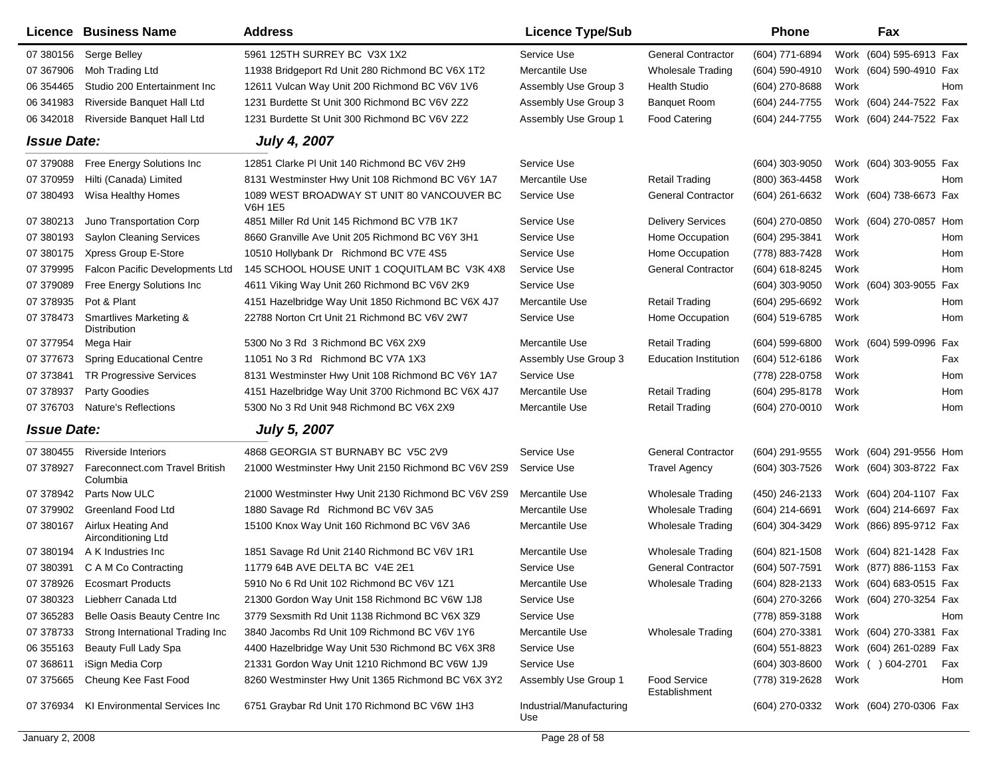|                    | Licence Business Name                      | <b>Address</b>                                               | <b>Licence Type/Sub</b>         |                                      | <b>Phone</b>     |      | Fax                        |
|--------------------|--------------------------------------------|--------------------------------------------------------------|---------------------------------|--------------------------------------|------------------|------|----------------------------|
| 07 380156          | Serge Belley                               | 5961 125TH SURREY BC V3X 1X2                                 | Service Use                     | <b>General Contractor</b>            | (604) 771-6894   |      | Work (604) 595-6913 Fax    |
| 07 367906          | Moh Trading Ltd                            | 11938 Bridgeport Rd Unit 280 Richmond BC V6X 1T2             | Mercantile Use                  | Wholesale Trading                    | (604) 590-4910   |      | Work (604) 590-4910 Fax    |
| 06 354465          | Studio 200 Entertainment Inc               | 12611 Vulcan Way Unit 200 Richmond BC V6V 1V6                | Assembly Use Group 3            | <b>Health Studio</b>                 | (604) 270-8688   | Work | Hom                        |
| 06 341983          | Riverside Banquet Hall Ltd                 | 1231 Burdette St Unit 300 Richmond BC V6V 2Z2                | Assembly Use Group 3            | <b>Banguet Room</b>                  | (604) 244-7755   |      | Work (604) 244-7522 Fax    |
| 06 34 2018         | Riverside Banquet Hall Ltd                 | 1231 Burdette St Unit 300 Richmond BC V6V 2Z2                | Assembly Use Group 1            | <b>Food Catering</b>                 | (604) 244-7755   |      | Work (604) 244-7522 Fax    |
| <b>Issue Date:</b> |                                            | <b>July 4, 2007</b>                                          |                                 |                                      |                  |      |                            |
| 07 379088          | Free Energy Solutions Inc                  | 12851 Clarke PI Unit 140 Richmond BC V6V 2H9                 | Service Use                     |                                      | (604) 303-9050   |      | Work (604) 303-9055 Fax    |
| 07 370959          | Hilti (Canada) Limited                     | 8131 Westminster Hwy Unit 108 Richmond BC V6Y 1A7            | Mercantile Use                  | <b>Retail Trading</b>                | (800) 363-4458   | Work | Hom                        |
| 07 380493          | Wisa Healthy Homes                         | 1089 WEST BROADWAY ST UNIT 80 VANCOUVER BC<br><b>V6H 1E5</b> | Service Use                     | <b>General Contractor</b>            | (604) 261-6632   |      | Work (604) 738-6673 Fax    |
| 07 380213          | Juno Transportation Corp                   | 4851 Miller Rd Unit 145 Richmond BC V7B 1K7                  | Service Use                     | <b>Delivery Services</b>             | (604) 270-0850   |      | Work (604) 270-0857 Hom    |
| 07 380193          | <b>Saylon Cleaning Services</b>            | 8660 Granville Ave Unit 205 Richmond BC V6Y 3H1              | Service Use                     | Home Occupation                      | (604) 295-3841   | Work | Hom                        |
| 07 380175          | Xpress Group E-Store                       | 10510 Hollybank Dr Richmond BC V7E 4S5                       | Service Use                     | Home Occupation                      | (778) 883-7428   | Work | Hom                        |
| 07 379995          | Falcon Pacific Developments Ltd            | 145 SCHOOL HOUSE UNIT 1 COQUITLAM BC V3K 4X8                 | Service Use                     | <b>General Contractor</b>            | (604) 618-8245   | Work | Hom                        |
| 07 379089          | Free Energy Solutions Inc                  | 4611 Viking Way Unit 260 Richmond BC V6V 2K9                 | Service Use                     |                                      | $(604)$ 303-9050 |      | Work (604) 303-9055<br>Fax |
| 07 378935          | Pot & Plant                                | 4151 Hazelbridge Way Unit 1850 Richmond BC V6X 4J7           | Mercantile Use                  | <b>Retail Trading</b>                | (604) 295-6692   | Work | Hom                        |
| 07 37 84 73        | Smartlives Marketing &<br>Distribution     | 22788 Norton Crt Unit 21 Richmond BC V6V 2W7                 | Service Use                     | Home Occupation                      | (604) 519-6785   | Work | Hom                        |
| 07 377954          | Mega Hair                                  | 5300 No 3 Rd 3 Richmond BC V6X 2X9                           | Mercantile Use                  | <b>Retail Trading</b>                | $(604)$ 599-6800 |      | Work (604) 599-0996 Fax    |
| 07 377673          | <b>Spring Educational Centre</b>           | 11051 No 3 Rd Richmond BC V7A 1X3                            | Assembly Use Group 3            | <b>Education Institution</b>         | (604) 512-6186   | Work | Fax                        |
| 07 37 3841         | <b>TR Progressive Services</b>             | 8131 Westminster Hwy Unit 108 Richmond BC V6Y 1A7            | Service Use                     |                                      | (778) 228-0758   | Work | Hom                        |
| 07 378937          | Party Goodies                              | 4151 Hazelbridge Way Unit 3700 Richmond BC V6X 4J7           | Mercantile Use                  | <b>Retail Trading</b>                | (604) 295-8178   | Work | Hom                        |
| 07 37 6703         | <b>Nature's Reflections</b>                | 5300 No 3 Rd Unit 948 Richmond BC V6X 2X9                    | Mercantile Use                  | <b>Retail Trading</b>                | (604) 270-0010   | Work | Hom                        |
| <b>Issue Date:</b> |                                            | <b>July 5, 2007</b>                                          |                                 |                                      |                  |      |                            |
| 07 380455          | <b>Riverside Interiors</b>                 | 4868 GEORGIA ST BURNABY BC V5C 2V9                           | Service Use                     | <b>General Contractor</b>            | (604) 291-9555   |      | Work (604) 291-9556 Hom    |
| 07 378927          | Fareconnect.com Travel British<br>Columbia | 21000 Westminster Hwy Unit 2150 Richmond BC V6V 2S9          | Service Use                     | <b>Travel Agency</b>                 | (604) 303-7526   |      | Work (604) 303-8722 Fax    |
| 07 378942          | Parts Now ULC                              | 21000 Westminster Hwy Unit 2130 Richmond BC V6V 2S9          | Mercantile Use                  | <b>Wholesale Trading</b>             | (450) 246-2133   |      | Work (604) 204-1107 Fax    |
| 07 379902          | <b>Greenland Food Ltd</b>                  | 1880 Savage Rd Richmond BC V6V 3A5                           | Mercantile Use                  | <b>Wholesale Trading</b>             | $(604)$ 214-6691 |      | Work (604) 214-6697 Fax    |
| 07 380167          | Airlux Heating And<br>Airconditioning Ltd  | 15100 Knox Way Unit 160 Richmond BC V6V 3A6                  | Mercantile Use                  | <b>Wholesale Trading</b>             | (604) 304-3429   |      | Work (866) 895-9712 Fax    |
| 07 380194          | A K Industries Inc.                        | 1851 Savage Rd Unit 2140 Richmond BC V6V 1R1                 | Mercantile Use                  | <b>Wholesale Trading</b>             | $(604)$ 821-1508 |      | Work (604) 821-1428 Fax    |
| 07 380391          | C A M Co Contracting                       | 11779 64B AVE DELTA BC V4E 2E1                               | Service Use                     | <b>General Contractor</b>            | (604) 507-7591   |      | Work (877) 886-1153 Fax    |
|                    | 07 378926 Ecosmart Products                | 5910 No 6 Rd Unit 102 Richmond BC V6V 1Z1                    | Mercantile Use                  | Wholesale Trading                    | (604) 828-2133   |      | Work (604) 683-0515 Fax    |
| 07 380323          | Liebherr Canada Ltd                        | 21300 Gordon Way Unit 158 Richmond BC V6W 1J8                | Service Use                     |                                      | (604) 270-3266   |      | Work (604) 270-3254 Fax    |
| 07 365283          | Belle Oasis Beauty Centre Inc              | 3779 Sexsmith Rd Unit 1138 Richmond BC V6X 3Z9               | Service Use                     |                                      | (778) 859-3188   | Work | Hom                        |
| 07 378733          | Strong International Trading Inc           | 3840 Jacombs Rd Unit 109 Richmond BC V6V 1Y6                 | Mercantile Use                  | <b>Wholesale Trading</b>             | (604) 270-3381   |      | Work (604) 270-3381 Fax    |
| 06 355163          | Beauty Full Lady Spa                       | 4400 Hazelbridge Way Unit 530 Richmond BC V6X 3R8            | Service Use                     |                                      | $(604)$ 551-8823 |      | Work (604) 261-0289 Fax    |
| 07 368611          | iSign Media Corp                           | 21331 Gordon Way Unit 1210 Richmond BC V6W 1J9               | Service Use                     |                                      | $(604)$ 303-8600 |      | Work ( ) 604-2701<br>Fax   |
| 07 375665          | Cheung Kee Fast Food                       | 8260 Westminster Hwy Unit 1365 Richmond BC V6X 3Y2           | Assembly Use Group 1            | <b>Food Service</b><br>Establishment | (778) 319-2628   | Work | Hom                        |
| 07 37 69 34        | KI Environmental Services Inc              | 6751 Graybar Rd Unit 170 Richmond BC V6W 1H3                 | Industrial/Manufacturing<br>Use |                                      | (604) 270-0332   |      | Work (604) 270-0306 Fax    |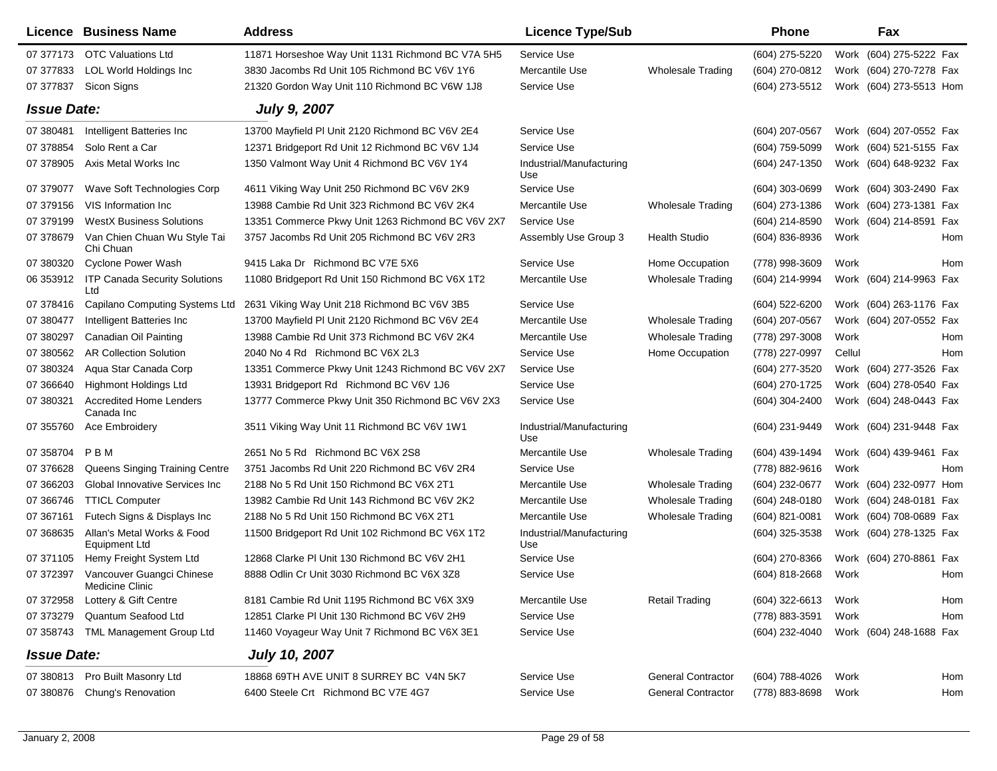|                    | Licence Business Name                              | <b>Address</b>                                    | <b>Licence Type/Sub</b>         |                           | <b>Phone</b>   |        | Fax                     |            |
|--------------------|----------------------------------------------------|---------------------------------------------------|---------------------------------|---------------------------|----------------|--------|-------------------------|------------|
| 07 377173          | <b>OTC Valuations Ltd</b>                          | 11871 Horseshoe Way Unit 1131 Richmond BC V7A 5H5 | Service Use                     |                           | (604) 275-5220 |        | Work (604) 275-5222 Fax |            |
| 07 377833          | LOL World Holdings Inc                             | 3830 Jacombs Rd Unit 105 Richmond BC V6V 1Y6      | Mercantile Use                  | <b>Wholesale Trading</b>  | (604) 270-0812 |        | Work (604) 270-7278 Fax |            |
| 07 377837          | Sicon Signs                                        | 21320 Gordon Way Unit 110 Richmond BC V6W 1J8     | Service Use                     |                           | (604) 273-5512 |        | Work (604) 273-5513 Hom |            |
| <b>Issue Date:</b> |                                                    | <b>July 9, 2007</b>                               |                                 |                           |                |        |                         |            |
| 07 380481          | Intelligent Batteries Inc                          | 13700 Mayfield PI Unit 2120 Richmond BC V6V 2E4   | Service Use                     |                           | (604) 207-0567 |        | Work (604) 207-0552 Fax |            |
| 07 378854          | Solo Rent a Car                                    | 12371 Bridgeport Rd Unit 12 Richmond BC V6V 1J4   | Service Use                     |                           | (604) 759-5099 |        | Work (604) 521-5155 Fax |            |
| 07 378905          | Axis Metal Works Inc                               | 1350 Valmont Way Unit 4 Richmond BC V6V 1Y4       | Industrial/Manufacturing<br>Use |                           | (604) 247-1350 |        | Work (604) 648-9232 Fax |            |
| 07 379077          | Wave Soft Technologies Corp                        | 4611 Viking Way Unit 250 Richmond BC V6V 2K9      | Service Use                     |                           | (604) 303-0699 |        | Work (604) 303-2490 Fax |            |
| 07 379156          | VIS Information Inc.                               | 13988 Cambie Rd Unit 323 Richmond BC V6V 2K4      | Mercantile Use                  | <b>Wholesale Trading</b>  | (604) 273-1386 |        | Work (604) 273-1381 Fax |            |
| 07 379199          | <b>WestX Business Solutions</b>                    | 13351 Commerce Pkwy Unit 1263 Richmond BC V6V 2X7 | Service Use                     |                           | (604) 214-8590 |        | Work (604) 214-8591 Fax |            |
| 07 378679          | Van Chien Chuan Wu Style Tai<br>Chi Chuan          | 3757 Jacombs Rd Unit 205 Richmond BC V6V 2R3      | Assembly Use Group 3            | <b>Health Studio</b>      | (604) 836-8936 | Work   |                         | Hom        |
| 07 380320          | <b>Cyclone Power Wash</b>                          | 9415 Laka Dr Richmond BC V7E 5X6                  | Service Use                     | Home Occupation           | (778) 998-3609 | Work   |                         | Hom        |
| 06 353912          | <b>ITP Canada Security Solutions</b><br>Ltd        | 11080 Bridgeport Rd Unit 150 Richmond BC V6X 1T2  | Mercantile Use                  | <b>Wholesale Trading</b>  | (604) 214-9994 |        | Work (604) 214-9963 Fax |            |
| 07 378416          | Capilano Computing Systems Ltd                     | 2631 Viking Way Unit 218 Richmond BC V6V 3B5      | Service Use                     |                           | (604) 522-6200 |        | Work (604) 263-1176 Fax |            |
| 07 380477          | Intelligent Batteries Inc.                         | 13700 Mayfield PI Unit 2120 Richmond BC V6V 2E4   | Mercantile Use                  | <b>Wholesale Trading</b>  | (604) 207-0567 |        | Work (604) 207-0552 Fax |            |
| 07 380297          | Canadian Oil Painting                              | 13988 Cambie Rd Unit 373 Richmond BC V6V 2K4      | Mercantile Use                  | <b>Wholesale Trading</b>  | (778) 297-3008 | Work   |                         | Hom        |
| 07 380562          | <b>AR Collection Solution</b>                      | 2040 No 4 Rd Richmond BC V6X 2L3                  | Service Use                     | Home Occupation           | (778) 227-0997 | Cellul |                         | Hom        |
| 07 380324          | Aqua Star Canada Corp                              | 13351 Commerce Pkwy Unit 1243 Richmond BC V6V 2X7 | Service Use                     |                           | (604) 277-3520 |        | Work (604) 277-3526 Fax |            |
| 07 366640          | <b>Highmont Holdings Ltd</b>                       | 13931 Bridgeport Rd Richmond BC V6V 1J6           | Service Use                     |                           | (604) 270-1725 |        | Work (604) 278-0540 Fax |            |
| 07 380321          | <b>Accredited Home Lenders</b><br>Canada Inc       | 13777 Commerce Pkwy Unit 350 Richmond BC V6V 2X3  | Service Use                     |                           | (604) 304-2400 |        | Work (604) 248-0443 Fax |            |
| 07 355760          | <b>Ace Embroidery</b>                              | 3511 Viking Way Unit 11 Richmond BC V6V 1W1       | Industrial/Manufacturing<br>Use |                           | (604) 231-9449 |        | Work (604) 231-9448 Fax |            |
| 07 358704          | PBM                                                | 2651 No 5 Rd Richmond BC V6X 2S8                  | Mercantile Use                  | <b>Wholesale Trading</b>  | (604) 439-1494 |        | Work (604) 439-9461 Fax |            |
| 07 37 6628         | Queens Singing Training Centre                     | 3751 Jacombs Rd Unit 220 Richmond BC V6V 2R4      | Service Use                     |                           | (778) 882-9616 | Work   |                         | <b>Hom</b> |
| 07 366203          | Global Innovative Services Inc                     | 2188 No 5 Rd Unit 150 Richmond BC V6X 2T1         | Mercantile Use                  | <b>Wholesale Trading</b>  | (604) 232-0677 |        | Work (604) 232-0977 Hom |            |
| 07 366746          | <b>TTICL Computer</b>                              | 13982 Cambie Rd Unit 143 Richmond BC V6V 2K2      | Mercantile Use                  | <b>Wholesale Trading</b>  | (604) 248-0180 |        | Work (604) 248-0181 Fax |            |
| 07 367161          | Futech Signs & Displays Inc                        | 2188 No 5 Rd Unit 150 Richmond BC V6X 2T1         | Mercantile Use                  | <b>Wholesale Trading</b>  | (604) 821-0081 |        | Work (604) 708-0689 Fax |            |
| 07 368635          | Allan's Metal Works & Food<br><b>Equipment Ltd</b> | 11500 Bridgeport Rd Unit 102 Richmond BC V6X 1T2  | Industrial/Manufacturing<br>Use |                           | (604) 325-3538 |        | Work (604) 278-1325 Fax |            |
| 07 371105          | Hemy Freight System Ltd                            | 12868 Clarke PI Unit 130 Richmond BC V6V 2H1      | Service Use                     |                           | (604) 270-8366 |        | Work (604) 270-8861 Fax |            |
| 07 372397          | Vancouver Guangci Chinese<br>Medicine Clinic       | 8888 Odlin Cr Unit 3030 Richmond BC V6X 3Z8       | Service Use                     |                           | (604) 818-2668 | Work   |                         | Hom        |
| 07 372958          | Lottery & Gift Centre                              | 8181 Cambie Rd Unit 1195 Richmond BC V6X 3X9      | Mercantile Use                  | <b>Retail Trading</b>     | (604) 322-6613 | Work   |                         | Hom        |
| 07 373279          | Quantum Seafood Ltd                                | 12851 Clarke PI Unit 130 Richmond BC V6V 2H9      | Service Use                     |                           | (778) 883-3591 | Work   |                         | Hom        |
| 07 358743          | TML Management Group Ltd                           | 11460 Voyageur Way Unit 7 Richmond BC V6X 3E1     | Service Use                     |                           | (604) 232-4040 |        | Work (604) 248-1688 Fax |            |
| <b>Issue Date:</b> |                                                    | <b>July 10, 2007</b>                              |                                 |                           |                |        |                         |            |
| 07 380813          | Pro Built Masonry Ltd                              | 18868 69TH AVE UNIT 8 SURREY BC V4N 5K7           | Service Use                     | <b>General Contractor</b> | (604) 788-4026 | Work   |                         | Hom        |
| 07 380876          | Chung's Renovation                                 | 6400 Steele Crt Richmond BC V7E 4G7               | Service Use                     | <b>General Contractor</b> | (778) 883-8698 | Work   |                         | Hom        |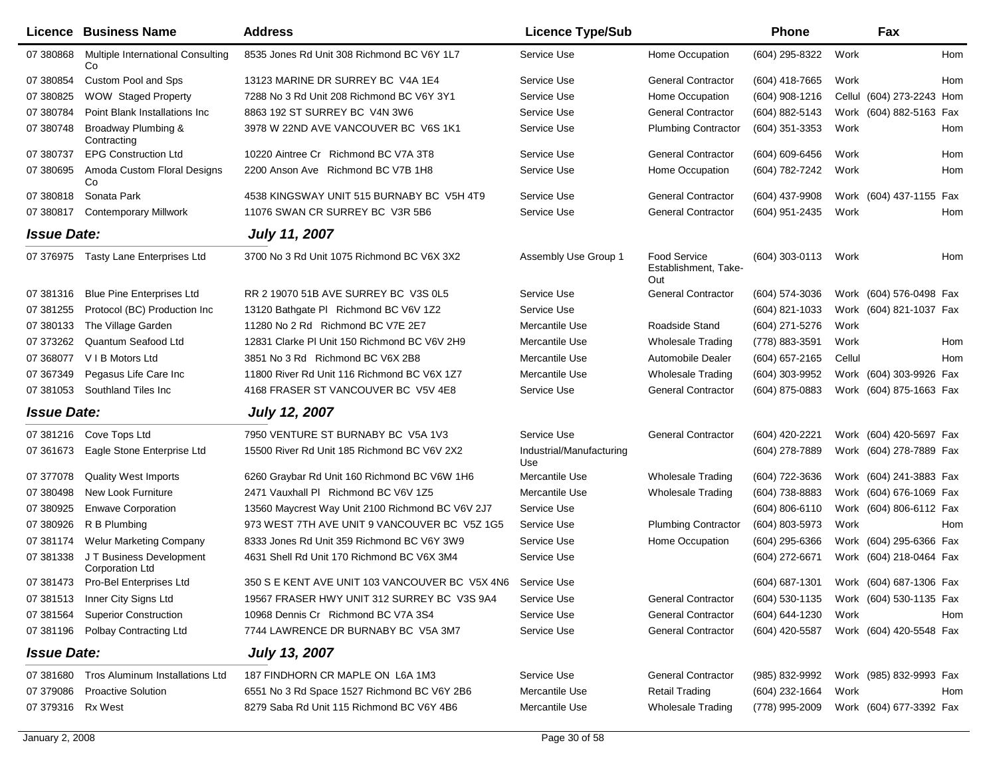|                    | <b>Licence Business Name</b>                       | <b>Address</b>                                   | <b>Licence Type/Sub</b>         |                                             | Phone              |        | Fax                       |     |
|--------------------|----------------------------------------------------|--------------------------------------------------|---------------------------------|---------------------------------------------|--------------------|--------|---------------------------|-----|
| 07 380868          | Multiple International Consulting<br>Co            | 8535 Jones Rd Unit 308 Richmond BC V6Y 1L7       | Service Use                     | Home Occupation                             | (604) 295-8322     | Work   |                           | Hom |
| 07 380854          | Custom Pool and Sps                                | 13123 MARINE DR SURREY BC V4A 1E4                | Service Use                     | <b>General Contractor</b>                   | (604) 418-7665     | Work   |                           | Hom |
| 07 380825          | <b>WOW Staged Property</b>                         | 7288 No 3 Rd Unit 208 Richmond BC V6Y 3Y1        | Service Use                     | Home Occupation                             | $(604)$ 908-1216   |        | Cellul (604) 273-2243 Hom |     |
| 07 380784          | Point Blank Installations Inc                      | 8863 192 ST SURREY BC V4N 3W6                    | Service Use                     | <b>General Contractor</b>                   | (604) 882-5143     |        | Work (604) 882-5163 Fax   |     |
| 07 380748          | Broadway Plumbing &<br>Contracting                 | 3978 W 22ND AVE VANCOUVER BC V6S 1K1             | Service Use                     | <b>Plumbing Contractor</b>                  | $(604)$ 351-3353   | Work   |                           | Hom |
| 07 380737          | <b>EPG Construction Ltd</b>                        | 10220 Aintree Cr Richmond BC V7A 3T8             | Service Use                     | <b>General Contractor</b>                   | (604) 609-6456     | Work   |                           | Hom |
| 07 380695          | Amoda Custom Floral Designs<br>Co                  | 2200 Anson Ave Richmond BC V7B 1H8               | Service Use                     | Home Occupation                             | (604) 782-7242     | Work   |                           | Hom |
| 07 380818          | Sonata Park                                        | 4538 KINGSWAY UNIT 515 BURNABY BC V5H 4T9        | Service Use                     | <b>General Contractor</b>                   | (604) 437-9908     |        | Work (604) 437-1155 Fax   |     |
| 07 380817          | <b>Contemporary Millwork</b>                       | 11076 SWAN CR SURREY BC V3R 5B6                  | Service Use                     | <b>General Contractor</b>                   | (604) 951-2435     | Work   |                           | Hom |
| <b>Issue Date:</b> |                                                    | <b>July 11, 2007</b>                             |                                 |                                             |                    |        |                           |     |
|                    | 07 376975 Tasty Lane Enterprises Ltd               | 3700 No 3 Rd Unit 1075 Richmond BC V6X 3X2       | Assembly Use Group 1            | Food Service<br>Establishment, Take-<br>Out | $(604)$ 303-0113   | Work   |                           | Hom |
| 07 381316          | <b>Blue Pine Enterprises Ltd</b>                   | RR 2 19070 51B AVE SURREY BC V3S 0L5             | Service Use                     | <b>General Contractor</b>                   | (604) 574-3036     |        | Work (604) 576-0498 Fax   |     |
| 07 381255          | Protocol (BC) Production Inc                       | 13120 Bathgate PI Richmond BC V6V 1Z2            | Service Use                     |                                             | (604) 821-1033     |        | Work (604) 821-1037 Fax   |     |
| 07 380133          | The Village Garden                                 | 11280 No 2 Rd Richmond BC V7E 2E7                | Mercantile Use                  | Roadside Stand                              | (604) 271-5276     | Work   |                           |     |
| 07 37 32 62        | Quantum Seafood Ltd                                | 12831 Clarke PI Unit 150 Richmond BC V6V 2H9     | Mercantile Use                  | <b>Wholesale Trading</b>                    | (778) 883-3591     | Work   |                           | Hom |
| 07 368077          | V I B Motors Ltd                                   | 3851 No 3 Rd Richmond BC V6X 2B8                 | Mercantile Use                  | Automobile Dealer                           | (604) 657-2165     | Cellul |                           | Hom |
| 07 367349          | Pegasus Life Care Inc                              | 11800 River Rd Unit 116 Richmond BC V6X 1Z7      | Mercantile Use                  | <b>Wholesale Trading</b>                    | (604) 303-9952     |        | Work (604) 303-9926 Fax   |     |
| 07 381053          | Southland Tiles Inc                                | 4168 FRASER ST VANCOUVER BC V5V 4E8              | Service Use                     | General Contractor                          | (604) 875-0883     |        | Work (604) 875-1663 Fax   |     |
| <b>Issue Date:</b> |                                                    | <b>July 12, 2007</b>                             |                                 |                                             |                    |        |                           |     |
| 07 381216          | Cove Tops Ltd                                      | 7950 VENTURE ST BURNABY BC V5A 1V3               | Service Use                     | <b>General Contractor</b>                   | (604) 420-2221     |        | Work (604) 420-5697 Fax   |     |
| 07 361673          | Eagle Stone Enterprise Ltd                         | 15500 River Rd Unit 185 Richmond BC V6V 2X2      | Industrial/Manufacturing<br>Use |                                             | (604) 278-7889     |        | Work (604) 278-7889 Fax   |     |
| 07 377078          | <b>Quality West Imports</b>                        | 6260 Graybar Rd Unit 160 Richmond BC V6W 1H6     | Mercantile Use                  | <b>Wholesale Trading</b>                    | (604) 722-3636     |        | Work (604) 241-3883 Fax   |     |
| 07 380498          | New Look Furniture                                 | 2471 Vauxhall PI Richmond BC V6V 1Z5             | Mercantile Use                  | <b>Wholesale Trading</b>                    | (604) 738-8883     |        | Work (604) 676-1069 Fax   |     |
| 07 380925          | <b>Enwave Corporation</b>                          | 13560 Maycrest Way Unit 2100 Richmond BC V6V 2J7 | Service Use                     |                                             | $(604) 806 - 6110$ |        | Work (604) 806-6112 Fax   |     |
| 07 380926          | R B Plumbing                                       | 973 WEST 7TH AVE UNIT 9 VANCOUVER BC V5Z 1G5     | Service Use                     | <b>Plumbing Contractor</b>                  | (604) 803-5973     | Work   |                           | Hom |
| 07 381174          | <b>Welur Marketing Company</b>                     | 8333 Jones Rd Unit 359 Richmond BC V6Y 3W9       | Service Use                     | Home Occupation                             | (604) 295-6366     |        | Work (604) 295-6366 Fax   |     |
| 07 381338          | J T Business Development<br><b>Corporation Ltd</b> | 4631 Shell Rd Unit 170 Richmond BC V6X 3M4       | Service Use                     |                                             | (604) 272-6671     |        | Work (604) 218-0464 Fax   |     |
| 07 381473          | Pro-Bel Enterprises Ltd                            | 350 S E KENT AVE UNIT 103 VANCOUVER BC V5X 4N6   | Service Use                     |                                             | (604) 687-1301     |        | Work (604) 687-1306 Fax   |     |
|                    | 07 381513 Inner City Signs Ltd                     | 19567 FRASER HWY UNIT 312 SURREY BC V3S 9A4      | Service Use                     | <b>General Contractor</b>                   | (604) 530-1135     |        | Work (604) 530-1135 Fax   |     |
| 07 381564          | <b>Superior Construction</b>                       | 10968 Dennis Cr Richmond BC V7A 3S4              | Service Use                     | <b>General Contractor</b>                   | (604) 644-1230     | Work   |                           | Hom |
|                    | 07 381196 Polbay Contracting Ltd                   | 7744 LAWRENCE DR BURNABY BC V5A 3M7              | Service Use                     | <b>General Contractor</b>                   | (604) 420-5587     |        | Work (604) 420-5548 Fax   |     |
| <b>Issue Date:</b> |                                                    | <b>July 13, 2007</b>                             |                                 |                                             |                    |        |                           |     |
| 07 381680          | Tros Aluminum Installations Ltd                    | 187 FINDHORN CR MAPLE ON L6A 1M3                 | Service Use                     | <b>General Contractor</b>                   | (985) 832-9992     |        | Work (985) 832-9993 Fax   |     |
| 07 379086          | <b>Proactive Solution</b>                          | 6551 No 3 Rd Space 1527 Richmond BC V6Y 2B6      | Mercantile Use                  | <b>Retail Trading</b>                       | (604) 232-1664     | Work   |                           | Hom |
| 07 379316 Rx West  |                                                    | 8279 Saba Rd Unit 115 Richmond BC V6Y 4B6        | Mercantile Use                  | <b>Wholesale Trading</b>                    | (778) 995-2009     |        | Work (604) 677-3392 Fax   |     |
|                    |                                                    |                                                  |                                 |                                             |                    |        |                           |     |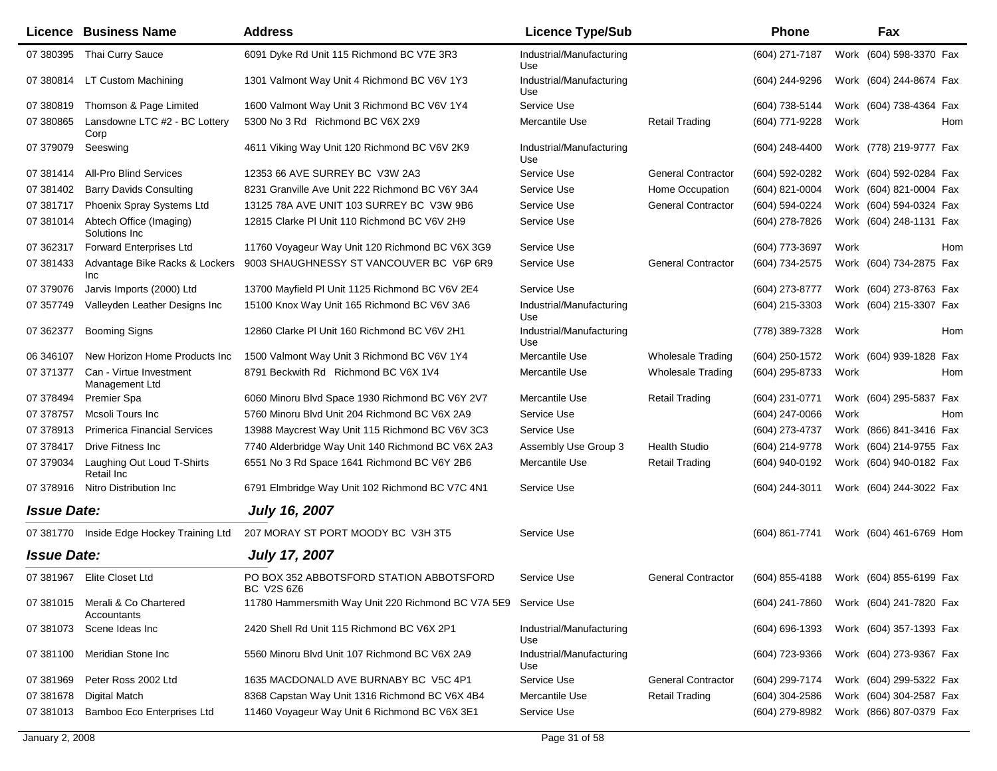|                    | Licence Business Name                          | <b>Address</b>                                                 | <b>Licence Type/Sub</b>         |                           | <b>Phone</b>       |      | Fax                     |
|--------------------|------------------------------------------------|----------------------------------------------------------------|---------------------------------|---------------------------|--------------------|------|-------------------------|
| 07 380395          | Thai Curry Sauce                               | 6091 Dyke Rd Unit 115 Richmond BC V7E 3R3                      | Industrial/Manufacturing<br>Use |                           | (604) 271-7187     |      | Work (604) 598-3370 Fax |
| 07 380814          | LT Custom Machining                            | 1301 Valmont Way Unit 4 Richmond BC V6V 1Y3                    | Industrial/Manufacturing<br>Use |                           | (604) 244-9296     |      | Work (604) 244-8674 Fax |
| 07 380819          | Thomson & Page Limited                         | 1600 Valmont Way Unit 3 Richmond BC V6V 1Y4                    | Service Use                     |                           | (604) 738-5144     |      | Work (604) 738-4364 Fax |
| 07 380865          | Lansdowne LTC #2 - BC Lottery<br>Corp          | 5300 No 3 Rd Richmond BC V6X 2X9                               | Mercantile Use                  | <b>Retail Trading</b>     | (604) 771-9228     | Work | Hom                     |
| 07 379079          | Seeswing                                       | 4611 Viking Way Unit 120 Richmond BC V6V 2K9                   | Industrial/Manufacturing<br>Use |                           | (604) 248-4400     |      | Work (778) 219-9777 Fax |
| 07 381414          | <b>All-Pro Blind Services</b>                  | 12353 66 AVE SURREY BC V3W 2A3                                 | Service Use                     | <b>General Contractor</b> | (604) 592-0282     |      | Work (604) 592-0284 Fax |
| 07 381402          | <b>Barry Davids Consulting</b>                 | 8231 Granville Ave Unit 222 Richmond BC V6Y 3A4                | Service Use                     | Home Occupation           | (604) 821-0004     |      | Work (604) 821-0004 Fax |
| 07 381717          | Phoenix Spray Systems Ltd                      | 13125 78A AVE UNIT 103 SURREY BC V3W 9B6                       | Service Use                     | <b>General Contractor</b> | (604) 594-0224     |      | Work (604) 594-0324 Fax |
| 07 381014          | Abtech Office (Imaging)<br>Solutions Inc       | 12815 Clarke PI Unit 110 Richmond BC V6V 2H9                   | Service Use                     |                           | (604) 278-7826     |      | Work (604) 248-1131 Fax |
| 07 362317          | <b>Forward Enterprises Ltd</b>                 | 11760 Voyageur Way Unit 120 Richmond BC V6X 3G9                | Service Use                     |                           | (604) 773-3697     | Work | Hom                     |
| 07 381433          | Advantage Bike Racks & Lockers<br>Inc          | 9003 SHAUGHNESSY ST VANCOUVER BC V6P 6R9                       | Service Use                     | <b>General Contractor</b> | (604) 734-2575     |      | Work (604) 734-2875 Fax |
| 07 379076          | Jarvis Imports (2000) Ltd                      | 13700 Mayfield PI Unit 1125 Richmond BC V6V 2E4                | Service Use                     |                           | (604) 273-8777     |      | Work (604) 273-8763 Fax |
| 07 357749          | Valleyden Leather Designs Inc                  | 15100 Knox Way Unit 165 Richmond BC V6V 3A6                    | Industrial/Manufacturing<br>Use |                           | (604) 215-3303     |      | Work (604) 215-3307 Fax |
| 07 362377          | <b>Booming Signs</b>                           | 12860 Clarke PI Unit 160 Richmond BC V6V 2H1                   | Industrial/Manufacturing<br>Use |                           | (778) 389-7328     | Work | Hom                     |
| 06 34 610 7        | New Horizon Home Products Inc                  | 1500 Valmont Way Unit 3 Richmond BC V6V 1Y4                    | Mercantile Use                  | Wholesale Trading         | (604) 250-1572     |      | Work (604) 939-1828 Fax |
| 07 371377          | Can - Virtue Investment<br>Management Ltd      | 8791 Beckwith Rd Richmond BC V6X 1V4                           | Mercantile Use                  | <b>Wholesale Trading</b>  | (604) 295-8733     | Work | Hom                     |
| 07 378494          | <b>Premier Spa</b>                             | 6060 Minoru Blvd Space 1930 Richmond BC V6Y 2V7                | Mercantile Use                  | <b>Retail Trading</b>     | (604) 231-0771     |      | Work (604) 295-5837 Fax |
| 07 37 87 57        | Mcsoli Tours Inc                               | 5760 Minoru Blvd Unit 204 Richmond BC V6X 2A9                  | Service Use                     |                           | (604) 247-0066     | Work | Hom                     |
| 07 378913          | <b>Primerica Financial Services</b>            | 13988 Maycrest Way Unit 115 Richmond BC V6V 3C3                | Service Use                     |                           | (604) 273-4737     |      | Work (866) 841-3416 Fax |
| 07 378417          | Drive Fitness Inc                              | 7740 Alderbridge Way Unit 140 Richmond BC V6X 2A3              | Assembly Use Group 3            | <b>Health Studio</b>      | (604) 214-9778     |      | Work (604) 214-9755 Fax |
| 07 379034          | Laughing Out Loud T-Shirts<br>Retail Inc       | 6551 No 3 Rd Space 1641 Richmond BC V6Y 2B6                    | Mercantile Use                  | <b>Retail Trading</b>     | (604) 940-0192     |      | Work (604) 940-0182 Fax |
| 07 378916          | Nitro Distribution Inc                         | 6791 Elmbridge Way Unit 102 Richmond BC V7C 4N1                | Service Use                     |                           | (604) 244-3011     |      | Work (604) 244-3022 Fax |
| <b>Issue Date:</b> |                                                | <b>July 16, 2007</b>                                           |                                 |                           |                    |      |                         |
| 07 381770          | Inside Edge Hockey Training Ltd                | 207 MORAY ST PORT MOODY BC V3H 3T5                             | Service Use                     |                           | (604) 861-7741     |      | Work (604) 461-6769 Hom |
| <b>Issue Date:</b> |                                                | <b>July 17, 2007</b>                                           |                                 |                           |                    |      |                         |
|                    | 07 381967 Elite Closet Ltd                     | PO BOX 352 ABBOTSFORD STATION ABBOTSFORD<br>BC V2S 6Z6         | Service Use                     | <b>General Contractor</b> | (604) 855-4188     |      | Work (604) 855-6199 Fax |
|                    | 07 381015 Merali & Co Chartered<br>Accountants | 11780 Hammersmith Way Unit 220 Richmond BC V7A 5E9 Service Use |                                 |                           | (604) 241-7860     |      | Work (604) 241-7820 Fax |
| 07 381073          | Scene Ideas Inc                                | 2420 Shell Rd Unit 115 Richmond BC V6X 2P1                     | Industrial/Manufacturing<br>Use |                           | $(604) 696 - 1393$ |      | Work (604) 357-1393 Fax |
| 07 381100          | Meridian Stone Inc                             | 5560 Minoru Blvd Unit 107 Richmond BC V6X 2A9                  | Industrial/Manufacturing<br>Use |                           | (604) 723-9366     |      | Work (604) 273-9367 Fax |
| 07 381969          | Peter Ross 2002 Ltd                            | 1635 MACDONALD AVE BURNABY BC V5C 4P1                          | Service Use                     | <b>General Contractor</b> | (604) 299-7174     |      | Work (604) 299-5322 Fax |
| 07 381678          | <b>Digital Match</b>                           | 8368 Capstan Way Unit 1316 Richmond BC V6X 4B4                 | Mercantile Use                  | <b>Retail Trading</b>     | (604) 304-2586     |      | Work (604) 304-2587 Fax |
| 07 381013          | Bamboo Eco Enterprises Ltd                     | 11460 Voyageur Way Unit 6 Richmond BC V6X 3E1                  | Service Use                     |                           | (604) 279-8982     |      | Work (866) 807-0379 Fax |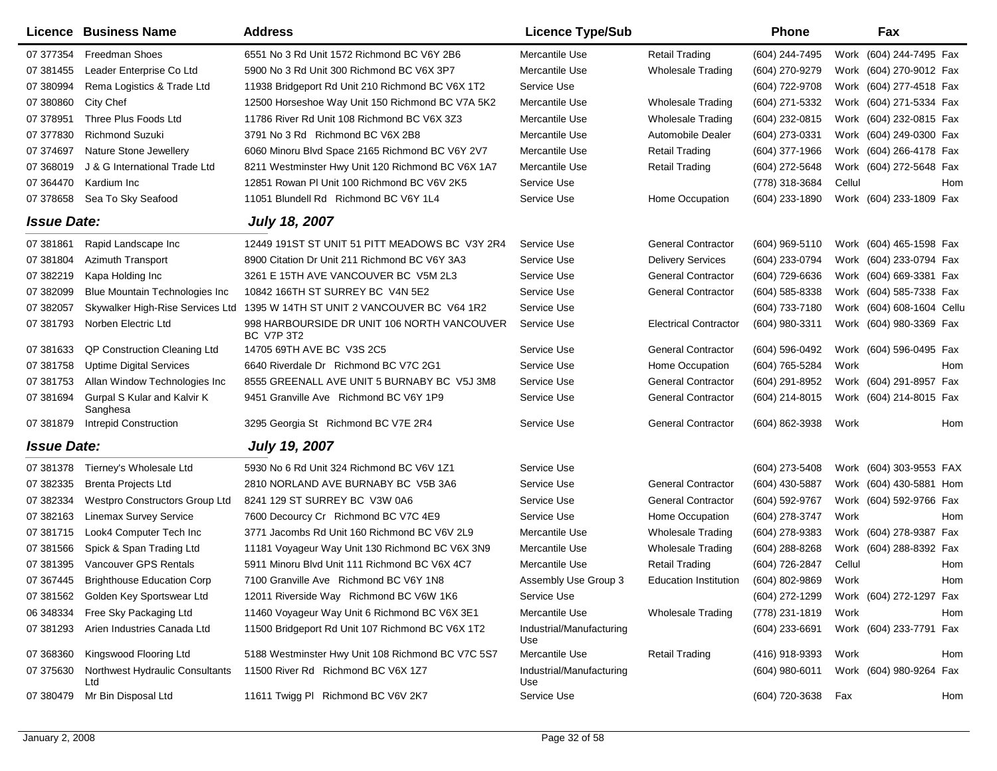|                    | Licence Business Name                   | <b>Address</b>                                                   | <b>Licence Type/Sub</b>         |                              | <b>Phone</b>     |        | Fax                       |     |
|--------------------|-----------------------------------------|------------------------------------------------------------------|---------------------------------|------------------------------|------------------|--------|---------------------------|-----|
| 07 377354          | <b>Freedman Shoes</b>                   | 6551 No 3 Rd Unit 1572 Richmond BC V6Y 2B6                       | Mercantile Use                  | <b>Retail Trading</b>        | (604) 244-7495   |        | Work (604) 244-7495 Fax   |     |
| 07 381455          | Leader Enterprise Co Ltd                | 5900 No 3 Rd Unit 300 Richmond BC V6X 3P7                        | Mercantile Use                  | <b>Wholesale Trading</b>     | (604) 270-9279   |        | Work (604) 270-9012 Fax   |     |
| 07 380994          | Rema Logistics & Trade Ltd              | 11938 Bridgeport Rd Unit 210 Richmond BC V6X 1T2                 | Service Use                     |                              | (604) 722-9708   |        | Work (604) 277-4518 Fax   |     |
| 07 380860          | City Chef                               | 12500 Horseshoe Way Unit 150 Richmond BC V7A 5K2                 | Mercantile Use                  | <b>Wholesale Trading</b>     | (604) 271-5332   |        | Work (604) 271-5334 Fax   |     |
| 07 378951          | Three Plus Foods Ltd                    | 11786 River Rd Unit 108 Richmond BC V6X 3Z3                      | Mercantile Use                  | <b>Wholesale Trading</b>     | (604) 232-0815   |        | Work (604) 232-0815 Fax   |     |
| 07 377830          | <b>Richmond Suzuki</b>                  | 3791 No 3 Rd Richmond BC V6X 2B8                                 | Mercantile Use                  | Automobile Dealer            | (604) 273-0331   |        | Work (604) 249-0300 Fax   |     |
| 07 374697          | Nature Stone Jewellery                  | 6060 Minoru Blvd Space 2165 Richmond BC V6Y 2V7                  | Mercantile Use                  | <b>Retail Trading</b>        | (604) 377-1966   |        | Work (604) 266-4178 Fax   |     |
| 07 368019          | J & G International Trade Ltd           | 8211 Westminster Hwy Unit 120 Richmond BC V6X 1A7                | Mercantile Use                  | <b>Retail Trading</b>        | (604) 272-5648   |        | Work (604) 272-5648 Fax   |     |
| 07 364470          | Kardium Inc                             | 12851 Rowan PI Unit 100 Richmond BC V6V 2K5                      | Service Use                     |                              | (778) 318-3684   | Cellul |                           | Hom |
| 07 378658          | Sea To Sky Seafood                      | 11051 Blundell Rd Richmond BC V6Y 1L4                            | Service Use                     | Home Occupation              | (604) 233-1890   |        | Work (604) 233-1809 Fax   |     |
| <b>Issue Date:</b> |                                         | <b>July 18, 2007</b>                                             |                                 |                              |                  |        |                           |     |
| 07 381861          | Rapid Landscape Inc                     | 12449 191ST ST UNIT 51 PITT MEADOWS BC V3Y 2R4                   | Service Use                     | <b>General Contractor</b>    | (604) 969-5110   |        | Work (604) 465-1598 Fax   |     |
| 07 381804          | <b>Azimuth Transport</b>                | 8900 Citation Dr Unit 211 Richmond BC V6Y 3A3                    | Service Use                     | <b>Delivery Services</b>     | (604) 233-0794   |        | Work (604) 233-0794 Fax   |     |
| 07 382219          | Kapa Holding Inc                        | 3261 E 15TH AVE VANCOUVER BC V5M 2L3                             | Service Use                     | <b>General Contractor</b>    | (604) 729-6636   |        | Work (604) 669-3381 Fax   |     |
| 07 382099          | Blue Mountain Technologies Inc          | 10842 166TH ST SURREY BC V4N 5E2                                 | Service Use                     | <b>General Contractor</b>    | $(604)$ 585-8338 |        | Work (604) 585-7338 Fax   |     |
| 07 382057          | Skywalker High-Rise Services Ltd        | 1395 W 14TH ST UNIT 2 VANCOUVER BC V64 1R2                       | Service Use                     |                              | (604) 733-7180   |        | Work (604) 608-1604 Cellu |     |
| 07 381793          | Norben Electric Ltd                     | 998 HARBOURSIDE DR UNIT 106 NORTH VANCOUVER<br><b>BC V7P 3T2</b> | Service Use                     | <b>Electrical Contractor</b> | (604) 980-3311   |        | Work (604) 980-3369 Fax   |     |
| 07 381633          | QP Construction Cleaning Ltd            | 14705 69TH AVE BC V3S 2C5                                        | Service Use                     | <b>General Contractor</b>    | (604) 596-0492   |        | Work (604) 596-0495 Fax   |     |
| 07 381758          | <b>Uptime Digital Services</b>          | 6640 Riverdale Dr Richmond BC V7C 2G1                            | Service Use                     | Home Occupation              | (604) 765-5284   | Work   |                           | Hom |
| 07 381753          | Allan Window Technologies Inc           | 8555 GREENALL AVE UNIT 5 BURNABY BC V5J 3M8                      | Service Use                     | <b>General Contractor</b>    | (604) 291-8952   |        | Work (604) 291-8957 Fax   |     |
| 07 381694          | Gurpal S Kular and Kalvir K<br>Sanghesa | 9451 Granville Ave Richmond BC V6Y 1P9                           | Service Use                     | <b>General Contractor</b>    | (604) 214-8015   |        | Work (604) 214-8015 Fax   |     |
| 07 381879          | <b>Intrepid Construction</b>            | 3295 Georgia St Richmond BC V7E 2R4                              | Service Use                     | <b>General Contractor</b>    | (604) 862-3938   | Work   |                           | Hom |
| <b>Issue Date:</b> |                                         | <b>July 19, 2007</b>                                             |                                 |                              |                  |        |                           |     |
| 07 381378          | Tierney's Wholesale Ltd                 | 5930 No 6 Rd Unit 324 Richmond BC V6V 1Z1                        | Service Use                     |                              | (604) 273-5408   |        | Work (604) 303-9553 FAX   |     |
| 07 382335          | <b>Brenta Projects Ltd</b>              | 2810 NORLAND AVE BURNABY BC V5B 3A6                              | Service Use                     | <b>General Contractor</b>    | (604) 430-5887   |        | Work (604) 430-5881 Hom   |     |
| 07 382334          | Westpro Constructors Group Ltd          | 8241 129 ST SURREY BC V3W 0A6                                    | Service Use                     | <b>General Contractor</b>    | (604) 592-9767   |        | Work (604) 592-9766 Fax   |     |
| 07 382163          | <b>Linemax Survey Service</b>           | 7600 Decourcy Cr Richmond BC V7C 4E9                             | Service Use                     | Home Occupation              | (604) 278-3747   | Work   |                           | Hom |
| 07 381715          | Look4 Computer Tech Inc                 | 3771 Jacombs Rd Unit 160 Richmond BC V6V 2L9                     | Mercantile Use                  | <b>Wholesale Trading</b>     | (604) 278-9383   |        | Work (604) 278-9387 Fax   |     |
| 07 381566          | Spick & Span Trading Ltd                | 11181 Voyageur Way Unit 130 Richmond BC V6X 3N9                  | Mercantile Use                  | <b>Wholesale Trading</b>     | $(604)$ 288-8268 |        | Work (604) 288-8392 Fax   |     |
| 07 381395          | Vancouver GPS Rentals                   | 5911 Minoru Blvd Unit 111 Richmond BC V6X 4C7                    | Mercantile Use                  | Retail Trading               | (604) 726-2847   | Cellul |                           | Hom |
| 07 367445          | <b>Brighthouse Education Corp</b>       | 7100 Granville Ave Richmond BC V6Y 1N8                           | Assembly Use Group 3            | <b>Education Institution</b> | (604) 802-9869   | Work   |                           | Hom |
| 07 381562          | Golden Key Sportswear Ltd               | 12011 Riverside Way Richmond BC V6W 1K6                          | Service Use                     |                              | (604) 272-1299   |        | Work (604) 272-1297 Fax   |     |
| 06 348334          | Free Sky Packaging Ltd                  | 11460 Voyageur Way Unit 6 Richmond BC V6X 3E1                    | Mercantile Use                  | <b>Wholesale Trading</b>     | (778) 231-1819   | Work   |                           | Hom |
| 07 381293          | Arien Industries Canada Ltd             | 11500 Bridgeport Rd Unit 107 Richmond BC V6X 1T2                 | Industrial/Manufacturing<br>Use |                              | $(604)$ 233-6691 |        | Work (604) 233-7791 Fax   |     |
| 07 368360          | Kingswood Flooring Ltd                  | 5188 Westminster Hwy Unit 108 Richmond BC V7C 5S7                | Mercantile Use                  | <b>Retail Trading</b>        | (416) 918-9393   | Work   |                           | Hom |
| 07 375630          | Northwest Hydraulic Consultants<br>Ltd  | 11500 River Rd Richmond BC V6X 1Z7                               | Industrial/Manufacturing<br>Use |                              | $(604)$ 980-6011 |        | Work (604) 980-9264 Fax   |     |
| 07 380479          | Mr Bin Disposal Ltd                     | 11611 Twigg PI Richmond BC V6V 2K7                               | Service Use                     |                              | (604) 720-3638   | Fax    |                           | Hom |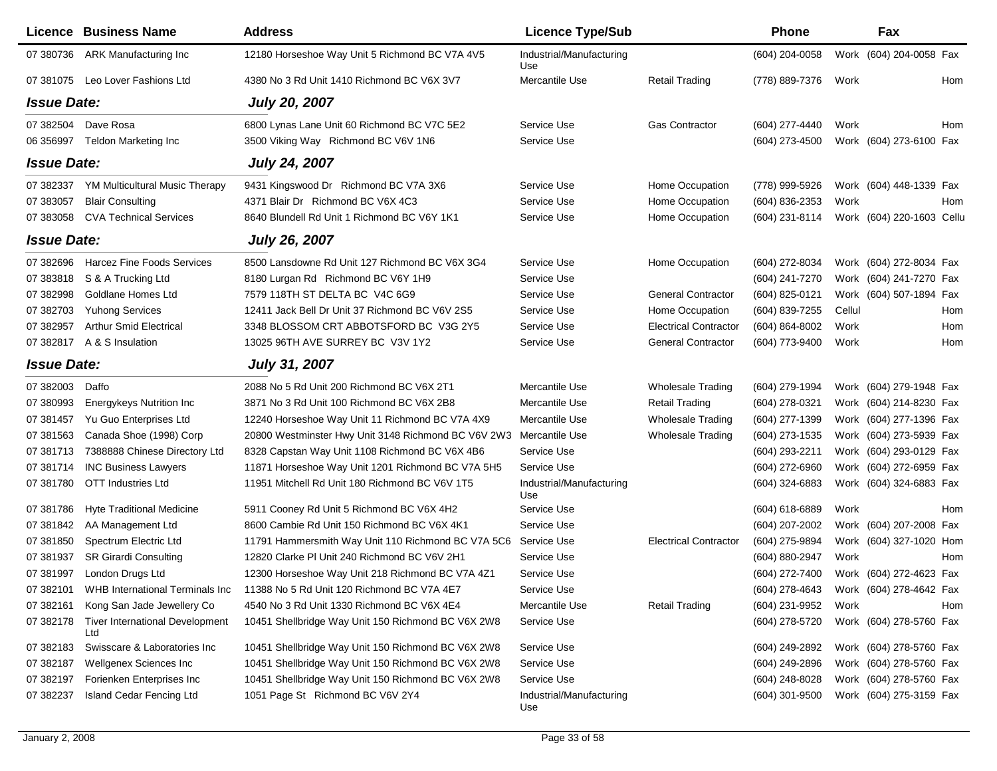|                    | <b>Licence Business Name</b>                  | <b>Address</b>                                      | <b>Licence Type/Sub</b>         |                              | <b>Phone</b>       |        | Fax                       |
|--------------------|-----------------------------------------------|-----------------------------------------------------|---------------------------------|------------------------------|--------------------|--------|---------------------------|
| 07 380736          | <b>ARK Manufacturing Inc</b>                  | 12180 Horseshoe Way Unit 5 Richmond BC V7A 4V5      | Industrial/Manufacturing<br>Use |                              | (604) 204-0058     |        | Work (604) 204-0058 Fax   |
|                    | 07 381075 Leo Lover Fashions Ltd              | 4380 No 3 Rd Unit 1410 Richmond BC V6X 3V7          | Mercantile Use                  | <b>Retail Trading</b>        | (778) 889-7376     | Work   | Hom                       |
| <b>Issue Date:</b> |                                               | <b>July 20, 2007</b>                                |                                 |                              |                    |        |                           |
|                    | 07 382504 Dave Rosa                           | 6800 Lynas Lane Unit 60 Richmond BC V7C 5E2         | Service Use                     | <b>Gas Contractor</b>        | (604) 277-4440     | Work   | Hom                       |
| 06 35 69 97        | Teldon Marketing Inc                          | 3500 Viking Way Richmond BC V6V 1N6                 | Service Use                     |                              | (604) 273-4500     |        | Work (604) 273-6100 Fax   |
| <b>Issue Date:</b> |                                               | <b>July 24, 2007</b>                                |                                 |                              |                    |        |                           |
| 07 382337          | YM Multicultural Music Therapy                | 9431 Kingswood Dr Richmond BC V7A 3X6               | Service Use                     | Home Occupation              | (778) 999-5926     |        | Work (604) 448-1339 Fax   |
| 07 383057          | <b>Blair Consulting</b>                       | 4371 Blair Dr Richmond BC V6X 4C3                   | Service Use                     | Home Occupation              | (604) 836-2353     | Work   | Hom                       |
| 07 383058          | <b>CVA Technical Services</b>                 | 8640 Blundell Rd Unit 1 Richmond BC V6Y 1K1         | Service Use                     | Home Occupation              | (604) 231-8114     |        | Work (604) 220-1603 Cellu |
| <b>Issue Date:</b> |                                               | <b>July 26, 2007</b>                                |                                 |                              |                    |        |                           |
| 07 382696          | <b>Harcez Fine Foods Services</b>             | 8500 Lansdowne Rd Unit 127 Richmond BC V6X 3G4      | Service Use                     | Home Occupation              | (604) 272-8034     |        | Work (604) 272-8034 Fax   |
| 07 383818          | S & A Trucking Ltd                            | 8180 Lurgan Rd Richmond BC V6Y 1H9                  | Service Use                     |                              | (604) 241-7270     |        | Work (604) 241-7270 Fax   |
| 07 382998          | Goldlane Homes Ltd                            | 7579 118TH ST DELTA BC V4C 6G9                      | Service Use                     | <b>General Contractor</b>    | (604) 825-0121     |        | Work (604) 507-1894 Fax   |
| 07 382703          | <b>Yuhong Services</b>                        | 12411 Jack Bell Dr Unit 37 Richmond BC V6V 2S5      | Service Use                     | Home Occupation              | (604) 839-7255     | Cellul | Hom                       |
| 07 382957          | <b>Arthur Smid Electrical</b>                 | 3348 BLOSSOM CRT ABBOTSFORD BC V3G 2Y5              | Service Use                     | <b>Electrical Contractor</b> | $(604) 864 - 8002$ | Work   | Hom                       |
| 07 382817          | A & S Insulation                              | 13025 96TH AVE SURREY BC V3V 1Y2                    | Service Use                     | <b>General Contractor</b>    | (604) 773-9400     | Work   | Hom                       |
| <b>Issue Date:</b> |                                               | <b>July 31, 2007</b>                                |                                 |                              |                    |        |                           |
| 07 382003          | Daffo                                         | 2088 No 5 Rd Unit 200 Richmond BC V6X 2T1           | Mercantile Use                  | Wholesale Trading            | (604) 279-1994     |        | Work (604) 279-1948 Fax   |
| 07 380993          | Energykeys Nutrition Inc                      | 3871 No 3 Rd Unit 100 Richmond BC V6X 2B8           | Mercantile Use                  | <b>Retail Trading</b>        | $(604)$ 278-0321   |        | Work (604) 214-8230 Fax   |
| 07 381457          | Yu Guo Enterprises Ltd                        | 12240 Horseshoe Way Unit 11 Richmond BC V7A 4X9     | Mercantile Use                  | <b>Wholesale Trading</b>     | (604) 277-1399     |        | Work (604) 277-1396 Fax   |
| 07 381563          | Canada Shoe (1998) Corp                       | 20800 Westminster Hwy Unit 3148 Richmond BC V6V 2W3 | Mercantile Use                  | <b>Wholesale Trading</b>     | (604) 273-1535     |        | Work (604) 273-5939 Fax   |
| 07 381713          | 7388888 Chinese Directory Ltd                 | 8328 Capstan Way Unit 1108 Richmond BC V6X 4B6      | Service Use                     |                              | (604) 293-2211     |        | Work (604) 293-0129 Fax   |
| 07 381714          | <b>INC Business Lawyers</b>                   | 11871 Horseshoe Way Unit 1201 Richmond BC V7A 5H5   | Service Use                     |                              | (604) 272-6960     |        | Work (604) 272-6959 Fax   |
| 07 381780          | <b>OTT Industries Ltd</b>                     | 11951 Mitchell Rd Unit 180 Richmond BC V6V 1T5      | Industrial/Manufacturing<br>Use |                              | (604) 324-6883     |        | Work (604) 324-6883 Fax   |
| 07 381786          | <b>Hyte Traditional Medicine</b>              | 5911 Cooney Rd Unit 5 Richmond BC V6X 4H2           | Service Use                     |                              | $(604)$ 618-6889   | Work   | Hom                       |
| 07 381842          | AA Management Ltd                             | 8600 Cambie Rd Unit 150 Richmond BC V6X 4K1         | Service Use                     |                              | (604) 207-2002     |        | Work (604) 207-2008 Fax   |
| 07 381850          | Spectrum Electric Ltd                         | 11791 Hammersmith Way Unit 110 Richmond BC V7A 5C6  | Service Use                     | <b>Electrical Contractor</b> | (604) 275-9894     |        | Work (604) 327-1020 Hom   |
| 07 381937          | <b>SR Girardi Consulting</b>                  | 12820 Clarke PI Unit 240 Richmond BC V6V 2H1        | Service Use                     |                              | (604) 880-2947     | Work   | Hom                       |
| 07 381997          | London Drugs Ltd                              | 12300 Horseshoe Way Unit 218 Richmond BC V7A 4Z1    | Service Use                     |                              | (604) 272-7400     |        | Work (604) 272-4623 Fax   |
|                    | 07 382101 WHB International Terminals Inc     | 11388 No 5 Rd Unit 120 Richmond BC V7A 4E7          | Service Use                     |                              | (604) 278-4643     |        | Work (604) 278-4642 Fax   |
| 07 382161          | Kong San Jade Jewellery Co                    | 4540 No 3 Rd Unit 1330 Richmond BC V6X 4E4          | Mercantile Use                  | <b>Retail Trading</b>        | (604) 231-9952     | Work   | Hom                       |
| 07 382178          | <b>Tiver International Development</b><br>Ltd | 10451 Shellbridge Way Unit 150 Richmond BC V6X 2W8  | Service Use                     |                              | (604) 278-5720     |        | Work (604) 278-5760 Fax   |
| 07 382183          | Swisscare & Laboratories Inc                  | 10451 Shellbridge Way Unit 150 Richmond BC V6X 2W8  | Service Use                     |                              | (604) 249-2892     |        | Work (604) 278-5760 Fax   |
| 07 382187          | Wellgenex Sciences Inc                        | 10451 Shellbridge Way Unit 150 Richmond BC V6X 2W8  | Service Use                     |                              | (604) 249-2896     |        | Work (604) 278-5760 Fax   |
| 07 382197          | Forienken Enterprises Inc                     | 10451 Shellbridge Way Unit 150 Richmond BC V6X 2W8  | Service Use                     |                              | (604) 248-8028     |        | Work (604) 278-5760 Fax   |
| 07 382237          | Island Cedar Fencing Ltd                      | 1051 Page St Richmond BC V6V 2Y4                    | Industrial/Manufacturing<br>Use |                              | $(604)$ 301-9500   |        | Work (604) 275-3159 Fax   |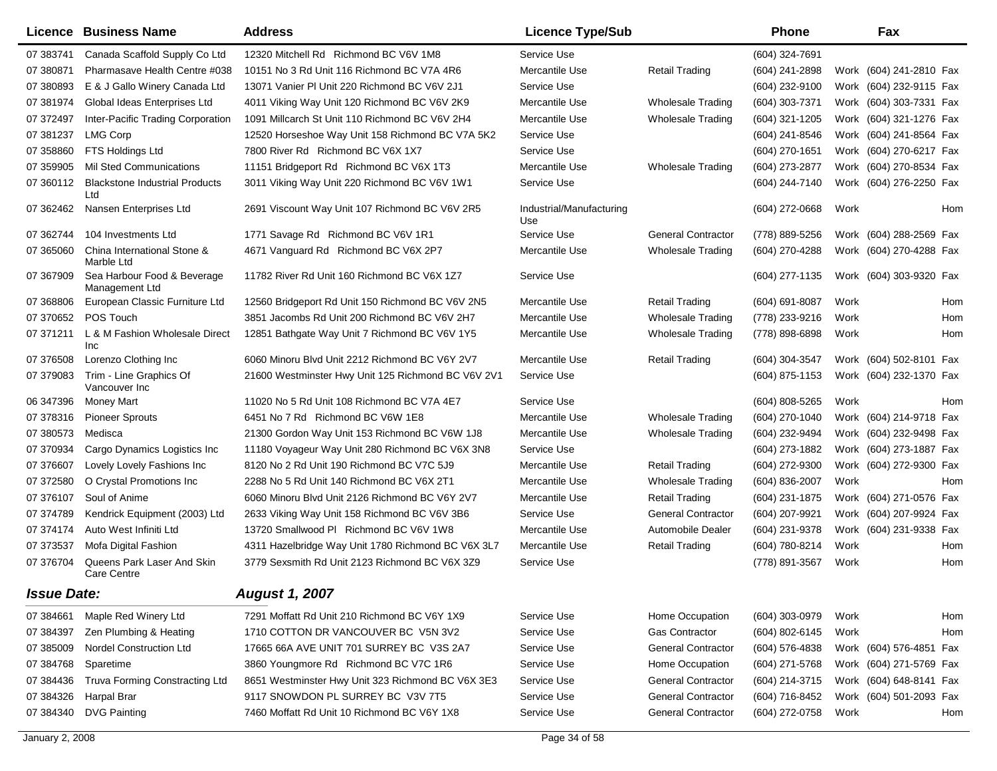|                    | <b>Licence Business Name</b>                  | <b>Address</b>                                     | <b>Licence Type/Sub</b>         |                           | <b>Phone</b>     |      | Fax                     |  |
|--------------------|-----------------------------------------------|----------------------------------------------------|---------------------------------|---------------------------|------------------|------|-------------------------|--|
| 07 383741          | Canada Scaffold Supply Co Ltd                 | 12320 Mitchell Rd Richmond BC V6V 1M8              | Service Use                     |                           | (604) 324-7691   |      |                         |  |
| 07 380871          | Pharmasave Health Centre #038                 | 10151 No 3 Rd Unit 116 Richmond BC V7A 4R6         | Mercantile Use                  | <b>Retail Trading</b>     | (604) 241-2898   |      | Work (604) 241-2810 Fax |  |
| 07 380893          | E & J Gallo Winery Canada Ltd                 | 13071 Vanier PI Unit 220 Richmond BC V6V 2J1       | Service Use                     |                           | (604) 232-9100   |      | Work (604) 232-9115 Fax |  |
| 07 381974          | Global Ideas Enterprises Ltd                  | 4011 Viking Way Unit 120 Richmond BC V6V 2K9       | Mercantile Use                  | <b>Wholesale Trading</b>  | (604) 303-7371   |      | Work (604) 303-7331 Fax |  |
| 07 372497          | Inter-Pacific Trading Corporation             | 1091 Millcarch St Unit 110 Richmond BC V6V 2H4     | Mercantile Use                  | <b>Wholesale Trading</b>  | (604) 321-1205   |      | Work (604) 321-1276 Fax |  |
| 07 381237          | <b>LMG Corp</b>                               | 12520 Horseshoe Way Unit 158 Richmond BC V7A 5K2   | Service Use                     |                           | (604) 241-8546   |      | Work (604) 241-8564 Fax |  |
| 07 358860          | FTS Holdings Ltd                              | 7800 River Rd Richmond BC V6X 1X7                  | Service Use                     |                           | (604) 270-1651   |      | Work (604) 270-6217 Fax |  |
| 07 359905          | <b>Mil Sted Communications</b>                | 11151 Bridgeport Rd Richmond BC V6X 1T3            | Mercantile Use                  | <b>Wholesale Trading</b>  | (604) 273-2877   |      | Work (604) 270-8534 Fax |  |
| 07 360112          | <b>Blackstone Industrial Products</b><br>Ltd  | 3011 Viking Way Unit 220 Richmond BC V6V 1W1       | Service Use                     |                           | (604) 244-7140   |      | Work (604) 276-2250 Fax |  |
| 07 362462          | Nansen Enterprises Ltd                        | 2691 Viscount Way Unit 107 Richmond BC V6V 2R5     | Industrial/Manufacturing<br>Use |                           | $(604)$ 272-0668 | Work | Hom                     |  |
| 07 362744          | 104 Investments Ltd                           | 1771 Savage Rd Richmond BC V6V 1R1                 | Service Use                     | <b>General Contractor</b> | (778) 889-5256   |      | Work (604) 288-2569 Fax |  |
| 07 365060          | China International Stone &<br>Marble Ltd     | 4671 Vanguard Rd Richmond BC V6X 2P7               | Mercantile Use                  | <b>Wholesale Trading</b>  | (604) 270-4288   |      | Work (604) 270-4288 Fax |  |
| 07 367909          | Sea Harbour Food & Beverage<br>Management Ltd | 11782 River Rd Unit 160 Richmond BC V6X 1Z7        | Service Use                     |                           | (604) 277-1135   |      | Work (604) 303-9320 Fax |  |
| 07 368806          | European Classic Furniture Ltd                | 12560 Bridgeport Rd Unit 150 Richmond BC V6V 2N5   | Mercantile Use                  | <b>Retail Trading</b>     | (604) 691-8087   | Work | Hom                     |  |
| 07 370652          | POS Touch                                     | 3851 Jacombs Rd Unit 200 Richmond BC V6V 2H7       | Mercantile Use                  | <b>Wholesale Trading</b>  | (778) 233-9216   | Work | Hom                     |  |
| 07 371211          | L & M Fashion Wholesale Direct<br>Inc         | 12851 Bathgate Way Unit 7 Richmond BC V6V 1Y5      | Mercantile Use                  | <b>Wholesale Trading</b>  | (778) 898-6898   | Work | Hom                     |  |
| 07 37 6508         | Lorenzo Clothing Inc                          | 6060 Minoru Blvd Unit 2212 Richmond BC V6Y 2V7     | Mercantile Use                  | <b>Retail Trading</b>     | (604) 304-3547   |      | Work (604) 502-8101 Fax |  |
| 07 379083          | Trim - Line Graphics Of<br>Vancouver Inc      | 21600 Westminster Hwy Unit 125 Richmond BC V6V 2V1 | Service Use                     |                           | (604) 875-1153   |      | Work (604) 232-1370 Fax |  |
| 06 347396          | <b>Money Mart</b>                             | 11020 No 5 Rd Unit 108 Richmond BC V7A 4E7         | Service Use                     |                           | (604) 808-5265   | Work | Hom                     |  |
| 07 378316          | <b>Pioneer Sprouts</b>                        | 6451 No 7 Rd Richmond BC V6W 1E8                   | Mercantile Use                  | <b>Wholesale Trading</b>  | (604) 270-1040   |      | Work (604) 214-9718 Fax |  |
| 07 380573          | Medisca                                       | 21300 Gordon Way Unit 153 Richmond BC V6W 1J8      | Mercantile Use                  | Wholesale Trading         | (604) 232-9494   |      | Work (604) 232-9498 Fax |  |
| 07 370934          | Cargo Dynamics Logistics Inc                  | 11180 Voyageur Way Unit 280 Richmond BC V6X 3N8    | Service Use                     |                           | (604) 273-1882   |      | Work (604) 273-1887 Fax |  |
| 07 37 6607         | Lovely Lovely Fashions Inc                    | 8120 No 2 Rd Unit 190 Richmond BC V7C 5J9          | Mercantile Use                  | <b>Retail Trading</b>     | (604) 272-9300   |      | Work (604) 272-9300 Fax |  |
| 07 372580          | O Crystal Promotions Inc                      | 2288 No 5 Rd Unit 140 Richmond BC V6X 2T1          | Mercantile Use                  | <b>Wholesale Trading</b>  | (604) 836-2007   | Work | <b>Hom</b>              |  |
| 07 376107          | Soul of Anime                                 | 6060 Minoru Blvd Unit 2126 Richmond BC V6Y 2V7     | Mercantile Use                  | <b>Retail Trading</b>     | (604) 231-1875   |      | Work (604) 271-0576 Fax |  |
| 07 374789          | Kendrick Equipment (2003) Ltd                 | 2633 Viking Way Unit 158 Richmond BC V6V 3B6       | Service Use                     | <b>General Contractor</b> | (604) 207-9921   |      | Work (604) 207-9924 Fax |  |
| 07 374174          | Auto West Infiniti Ltd                        | 13720 Smallwood PI Richmond BC V6V 1W8             | Mercantile Use                  | Automobile Dealer         | (604) 231-9378   |      | Work (604) 231-9338 Fax |  |
| 07 37 35 37        | Mofa Digital Fashion                          | 4311 Hazelbridge Way Unit 1780 Richmond BC V6X 3L7 | Mercantile Use                  | <b>Retail Trading</b>     | (604) 780-8214   | Work | Hom                     |  |
| 07 37 6704         | Queens Park Laser And Skin<br>Care Centre     | 3779 Sexsmith Rd Unit 2123 Richmond BC V6X 3Z9     | Service Use                     |                           | (778) 891-3567   | Work | Hom                     |  |
| <b>Issue Date:</b> |                                               | <b>August 1, 2007</b>                              |                                 |                           |                  |      |                         |  |
| 07 384661          | Maple Red Winery Ltd                          | 7291 Moffatt Rd Unit 210 Richmond BC V6Y 1X9       | Service Use                     | Home Occupation           | (604) 303-0979   | Work | Hom                     |  |
| 07 384397          | Zen Plumbing & Heating                        | 1710 COTTON DR VANCOUVER BC V5N 3V2                | Service Use                     | <b>Gas Contractor</b>     | (604) 802-6145   | Work | Hom                     |  |
| 07 385009          | Nordel Construction Ltd                       | 17665 66A AVE UNIT 701 SURREY BC V3S 2A7           | Service Use                     | <b>General Contractor</b> | (604) 576-4838   |      | Work (604) 576-4851 Fax |  |
| 07 384768          | Sparetime                                     | 3860 Youngmore Rd Richmond BC V7C 1R6              | Service Use                     | Home Occupation           | (604) 271-5768   |      | Work (604) 271-5769 Fax |  |
| 07 384436          | Truva Forming Constracting Ltd                | 8651 Westminster Hwy Unit 323 Richmond BC V6X 3E3  | Service Use                     | <b>General Contractor</b> | (604) 214-3715   |      | Work (604) 648-8141 Fax |  |
| 07 384326          | Harpal Brar                                   | 9117 SNOWDON PL SURREY BC V3V 7T5                  | Service Use                     | <b>General Contractor</b> | (604) 716-8452   |      | Work (604) 501-2093 Fax |  |
| 07 384340          | <b>DVG Painting</b>                           | 7460 Moffatt Rd Unit 10 Richmond BC V6Y 1X8        | Service Use                     | <b>General Contractor</b> | (604) 272-0758   | Work | Hom                     |  |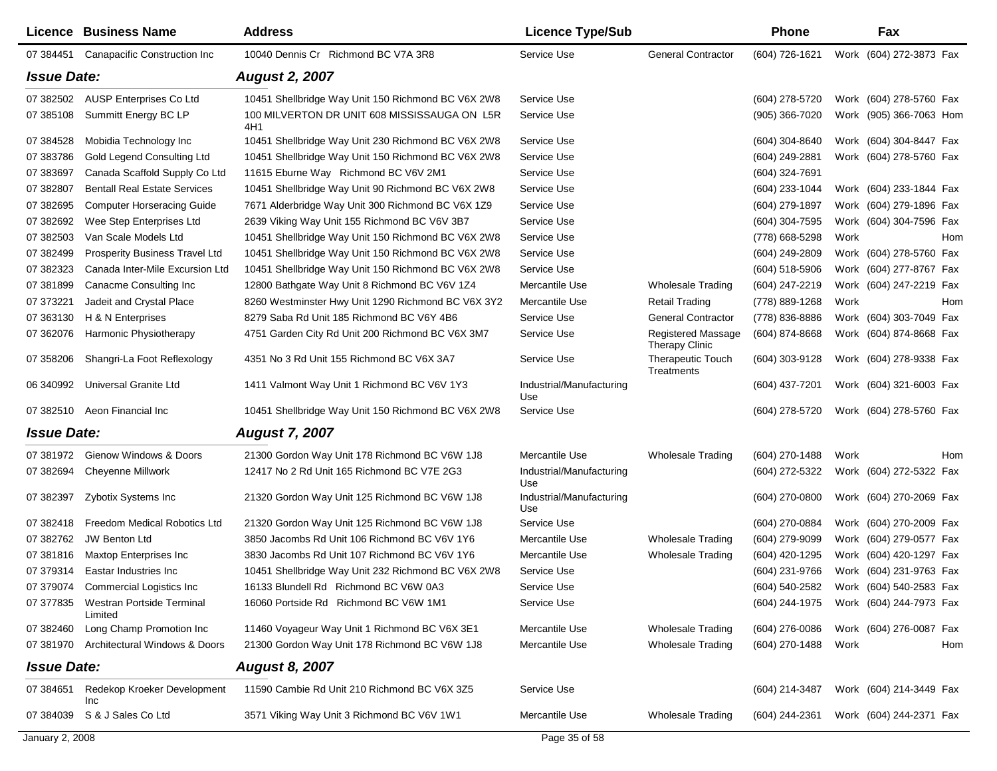|                    | Licence Business Name                          | <b>Address</b>                                            | <b>Licence Type/Sub</b>         |                                             | <b>Phone</b>                           |      | Fax                     |     |
|--------------------|------------------------------------------------|-----------------------------------------------------------|---------------------------------|---------------------------------------------|----------------------------------------|------|-------------------------|-----|
| 07 384451          | <b>Canapacific Construction Inc</b>            | 10040 Dennis Cr Richmond BC V7A 3R8                       | Service Use                     | <b>General Contractor</b>                   | (604) 726-1621                         |      | Work (604) 272-3873 Fax |     |
| <b>Issue Date:</b> |                                                | <b>August 2, 2007</b>                                     |                                 |                                             |                                        |      |                         |     |
| 07 382502          | <b>AUSP Enterprises Co Ltd</b>                 | 10451 Shellbridge Way Unit 150 Richmond BC V6X 2W8        | Service Use                     |                                             | (604) 278-5720                         |      | Work (604) 278-5760 Fax |     |
| 07 385108          | Summitt Energy BC LP                           | 100 MILVERTON DR UNIT 608 MISSISSAUGA ON L5R              | Service Use                     |                                             | $(905)$ 366-7020                       |      | Work (905) 366-7063 Hom |     |
| 07 384528          | Mobidia Technology Inc                         | 4H1<br>10451 Shellbridge Way Unit 230 Richmond BC V6X 2W8 | Service Use                     |                                             | (604) 304-8640                         |      | Work (604) 304-8447 Fax |     |
| 07 383786          | Gold Legend Consulting Ltd                     | 10451 Shellbridge Way Unit 150 Richmond BC V6X 2W8        | Service Use                     |                                             | $(604)$ 249-2881                       |      | Work (604) 278-5760 Fax |     |
| 07 383697          | Canada Scaffold Supply Co Ltd                  | 11615 Eburne Way Richmond BC V6V 2M1                      | Service Use                     |                                             | (604) 324-7691                         |      |                         |     |
| 07 382807          | <b>Bentall Real Estate Services</b>            | 10451 Shellbridge Way Unit 90 Richmond BC V6X 2W8         | Service Use                     |                                             | (604) 233-1044                         |      | Work (604) 233-1844 Fax |     |
| 07 382695          | <b>Computer Horseracing Guide</b>              | 7671 Alderbridge Way Unit 300 Richmond BC V6X 1Z9         | Service Use                     |                                             | (604) 279-1897                         |      | Work (604) 279-1896 Fax |     |
| 07 382692          | Wee Step Enterprises Ltd                       | 2639 Viking Way Unit 155 Richmond BC V6V 3B7              | Service Use                     |                                             | $(604)$ 304-7595                       |      | Work (604) 304-7596 Fax |     |
| 07 382503          | Van Scale Models Ltd                           | 10451 Shellbridge Way Unit 150 Richmond BC V6X 2W8        | Service Use                     |                                             | (778) 668-5298                         | Work |                         | Hom |
| 07 382499          | <b>Prosperity Business Travel Ltd</b>          | 10451 Shellbridge Way Unit 150 Richmond BC V6X 2W8        | Service Use                     |                                             | (604) 249-2809                         |      | Work (604) 278-5760 Fax |     |
| 07 382323          | Canada Inter-Mile Excursion Ltd                | 10451 Shellbridge Way Unit 150 Richmond BC V6X 2W8        | Service Use                     |                                             | $(604)$ 518-5906                       |      | Work (604) 277-8767 Fax |     |
| 07 381899          | Canacme Consulting Inc                         | 12800 Bathgate Way Unit 8 Richmond BC V6V 1Z4             | Mercantile Use                  | <b>Wholesale Trading</b>                    | (604) 247-2219                         |      | Work (604) 247-2219 Fax |     |
| 07 37 3221         | Jadeit and Crystal Place                       | 8260 Westminster Hwy Unit 1290 Richmond BC V6X 3Y2        | Mercantile Use                  | Retail Trading                              | (778) 889-1268                         | Work |                         | Hom |
| 07 363130          | H & N Enterprises                              | 8279 Saba Rd Unit 185 Richmond BC V6Y 4B6                 | Service Use                     | <b>General Contractor</b>                   | (778) 836-8886                         |      | Work (604) 303-7049 Fax |     |
| 07 362076          | Harmonic Physiotherapy                         | 4751 Garden City Rd Unit 200 Richmond BC V6X 3M7          | Service Use                     | <b>Registered Massage</b><br>Therapy Clinic | $(604)$ 874-8668                       |      | Work (604) 874-8668 Fax |     |
| 07 358206          | Shangri-La Foot Reflexology                    | 4351 No 3 Rd Unit 155 Richmond BC V6X 3A7                 | Service Use                     | <b>Therapeutic Touch</b><br>Treatments      | $(604)$ 303-9128                       |      | Work (604) 278-9338 Fax |     |
| 06 340992          | Universal Granite Ltd                          | 1411 Valmont Way Unit 1 Richmond BC V6V 1Y3               | Industrial/Manufacturing<br>Use |                                             | $(604)$ 437-7201                       |      | Work (604) 321-6003 Fax |     |
|                    | 07 382510 Aeon Financial Inc                   | 10451 Shellbridge Way Unit 150 Richmond BC V6X 2W8        | Service Use                     |                                             | (604) 278-5720                         |      | Work (604) 278-5760 Fax |     |
| <b>Issue Date:</b> |                                                | <b>August 7, 2007</b>                                     |                                 |                                             |                                        |      |                         |     |
| 07 381972          | Gienow Windows & Doors                         | 21300 Gordon Way Unit 178 Richmond BC V6W 1J8             | Mercantile Use                  | Wholesale Trading                           | (604) 270-1488                         | Work |                         | Hom |
| 07 382694          | <b>Cheyenne Millwork</b>                       | 12417 No 2 Rd Unit 165 Richmond BC V7E 2G3                | Industrial/Manufacturing<br>Use |                                             | (604) 272-5322                         |      | Work (604) 272-5322 Fax |     |
| 07 382397          | Zybotix Systems Inc                            | 21320 Gordon Way Unit 125 Richmond BC V6W 1J8             | Industrial/Manufacturing<br>Use |                                             | $(604)$ 270-0800                       |      | Work (604) 270-2069 Fax |     |
| 07 382418          | <b>Freedom Medical Robotics Ltd</b>            | 21320 Gordon Way Unit 125 Richmond BC V6W 1J8             | Service Use                     |                                             | (604) 270-0884                         |      | Work (604) 270-2009 Fax |     |
| 07 382762          | <b>JW Benton Ltd</b>                           | 3850 Jacombs Rd Unit 106 Richmond BC V6V 1Y6              | Mercantile Use                  | Wholesale Trading                           | (604) 279-9099                         |      | Work (604) 279-0577 Fax |     |
| 07 381816          | <b>Maxtop Enterprises Inc</b>                  | 3830 Jacombs Rd Unit 107 Richmond BC V6V 1Y6              | Mercantile Use                  | <b>Wholesale Trading</b>                    | (604) 420-1295                         |      | Work (604) 420-1297 Fax |     |
| 07 379314          | Eastar Industries Inc                          | 10451 Shellbridge Way Unit 232 Richmond BC V6X 2W8        | Service Use                     |                                             | (604) 231-9766                         |      | Work (604) 231-9763 Fax |     |
|                    | 07 379074 Commercial Logistics Inc             | 16133 Blundell Rd Richmond BC V6W 0A3                     | Service Use                     |                                             | (604) 540-2582 Work (604) 540-2583 Fax |      |                         |     |
|                    | 07 377835 Westran Portside Terminal<br>Limited | 16060 Portside Rd Richmond BC V6W 1M1                     | Service Use                     |                                             | (604) 244-1975 Work (604) 244-7973 Fax |      |                         |     |
| 07 382460          | Long Champ Promotion Inc                       | 11460 Voyageur Way Unit 1 Richmond BC V6X 3E1             | Mercantile Use                  | <b>Wholesale Trading</b>                    | (604) 276-0086                         |      | Work (604) 276-0087 Fax |     |
|                    | 07 381970 Architectural Windows & Doors        | 21300 Gordon Way Unit 178 Richmond BC V6W 1J8             | Mercantile Use                  | <b>Wholesale Trading</b>                    | (604) 270-1488                         | Work |                         | Hom |
| <b>Issue Date:</b> |                                                | <b>August 8, 2007</b>                                     |                                 |                                             |                                        |      |                         |     |
| 07 384651          | Redekop Kroeker Development<br>Inc             | 11590 Cambie Rd Unit 210 Richmond BC V6X 3Z5              | Service Use                     |                                             | (604) 214-3487                         |      | Work (604) 214-3449 Fax |     |
|                    | 07 384039 S & J Sales Co Ltd                   | 3571 Viking Way Unit 3 Richmond BC V6V 1W1                | Mercantile Use                  | <b>Wholesale Trading</b>                    | (604) 244-2361                         |      | Work (604) 244-2371 Fax |     |
| January 2, 2008    |                                                |                                                           | Page 35 of 58                   |                                             |                                        |      |                         |     |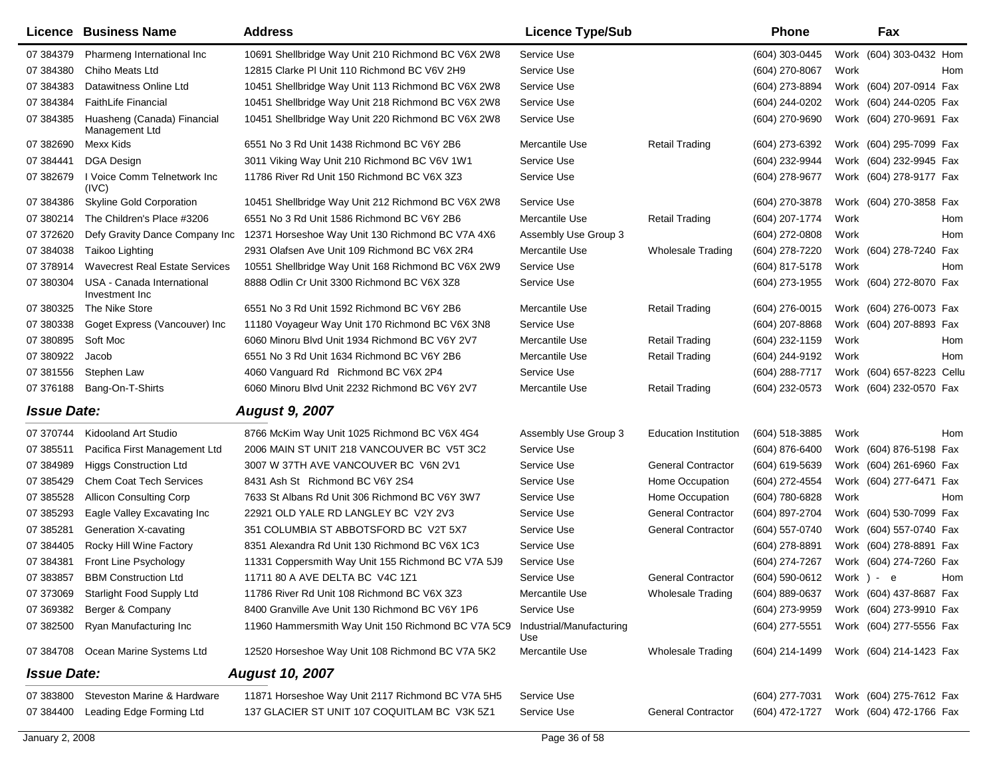|                    | Licence Business Name                         | <b>Address</b>                                     | <b>Licence Type/Sub</b>         |                              | <b>Phone</b>     |      | Fax                       |     |
|--------------------|-----------------------------------------------|----------------------------------------------------|---------------------------------|------------------------------|------------------|------|---------------------------|-----|
| 07 384379          | Pharmeng International Inc.                   | 10691 Shellbridge Way Unit 210 Richmond BC V6X 2W8 | Service Use                     |                              | $(604)$ 303-0445 |      | Work (604) 303-0432 Hom   |     |
| 07 384380          | Chiho Meats Ltd                               | 12815 Clarke PI Unit 110 Richmond BC V6V 2H9       | Service Use                     |                              | (604) 270-8067   | Work |                           | Hom |
| 07 384383          | Datawitness Online Ltd                        | 10451 Shellbridge Way Unit 113 Richmond BC V6X 2W8 | Service Use                     |                              | (604) 273-8894   |      | Work (604) 207-0914 Fax   |     |
| 07 384384          | <b>FaithLife Financial</b>                    | 10451 Shellbridge Way Unit 218 Richmond BC V6X 2W8 | Service Use                     |                              | (604) 244-0202   |      | Work (604) 244-0205 Fax   |     |
| 07 384385          | Huasheng (Canada) Financial<br>Management Ltd | 10451 Shellbridge Way Unit 220 Richmond BC V6X 2W8 | Service Use                     |                              | (604) 270-9690   |      | Work (604) 270-9691 Fax   |     |
| 07 382690          | Mexx Kids                                     | 6551 No 3 Rd Unit 1438 Richmond BC V6Y 2B6         | Mercantile Use                  | <b>Retail Trading</b>        | (604) 273-6392   |      | Work (604) 295-7099 Fax   |     |
| 07 384441          | <b>DGA Design</b>                             | 3011 Viking Way Unit 210 Richmond BC V6V 1W1       | Service Use                     |                              | (604) 232-9944   |      | Work (604) 232-9945 Fax   |     |
| 07 382679          | I Voice Comm Telnetwork Inc<br>(IVC)          | 11786 River Rd Unit 150 Richmond BC V6X 3Z3        | Service Use                     |                              | (604) 278-9677   |      | Work (604) 278-9177 Fax   |     |
| 07 384386          | <b>Skyline Gold Corporation</b>               | 10451 Shellbridge Way Unit 212 Richmond BC V6X 2W8 | Service Use                     |                              | (604) 270-3878   |      | Work (604) 270-3858 Fax   |     |
| 07 380214          | The Children's Place #3206                    | 6551 No 3 Rd Unit 1586 Richmond BC V6Y 2B6         | Mercantile Use                  | <b>Retail Trading</b>        | (604) 207-1774   | Work |                           | Hom |
| 07 372620          | Defy Gravity Dance Company Inc                | 12371 Horseshoe Way Unit 130 Richmond BC V7A 4X6   | Assembly Use Group 3            |                              | (604) 272-0808   | Work |                           | Hom |
| 07 384038          | Taikoo Lighting                               | 2931 Olafsen Ave Unit 109 Richmond BC V6X 2R4      | Mercantile Use                  | <b>Wholesale Trading</b>     | (604) 278-7220   |      | Work (604) 278-7240 Fax   |     |
| 07 378914          | <b>Wavecrest Real Estate Services</b>         | 10551 Shellbridge Way Unit 168 Richmond BC V6X 2W9 | Service Use                     |                              | (604) 817-5178   | Work |                           | Hom |
| 07 380304          | USA - Canada International<br>Investment Inc  | 8888 Odlin Cr Unit 3300 Richmond BC V6X 3Z8        | Service Use                     |                              | (604) 273-1955   |      | Work (604) 272-8070 Fax   |     |
| 07 380325          | The Nike Store                                | 6551 No 3 Rd Unit 1592 Richmond BC V6Y 2B6         | Mercantile Use                  | <b>Retail Trading</b>        | $(604)$ 276-0015 |      | Work (604) 276-0073 Fax   |     |
| 07 380338          | Goget Express (Vancouver) Inc                 | 11180 Voyageur Way Unit 170 Richmond BC V6X 3N8    | Service Use                     |                              | $(604)$ 207-8868 |      | Work (604) 207-8893 Fax   |     |
| 07 380895          | Soft Moc                                      | 6060 Minoru Blvd Unit 1934 Richmond BC V6Y 2V7     | Mercantile Use                  | <b>Retail Trading</b>        | (604) 232-1159   | Work |                           | Hom |
| 07 380922          | Jacob                                         | 6551 No 3 Rd Unit 1634 Richmond BC V6Y 2B6         | Mercantile Use                  | <b>Retail Trading</b>        | (604) 244-9192   | Work |                           | Hom |
| 07 381556          | Stephen Law                                   | 4060 Vanguard Rd Richmond BC V6X 2P4               | Service Use                     |                              | (604) 288-7717   |      | Work (604) 657-8223 Cellu |     |
| 07 376188          | Bang-On-T-Shirts                              | 6060 Minoru Blvd Unit 2232 Richmond BC V6Y 2V7     | Mercantile Use                  | Retail Trading               | (604) 232-0573   |      | Work (604) 232-0570 Fax   |     |
| <b>Issue Date:</b> |                                               | <b>August 9, 2007</b>                              |                                 |                              |                  |      |                           |     |
| 07 370744          | Kidooland Art Studio                          | 8766 McKim Way Unit 1025 Richmond BC V6X 4G4       | Assembly Use Group 3            | <b>Education Institution</b> | (604) 518-3885   | Work |                           | Hom |
| 07 385511          | Pacifica First Management Ltd                 | 2006 MAIN ST UNIT 218 VANCOUVER BC V5T 3C2         | Service Use                     |                              | (604) 876-6400   |      | Work (604) 876-5198 Fax   |     |
| 07 384989          | <b>Higgs Construction Ltd</b>                 | 3007 W 37TH AVE VANCOUVER BC V6N 2V1               | Service Use                     | <b>General Contractor</b>    | (604) 619-5639   |      | Work (604) 261-6960 Fax   |     |
| 07 385429          | <b>Chem Coat Tech Services</b>                | 8431 Ash St Richmond BC V6Y 2S4                    | Service Use                     | Home Occupation              | (604) 272-4554   |      | Work (604) 277-6471 Fax   |     |
| 07 385528          | <b>Allicon Consulting Corp</b>                | 7633 St Albans Rd Unit 306 Richmond BC V6Y 3W7     | Service Use                     | Home Occupation              | (604) 780-6828   | Work |                           | Hom |
| 07 385293          | Eagle Valley Excavating Inc                   | 22921 OLD YALE RD LANGLEY BC V2Y 2V3               | Service Use                     | <b>General Contractor</b>    | (604) 897-2704   |      | Work (604) 530-7099 Fax   |     |
| 07 385281          | <b>Generation X-cavating</b>                  | 351 COLUMBIA ST ABBOTSFORD BC V2T 5X7              | Service Use                     | <b>General Contractor</b>    | (604) 557-0740   |      | Work (604) 557-0740 Fax   |     |
| 07 384405          | Rocky Hill Wine Factory                       | 8351 Alexandra Rd Unit 130 Richmond BC V6X 1C3     | Service Use                     |                              | (604) 278-8891   |      | Work (604) 278-8891 Fax   |     |
| 07 384381          | Front Line Psychology                         | 11331 Coppersmith Way Unit 155 Richmond BC V7A 5J9 | Service Use                     |                              | (604) 274-7267   |      | Work (604) 274-7260 Fax   |     |
| 07 383857          | <b>BBM Construction Ltd</b>                   | 11711 80 A AVE DELTA BC V4C 1Z1                    | Service Use                     | <b>General Contractor</b>    | (604) 590-0612   |      | Work ) - $e$              | Hom |
|                    | 07 373069 Starlight Food Supply Ltd           | 11786 River Rd Unit 108 Richmond BC V6X 3Z3        | Mercantile Use                  | <b>Wholesale Trading</b>     | (604) 889-0637   |      | Work (604) 437-8687 Fax   |     |
| 07 369382          | Berger & Company                              | 8400 Granville Ave Unit 130 Richmond BC V6Y 1P6    | Service Use                     |                              | (604) 273-9959   |      | Work (604) 273-9910 Fax   |     |
| 07 382500          | Ryan Manufacturing Inc                        | 11960 Hammersmith Way Unit 150 Richmond BC V7A 5C9 | Industrial/Manufacturing<br>Use |                              | (604) 277-5551   |      | Work (604) 277-5556 Fax   |     |
|                    | 07 384708 Ocean Marine Systems Ltd            | 12520 Horseshoe Way Unit 108 Richmond BC V7A 5K2   | Mercantile Use                  | <b>Wholesale Trading</b>     | (604) 214-1499   |      | Work (604) 214-1423 Fax   |     |
| <b>Issue Date:</b> |                                               | <b>August 10, 2007</b>                             |                                 |                              |                  |      |                           |     |
| 07 383800          | Steveston Marine & Hardware                   | 11871 Horseshoe Way Unit 2117 Richmond BC V7A 5H5  | Service Use                     |                              | (604) 277-7031   |      | Work (604) 275-7612 Fax   |     |
| 07 384400          | Leading Edge Forming Ltd                      | 137 GLACIER ST UNIT 107 COQUITLAM BC V3K 5Z1       | Service Use                     | <b>General Contractor</b>    | (604) 472-1727   |      | Work (604) 472-1766 Fax   |     |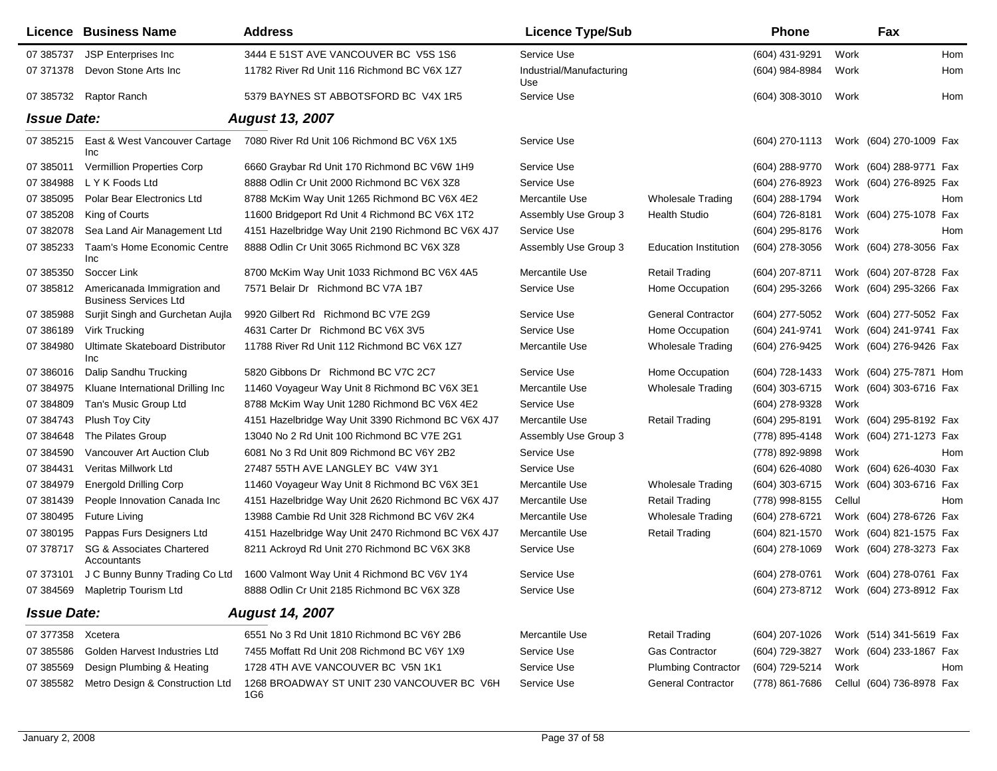|                    | Licence Business Name                                       | <b>Address</b>                                     | <b>Licence Type/Sub</b>         |                              | <b>Phone</b>       |        | Fax                                    |
|--------------------|-------------------------------------------------------------|----------------------------------------------------|---------------------------------|------------------------------|--------------------|--------|----------------------------------------|
| 07 385737          | JSP Enterprises Inc                                         | 3444 E 51ST AVE VANCOUVER BC V5S 1S6               | Service Use                     |                              | (604) 431-9291     | Work   | Hom                                    |
| 07 371378          | Devon Stone Arts Inc                                        | 11782 River Rd Unit 116 Richmond BC V6X 1Z7        | Industrial/Manufacturing<br>Use |                              | (604) 984-8984     | Work   | Hom                                    |
| 07 385732          | Raptor Ranch                                                | 5379 BAYNES ST ABBOTSFORD BC V4X 1R5               | Service Use                     |                              | $(604)$ 308-3010   | Work   | Hom                                    |
| <b>Issue Date:</b> |                                                             | <b>August 13, 2007</b>                             |                                 |                              |                    |        |                                        |
| 07 385215          | East & West Vancouver Cartage<br>Inc                        | 7080 River Rd Unit 106 Richmond BC V6X 1X5         | Service Use                     |                              | $(604)$ 270-1113   |        | Work (604) 270-1009 Fax                |
| 07 385011          | <b>Vermillion Properties Corp</b>                           | 6660 Graybar Rd Unit 170 Richmond BC V6W 1H9       | Service Use                     |                              | (604) 288-9770     |        | Work (604) 288-9771 Fax                |
| 07 384988          | L Y K Foods Ltd                                             | 8888 Odlin Cr Unit 2000 Richmond BC V6X 3Z8        | Service Use                     |                              | (604) 276-8923     |        | Work (604) 276-8925 Fax                |
| 07 385095          | Polar Bear Electronics Ltd                                  | 8788 McKim Way Unit 1265 Richmond BC V6X 4E2       | Mercantile Use                  | <b>Wholesale Trading</b>     | (604) 288-1794     | Work   | Hom                                    |
| 07 385208          | King of Courts                                              | 11600 Bridgeport Rd Unit 4 Richmond BC V6X 1T2     | Assembly Use Group 3            | <b>Health Studio</b>         | (604) 726-8181     |        | Work (604) 275-1078 Fax                |
| 07 382078          | Sea Land Air Management Ltd                                 | 4151 Hazelbridge Way Unit 2190 Richmond BC V6X 4J7 | Service Use                     |                              | (604) 295-8176     | Work   | Hom                                    |
| 07 385233          | Taam's Home Economic Centre<br>Inc                          | 8888 Odlin Cr Unit 3065 Richmond BC V6X 3Z8        | Assembly Use Group 3            | <b>Education Institution</b> | (604) 278-3056     |        | Work (604) 278-3056 Fax                |
| 07 385350          | Soccer Link                                                 | 8700 McKim Way Unit 1033 Richmond BC V6X 4A5       | Mercantile Use                  | <b>Retail Trading</b>        | (604) 207-8711     |        | Work (604) 207-8728 Fax                |
| 07 385812          | Americanada Immigration and<br><b>Business Services Ltd</b> | 7571 Belair Dr Richmond BC V7A 1B7                 | Service Use                     | Home Occupation              | (604) 295-3266     |        | Work (604) 295-3266 Fax                |
| 07 385988          | Surjit Singh and Gurchetan Aujla                            | 9920 Gilbert Rd Richmond BC V7E 2G9                | Service Use                     | <b>General Contractor</b>    | (604) 277-5052     |        | Work (604) 277-5052 Fax                |
| 07 386189          | Virk Trucking                                               | 4631 Carter Dr Richmond BC V6X 3V5                 | Service Use                     | Home Occupation              | (604) 241-9741     |        | Work (604) 241-9741 Fax                |
| 07 384980          | Ultimate Skateboard Distributor<br>Inc                      | 11788 River Rd Unit 112 Richmond BC V6X 1Z7        | Mercantile Use                  | <b>Wholesale Trading</b>     | (604) 276-9425     |        | Work (604) 276-9426 Fax                |
| 07 386016          | Dalip Sandhu Trucking                                       | 5820 Gibbons Dr Richmond BC V7C 2C7                | Service Use                     | Home Occupation              | (604) 728-1433     |        | Work (604) 275-7871 Hom                |
| 07 384975          | Kluane International Drilling Inc                           | 11460 Voyageur Way Unit 8 Richmond BC V6X 3E1      | Mercantile Use                  | <b>Wholesale Trading</b>     | (604) 303-6715     |        | Work (604) 303-6716 Fax                |
| 07 384809          | Tan's Music Group Ltd                                       | 8788 McKim Way Unit 1280 Richmond BC V6X 4E2       | Service Use                     |                              | (604) 278-9328     | Work   |                                        |
| 07 384743          | Plush Toy City                                              | 4151 Hazelbridge Way Unit 3390 Richmond BC V6X 4J7 | Mercantile Use                  | <b>Retail Trading</b>        | (604) 295-8191     |        | Work (604) 295-8192 Fax                |
| 07 384648          | The Pilates Group                                           | 13040 No 2 Rd Unit 100 Richmond BC V7E 2G1         | Assembly Use Group 3            |                              | (778) 895-4148     |        | Work (604) 271-1273 Fax                |
| 07 384590          | Vancouver Art Auction Club                                  | 6081 No 3 Rd Unit 809 Richmond BC V6Y 2B2          | Service Use                     |                              | (778) 892-9898     | Work   | Hom                                    |
| 07 384431          | Veritas Millwork Ltd                                        | 27487 55TH AVE LANGLEY BC V4W 3Y1                  | Service Use                     |                              | $(604) 626 - 4080$ |        | Work (604) 626-4030 Fax                |
| 07 384979          | <b>Energold Drilling Corp</b>                               | 11460 Voyageur Way Unit 8 Richmond BC V6X 3E1      | Mercantile Use                  | <b>Wholesale Trading</b>     | (604) 303-6715     |        | Work (604) 303-6716 Fax                |
| 07 381439          | People Innovation Canada Inc                                | 4151 Hazelbridge Way Unit 2620 Richmond BC V6X 4J7 | Mercantile Use                  | <b>Retail Trading</b>        | (778) 998-8155     | Cellul | Hom                                    |
| 07 380495          | <b>Future Living</b>                                        | 13988 Cambie Rd Unit 328 Richmond BC V6V 2K4       | Mercantile Use                  | <b>Wholesale Trading</b>     | (604) 278-6721     |        | Work (604) 278-6726 Fax                |
| 07 380195          | Pappas Furs Designers Ltd                                   | 4151 Hazelbridge Way Unit 2470 Richmond BC V6X 4J7 | Mercantile Use                  | <b>Retail Trading</b>        | (604) 821-1570     |        | Work (604) 821-1575 Fax                |
| 07 37 8717         | SG & Associates Chartered<br>Accountants                    | 8211 Ackroyd Rd Unit 270 Richmond BC V6X 3K8       | Service Use                     |                              | $(604)$ 278-1069   |        | Work (604) 278-3273 Fax                |
| 07 373101          | J C Bunny Bunny Trading Co Ltd                              | 1600 Valmont Way Unit 4 Richmond BC V6V 1Y4        | Service Use                     |                              | $(604)$ 278-0761   |        | Work (604) 278-0761 Fax                |
|                    | 07 384569 Mapletrip Tourism Ltd                             | 8888 Odlin Cr Unit 2185 Richmond BC V6X 3Z8        | Service Use                     |                              |                    |        | (604) 273-8712 Work (604) 273-8912 Fax |
| <b>Issue Date:</b> |                                                             | <b>August 14, 2007</b>                             |                                 |                              |                    |        |                                        |
| 07 377358          | Xcetera                                                     | 6551 No 3 Rd Unit 1810 Richmond BC V6Y 2B6         | Mercantile Use                  | <b>Retail Trading</b>        | (604) 207-1026     |        | Work (514) 341-5619 Fax                |
| 07 385586          | Golden Harvest Industries Ltd                               | 7455 Moffatt Rd Unit 208 Richmond BC V6Y 1X9       | Service Use                     | <b>Gas Contractor</b>        | (604) 729-3827     |        | Work (604) 233-1867 Fax                |
| 07 385569          | Design Plumbing & Heating                                   | 1728 4TH AVE VANCOUVER BC V5N 1K1                  | Service Use                     | <b>Plumbing Contractor</b>   | (604) 729-5214     | Work   | Hom                                    |
| 07 385582          | Metro Design & Construction Ltd                             | 1268 BROADWAY ST UNIT 230 VANCOUVER BC V6H<br>1G6  | Service Use                     | <b>General Contractor</b>    | (778) 861-7686     |        | Cellul (604) 736-8978 Fax              |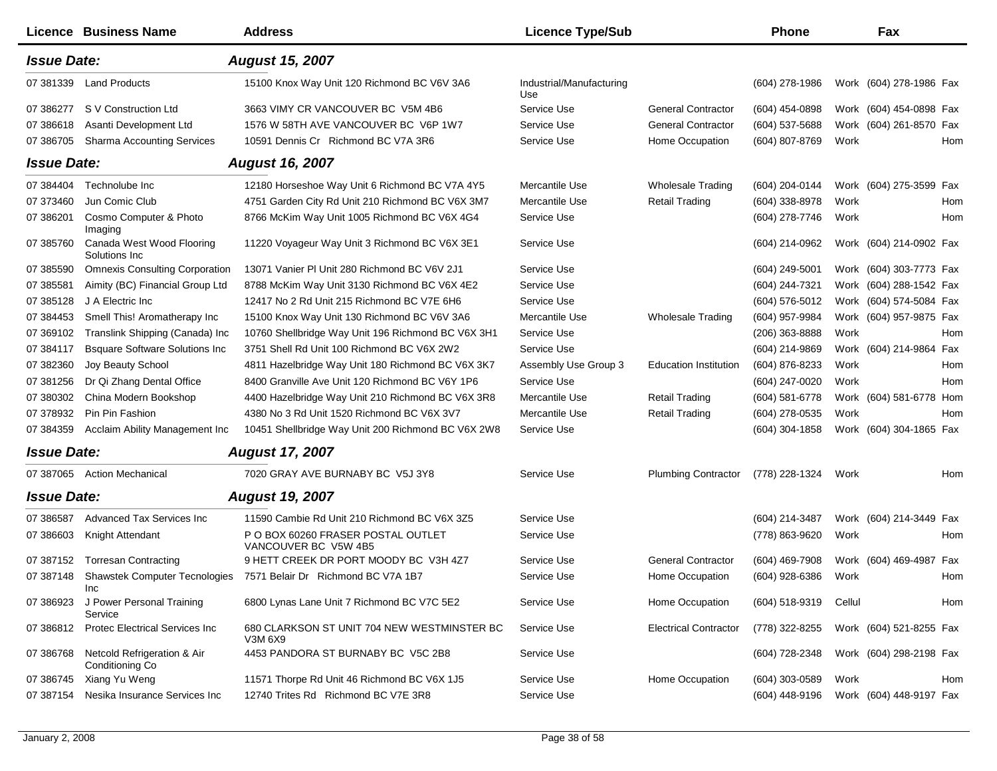|                    | Licence Business Name                          | <b>Address</b>                                             | <b>Licence Type/Sub</b>         |                              | <b>Phone</b>     |        | Fax                     |     |
|--------------------|------------------------------------------------|------------------------------------------------------------|---------------------------------|------------------------------|------------------|--------|-------------------------|-----|
| <b>Issue Date:</b> |                                                | <b>August 15, 2007</b>                                     |                                 |                              |                  |        |                         |     |
| 07 381339          | <b>Land Products</b>                           | 15100 Knox Way Unit 120 Richmond BC V6V 3A6                | Industrial/Manufacturing<br>Use |                              | (604) 278-1986   |        | Work (604) 278-1986 Fax |     |
| 07 386277          | S V Construction Ltd                           | 3663 VIMY CR VANCOUVER BC V5M 4B6                          | Service Use                     | <b>General Contractor</b>    | (604) 454-0898   |        | Work (604) 454-0898 Fax |     |
| 07 386618          | Asanti Development Ltd                         | 1576 W 58TH AVE VANCOUVER BC V6P 1W7                       | Service Use                     | <b>General Contractor</b>    | (604) 537-5688   |        | Work (604) 261-8570 Fax |     |
| 07 386705          | <b>Sharma Accounting Services</b>              | 10591 Dennis Cr Richmond BC V7A 3R6                        | Service Use                     | Home Occupation              | (604) 807-8769   | Work   |                         | Hom |
| <b>Issue Date:</b> |                                                | <b>August 16, 2007</b>                                     |                                 |                              |                  |        |                         |     |
| 07 384404          | Technolube Inc                                 | 12180 Horseshoe Way Unit 6 Richmond BC V7A 4Y5             | Mercantile Use                  | Wholesale Trading            | (604) 204-0144   |        | Work (604) 275-3599 Fax |     |
| 07 373460          | Jun Comic Club                                 | 4751 Garden City Rd Unit 210 Richmond BC V6X 3M7           | Mercantile Use                  | <b>Retail Trading</b>        | (604) 338-8978   | Work   |                         | Hom |
| 07 386201          | Cosmo Computer & Photo<br>Imaging              | 8766 McKim Way Unit 1005 Richmond BC V6X 4G4               | Service Use                     |                              | (604) 278-7746   | Work   |                         | Hom |
| 07 385760          | Canada West Wood Flooring<br>Solutions Inc     | 11220 Voyageur Way Unit 3 Richmond BC V6X 3E1              | Service Use                     |                              | (604) 214-0962   |        | Work (604) 214-0902 Fax |     |
| 07 385590          | <b>Omnexis Consulting Corporation</b>          | 13071 Vanier PI Unit 280 Richmond BC V6V 2J1               | Service Use                     |                              | $(604)$ 249-5001 |        | Work (604) 303-7773 Fax |     |
| 07 385581          | Aimity (BC) Financial Group Ltd                | 8788 McKim Way Unit 3130 Richmond BC V6X 4E2               | Service Use                     |                              | (604) 244-7321   |        | Work (604) 288-1542 Fax |     |
| 07 385128          | J A Electric Inc                               | 12417 No 2 Rd Unit 215 Richmond BC V7E 6H6                 | Service Use                     |                              | (604) 576-5012   |        | Work (604) 574-5084 Fax |     |
| 07 384453          | Smell This! Aromatherapy Inc                   | 15100 Knox Way Unit 130 Richmond BC V6V 3A6                | Mercantile Use                  | <b>Wholesale Trading</b>     | (604) 957-9984   |        | Work (604) 957-9875 Fax |     |
| 07 369102          | Translink Shipping (Canada) Inc                | 10760 Shellbridge Way Unit 196 Richmond BC V6X 3H1         | Service Use                     |                              | $(206)$ 363-8888 | Work   |                         | Hom |
| 07 384117          | <b>Bsquare Software Solutions Inc</b>          | 3751 Shell Rd Unit 100 Richmond BC V6X 2W2                 | Service Use                     |                              | (604) 214-9869   |        | Work (604) 214-9864     | Fax |
| 07 382360          | Joy Beauty School                              | 4811 Hazelbridge Way Unit 180 Richmond BC V6X 3K7          | Assembly Use Group 3            | <b>Education Institution</b> | (604) 876-8233   | Work   |                         | Hom |
| 07 381256          | Dr Qi Zhang Dental Office                      | 8400 Granville Ave Unit 120 Richmond BC V6Y 1P6            | Service Use                     |                              | (604) 247-0020   | Work   |                         | Hom |
| 07 380302          | China Modern Bookshop                          | 4400 Hazelbridge Way Unit 210 Richmond BC V6X 3R8          | Mercantile Use                  | <b>Retail Trading</b>        | $(604)$ 581-6778 |        | Work (604) 581-6778     | Hom |
| 07 378932          | Pin Pin Fashion                                | 4380 No 3 Rd Unit 1520 Richmond BC V6X 3V7                 | Mercantile Use                  | <b>Retail Trading</b>        | (604) 278-0535   | Work   |                         | Hom |
| 07 384359          | Acclaim Ability Management Inc                 | 10451 Shellbridge Way Unit 200 Richmond BC V6X 2W8         | Service Use                     |                              | (604) 304-1858   |        | Work (604) 304-1865 Fax |     |
| <b>Issue Date:</b> |                                                | <b>August 17, 2007</b>                                     |                                 |                              |                  |        |                         |     |
| 07 387065          | <b>Action Mechanical</b>                       | 7020 GRAY AVE BURNABY BC V5J 3Y8                           | Service Use                     | <b>Plumbing Contractor</b>   | (778) 228-1324   | Work   |                         | Hom |
| <b>Issue Date:</b> |                                                | <b>August 19, 2007</b>                                     |                                 |                              |                  |        |                         |     |
| 07 386587          | Advanced Tax Services Inc                      | 11590 Cambie Rd Unit 210 Richmond BC V6X 3Z5               | Service Use                     |                              | (604) 214-3487   |        | Work (604) 214-3449 Fax |     |
| 07 386603          | Knight Attendant                               | P O BOX 60260 FRASER POSTAL OUTLET<br>VANCOUVER BC V5W 4B5 | Service Use                     |                              | (778) 863-9620   | Work   |                         | Hom |
| 07 387152          | <b>Torresan Contracting</b>                    | 9 HETT CREEK DR PORT MOODY BC V3H 4Z7                      | Service Use                     | <b>General Contractor</b>    | (604) 469-7908   |        | Work (604) 469-4987     | Fax |
| 07 387148          | <b>Shawstek Computer Tecnologies</b><br>Inc    | 7571 Belair Dr Richmond BC V7A 1B7                         | Service Use                     | Home Occupation              | (604) 928-6386   | Work   |                         | Hom |
| 07 386923          | J Power Personal Training<br>Service           | 6800 Lynas Lane Unit 7 Richmond BC V7C 5E2                 | Service Use                     | Home Occupation              | (604) 518-9319   | Cellul |                         | Hom |
| 07 386812          | Protec Electrical Services Inc                 | 680 CLARKSON ST UNIT 704 NEW WESTMINSTER BC<br>V3M 6X9     | Service Use                     | <b>Electrical Contractor</b> | (778) 322-8255   |        | Work (604) 521-8255 Fax |     |
| 07 386768          | Netcold Refrigeration & Air<br>Conditioning Co | 4453 PANDORA ST BURNABY BC V5C 2B8                         | Service Use                     |                              | (604) 728-2348   |        | Work (604) 298-2198 Fax |     |
| 07 386745          | Xiang Yu Weng                                  | 11571 Thorpe Rd Unit 46 Richmond BC V6X 1J5                | Service Use                     | Home Occupation              | (604) 303-0589   | Work   |                         | Hom |
| 07 387154          | Nesika Insurance Services Inc                  | 12740 Trites Rd Richmond BC V7E 3R8                        | Service Use                     |                              | (604) 448-9196   |        | Work (604) 448-9197 Fax |     |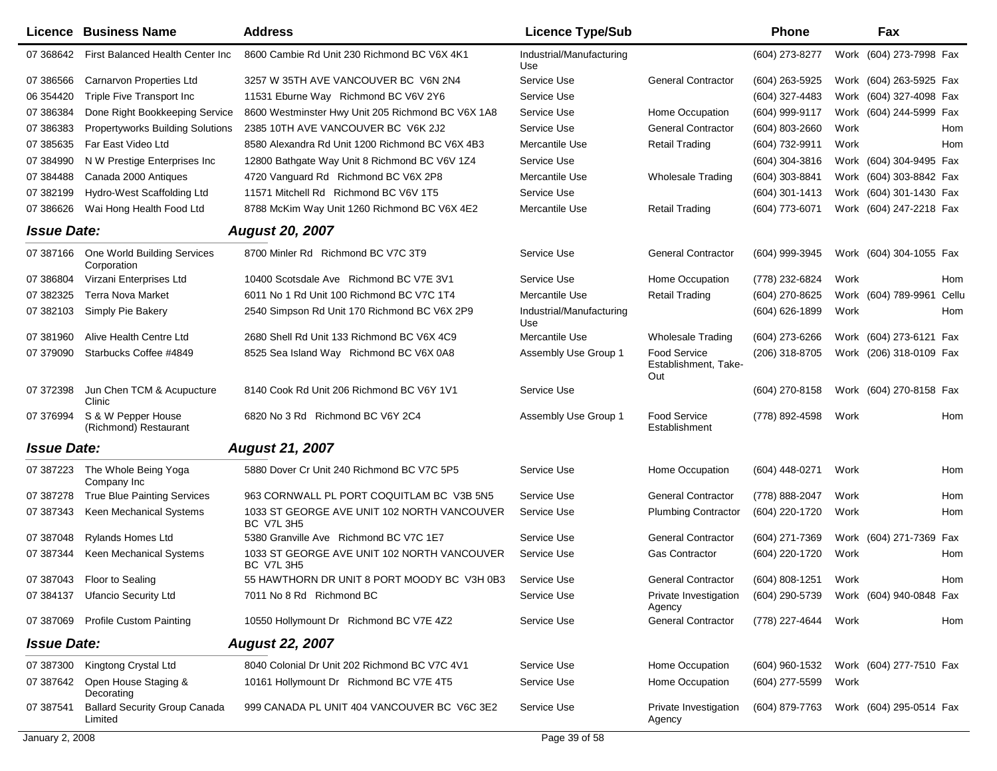|                    | Licence Business Name                           | <b>Address</b>                                                   | <b>Licence Type/Sub</b>         |                                             | <b>Phone</b>   |      | Fax                     |       |
|--------------------|-------------------------------------------------|------------------------------------------------------------------|---------------------------------|---------------------------------------------|----------------|------|-------------------------|-------|
| 07 368642          | First Balanced Health Center Inc                | 8600 Cambie Rd Unit 230 Richmond BC V6X 4K1                      | Industrial/Manufacturing<br>Use |                                             | (604) 273-8277 |      | Work (604) 273-7998 Fax |       |
| 07 386566          | <b>Carnarvon Properties Ltd</b>                 | 3257 W 35TH AVE VANCOUVER BC V6N 2N4                             | Service Use                     | <b>General Contractor</b>                   | (604) 263-5925 |      | Work (604) 263-5925 Fax |       |
| 06 354420          | Triple Five Transport Inc                       | 11531 Eburne Way Richmond BC V6V 2Y6                             | Service Use                     |                                             | (604) 327-4483 |      | Work (604) 327-4098 Fax |       |
| 07 386384          | Done Right Bookkeeping Service                  | 8600 Westminster Hwy Unit 205 Richmond BC V6X 1A8                | Service Use                     | Home Occupation                             | (604) 999-9117 |      | Work (604) 244-5999 Fax |       |
| 07 386383          | <b>Propertyworks Building Solutions</b>         | 2385 10TH AVE VANCOUVER BC V6K 2J2                               | Service Use                     | <b>General Contractor</b>                   | (604) 803-2660 | Work |                         | Hom   |
| 07 385635          | Far East Video Ltd                              | 8580 Alexandra Rd Unit 1200 Richmond BC V6X 4B3                  | Mercantile Use                  | <b>Retail Trading</b>                       | (604) 732-9911 | Work |                         | Hom   |
| 07 384990          | N W Prestige Enterprises Inc.                   | 12800 Bathgate Way Unit 8 Richmond BC V6V 1Z4                    | Service Use                     |                                             | (604) 304-3816 |      | Work (604) 304-9495 Fax |       |
| 07 384488          | Canada 2000 Antiques                            | 4720 Vanguard Rd Richmond BC V6X 2P8                             | Mercantile Use                  | <b>Wholesale Trading</b>                    | (604) 303-8841 |      | Work (604) 303-8842 Fax |       |
| 07 382199          | Hydro-West Scaffolding Ltd                      | 11571 Mitchell Rd Richmond BC V6V 1T5                            | Service Use                     |                                             | (604) 301-1413 |      | Work (604) 301-1430 Fax |       |
| 07 38 66 26        | Wai Hong Health Food Ltd                        | 8788 McKim Way Unit 1260 Richmond BC V6X 4E2                     | Mercantile Use                  | <b>Retail Trading</b>                       | (604) 773-6071 |      | Work (604) 247-2218 Fax |       |
| <b>Issue Date:</b> |                                                 | <b>August 20, 2007</b>                                           |                                 |                                             |                |      |                         |       |
| 07 387166          | One World Building Services<br>Corporation      | 8700 Minler Rd Richmond BC V7C 3T9                               | Service Use                     | <b>General Contractor</b>                   | (604) 999-3945 |      | Work (604) 304-1055 Fax |       |
| 07 386804          | Virzani Enterprises Ltd                         | 10400 Scotsdale Ave Richmond BC V7E 3V1                          | Service Use                     | Home Occupation                             | (778) 232-6824 | Work |                         | Hom   |
| 07 382325          | <b>Terra Nova Market</b>                        | 6011 No 1 Rd Unit 100 Richmond BC V7C 1T4                        | Mercantile Use                  | <b>Retail Trading</b>                       | (604) 270-8625 |      | Work (604) 789-9961     | Cellu |
| 07 382103          | Simply Pie Bakery                               | 2540 Simpson Rd Unit 170 Richmond BC V6X 2P9                     | Industrial/Manufacturing<br>Use |                                             | (604) 626-1899 | Work |                         | Hom   |
| 07 381960          | Alive Health Centre Ltd                         | 2680 Shell Rd Unit 133 Richmond BC V6X 4C9                       | Mercantile Use                  | <b>Wholesale Trading</b>                    | (604) 273-6266 |      | Work (604) 273-6121 Fax |       |
| 07 379090          | Starbucks Coffee #4849                          | 8525 Sea Island Way Richmond BC V6X 0A8                          | Assembly Use Group 1            | Food Service<br>Establishment, Take-<br>Out | (206) 318-8705 |      | Work (206) 318-0109 Fax |       |
| 07 372398          | Jun Chen TCM & Acupucture<br>Clinic             | 8140 Cook Rd Unit 206 Richmond BC V6Y 1V1                        | Service Use                     |                                             | (604) 270-8158 |      | Work (604) 270-8158 Fax |       |
| 07 37 6994         | S & W Pepper House<br>(Richmond) Restaurant     | 6820 No 3 Rd Richmond BC V6Y 2C4                                 | Assembly Use Group 1            | <b>Food Service</b><br>Establishment        | (778) 892-4598 | Work |                         | Hom   |
| <b>Issue Date:</b> |                                                 | <b>August 21, 2007</b>                                           |                                 |                                             |                |      |                         |       |
| 07 387223          | The Whole Being Yoga<br>Company Inc             | 5880 Dover Cr Unit 240 Richmond BC V7C 5P5                       | Service Use                     | Home Occupation                             | (604) 448-0271 | Work |                         | Hom   |
| 07 387278          | <b>True Blue Painting Services</b>              | 963 CORNWALL PL PORT COQUITLAM BC V3B 5N5                        | Service Use                     | <b>General Contractor</b>                   | (778) 888-2047 | Work |                         | Hom   |
| 07 387343          | Keen Mechanical Systems                         | 1033 ST GEORGE AVE UNIT 102 NORTH VANCOUVER<br><b>BC V7L 3H5</b> | Service Use                     | <b>Plumbing Contractor</b>                  | (604) 220-1720 | Work |                         | Hom   |
| 07 387048          | <b>Rylands Homes Ltd</b>                        | 5380 Granville Ave Richmond BC V7C 1E7                           | Service Use                     | <b>General Contractor</b>                   | (604) 271-7369 |      | Work (604) 271-7369 Fax |       |
| 07 387344          | Keen Mechanical Systems                         | 1033 ST GEORGE AVE UNIT 102 NORTH VANCOUVER<br>BC V7L 3H5        | Service Use                     | <b>Gas Contractor</b>                       | (604) 220-1720 | Work |                         | Hom   |
|                    | 07 387043 Floor to Sealing                      | 55 HAWTHORN DR UNIT 8 PORT MOODY BC V3H 0B3                      | Service Use                     | <b>General Contractor</b>                   | (604) 808-1251 | Work |                         | Hom   |
|                    | 07 384137 Ufancio Security Ltd                  | 7011 No 8 Rd Richmond BC                                         | Service Use                     | Private Investigation<br>Agency             | (604) 290-5739 |      | Work (604) 940-0848 Fax |       |
|                    | 07 387069 Profile Custom Painting               | 10550 Hollymount Dr Richmond BC V7E 4Z2                          | Service Use                     | <b>General Contractor</b>                   | (778) 227-4644 | Work |                         | Hom   |
| <b>Issue Date:</b> |                                                 | <b>August 22, 2007</b>                                           |                                 |                                             |                |      |                         |       |
| 07 387300          | Kingtong Crystal Ltd                            | 8040 Colonial Dr Unit 202 Richmond BC V7C 4V1                    | Service Use                     | Home Occupation                             | (604) 960-1532 |      | Work (604) 277-7510 Fax |       |
| 07 387642          | Open House Staging &<br>Decorating              | 10161 Hollymount Dr Richmond BC V7E 4T5                          | Service Use                     | Home Occupation                             | (604) 277-5599 | Work |                         |       |
| 07 387541          | <b>Ballard Security Group Canada</b><br>Limited | 999 CANADA PL UNIT 404 VANCOUVER BC V6C 3E2                      | Service Use                     | Private Investigation<br>Agency             | (604) 879-7763 |      | Work (604) 295-0514 Fax |       |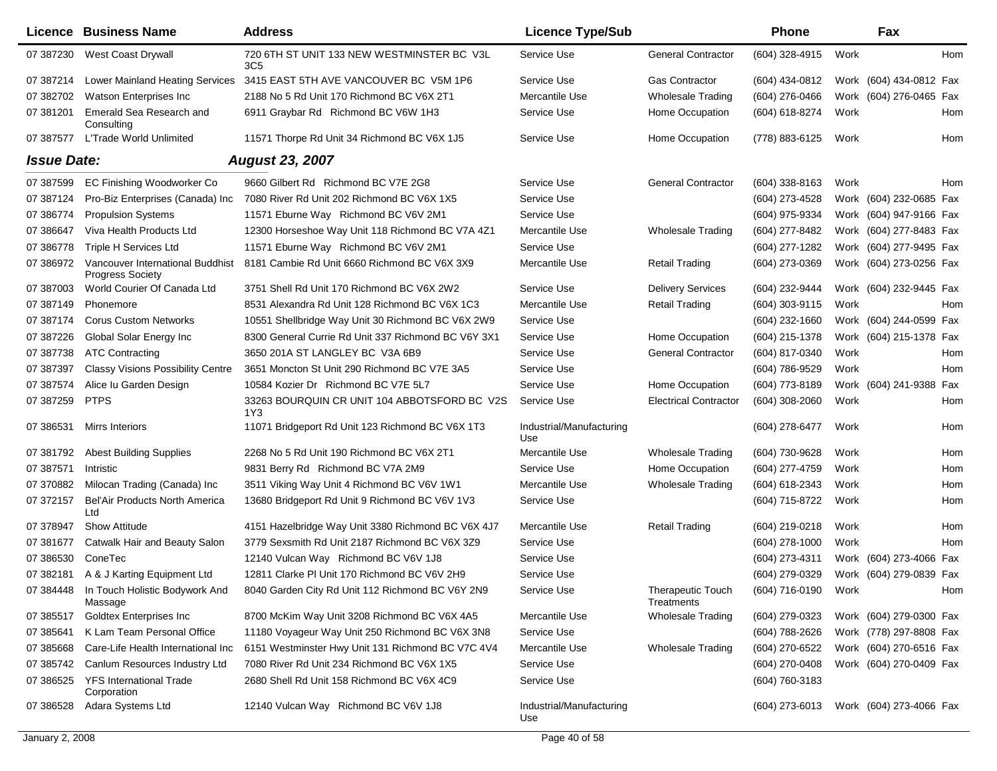|                    | Licence Business Name                                       | <b>Address</b>                                                | <b>Licence Type/Sub</b>         |                                        | <b>Phone</b>     |      | Fax                     |  |
|--------------------|-------------------------------------------------------------|---------------------------------------------------------------|---------------------------------|----------------------------------------|------------------|------|-------------------------|--|
| 07 387230          | West Coast Drywall                                          | 720 6TH ST UNIT 133 NEW WESTMINSTER BC V3L<br>3C <sub>5</sub> | Service Use                     | <b>General Contractor</b>              | (604) 328-4915   | Work | Hom                     |  |
| 07 387214          | <b>Lower Mainland Heating Services</b>                      | 3415 EAST 5TH AVE VANCOUVER BC V5M 1P6                        | Service Use                     | <b>Gas Contractor</b>                  | (604) 434-0812   |      | Work (604) 434-0812 Fax |  |
| 07 382702          | Watson Enterprises Inc                                      | 2188 No 5 Rd Unit 170 Richmond BC V6X 2T1                     | Mercantile Use                  | <b>Wholesale Trading</b>               | (604) 276-0466   |      | Work (604) 276-0465 Fax |  |
| 07 381201          | Emerald Sea Research and<br>Consulting                      | 6911 Graybar Rd Richmond BC V6W 1H3                           | Service Use                     | Home Occupation                        | (604) 618-8274   | Work | Hom                     |  |
| 07 387577          | L'Trade World Unlimited                                     | 11571 Thorpe Rd Unit 34 Richmond BC V6X 1J5                   | Service Use                     | Home Occupation                        | (778) 883-6125   | Work | Hom                     |  |
| <b>Issue Date:</b> |                                                             | <b>August 23, 2007</b>                                        |                                 |                                        |                  |      |                         |  |
| 07 387599          | EC Finishing Woodworker Co                                  | 9660 Gilbert Rd Richmond BC V7E 2G8                           | Service Use                     | <b>General Contractor</b>              | $(604)$ 338-8163 | Work | Hom                     |  |
| 07 387124          | Pro-Biz Enterprises (Canada) Inc                            | 7080 River Rd Unit 202 Richmond BC V6X 1X5                    | Service Use                     |                                        | (604) 273-4528   |      | Work (604) 232-0685 Fax |  |
| 07 386774          | <b>Propulsion Systems</b>                                   | 11571 Eburne Way Richmond BC V6V 2M1                          | Service Use                     |                                        | (604) 975-9334   |      | Work (604) 947-9166 Fax |  |
| 07 386647          | Viva Health Products Ltd                                    | 12300 Horseshoe Way Unit 118 Richmond BC V7A 4Z1              | Mercantile Use                  | <b>Wholesale Trading</b>               | (604) 277-8482   |      | Work (604) 277-8483 Fax |  |
| 07 386778          | Triple H Services Ltd                                       | 11571 Eburne Way Richmond BC V6V 2M1                          | Service Use                     |                                        | (604) 277-1282   |      | Work (604) 277-9495 Fax |  |
| 07 386972          | Vancouver International Buddhist<br><b>Progress Society</b> | 8181 Cambie Rd Unit 6660 Richmond BC V6X 3X9                  | Mercantile Use                  | <b>Retail Trading</b>                  | (604) 273-0369   |      | Work (604) 273-0256 Fax |  |
| 07 387003          | World Courier Of Canada Ltd                                 | 3751 Shell Rd Unit 170 Richmond BC V6X 2W2                    | Service Use                     | <b>Delivery Services</b>               | (604) 232-9444   |      | Work (604) 232-9445 Fax |  |
| 07 387149          | Phonemore                                                   | 8531 Alexandra Rd Unit 128 Richmond BC V6X 1C3                | Mercantile Use                  | <b>Retail Trading</b>                  | $(604)$ 303-9115 | Work | Hom                     |  |
| 07 387174          | <b>Corus Custom Networks</b>                                | 10551 Shellbridge Way Unit 30 Richmond BC V6X 2W9             | Service Use                     |                                        | $(604)$ 232-1660 |      | Work (604) 244-0599 Fax |  |
| 07 387226          | Global Solar Energy Inc                                     | 8300 General Currie Rd Unit 337 Richmond BC V6Y 3X1           | Service Use                     | Home Occupation                        | (604) 215-1378   |      | Work (604) 215-1378 Fax |  |
| 07 387738          | <b>ATC Contracting</b>                                      | 3650 201A ST LANGLEY BC V3A 6B9                               | Service Use                     | <b>General Contractor</b>              | (604) 817-0340   | Work | Hom                     |  |
| 07 387397          | <b>Classy Visions Possibility Centre</b>                    | 3651 Moncton St Unit 290 Richmond BC V7E 3A5                  | Service Use                     |                                        | (604) 786-9529   | Work | Hom                     |  |
| 07 387574          | Alice Iu Garden Design                                      | 10584 Kozier Dr Richmond BC V7E 5L7                           | Service Use                     | Home Occupation                        | (604) 773-8189   |      | Work (604) 241-9388 Fax |  |
| 07 387259          | <b>PTPS</b>                                                 | 33263 BOURQUIN CR UNIT 104 ABBOTSFORD BC V2S<br>1Y3           | Service Use                     | <b>Electrical Contractor</b>           | $(604)$ 308-2060 | Work | Hom                     |  |
| 07 386531          | Mirrs Interiors                                             | 11071 Bridgeport Rd Unit 123 Richmond BC V6X 1T3              | Industrial/Manufacturing<br>Use |                                        | (604) 278-6477   | Work | Hom                     |  |
| 07 381792          | <b>Abest Building Supplies</b>                              | 2268 No 5 Rd Unit 190 Richmond BC V6X 2T1                     | Mercantile Use                  | <b>Wholesale Trading</b>               | (604) 730-9628   | Work | Hom                     |  |
| 07 387571          | Intristic                                                   | 9831 Berry Rd Richmond BC V7A 2M9                             | Service Use                     | Home Occupation                        | (604) 277-4759   | Work | Hom                     |  |
| 07 370882          | Milocan Trading (Canada) Inc                                | 3511 Viking Way Unit 4 Richmond BC V6V 1W1                    | Mercantile Use                  | <b>Wholesale Trading</b>               | (604) 618-2343   | Work | Hom                     |  |
| 07 372157          | <b>Bel'Air Products North America</b><br>Ltd                | 13680 Bridgeport Rd Unit 9 Richmond BC V6V 1V3                | Service Use                     |                                        | (604) 715-8722   | Work | Hom                     |  |
| 07 378947          | <b>Show Attitude</b>                                        | 4151 Hazelbridge Way Unit 3380 Richmond BC V6X 4J7            | Mercantile Use                  | Retail Trading                         | (604) 219-0218   | Work | Hom                     |  |
| 07 381677          | Catwalk Hair and Beauty Salon                               | 3779 Sexsmith Rd Unit 2187 Richmond BC V6X 3Z9                | Service Use                     |                                        | $(604)$ 278-1000 | Work | Hom                     |  |
| 07 386530          | ConeTec                                                     | 12140 Vulcan Way Richmond BC V6V 1J8                          | Service Use                     |                                        | (604) 273-4311   |      | Work (604) 273-4066 Fax |  |
| 07 382181          | A & J Karting Equipment Ltd                                 | 12811 Clarke PI Unit 170 Richmond BC V6V 2H9                  | Service Use                     |                                        | (604) 279-0329   |      | Work (604) 279-0839 Fax |  |
| 07 384448          | In Touch Holistic Bodywork And<br>Massage                   | 8040 Garden City Rd Unit 112 Richmond BC V6Y 2N9              | Service Use                     | <b>Therapeutic Touch</b><br>Treatments | (604) 716-0190   | Work | Hom                     |  |
| 07 385517          | <b>Goldtex Enterprises Inc</b>                              | 8700 McKim Way Unit 3208 Richmond BC V6X 4A5                  | Mercantile Use                  | <b>Wholesale Trading</b>               | (604) 279-0323   |      | Work (604) 279-0300 Fax |  |
| 07 385641          | K Lam Team Personal Office                                  | 11180 Voyageur Way Unit 250 Richmond BC V6X 3N8               | Service Use                     |                                        | (604) 788-2626   |      | Work (778) 297-8808 Fax |  |
| 07 385668          | Care-Life Health International Inc                          | 6151 Westminster Hwy Unit 131 Richmond BC V7C 4V4             | Mercantile Use                  | <b>Wholesale Trading</b>               | (604) 270-6522   |      | Work (604) 270-6516 Fax |  |
| 07 385742          | Canlum Resources Industry Ltd                               | 7080 River Rd Unit 234 Richmond BC V6X 1X5                    | Service Use                     |                                        | (604) 270-0408   |      | Work (604) 270-0409 Fax |  |
| 07 386525          | <b>YFS International Trade</b><br>Corporation               | 2680 Shell Rd Unit 158 Richmond BC V6X 4C9                    | Service Use                     |                                        | (604) 760-3183   |      |                         |  |
| 07 386528          | Adara Systems Ltd                                           | 12140 Vulcan Way Richmond BC V6V 1J8                          | Industrial/Manufacturing<br>Use |                                        | $(604)$ 273-6013 |      | Work (604) 273-4066 Fax |  |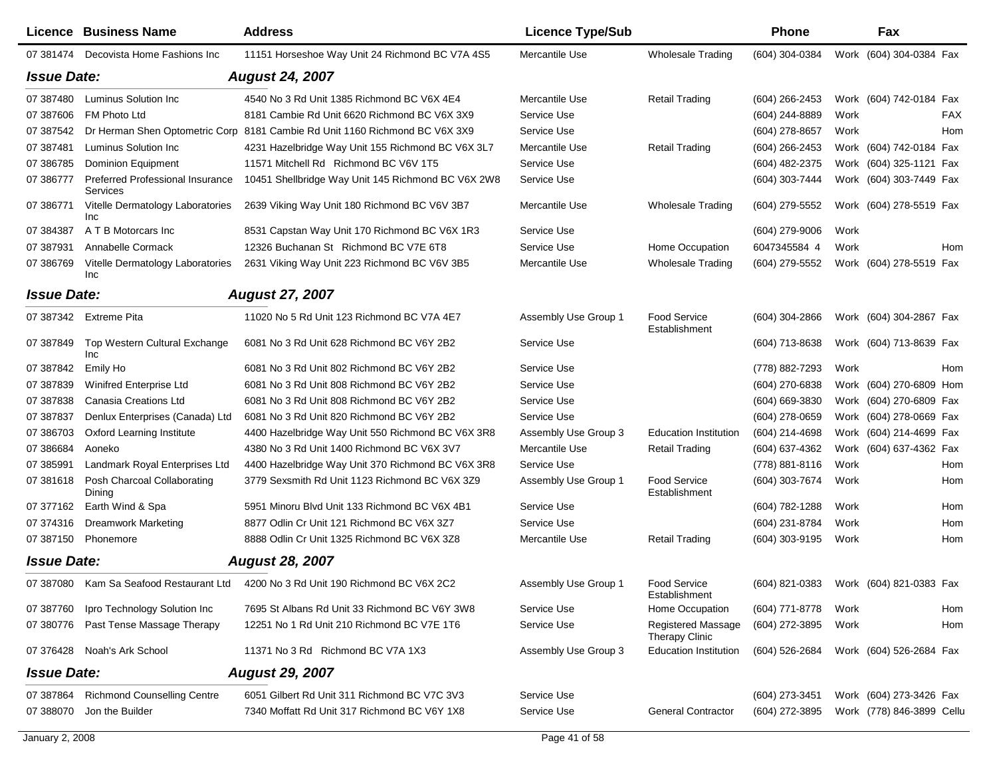|                    | <b>Licence Business Name</b>                 | <b>Address</b>                                                              | <b>Licence Type/Sub</b> |                                             | Phone            |      | Fax                       |
|--------------------|----------------------------------------------|-----------------------------------------------------------------------------|-------------------------|---------------------------------------------|------------------|------|---------------------------|
| 07 381474          | Decovista Home Fashions Inc                  | 11151 Horseshoe Way Unit 24 Richmond BC V7A 4S5                             | Mercantile Use          | <b>Wholesale Trading</b>                    | (604) 304-0384   |      | Work (604) 304-0384 Fax   |
| <b>Issue Date:</b> |                                              | <b>August 24, 2007</b>                                                      |                         |                                             |                  |      |                           |
| 07 387480          | Luminus Solution Inc                         | 4540 No 3 Rd Unit 1385 Richmond BC V6X 4E4                                  | Mercantile Use          | <b>Retail Trading</b>                       | $(604)$ 266-2453 |      | Work (604) 742-0184 Fax   |
| 07 387606          | FM Photo Ltd                                 | 8181 Cambie Rd Unit 6620 Richmond BC V6X 3X9                                | Service Use             |                                             | (604) 244-8889   | Work | FAX                       |
| 07 387542          |                                              | Dr Herman Shen Optometric Corp 8181 Cambie Rd Unit 1160 Richmond BC V6X 3X9 | Service Use             |                                             | (604) 278-8657   | Work | Hom                       |
| 07 387481          | Luminus Solution Inc                         | 4231 Hazelbridge Way Unit 155 Richmond BC V6X 3L7                           | Mercantile Use          | <b>Retail Trading</b>                       | $(604)$ 266-2453 |      | Work (604) 742-0184 Fax   |
| 07 386785          | <b>Dominion Equipment</b>                    | 11571 Mitchell Rd Richmond BC V6V 1T5                                       | Service Use             |                                             | (604) 482-2375   |      | Work (604) 325-1121 Fax   |
| 07 386777          | Preferred Professional Insurance<br>Services | 10451 Shellbridge Way Unit 145 Richmond BC V6X 2W8                          | Service Use             |                                             | (604) 303-7444   |      | Work (604) 303-7449 Fax   |
| 07 386771          | Vitelle Dermatology Laboratories<br>Inc      | 2639 Viking Way Unit 180 Richmond BC V6V 3B7                                | Mercantile Use          | Wholesale Trading                           | (604) 279-5552   |      | Work (604) 278-5519 Fax   |
| 07 384387          | A T B Motorcars Inc                          | 8531 Capstan Way Unit 170 Richmond BC V6X 1R3                               | Service Use             |                                             | (604) 279-9006   | Work |                           |
| 07 387931          | Annabelle Cormack                            | 12326 Buchanan St Richmond BC V7E 6T8                                       | Service Use             | Home Occupation                             | 6047345584 4     | Work | Hom                       |
| 07 386769          | Vitelle Dermatology Laboratories<br>Inc      | 2631 Viking Way Unit 223 Richmond BC V6V 3B5                                | Mercantile Use          | Wholesale Trading                           | (604) 279-5552   |      | Work (604) 278-5519 Fax   |
| <b>Issue Date:</b> |                                              | <b>August 27, 2007</b>                                                      |                         |                                             |                  |      |                           |
|                    | 07 387342 Extreme Pita                       | 11020 No 5 Rd Unit 123 Richmond BC V7A 4E7                                  | Assembly Use Group 1    | <b>Food Service</b><br>Establishment        | (604) 304-2866   |      | Work (604) 304-2867 Fax   |
| 07 387849          | Top Western Cultural Exchange<br>Inc         | 6081 No 3 Rd Unit 628 Richmond BC V6Y 2B2                                   | Service Use             |                                             | (604) 713-8638   |      | Work (604) 713-8639 Fax   |
| 07 387842          | Emily Ho                                     | 6081 No 3 Rd Unit 802 Richmond BC V6Y 2B2                                   | Service Use             |                                             | (778) 882-7293   | Work | Hom                       |
| 07 387839          | Winifred Enterprise Ltd                      | 6081 No 3 Rd Unit 808 Richmond BC V6Y 2B2                                   | Service Use             |                                             | (604) 270-6838   |      | Work (604) 270-6809 Hom   |
| 07 387838          | Canasia Creations Ltd                        | 6081 No 3 Rd Unit 808 Richmond BC V6Y 2B2                                   | Service Use             |                                             | (604) 669-3830   |      | Work (604) 270-6809 Fax   |
| 07 387837          | Denlux Enterprises (Canada) Ltd              | 6081 No 3 Rd Unit 820 Richmond BC V6Y 2B2                                   | Service Use             |                                             | (604) 278-0659   |      | Work (604) 278-0669 Fax   |
| 07 386703          | Oxford Learning Institute                    | 4400 Hazelbridge Way Unit 550 Richmond BC V6X 3R8                           | Assembly Use Group 3    | <b>Education Institution</b>                | (604) 214-4698   |      | Work (604) 214-4699 Fax   |
| 07 386684          | Aoneko                                       | 4380 No 3 Rd Unit 1400 Richmond BC V6X 3V7                                  | Mercantile Use          | <b>Retail Trading</b>                       | (604) 637-4362   |      | Work (604) 637-4362 Fax   |
| 07 385991          | Landmark Royal Enterprises Ltd               | 4400 Hazelbridge Way Unit 370 Richmond BC V6X 3R8                           | Service Use             |                                             | (778) 881-8116   | Work | Hom                       |
| 07 381618          | Posh Charcoal Collaborating<br>Dining        | 3779 Sexsmith Rd Unit 1123 Richmond BC V6X 3Z9                              | Assembly Use Group 1    | <b>Food Service</b><br>Establishment        | (604) 303-7674   | Work | Hom                       |
| 07 377162          | Earth Wind & Spa                             | 5951 Minoru Blvd Unit 133 Richmond BC V6X 4B1                               | Service Use             |                                             | (604) 782-1288   | Work | Hom                       |
| 07 374316          | <b>Dreamwork Marketing</b>                   | 8877 Odlin Cr Unit 121 Richmond BC V6X 3Z7                                  | Service Use             |                                             | (604) 231-8784   | Work | Hom                       |
| 07 387150          | Phonemore                                    | 8888 Odlin Cr Unit 1325 Richmond BC V6X 3Z8                                 | Mercantile Use          | <b>Retail Trading</b>                       | (604) 303-9195   | Work | Hom                       |
| <b>Issue Date:</b> |                                              | <b>August 28, 2007</b>                                                      |                         |                                             |                  |      |                           |
|                    | 07 387080 Kam Sa Seafood Restaurant Ltd      | 4200 No 3 Rd Unit 190 Richmond BC V6X 2C2                                   | Assembly Use Group 1    | <b>Food Service</b><br>Establishment        | (604) 821-0383   |      | Work (604) 821-0383 Fax   |
| 07 387760          | Ipro Technology Solution Inc                 | 7695 St Albans Rd Unit 33 Richmond BC V6Y 3W8                               | Service Use             | Home Occupation                             | (604) 771-8778   | Work | Hom                       |
| 07 380776          | Past Tense Massage Therapy                   | 12251 No 1 Rd Unit 210 Richmond BC V7E 1T6                                  | Service Use             | <b>Registered Massage</b><br>Therapy Clinic | (604) 272-3895   | Work | Hom                       |
| 07 37 64 28        | Noah's Ark School                            | 11371 No 3 Rd Richmond BC V7A 1X3                                           | Assembly Use Group 3    | <b>Education Institution</b>                | (604) 526-2684   |      | Work (604) 526-2684 Fax   |
| <b>Issue Date:</b> |                                              | <b>August 29, 2007</b>                                                      |                         |                                             |                  |      |                           |
| 07 387864          | <b>Richmond Counselling Centre</b>           | 6051 Gilbert Rd Unit 311 Richmond BC V7C 3V3                                | Service Use             |                                             | (604) 273-3451   |      | Work (604) 273-3426 Fax   |
| 07 388070          | Jon the Builder                              | 7340 Moffatt Rd Unit 317 Richmond BC V6Y 1X8                                | Service Use             | <b>General Contractor</b>                   | (604) 272-3895   |      | Work (778) 846-3899 Cellu |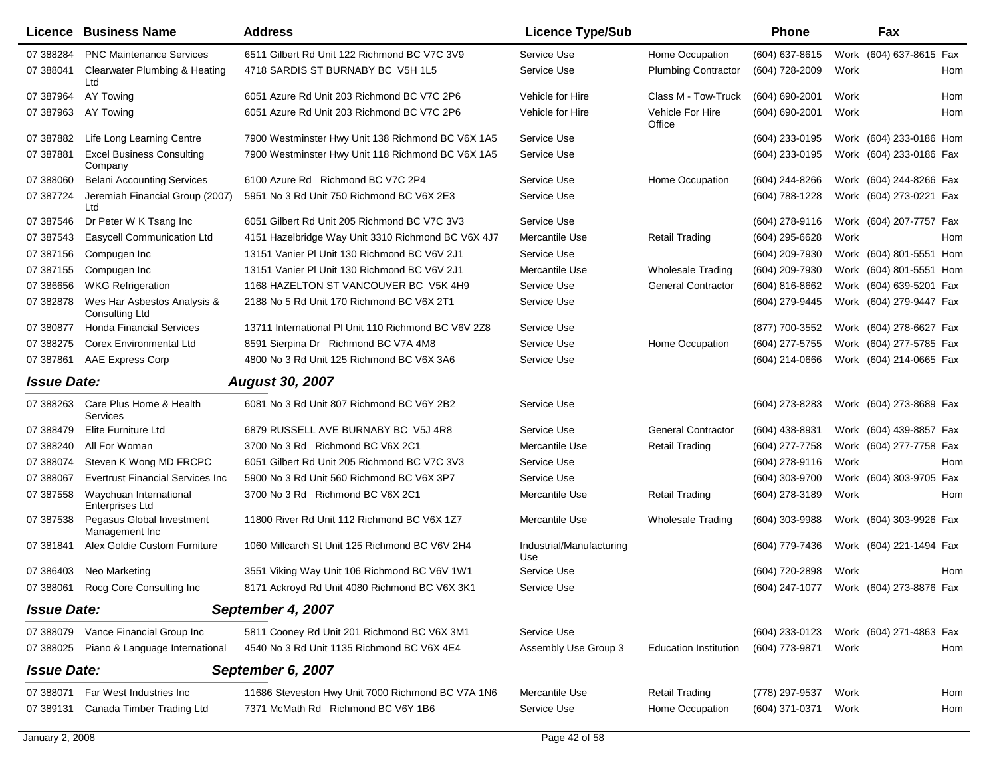|                    | Licence Business Name                                | <b>Address</b>                                      | <b>Licence Type/Sub</b>         |                              | <b>Phone</b>   |      | Fax                                    |     |
|--------------------|------------------------------------------------------|-----------------------------------------------------|---------------------------------|------------------------------|----------------|------|----------------------------------------|-----|
| 07 388284          | <b>PNC Maintenance Services</b>                      | 6511 Gilbert Rd Unit 122 Richmond BC V7C 3V9        | Service Use                     | Home Occupation              | (604) 637-8615 |      | Work (604) 637-8615 Fax                |     |
| 07 388041          | Clearwater Plumbing & Heating<br>Ltd                 | 4718 SARDIS ST BURNABY BC V5H 1L5                   | Service Use                     | <b>Plumbing Contractor</b>   | (604) 728-2009 | Work |                                        | Hom |
| 07 387964          | AY Towing                                            | 6051 Azure Rd Unit 203 Richmond BC V7C 2P6          | Vehicle for Hire                | Class M - Tow-Truck          | (604) 690-2001 | Work |                                        | Hom |
| 07 387963          | AY Towing                                            | 6051 Azure Rd Unit 203 Richmond BC V7C 2P6          | Vehicle for Hire                | Vehicle For Hire<br>Office   | (604) 690-2001 | Work |                                        | Hom |
| 07 387882          | Life Long Learning Centre                            | 7900 Westminster Hwy Unit 138 Richmond BC V6X 1A5   | Service Use                     |                              | (604) 233-0195 |      | Work (604) 233-0186 Hom                |     |
| 07 387881          | <b>Excel Business Consulting</b><br>Company          | 7900 Westminster Hwy Unit 118 Richmond BC V6X 1A5   | Service Use                     |                              | (604) 233-0195 |      | Work (604) 233-0186 Fax                |     |
| 07 388060          | <b>Belani Accounting Services</b>                    | 6100 Azure Rd Richmond BC V7C 2P4                   | Service Use                     | Home Occupation              | (604) 244-8266 |      | Work (604) 244-8266 Fax                |     |
| 07 387724          | Jeremiah Financial Group (2007)<br>Ltd               | 5951 No 3 Rd Unit 750 Richmond BC V6X 2E3           | Service Use                     |                              | (604) 788-1228 |      | Work (604) 273-0221 Fax                |     |
| 07 387546          | Dr Peter W K Tsang Inc                               | 6051 Gilbert Rd Unit 205 Richmond BC V7C 3V3        | Service Use                     |                              | (604) 278-9116 |      | Work (604) 207-7757 Fax                |     |
| 07 387543          | Easycell Communication Ltd                           | 4151 Hazelbridge Way Unit 3310 Richmond BC V6X 4J7  | Mercantile Use                  | <b>Retail Trading</b>        | (604) 295-6628 | Work |                                        | Hom |
| 07 387156          | Compugen Inc                                         | 13151 Vanier PI Unit 130 Richmond BC V6V 2J1        | Service Use                     |                              | (604) 209-7930 |      | Work (604) 801-5551 Hom                |     |
| 07 387155          | Compugen Inc                                         | 13151 Vanier PI Unit 130 Richmond BC V6V 2J1        | Mercantile Use                  | <b>Wholesale Trading</b>     | (604) 209-7930 |      | Work (604) 801-5551 Hom                |     |
| 07 386656          | <b>WKG Refrigeration</b>                             | 1168 HAZELTON ST VANCOUVER BC V5K 4H9               | Service Use                     | <b>General Contractor</b>    | (604) 816-8662 |      | Work (604) 639-5201 Fax                |     |
| 07 382878          | Wes Har Asbestos Analysis &<br><b>Consulting Ltd</b> | 2188 No 5 Rd Unit 170 Richmond BC V6X 2T1           | Service Use                     |                              | (604) 279-9445 |      | Work (604) 279-9447 Fax                |     |
| 07 380877          | <b>Honda Financial Services</b>                      | 13711 International PI Unit 110 Richmond BC V6V 2Z8 | Service Use                     |                              | (877) 700-3552 |      | Work (604) 278-6627 Fax                |     |
| 07 388275          | <b>Corex Environmental Ltd</b>                       | 8591 Sierpina Dr Richmond BC V7A 4M8                | Service Use                     | Home Occupation              | (604) 277-5755 |      | Work (604) 277-5785 Fax                |     |
| 07 387861          | <b>AAE Express Corp</b>                              | 4800 No 3 Rd Unit 125 Richmond BC V6X 3A6           | Service Use                     |                              | (604) 214-0666 |      | Work (604) 214-0665 Fax                |     |
| <b>Issue Date:</b> |                                                      | <b>August 30, 2007</b>                              |                                 |                              |                |      |                                        |     |
| 07 388263          | Care Plus Home & Health<br>Services                  | 6081 No 3 Rd Unit 807 Richmond BC V6Y 2B2           | Service Use                     |                              | (604) 273-8283 |      | Work (604) 273-8689 Fax                |     |
| 07 388479          | Elite Furniture Ltd                                  | 6879 RUSSELL AVE BURNABY BC V5J 4R8                 | Service Use                     | <b>General Contractor</b>    | (604) 438-8931 |      | Work (604) 439-8857 Fax                |     |
| 07 388240          | All For Woman                                        | 3700 No 3 Rd Richmond BC V6X 2C1                    | Mercantile Use                  | <b>Retail Trading</b>        | (604) 277-7758 |      | Work (604) 277-7758 Fax                |     |
| 07 388074          | Steven K Wong MD FRCPC                               | 6051 Gilbert Rd Unit 205 Richmond BC V7C 3V3        | Service Use                     |                              | (604) 278-9116 | Work |                                        | Hom |
| 07 388067          | <b>Evertrust Financial Services Inc</b>              | 5900 No 3 Rd Unit 560 Richmond BC V6X 3P7           | Service Use                     |                              | (604) 303-9700 |      | Work (604) 303-9705 Fax                |     |
| 07 387558          | Waychuan International<br>Enterprises Ltd            | 3700 No 3 Rd Richmond BC V6X 2C1                    | Mercantile Use                  | <b>Retail Trading</b>        | (604) 278-3189 | Work |                                        | Hom |
| 07 387538          | Pegasus Global Investment<br>Management Inc          | 11800 River Rd Unit 112 Richmond BC V6X 1Z7         | Mercantile Use                  | <b>Wholesale Trading</b>     | (604) 303-9988 |      | Work (604) 303-9926 Fax                |     |
| 07 381841          | Alex Goldie Custom Furniture                         | 1060 Millcarch St Unit 125 Richmond BC V6V 2H4      | Industrial/Manufacturing<br>Use |                              | (604) 779-7436 |      | Work (604) 221-1494 Fax                |     |
| 07 386403          | Neo Marketing                                        | 3551 Viking Way Unit 106 Richmond BC V6V 1W1        | Service Use                     |                              | (604) 720-2898 | Work |                                        | Hom |
|                    | 07 388061 Rocg Core Consulting Inc                   | 8171 Ackroyd Rd Unit 4080 Richmond BC V6X 3K1       | Service Use                     |                              |                |      | (604) 247-1077 Work (604) 273-8876 Fax |     |
| <b>Issue Date:</b> |                                                      | September 4, 2007                                   |                                 |                              |                |      |                                        |     |
| 07 388079          | Vance Financial Group Inc                            | 5811 Cooney Rd Unit 201 Richmond BC V6X 3M1         | Service Use                     |                              | (604) 233-0123 |      | Work (604) 271-4863 Fax                |     |
| 07 388025          | Piano & Language International                       | 4540 No 3 Rd Unit 1135 Richmond BC V6X 4E4          | Assembly Use Group 3            | <b>Education Institution</b> | (604) 773-9871 | Work |                                        | Hom |
| <b>Issue Date:</b> |                                                      | September 6, 2007                                   |                                 |                              |                |      |                                        |     |
| 07 388071          | Far West Industries Inc.                             | 11686 Steveston Hwy Unit 7000 Richmond BC V7A 1N6   | Mercantile Use                  | <b>Retail Trading</b>        | (778) 297-9537 | Work |                                        | Hom |
| 07 389131          | Canada Timber Trading Ltd                            | 7371 McMath Rd Richmond BC V6Y 1B6                  | Service Use                     | Home Occupation              | (604) 371-0371 | Work |                                        | Hom |
|                    |                                                      |                                                     |                                 |                              |                |      |                                        |     |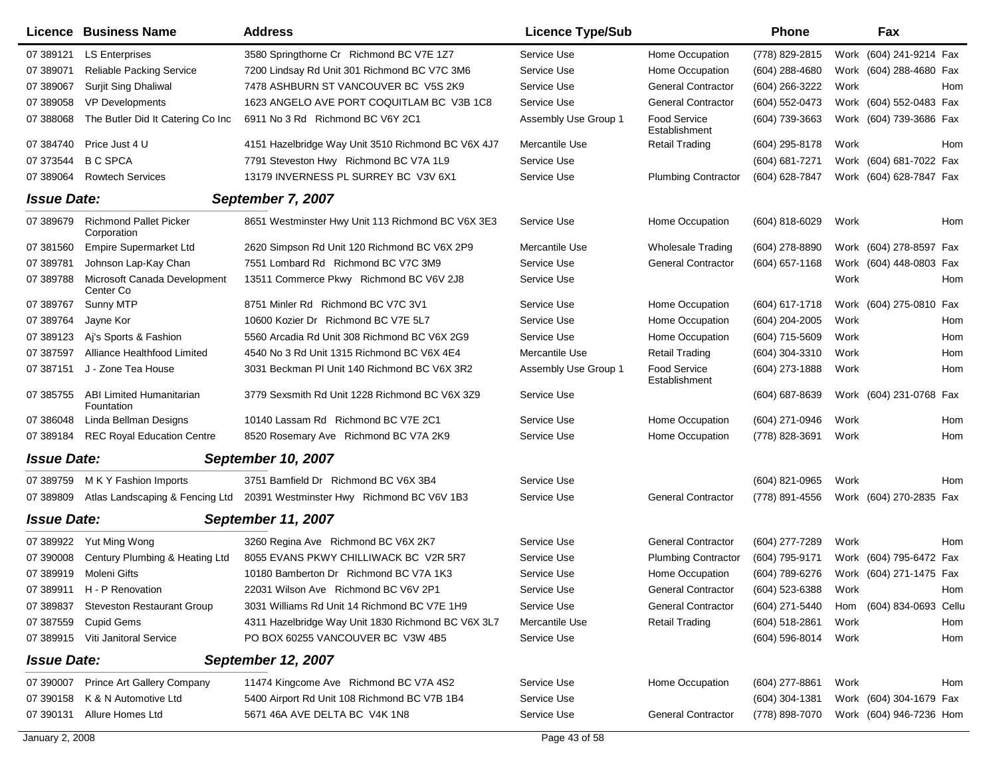|                    | Licence Business Name                         | <b>Address</b>                                     | <b>Licence Type/Sub</b> |                                      | <b>Phone</b>     | Fax                 |                         |
|--------------------|-----------------------------------------------|----------------------------------------------------|-------------------------|--------------------------------------|------------------|---------------------|-------------------------|
| 07 389121          | <b>LS Enterprises</b>                         | 3580 Springthorne Cr Richmond BC V7E 1Z7           | Service Use             | Home Occupation                      | (778) 829-2815   |                     | Work (604) 241-9214 Fax |
| 07 389071          | <b>Reliable Packing Service</b>               | 7200 Lindsay Rd Unit 301 Richmond BC V7C 3M6       | Service Use             | Home Occupation                      | (604) 288-4680   |                     | Work (604) 288-4680 Fax |
| 07 389067          | <b>Surjit Sing Dhaliwal</b>                   | 7478 ASHBURN ST VANCOUVER BC V5S 2K9               | Service Use             | <b>General Contractor</b>            | (604) 266-3222   | Work                | Hom                     |
| 07 389058          | <b>VP Developments</b>                        | 1623 ANGELO AVE PORT COQUITLAM BC V3B 1C8          | Service Use             | <b>General Contractor</b>            | (604) 552-0473   |                     | Work (604) 552-0483 Fax |
| 07 388068          | The Butler Did It Catering Co Inc             | 6911 No 3 Rd Richmond BC V6Y 2C1                   | Assembly Use Group 1    | <b>Food Service</b><br>Establishment | (604) 739-3663   |                     | Work (604) 739-3686 Fax |
| 07 384740          | Price Just 4 U                                | 4151 Hazelbridge Way Unit 3510 Richmond BC V6X 4J7 | Mercantile Use          | Retail Trading                       | (604) 295-8178   | Work                | Hom                     |
| 07 373544          | <b>B C SPCA</b>                               | 7791 Steveston Hwy Richmond BC V7A 1L9             | Service Use             |                                      | (604) 681-7271   |                     | Work (604) 681-7022 Fax |
| 07 389064          | <b>Rowtech Services</b>                       | 13179 INVERNESS PL SURREY BC V3V 6X1               | Service Use             | <b>Plumbing Contractor</b>           | (604) 628-7847   |                     | Work (604) 628-7847 Fax |
| <b>Issue Date:</b> |                                               | September 7, 2007                                  |                         |                                      |                  |                     |                         |
| 07 389679          | <b>Richmond Pallet Picker</b><br>Corporation  | 8651 Westminster Hwy Unit 113 Richmond BC V6X 3E3  | Service Use             | Home Occupation                      | (604) 818-6029   | Work                | Hom                     |
| 07 381560          | <b>Empire Supermarket Ltd</b>                 | 2620 Simpson Rd Unit 120 Richmond BC V6X 2P9       | Mercantile Use          | <b>Wholesale Trading</b>             | (604) 278-8890   |                     | Work (604) 278-8597 Fax |
| 07 389781          | Johnson Lap-Kay Chan                          | 7551 Lombard Rd Richmond BC V7C 3M9                | Service Use             | <b>General Contractor</b>            | (604) 657-1168   |                     | Work (604) 448-0803 Fax |
| 07 389788          | Microsoft Canada Development<br>Center Co     | 13511 Commerce Pkwy Richmond BC V6V 2J8            | Service Use             |                                      |                  | Work                | Hom                     |
| 07 389767          | Sunny MTP                                     | 8751 Minler Rd Richmond BC V7C 3V1                 | Service Use             | Home Occupation                      | (604) 617-1718   | Work (604) 275-0810 | Fax                     |
| 07 389764          | Jayne Kor                                     | 10600 Kozier Dr Richmond BC V7E 5L7                | Service Use             | Home Occupation                      | (604) 204-2005   | Work                | Hom                     |
| 07 389123          | Ai's Sports & Fashion                         | 5560 Arcadia Rd Unit 308 Richmond BC V6X 2G9       | Service Use             | Home Occupation                      | (604) 715-5609   | Work                | Hom                     |
| 07 387597          | Alliance Healthfood Limited                   | 4540 No 3 Rd Unit 1315 Richmond BC V6X 4E4         | Mercantile Use          | <b>Retail Trading</b>                | (604) 304-3310   | Work                | Hom                     |
| 07 387151          | J - Zone Tea House                            | 3031 Beckman PI Unit 140 Richmond BC V6X 3R2       | Assembly Use Group 1    | Food Service<br>Establishment        | (604) 273-1888   | Work                | Hom                     |
| 07 385755          | <b>ABI Limited Humanitarian</b><br>Fountation | 3779 Sexsmith Rd Unit 1228 Richmond BC V6X 3Z9     | Service Use             |                                      | (604) 687-8639   |                     | Work (604) 231-0768 Fax |
| 07 386048          | Linda Bellman Designs                         | 10140 Lassam Rd Richmond BC V7E 2C1                | Service Use             | Home Occupation                      | (604) 271-0946   | Work                | Hom                     |
| 07 389184          | <b>REC Royal Education Centre</b>             | 8520 Rosemary Ave Richmond BC V7A 2K9              | Service Use             | Home Occupation                      | (778) 828-3691   | Work                | Hom                     |
| <b>Issue Date:</b> |                                               | <b>September 10, 2007</b>                          |                         |                                      |                  |                     |                         |
| 07 389759          | M K Y Fashion Imports                         | 3751 Bamfield Dr Richmond BC V6X 3B4               | Service Use             |                                      | (604) 821-0965   | Work                | Hom                     |
| 07 389809          | Atlas Landscaping & Fencing Ltd               | 20391 Westminster Hwy Richmond BC V6V 1B3          | Service Use             | <b>General Contractor</b>            | (778) 891-4556   |                     | Work (604) 270-2835 Fax |
| <b>Issue Date:</b> |                                               | <b>September 11, 2007</b>                          |                         |                                      |                  |                     |                         |
| 07 389922          | Yut Ming Wong                                 | 3260 Regina Ave Richmond BC V6X 2K7                | Service Use             | <b>General Contractor</b>            | (604) 277-7289   | Work                | Hom                     |
| 07 390008          | Century Plumbing & Heating Ltd                | 8055 EVANS PKWY CHILLIWACK BC V2R 5R7              | Service Use             | <b>Plumbing Contractor</b>           | (604) 795-9171   |                     | Work (604) 795-6472 Fax |
| 07 389919          | Moleni Gifts                                  | 10180 Bamberton Dr Richmond BC V7A 1K3             | Service Use             | Home Occupation                      | (604) 789-6276   |                     | Work (604) 271-1475 Fax |
|                    | 07 389911 H - P Renovation                    | 22031 Wilson Ave Richmond BC V6V 2P1               | Service Use             | <b>General Contractor</b>            | (604) 523-6388   | Work                | Hom                     |
| 07 389837          | <b>Steveston Restaurant Group</b>             | 3031 Williams Rd Unit 14 Richmond BC V7E 1H9       | Service Use             | <b>General Contractor</b>            | (604) 271-5440   | Hom                 | (604) 834-0693 Cellu    |
| 07 387559          | <b>Cupid Gems</b>                             | 4311 Hazelbridge Way Unit 1830 Richmond BC V6X 3L7 | Mercantile Use          | <b>Retail Trading</b>                | $(604)$ 518-2861 | Work                | Hom                     |
|                    | 07 389915 Viti Janitoral Service              | PO BOX 60255 VANCOUVER BC V3W 4B5                  | Service Use             |                                      | (604) 596-8014   | Work                | Hom                     |
| <b>Issue Date:</b> |                                               | <b>September 12, 2007</b>                          |                         |                                      |                  |                     |                         |
|                    | 07 390007 Prince Art Gallery Company          | 11474 Kingcome Ave Richmond BC V7A 4S2             | Service Use             | Home Occupation                      | $(604)$ 277-8861 | Work                | Hom                     |
| 07 390158          | K & N Automotive Ltd                          | 5400 Airport Rd Unit 108 Richmond BC V7B 1B4       | Service Use             |                                      | (604) 304-1381   |                     | Work (604) 304-1679 Fax |
|                    | 07 390131 Allure Homes Ltd                    | 5671 46A AVE DELTA BC V4K 1N8                      | Service Use             | <b>General Contractor</b>            | (778) 898-7070   |                     | Work (604) 946-7236 Hom |
| January 2, 2008    |                                               |                                                    | Page 43 of 58           |                                      |                  |                     |                         |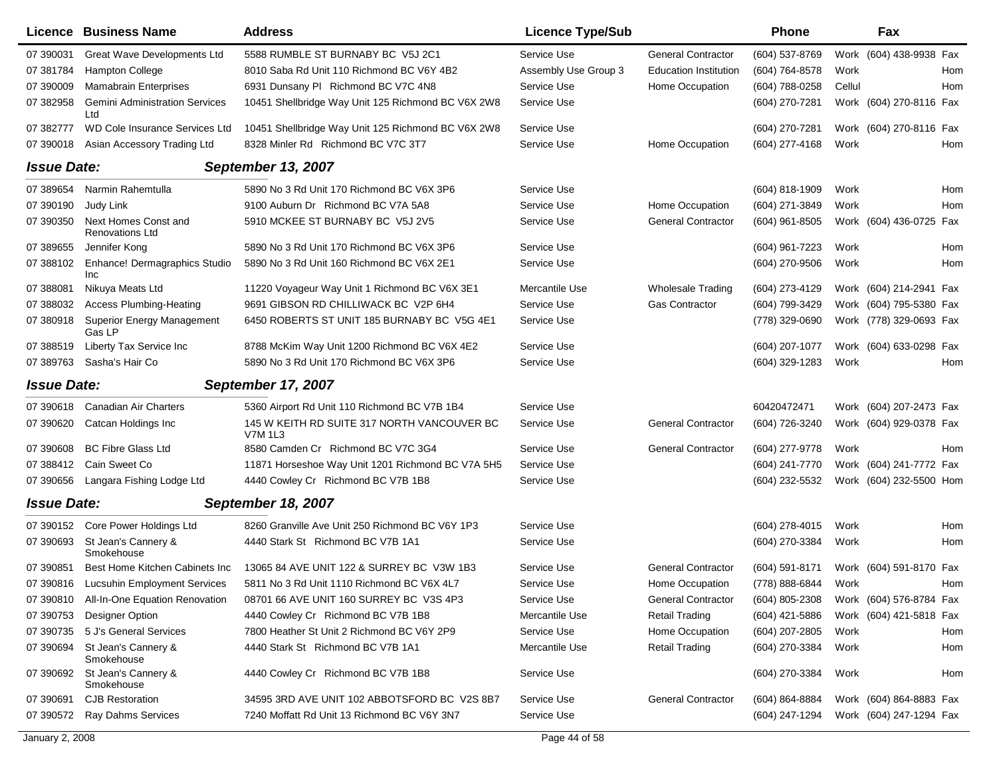|                    | Licence Business Name                        | <b>Address</b>                                         | <b>Licence Type/Sub</b> |                              | <b>Phone</b>     |        | Fax                     |     |
|--------------------|----------------------------------------------|--------------------------------------------------------|-------------------------|------------------------------|------------------|--------|-------------------------|-----|
| 07 390031          | Great Wave Developments Ltd                  | 5588 RUMBLE ST BURNABY BC V5J 2C1                      | Service Use             | <b>General Contractor</b>    | (604) 537-8769   |        | Work (604) 438-9938 Fax |     |
| 07 381784          | <b>Hampton College</b>                       | 8010 Saba Rd Unit 110 Richmond BC V6Y 4B2              | Assembly Use Group 3    | <b>Education Institution</b> | (604) 764-8578   | Work   |                         | Hom |
| 07 390009          | <b>Mamabrain Enterprises</b>                 | 6931 Dunsany PI Richmond BC V7C 4N8                    | Service Use             | Home Occupation              | (604) 788-0258   | Cellul |                         | Hom |
| 07 382958          | <b>Gemini Administration Services</b><br>Ltd | 10451 Shellbridge Way Unit 125 Richmond BC V6X 2W8     | Service Use             |                              | (604) 270-7281   |        | Work (604) 270-8116 Fax |     |
| 07 382777          | WD Cole Insurance Services Ltd               | 10451 Shellbridge Way Unit 125 Richmond BC V6X 2W8     | Service Use             |                              | (604) 270-7281   |        | Work (604) 270-8116 Fax |     |
| 07 390018          | Asian Accessory Trading Ltd                  | 8328 Minler Rd Richmond BC V7C 3T7                     | Service Use             | Home Occupation              | (604) 277-4168   | Work   |                         | Hom |
| <b>Issue Date:</b> |                                              | <b>September 13, 2007</b>                              |                         |                              |                  |        |                         |     |
| 07 389654          | Narmin Rahemtulla                            | 5890 No 3 Rd Unit 170 Richmond BC V6X 3P6              | Service Use             |                              | (604) 818-1909   | Work   |                         | Hom |
| 07 390190          | Judy Link                                    | 9100 Auburn Dr Richmond BC V7A 5A8                     | Service Use             | Home Occupation              | (604) 271-3849   | Work   |                         | Hom |
| 07 390350          | Next Homes Const and<br>Renovations Ltd      | 5910 MCKEE ST BURNABY BC V5J 2V5                       | Service Use             | <b>General Contractor</b>    | $(604)$ 961-8505 |        | Work (604) 436-0725 Fax |     |
| 07 389655          | Jennifer Kong                                | 5890 No 3 Rd Unit 170 Richmond BC V6X 3P6              | Service Use             |                              | (604) 961-7223   | Work   |                         | Hom |
| 07 388102          | Enhance! Dermagraphics Studio<br>Inc         | 5890 No 3 Rd Unit 160 Richmond BC V6X 2E1              | Service Use             |                              | (604) 270-9506   | Work   |                         | Hom |
| 07 388081          | Nikuya Meats Ltd                             | 11220 Voyageur Way Unit 1 Richmond BC V6X 3E1          | Mercantile Use          | <b>Wholesale Trading</b>     | (604) 273-4129   |        | Work (604) 214-2941 Fax |     |
| 07 388032          | <b>Access Plumbing-Heating</b>               | 9691 GIBSON RD CHILLIWACK BC V2P 6H4                   | Service Use             | <b>Gas Contractor</b>        | (604) 799-3429   |        | Work (604) 795-5380 Fax |     |
| 07 380918          | <b>Superior Energy Management</b><br>Gas LP  | 6450 ROBERTS ST UNIT 185 BURNABY BC V5G 4E1            | Service Use             |                              | (778) 329-0690   |        | Work (778) 329-0693 Fax |     |
| 07 388519          | Liberty Tax Service Inc                      | 8788 McKim Way Unit 1200 Richmond BC V6X 4E2           | Service Use             |                              | (604) 207-1077   |        | Work (604) 633-0298 Fax |     |
| 07 389763          | Sasha's Hair Co                              | 5890 No 3 Rd Unit 170 Richmond BC V6X 3P6              | Service Use             |                              | (604) 329-1283   | Work   |                         | Hom |
| <b>Issue Date:</b> |                                              | <b>September 17, 2007</b>                              |                         |                              |                  |        |                         |     |
| 07 390618          | <b>Canadian Air Charters</b>                 | 5360 Airport Rd Unit 110 Richmond BC V7B 1B4           | Service Use             |                              | 60420472471      |        | Work (604) 207-2473 Fax |     |
| 07 390620          | Catcan Holdings Inc                          | 145 W KEITH RD SUITE 317 NORTH VANCOUVER BC<br>V7M 1L3 | Service Use             | <b>General Contractor</b>    | (604) 726-3240   |        | Work (604) 929-0378 Fax |     |
| 07 390608          | <b>BC Fibre Glass Ltd</b>                    | 8580 Camden Cr Richmond BC V7C 3G4                     | Service Use             | <b>General Contractor</b>    | (604) 277-9778   | Work   |                         | Hom |
| 07 388412          | Cain Sweet Co                                | 11871 Horseshoe Way Unit 1201 Richmond BC V7A 5H5      | Service Use             |                              | (604) 241-7770   |        | Work (604) 241-7772 Fax |     |
| 07 390656          | Langara Fishing Lodge Ltd                    | 4440 Cowley Cr Richmond BC V7B 1B8                     | Service Use             |                              | (604) 232-5532   |        | Work (604) 232-5500 Hom |     |
| <b>Issue Date:</b> |                                              | <b>September 18, 2007</b>                              |                         |                              |                  |        |                         |     |
| 07 390152          | Core Power Holdings Ltd                      | 8260 Granville Ave Unit 250 Richmond BC V6Y 1P3        | Service Use             |                              | (604) 278-4015   | Work   |                         | Hom |
| 07 390693          | St Jean's Cannery &<br>Smokehouse            | 4440 Stark St Richmond BC V7B 1A1                      | Service Use             |                              | (604) 270-3384   | Work   |                         | Hom |
| 07 390851          | Best Home Kitchen Cabinets Inc               | 13065 84 AVE UNIT 122 & SURREY BC V3W 1B3              | Service Use             | <b>General Contractor</b>    | (604) 591-8171   |        | Work (604) 591-8170 Fax |     |
|                    | 07 390816 Lucsuhin Employment Services       | 5811 No 3 Rd Unit 1110 Richmond BC V6X 4L7             | Service Use             | Home Occupation              | (778) 888-6844   | Work   |                         | Hom |
|                    | 07 390810 All-In-One Equation Renovation     | 08701 66 AVE UNIT 160 SURREY BC V3S 4P3                | Service Use             | <b>General Contractor</b>    | (604) 805-2308   |        | Work (604) 576-8784 Fax |     |
| 07 390753          | Designer Option                              | 4440 Cowley Cr Richmond BC V7B 1B8                     | Mercantile Use          | <b>Retail Trading</b>        | (604) 421-5886   |        | Work (604) 421-5818 Fax |     |
| 07 390735          | 5 J's General Services                       | 7800 Heather St Unit 2 Richmond BC V6Y 2P9             | Service Use             | Home Occupation              | (604) 207-2805   | Work   |                         | Hom |
| 07 390694          | St Jean's Cannery &<br>Smokehouse            | 4440 Stark St Richmond BC V7B 1A1                      | Mercantile Use          | <b>Retail Trading</b>        | (604) 270-3384   | Work   |                         | Hom |
|                    | 07 390692 St Jean's Cannery &<br>Smokehouse  | 4440 Cowley Cr Richmond BC V7B 1B8                     | Service Use             |                              | (604) 270-3384   | Work   |                         | Hom |
| 07 390691          | <b>CJB Restoration</b>                       | 34595 3RD AVE UNIT 102 ABBOTSFORD BC V2S 8B7           | Service Use             | <b>General Contractor</b>    | (604) 864-8884   |        | Work (604) 864-8883 Fax |     |
|                    | 07 390572 Ray Dahms Services                 | 7240 Moffatt Rd Unit 13 Richmond BC V6Y 3N7            | Service Use             |                              | (604) 247-1294   |        | Work (604) 247-1294 Fax |     |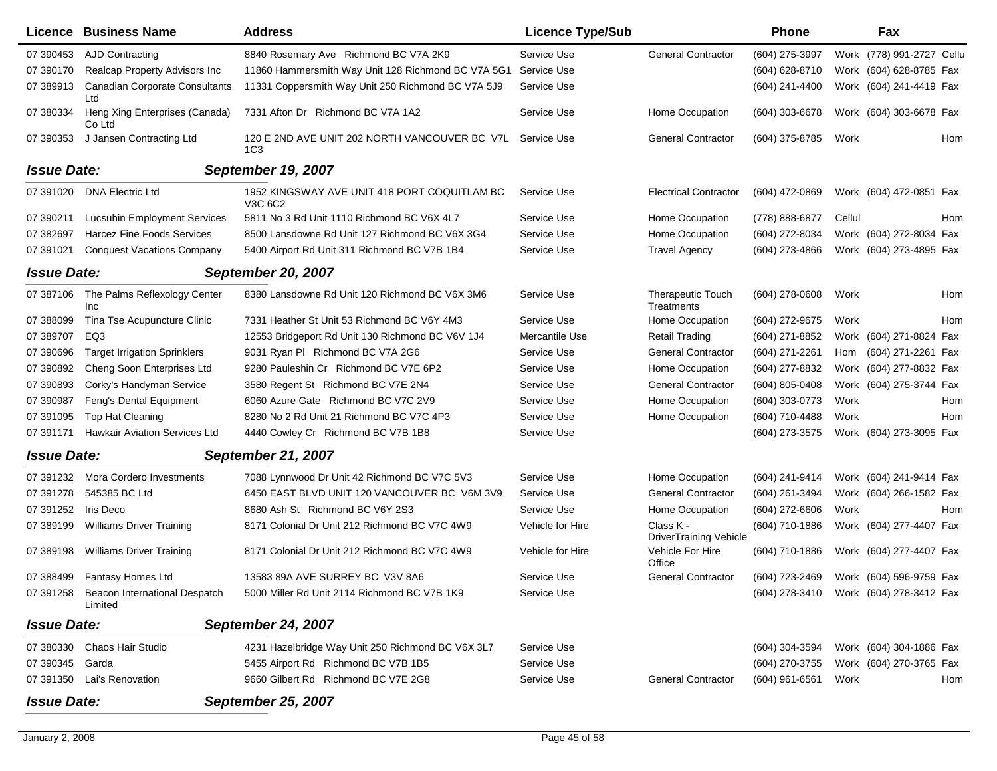|                    | Licence Business Name                              | <b>Address</b>                                                   | <b>Licence Type/Sub</b> |                                            | Phone            |        | Fax                                    |
|--------------------|----------------------------------------------------|------------------------------------------------------------------|-------------------------|--------------------------------------------|------------------|--------|----------------------------------------|
| 07 390453          | AJD Contracting                                    | 8840 Rosemary Ave Richmond BC V7A 2K9                            | Service Use             | <b>General Contractor</b>                  | (604) 275-3997   |        | Work (778) 991-2727 Cellu              |
| 07 390170          | Realcap Property Advisors Inc                      | 11860 Hammersmith Way Unit 128 Richmond BC V7A 5G1               | Service Use             |                                            | (604) 628-8710   |        | Work (604) 628-8785 Fax                |
| 07 389913          | <b>Canadian Corporate Consultants</b><br>Ltd       | 11331 Coppersmith Way Unit 250 Richmond BC V7A 5J9               | Service Use             |                                            | (604) 241-4400   |        | Work (604) 241-4419 Fax                |
| 07 380334          | Heng Xing Enterprises (Canada)<br>Co Ltd           | 7331 Afton Dr Richmond BC V7A 1A2                                | Service Use             | Home Occupation                            | (604) 303-6678   |        | Work (604) 303-6678 Fax                |
| 07 390353          | J Jansen Contracting Ltd                           | 120 E 2ND AVE UNIT 202 NORTH VANCOUVER BC V7L<br>1C <sub>3</sub> | Service Use             | <b>General Contractor</b>                  | (604) 375-8785   | Work   | Hom                                    |
| <b>Issue Date:</b> |                                                    | <b>September 19, 2007</b>                                        |                         |                                            |                  |        |                                        |
| 07 391020          | <b>DNA Electric Ltd</b>                            | 1952 KINGSWAY AVE UNIT 418 PORT COQUITLAM BC<br>V3C 6C2          | Service Use             | <b>Electrical Contractor</b>               | (604) 472-0869   |        | Work (604) 472-0851 Fax                |
| 07 390211          | <b>Lucsuhin Employment Services</b>                | 5811 No 3 Rd Unit 1110 Richmond BC V6X 4L7                       | Service Use             | Home Occupation                            | (778) 888-6877   | Cellul | Hom                                    |
| 07 382697          | Harcez Fine Foods Services                         | 8500 Lansdowne Rd Unit 127 Richmond BC V6X 3G4                   | Service Use             | Home Occupation                            | (604) 272-8034   |        | Work (604) 272-8034 Fax                |
| 07 391021          | <b>Conquest Vacations Company</b>                  | 5400 Airport Rd Unit 311 Richmond BC V7B 1B4                     | Service Use             | <b>Travel Agency</b>                       | (604) 273-4866   |        | Work (604) 273-4895 Fax                |
| <b>Issue Date:</b> |                                                    | <b>September 20, 2007</b>                                        |                         |                                            |                  |        |                                        |
| 07 387106          | The Palms Reflexology Center<br>Inc                | 8380 Lansdowne Rd Unit 120 Richmond BC V6X 3M6                   | Service Use             | <b>Therapeutic Touch</b><br>Treatments     | (604) 278-0608   | Work   | Hom                                    |
| 07 388099          | Tina Tse Acupuncture Clinic                        | 7331 Heather St Unit 53 Richmond BC V6Y 4M3                      | Service Use             | Home Occupation                            | (604) 272-9675   | Work   | Hom                                    |
| 07 389707          | EQ3                                                | 12553 Bridgeport Rd Unit 130 Richmond BC V6V 1J4                 | Mercantile Use          | <b>Retail Trading</b>                      | (604) 271-8852   |        | Work (604) 271-8824 Fax                |
| 07 390696          | <b>Target Irrigation Sprinklers</b>                | 9031 Ryan PI Richmond BC V7A 2G6                                 | Service Use             | <b>General Contractor</b>                  | (604) 271-2261   |        | Hom (604) 271-2261 Fax                 |
| 07 390892          | Cheng Soon Enterprises Ltd                         | 9280 Pauleshin Cr Richmond BC V7E 6P2                            | Service Use             | Home Occupation                            | (604) 277-8832   |        | Work (604) 277-8832 Fax                |
| 07 390893          | Corky's Handyman Service                           | 3580 Regent St Richmond BC V7E 2N4                               | Service Use             | <b>General Contractor</b>                  | (604) 805-0408   |        | Work (604) 275-3744 Fax                |
| 07 390987          | Feng's Dental Equipment                            | 6060 Azure Gate Richmond BC V7C 2V9                              | Service Use             | Home Occupation                            | (604) 303-0773   | Work   | Hom                                    |
| 07 391095          | <b>Top Hat Cleaning</b>                            | 8280 No 2 Rd Unit 21 Richmond BC V7C 4P3                         | Service Use             | Home Occupation                            | (604) 710-4488   | Work   | Hom                                    |
| 07 391171          | <b>Hawkair Aviation Services Ltd</b>               | 4440 Cowley Cr Richmond BC V7B 1B8                               | Service Use             |                                            | (604) 273-3575   |        | Work (604) 273-3095 Fax                |
| <b>Issue Date:</b> |                                                    | <b>September 21, 2007</b>                                        |                         |                                            |                  |        |                                        |
| 07 391232          | Mora Cordero Investments                           | 7088 Lynnwood Dr Unit 42 Richmond BC V7C 5V3                     | Service Use             | Home Occupation                            | (604) 241-9414   |        | Work (604) 241-9414 Fax                |
| 07 391278          | 545385 BC Ltd                                      | 6450 EAST BLVD UNIT 120 VANCOUVER BC V6M 3V9                     | Service Use             | <b>General Contractor</b>                  | (604) 261-3494   |        | Work (604) 266-1582 Fax                |
| 07 391252          | Iris Deco                                          | 8680 Ash St Richmond BC V6Y 2S3                                  | Service Use             | Home Occupation                            | $(604)$ 272-6606 | Work   | <b>Hom</b>                             |
| 07 389199          | <b>Williams Driver Training</b>                    | 8171 Colonial Dr Unit 212 Richmond BC V7C 4W9                    | Vehicle for Hire        | Class K -<br><b>DriverTraining Vehicle</b> | (604) 710-1886   |        | Work (604) 277-4407 Fax                |
| 07 389198          | <b>Williams Driver Training</b>                    | 8171 Colonial Dr Unit 212 Richmond BC V7C 4W9                    | Vehicle for Hire        | Vehicle For Hire<br>Office                 | (604) 710-1886   |        | Work (604) 277-4407 Fax                |
| 07 388499          | Fantasy Homes Ltd                                  | 13583 89A AVE SURREY BC V3V 8A6                                  | Service Use             | <b>General Contractor</b>                  | (604) 723-2469   |        | Work (604) 596-9759 Fax                |
|                    | 07 391258 Beacon International Despatch<br>Limited | 5000 Miller Rd Unit 2114 Richmond BC V7B 1K9                     | Service Use             |                                            |                  |        | (604) 278-3410 Work (604) 278-3412 Fax |
| <b>Issue Date:</b> |                                                    | <b>September 24, 2007</b>                                        |                         |                                            |                  |        |                                        |
| 07 380330          | <b>Chaos Hair Studio</b>                           | 4231 Hazelbridge Way Unit 250 Richmond BC V6X 3L7                | Service Use             |                                            | (604) 304-3594   |        | Work (604) 304-1886 Fax                |
| 07 390345 Garda    |                                                    | 5455 Airport Rd Richmond BC V7B 1B5                              | Service Use             |                                            | (604) 270-3755   |        | Work (604) 270-3765 Fax                |
|                    | 07 391350 Lai's Renovation                         | 9660 Gilbert Rd Richmond BC V7E 2G8                              | Service Use             | <b>General Contractor</b>                  | (604) 961-6561   | Work   | Hom                                    |
| <b>Issue Date:</b> |                                                    | <b>September 25, 2007</b>                                        |                         |                                            |                  |        |                                        |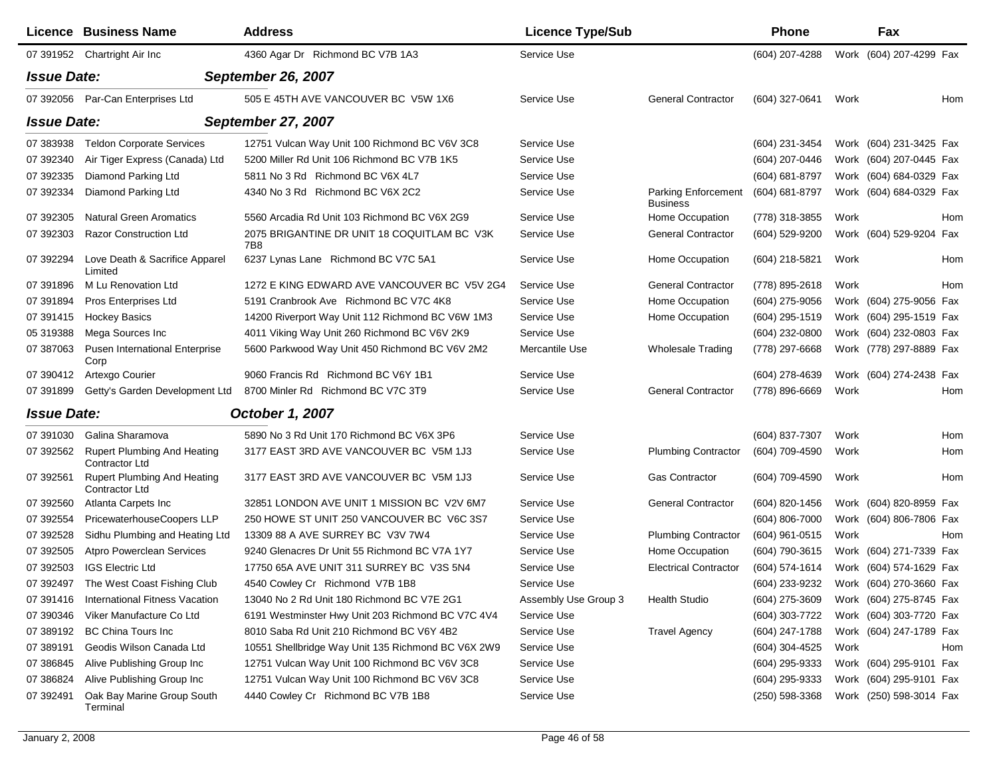|                    | <b>Licence Business Name</b>                         | <b>Address</b>                                     | <b>Licence Type/Sub</b> |                                               | Phone              |      | Fax                     |
|--------------------|------------------------------------------------------|----------------------------------------------------|-------------------------|-----------------------------------------------|--------------------|------|-------------------------|
|                    | 07 391952 Chartright Air Inc                         | 4360 Agar Dr Richmond BC V7B 1A3                   | Service Use             |                                               | (604) 207-4288     |      | Work (604) 207-4299 Fax |
| <b>Issue Date:</b> |                                                      | <b>September 26, 2007</b>                          |                         |                                               |                    |      |                         |
|                    | 07 392056 Par-Can Enterprises Ltd                    | 505 E 45TH AVE VANCOUVER BC V5W 1X6                | Service Use             | <b>General Contractor</b>                     | (604) 327-0641     | Work | Hom                     |
| <b>Issue Date:</b> |                                                      | <b>September 27, 2007</b>                          |                         |                                               |                    |      |                         |
| 07 383938          | <b>Teldon Corporate Services</b>                     | 12751 Vulcan Way Unit 100 Richmond BC V6V 3C8      | Service Use             |                                               | (604) 231-3454     |      | Work (604) 231-3425 Fax |
| 07 392340          | Air Tiger Express (Canada) Ltd                       | 5200 Miller Rd Unit 106 Richmond BC V7B 1K5        | Service Use             |                                               | (604) 207-0446     |      | Work (604) 207-0445 Fax |
| 07 392335          | Diamond Parking Ltd                                  | 5811 No 3 Rd Richmond BC V6X 4L7                   | Service Use             |                                               | $(604) 681 - 8797$ |      | Work (604) 684-0329 Fax |
| 07 392334          | Diamond Parking Ltd                                  | 4340 No 3 Rd Richmond BC V6X 2C2                   | Service Use             | <b>Parking Enforcement</b><br><b>Business</b> | (604) 681-8797     |      | Work (604) 684-0329 Fax |
| 07 392305          | <b>Natural Green Aromatics</b>                       | 5560 Arcadia Rd Unit 103 Richmond BC V6X 2G9       | Service Use             | Home Occupation                               | (778) 318-3855     | Work | Hom                     |
| 07 392303          | <b>Razor Construction Ltd</b>                        | 2075 BRIGANTINE DR UNIT 18 COQUITLAM BC V3K<br>7B8 | Service Use             | <b>General Contractor</b>                     | (604) 529-9200     |      | Work (604) 529-9204 Fax |
| 07 392294          | Love Death & Sacrifice Apparel<br>Limited            | 6237 Lynas Lane Richmond BC V7C 5A1                | Service Use             | Home Occupation                               | (604) 218-5821     | Work | Hom                     |
| 07 391896          | M Lu Renovation Ltd                                  | 1272 E KING EDWARD AVE VANCOUVER BC V5V 2G4        | Service Use             | <b>General Contractor</b>                     | (778) 895-2618     | Work | Hom                     |
| 07 391894          | <b>Pros Enterprises Ltd</b>                          | 5191 Cranbrook Ave Richmond BC V7C 4K8             | Service Use             | Home Occupation                               | (604) 275-9056     |      | Work (604) 275-9056 Fax |
| 07 391415          | <b>Hockey Basics</b>                                 | 14200 Riverport Way Unit 112 Richmond BC V6W 1M3   | Service Use             | Home Occupation                               | (604) 295-1519     |      | Work (604) 295-1519 Fax |
| 05 319388          | Mega Sources Inc                                     | 4011 Viking Way Unit 260 Richmond BC V6V 2K9       | Service Use             |                                               | (604) 232-0800     |      | Work (604) 232-0803 Fax |
| 07 387063          | <b>Pusen International Enterprise</b><br>Corp        | 5600 Parkwood Way Unit 450 Richmond BC V6V 2M2     | Mercantile Use          | <b>Wholesale Trading</b>                      | (778) 297-6668     |      | Work (778) 297-8889 Fax |
| 07 390412          | Artexgo Courier                                      | 9060 Francis Rd Richmond BC V6Y 1B1                | Service Use             |                                               | (604) 278-4639     |      | Work (604) 274-2438 Fax |
| 07 391899          | Getty's Garden Development Ltd                       | 8700 Minler Rd Richmond BC V7C 3T9                 | Service Use             | <b>General Contractor</b>                     | (778) 896-6669     | Work | Hom                     |
| <b>Issue Date:</b> |                                                      | <b>October 1, 2007</b>                             |                         |                                               |                    |      |                         |
| 07 391030          | Galina Sharamova                                     | 5890 No 3 Rd Unit 170 Richmond BC V6X 3P6          | Service Use             |                                               | (604) 837-7307     | Work | Hom                     |
| 07 392562          | <b>Rupert Plumbing And Heating</b><br>Contractor Ltd | 3177 EAST 3RD AVE VANCOUVER BC V5M 1J3             | Service Use             | <b>Plumbing Contractor</b>                    | (604) 709-4590     | Work | Hom                     |
| 07 392561          | <b>Rupert Plumbing And Heating</b><br>Contractor Ltd | 3177 EAST 3RD AVE VANCOUVER BC V5M 1J3             | Service Use             | <b>Gas Contractor</b>                         | (604) 709-4590     | Work | Hom                     |
| 07 392560          | Atlanta Carpets Inc                                  | 32851 LONDON AVE UNIT 1 MISSION BC V2V 6M7         | Service Use             | <b>General Contractor</b>                     | (604) 820-1456     |      | Work (604) 820-8959 Fax |
| 07 392554          | PricewaterhouseCoopers LLP                           | 250 HOWE ST UNIT 250 VANCOUVER BC V6C 3S7          | Service Use             |                                               | (604) 806-7000     |      | Work (604) 806-7806 Fax |
| 07 392528          | Sidhu Plumbing and Heating Ltd                       | 13309 88 A AVE SURREY BC V3V 7W4                   | Service Use             | <b>Plumbing Contractor</b>                    | $(604)$ 961-0515   | Work | Hom                     |
| 07 392505          | <b>Atpro Powerclean Services</b>                     | 9240 Glenacres Dr Unit 55 Richmond BC V7A 1Y7      | Service Use             | Home Occupation                               | (604) 790-3615     |      | Work (604) 271-7339 Fax |
| 07 392503          | <b>IGS Electric Ltd</b>                              | 17750 65A AVE UNIT 311 SURREY BC V3S 5N4           | Service Use             | <b>Electrical Contractor</b>                  | $(604)$ 574-1614   |      | Work (604) 574-1629 Fax |
| 07 392497          | The West Coast Fishing Club                          | 4540 Cowley Cr Richmond V7B 1B8                    | Service Use             |                                               | (604) 233-9232     |      | Work (604) 270-3660 Fax |
| 07 391416          | International Fitness Vacation                       | 13040 No 2 Rd Unit 180 Richmond BC V7E 2G1         | Assembly Use Group 3    | <b>Health Studio</b>                          | (604) 275-3609     |      | Work (604) 275-8745 Fax |
| 07 390346          | Viker Manufacture Co Ltd                             | 6191 Westminster Hwy Unit 203 Richmond BC V7C 4V4  | Service Use             |                                               | (604) 303-7722     |      | Work (604) 303-7720 Fax |
| 07 389192          | <b>BC China Tours Inc.</b>                           | 8010 Saba Rd Unit 210 Richmond BC V6Y 4B2          | Service Use             | <b>Travel Agency</b>                          | (604) 247-1788     |      | Work (604) 247-1789 Fax |
| 07 389191          | Geodis Wilson Canada Ltd                             | 10551 Shellbridge Way Unit 135 Richmond BC V6X 2W9 | Service Use             |                                               | (604) 304-4525     | Work | Hom                     |
| 07 386845          | Alive Publishing Group Inc                           | 12751 Vulcan Way Unit 100 Richmond BC V6V 3C8      | Service Use             |                                               | $(604)$ 295-9333   |      | Work (604) 295-9101 Fax |
| 07 386824          | Alive Publishing Group Inc                           | 12751 Vulcan Way Unit 100 Richmond BC V6V 3C8      | Service Use             |                                               | $(604)$ 295-9333   |      | Work (604) 295-9101 Fax |
| 07 392491          | Oak Bay Marine Group South<br>Terminal               | 4440 Cowley Cr Richmond BC V7B 1B8                 | Service Use             |                                               | (250) 598-3368     |      | Work (250) 598-3014 Fax |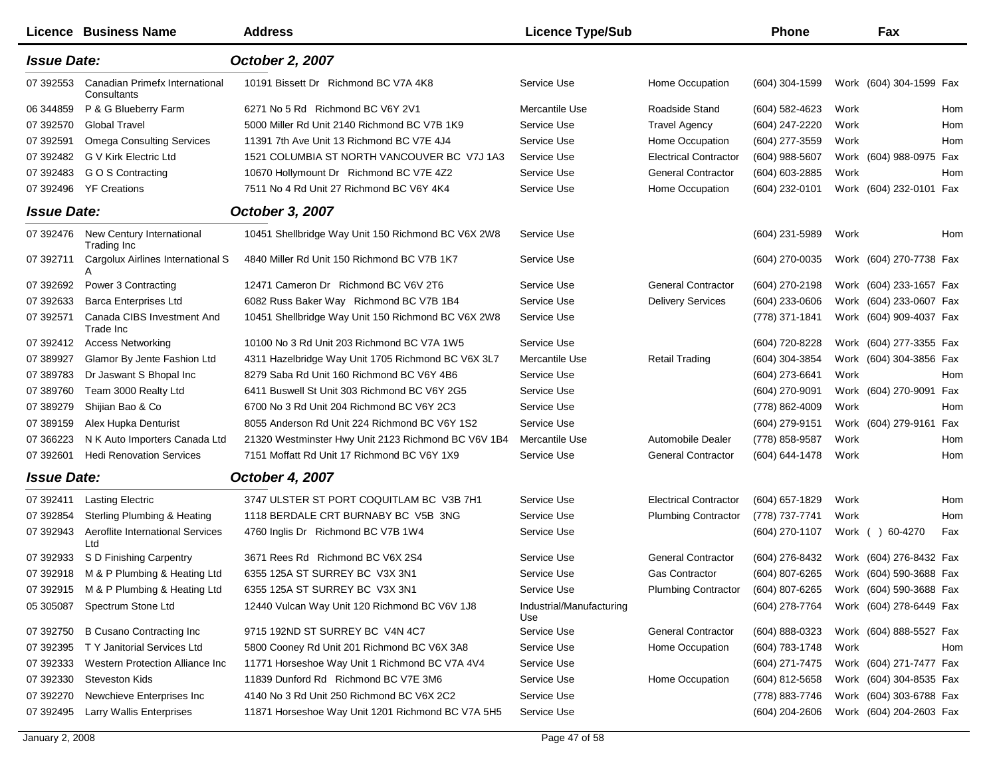|                    | <b>Licence Business Name</b>                  | <b>Address</b>                                      | <b>Licence Type/Sub</b>         |                              | Phone            |      | Fax                     |     |
|--------------------|-----------------------------------------------|-----------------------------------------------------|---------------------------------|------------------------------|------------------|------|-------------------------|-----|
| <b>Issue Date:</b> |                                               | October 2, 2007                                     |                                 |                              |                  |      |                         |     |
| 07 392553          | Canadian Primefx International<br>Consultants | 10191 Bissett Dr Richmond BC V7A 4K8                | Service Use                     | Home Occupation              | (604) 304-1599   |      | Work (604) 304-1599 Fax |     |
| 06 344859          | P & G Blueberry Farm                          | 6271 No 5 Rd Richmond BC V6Y 2V1                    | Mercantile Use                  | Roadside Stand               | (604) 582-4623   | Work |                         | Hom |
| 07 392570          | <b>Global Travel</b>                          | 5000 Miller Rd Unit 2140 Richmond BC V7B 1K9        | Service Use                     | <b>Travel Agency</b>         | (604) 247-2220   | Work |                         | Hom |
| 07 392591          | <b>Omega Consulting Services</b>              | 11391 7th Ave Unit 13 Richmond BC V7E 4J4           | Service Use                     | Home Occupation              | (604) 277-3559   | Work |                         | Hom |
| 07 392482          | G V Kirk Electric Ltd                         | 1521 COLUMBIA ST NORTH VANCOUVER BC V7J 1A3         | Service Use                     | <b>Electrical Contractor</b> | (604) 988-5607   |      | Work (604) 988-0975 Fax |     |
| 07 392483          | G O S Contracting                             | 10670 Hollymount Dr Richmond BC V7E 4Z2             | Service Use                     | <b>General Contractor</b>    | (604) 603-2885   | Work |                         | Hom |
| 07 392496          | <b>YF Creations</b>                           | 7511 No 4 Rd Unit 27 Richmond BC V6Y 4K4            | Service Use                     | Home Occupation              | (604) 232-0101   |      | Work (604) 232-0101 Fax |     |
| <b>Issue Date:</b> |                                               | October 3, 2007                                     |                                 |                              |                  |      |                         |     |
| 07 392476          | New Century International<br>Trading Inc      | 10451 Shellbridge Way Unit 150 Richmond BC V6X 2W8  | Service Use                     |                              | (604) 231-5989   | Work |                         | Hom |
| 07 392711          | Cargolux Airlines International S<br>A        | 4840 Miller Rd Unit 150 Richmond BC V7B 1K7         | Service Use                     |                              | (604) 270-0035   |      | Work (604) 270-7738 Fax |     |
| 07 392692          | Power 3 Contracting                           | 12471 Cameron Dr Richmond BC V6V 2T6                | Service Use                     | <b>General Contractor</b>    | (604) 270-2198   |      | Work (604) 233-1657 Fax |     |
| 07 392633          | <b>Barca Enterprises Ltd</b>                  | 6082 Russ Baker Way Richmond BC V7B 1B4             | Service Use                     | <b>Delivery Services</b>     | (604) 233-0606   |      | Work (604) 233-0607 Fax |     |
| 07 392571          | Canada CIBS Investment And<br>Trade Inc       | 10451 Shellbridge Way Unit 150 Richmond BC V6X 2W8  | Service Use                     |                              | (778) 371-1841   |      | Work (604) 909-4037 Fax |     |
| 07 392412          | <b>Access Networking</b>                      | 10100 No 3 Rd Unit 203 Richmond BC V7A 1W5          | Service Use                     |                              | (604) 720-8228   |      | Work (604) 277-3355 Fax |     |
| 07 389927          | Glamor By Jente Fashion Ltd                   | 4311 Hazelbridge Way Unit 1705 Richmond BC V6X 3L7  | Mercantile Use                  | <b>Retail Trading</b>        | (604) 304-3854   |      | Work (604) 304-3856 Fax |     |
| 07 389783          | Dr Jaswant S Bhopal Inc                       | 8279 Saba Rd Unit 160 Richmond BC V6Y 4B6           | Service Use                     |                              | (604) 273-6641   | Work |                         | Hom |
| 07 389760          | Team 3000 Realty Ltd                          | 6411 Buswell St Unit 303 Richmond BC V6Y 2G5        | Service Use                     |                              | (604) 270-9091   |      | Work (604) 270-9091     | Fax |
| 07 389279          | Shijian Bao & Co                              | 6700 No 3 Rd Unit 204 Richmond BC V6Y 2C3           | Service Use                     |                              | (778) 862-4009   | Work |                         | Hom |
| 07 389159          | Alex Hupka Denturist                          | 8055 Anderson Rd Unit 224 Richmond BC V6Y 1S2       | Service Use                     |                              | (604) 279-9151   |      | Work (604) 279-9161     | Fax |
| 07 366223          | N K Auto Importers Canada Ltd                 | 21320 Westminster Hwy Unit 2123 Richmond BC V6V 1B4 | Mercantile Use                  | Automobile Dealer            | (778) 858-9587   | Work |                         | Hom |
| 07 39 2601         | <b>Hedi Renovation Services</b>               | 7151 Moffatt Rd Unit 17 Richmond BC V6Y 1X9         | Service Use                     | <b>General Contractor</b>    | (604) 644-1478   | Work |                         | Hom |
| <b>Issue Date:</b> |                                               | October 4, 2007                                     |                                 |                              |                  |      |                         |     |
| 07 392411          | <b>Lasting Electric</b>                       | 3747 ULSTER ST PORT COQUITLAM BC V3B 7H1            | Service Use                     | <b>Electrical Contractor</b> | (604) 657-1829   | Work |                         | Hom |
| 07 392854          | <b>Sterling Plumbing &amp; Heating</b>        | 1118 BERDALE CRT BURNABY BC V5B 3NG                 | Service Use                     | <b>Plumbing Contractor</b>   | (778) 737-7741   | Work |                         | Hom |
| 07 392943          | Aeroflite International Services<br>Ltd       | 4760 Inglis Dr Richmond BC V7B 1W4                  | Service Use                     |                              | (604) 270-1107   |      | Work ( ) 60-4270        | Fax |
| 07 392933          | S D Finishing Carpentry                       | 3671 Rees Rd Richmond BC V6X 2S4                    | Service Use                     | <b>General Contractor</b>    | (604) 276-8432   |      | Work (604) 276-8432 Fax |     |
| 07 392918          | M & P Plumbing & Heating Ltd                  | 6355 125A ST SURREY BC V3X 3N1                      | Service Use                     | <b>Gas Contractor</b>        | (604) 807-6265   |      | Work (604) 590-3688 Fax |     |
| 07 392915          | M & P Plumbing & Heating Ltd                  | 6355 125A ST SURREY BC V3X 3N1                      | Service Use                     | <b>Plumbing Contractor</b>   | (604) 807-6265   |      | Work (604) 590-3688 Fax |     |
| 05 305087          | Spectrum Stone Ltd                            | 12440 Vulcan Way Unit 120 Richmond BC V6V 1J8       | Industrial/Manufacturing<br>Use |                              | (604) 278-7764   |      | Work (604) 278-6449 Fax |     |
| 07 392750          | <b>B Cusano Contracting Inc</b>               | 9715 192ND ST SURREY BC V4N 4C7                     | Service Use                     | <b>General Contractor</b>    | (604) 888-0323   |      | Work (604) 888-5527 Fax |     |
| 07 392395          | T Y Janitorial Services Ltd                   | 5800 Cooney Rd Unit 201 Richmond BC V6X 3A8         | Service Use                     | Home Occupation              | (604) 783-1748   | Work |                         | Hom |
| 07 392333          | Western Protection Alliance Inc               | 11771 Horseshoe Way Unit 1 Richmond BC V7A 4V4      | Service Use                     |                              | (604) 271-7475   |      | Work (604) 271-7477 Fax |     |
| 07 392330          | <b>Steveston Kids</b>                         | 11839 Dunford Rd Richmond BC V7E 3M6                | Service Use                     | Home Occupation              | (604) 812-5658   |      | Work (604) 304-8535 Fax |     |
| 07 392270          | Newchieve Enterprises Inc                     | 4140 No 3 Rd Unit 250 Richmond BC V6X 2C2           | Service Use                     |                              | (778) 883-7746   |      | Work (604) 303-6788 Fax |     |
| 07 392495          | Larry Wallis Enterprises                      | 11871 Horseshoe Way Unit 1201 Richmond BC V7A 5H5   | Service Use                     |                              | $(604)$ 204-2606 |      | Work (604) 204-2603 Fax |     |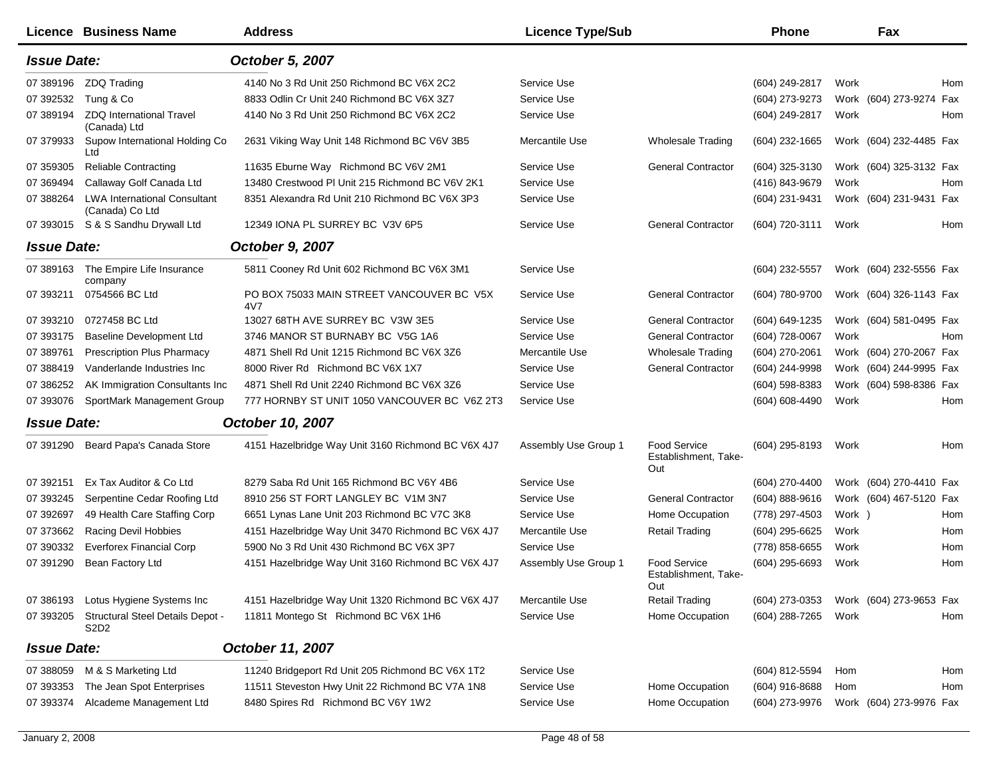|                    | Licence Business Name                                             | <b>Address</b>                                     | <b>Licence Type/Sub</b> |                                             | <b>Phone</b>       |        | Fax                     |     |
|--------------------|-------------------------------------------------------------------|----------------------------------------------------|-------------------------|---------------------------------------------|--------------------|--------|-------------------------|-----|
| <b>Issue Date:</b> |                                                                   | October 5, 2007                                    |                         |                                             |                    |        |                         |     |
| 07 389196          | ZDQ Trading                                                       | 4140 No 3 Rd Unit 250 Richmond BC V6X 2C2          | Service Use             |                                             | (604) 249-2817     | Work   |                         | Hom |
| 07 392532          | Tung & Co                                                         | 8833 Odlin Cr Unit 240 Richmond BC V6X 3Z7         | Service Use             |                                             | (604) 273-9273     |        | Work (604) 273-9274     | Fax |
| 07 389194          | <b>ZDQ International Travel</b><br>(Canada) Ltd                   | 4140 No 3 Rd Unit 250 Richmond BC V6X 2C2          | Service Use             |                                             | (604) 249-2817     | Work   |                         | Hom |
| 07 379933          | Supow International Holding Co<br>Ltd                             | 2631 Viking Way Unit 148 Richmond BC V6V 3B5       | Mercantile Use          | Wholesale Trading                           | $(604)$ 232-1665   |        | Work (604) 232-4485 Fax |     |
| 07 359305          | <b>Reliable Contracting</b>                                       | 11635 Eburne Way Richmond BC V6V 2M1               | Service Use             | <b>General Contractor</b>                   | (604) 325-3130     |        | Work (604) 325-3132 Fax |     |
| 07 369494          | Callaway Golf Canada Ltd                                          | 13480 Crestwood PI Unit 215 Richmond BC V6V 2K1    | Service Use             |                                             | (416) 843-9679     | Work   |                         | Hom |
| 07 388264          | <b>LWA International Consultant</b><br>(Canada) Co Ltd            | 8351 Alexandra Rd Unit 210 Richmond BC V6X 3P3     | Service Use             |                                             | (604) 231-9431     |        | Work (604) 231-9431 Fax |     |
|                    | 07 393015 S & S Sandhu Drywall Ltd                                | 12349 IONA PL SURREY BC V3V 6P5                    | Service Use             | <b>General Contractor</b>                   | (604) 720-3111     | Work   |                         | Hom |
| <b>Issue Date:</b> |                                                                   | October 9, 2007                                    |                         |                                             |                    |        |                         |     |
| 07 389163          | The Empire Life Insurance<br>company                              | 5811 Cooney Rd Unit 602 Richmond BC V6X 3M1        | Service Use             |                                             | (604) 232-5557     |        | Work (604) 232-5556 Fax |     |
| 07 393211          | 0754566 BC Ltd                                                    | PO BOX 75033 MAIN STREET VANCOUVER BC V5X<br>4V7   | Service Use             | <b>General Contractor</b>                   | (604) 780-9700     |        | Work (604) 326-1143 Fax |     |
| 07 393210          | 0727458 BC Ltd                                                    | 13027 68TH AVE SURREY BC V3W 3E5                   | Service Use             | <b>General Contractor</b>                   | (604) 649-1235     |        | Work (604) 581-0495 Fax |     |
| 07 393175          | <b>Baseline Development Ltd</b>                                   | 3746 MANOR ST BURNABY BC V5G 1A6                   | Service Use             | <b>General Contractor</b>                   | (604) 728-0067     | Work   |                         | Hom |
| 07 389761          | <b>Prescription Plus Pharmacy</b>                                 | 4871 Shell Rd Unit 1215 Richmond BC V6X 3Z6        | Mercantile Use          | <b>Wholesale Trading</b>                    | (604) 270-2061     |        | Work (604) 270-2067 Fax |     |
| 07 388419          | Vanderlande Industries Inc                                        | 8000 River Rd Richmond BC V6X 1X7                  | Service Use             | <b>General Contractor</b>                   | (604) 244-9998     |        | Work (604) 244-9995 Fax |     |
| 07 386252          | AK Immigration Consultants Inc.                                   | 4871 Shell Rd Unit 2240 Richmond BC V6X 3Z6        | Service Use             |                                             | $(604)$ 598-8383   |        | Work (604) 598-8386 Fax |     |
| 07 393076          | SportMark Management Group                                        | 777 HORNBY ST UNIT 1050 VANCOUVER BC V6Z 2T3       | Service Use             |                                             | $(604) 608 - 4490$ | Work   |                         | Hom |
| <b>Issue Date:</b> |                                                                   | October 10, 2007                                   |                         |                                             |                    |        |                         |     |
| 07 391290          | Beard Papa's Canada Store                                         | 4151 Hazelbridge Way Unit 3160 Richmond BC V6X 4J7 | Assembly Use Group 1    | Food Service<br>Establishment, Take-<br>Out | (604) 295-8193     | Work   |                         | Hom |
| 07 392151          | Ex Tax Auditor & Co Ltd                                           | 8279 Saba Rd Unit 165 Richmond BC V6Y 4B6          | Service Use             |                                             | (604) 270-4400     |        | Work (604) 270-4410 Fax |     |
| 07 393245          | Serpentine Cedar Roofing Ltd                                      | 8910 256 ST FORT LANGLEY BC V1M 3N7                | Service Use             | <b>General Contractor</b>                   | $(604) 888 - 9616$ |        | Work (604) 467-5120 Fax |     |
| 07 392697          | 49 Health Care Staffing Corp                                      | 6651 Lynas Lane Unit 203 Richmond BC V7C 3K8       | Service Use             | Home Occupation                             | (778) 297-4503     | Work ) |                         | Hom |
| 07 373662          | Racing Devil Hobbies                                              | 4151 Hazelbridge Way Unit 3470 Richmond BC V6X 4J7 | Mercantile Use          | <b>Retail Trading</b>                       | (604) 295-6625     | Work   |                         | Hom |
| 07 390332          | <b>Everforex Financial Corp</b>                                   | 5900 No 3 Rd Unit 430 Richmond BC V6X 3P7          | Service Use             |                                             | (778) 858-6655     | Work   |                         | Hom |
| 07 391290          | Bean Factory Ltd                                                  | 4151 Hazelbridge Way Unit 3160 Richmond BC V6X 4J7 | Assembly Use Group 1    | Food Service<br>Establishment, Take-<br>Out | (604) 295-6693     | Work   |                         | Hom |
| 07 386193          | Lotus Hygiene Systems Inc                                         | 4151 Hazelbridge Way Unit 1320 Richmond BC V6X 4J7 | Mercantile Use          | Retail Trading                              | (604) 273-0353     |        | Work (604) 273-9653 Fax |     |
| 07 393205          | Structural Steel Details Depot -<br>S <sub>2</sub> D <sub>2</sub> | 11811 Montego St Richmond BC V6X 1H6               | Service Use             | Home Occupation                             | (604) 288-7265     | Work   |                         | Hom |
| <b>Issue Date:</b> |                                                                   | October 11, 2007                                   |                         |                                             |                    |        |                         |     |
| 07 388059          | M & S Marketing Ltd                                               | 11240 Bridgeport Rd Unit 205 Richmond BC V6X 1T2   | Service Use             |                                             | (604) 812-5594     | Hom    |                         | Hom |
| 07 393353          | The Jean Spot Enterprises                                         | 11511 Steveston Hwy Unit 22 Richmond BC V7A 1N8    | Service Use             | Home Occupation                             | (604) 916-8688     | Hom    |                         | Hom |
| 07 393374          | Alcademe Management Ltd                                           | 8480 Spires Rd Richmond BC V6Y 1W2                 | Service Use             | Home Occupation                             | (604) 273-9976     |        | Work (604) 273-9976 Fax |     |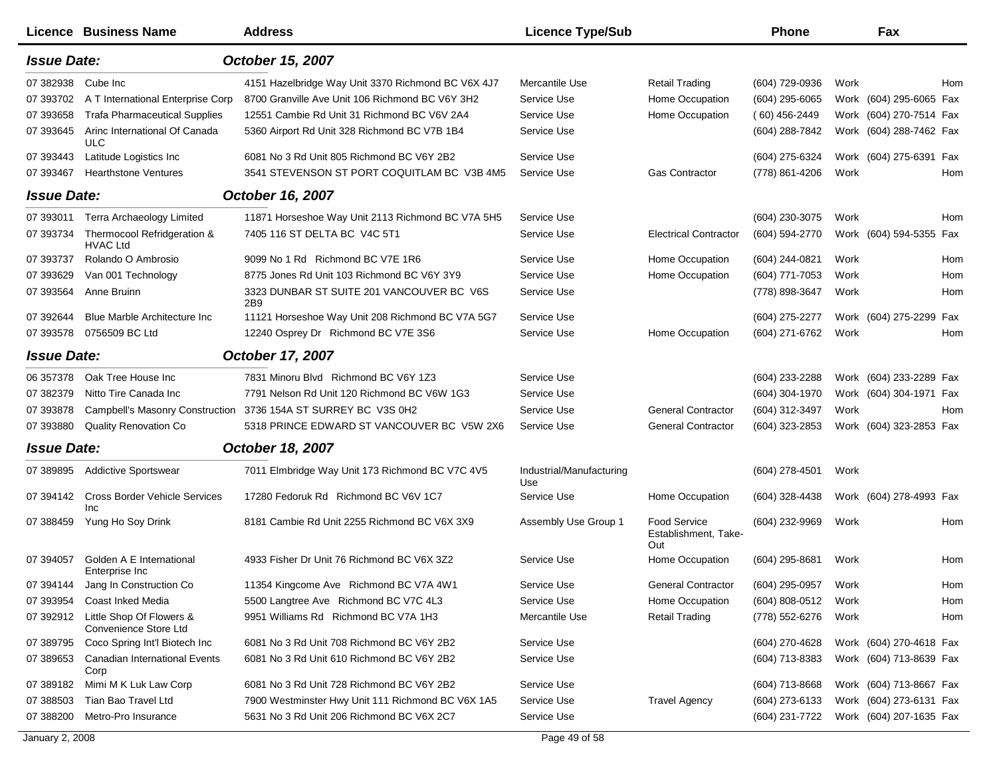|                    | <b>Licence Business Name</b>                       | <b>Address</b>                                     | <b>Licence Type/Sub</b>         |                                                    | Phone               | Fax                     |     |
|--------------------|----------------------------------------------------|----------------------------------------------------|---------------------------------|----------------------------------------------------|---------------------|-------------------------|-----|
| <b>Issue Date:</b> |                                                    | October 15, 2007                                   |                                 |                                                    |                     |                         |     |
| 07 382938          | Cube Inc                                           | 4151 Hazelbridge Way Unit 3370 Richmond BC V6X 4J7 | Mercantile Use                  | Retail Trading                                     | (604) 729-0936      | Work                    | Hom |
| 07 393702          | A T International Enterprise Corp                  | 8700 Granville Ave Unit 106 Richmond BC V6Y 3H2    | Service Use                     | Home Occupation                                    | (604) 295-6065      | Work (604) 295-6065 Fax |     |
| 07 393658          | <b>Trafa Pharmaceutical Supplies</b>               | 12551 Cambie Rd Unit 31 Richmond BC V6V 2A4        | Service Use                     | Home Occupation                                    | $(60)$ 456-2449     | Work (604) 270-7514 Fax |     |
| 07 393645          | Arinc International Of Canada<br><b>ULC</b>        | 5360 Airport Rd Unit 328 Richmond BC V7B 1B4       | Service Use                     |                                                    | (604) 288-7842      | Work (604) 288-7462 Fax |     |
| 07 393443          | Latitude Logistics Inc                             | 6081 No 3 Rd Unit 805 Richmond BC V6Y 2B2          | Service Use                     |                                                    | (604) 275-6324      | Work (604) 275-6391 Fax |     |
| 07 393467          | <b>Hearthstone Ventures</b>                        | 3541 STEVENSON ST PORT COQUITLAM BC V3B 4M5        | Service Use                     | <b>Gas Contractor</b>                              | (778) 861-4206      | Work                    | Hom |
| <b>Issue Date:</b> |                                                    | October 16, 2007                                   |                                 |                                                    |                     |                         |     |
| 07 393011          | Terra Archaeology Limited                          | 11871 Horseshoe Way Unit 2113 Richmond BC V7A 5H5  | Service Use                     |                                                    | (604) 230-3075      | Work                    | Hom |
| 07 393734          | Thermocool Refridgeration &<br><b>HVAC Ltd</b>     | 7405 116 ST DELTA BC V4C 5T1                       | Service Use                     | <b>Electrical Contractor</b>                       | (604) 594-2770      | Work (604) 594-5355 Fax |     |
| 07 393737          | Rolando O Ambrosio                                 | 9099 No 1 Rd Richmond BC V7E 1R6                   | Service Use                     | Home Occupation                                    | (604) 244-0821      | Work                    | Hom |
| 07 393629          | Van 001 Technology                                 | 8775 Jones Rd Unit 103 Richmond BC V6Y 3Y9         | Service Use                     | Home Occupation                                    | (604) 771-7053      | Work                    | Hom |
| 07 393564          | Anne Bruinn                                        | 3323 DUNBAR ST SUITE 201 VANCOUVER BC V6S<br>2B9   | Service Use                     |                                                    | (778) 898-3647      | Work                    | Hom |
| 07 392644          | <b>Blue Marble Architecture Inc.</b>               | 11121 Horseshoe Way Unit 208 Richmond BC V7A 5G7   | Service Use                     |                                                    | (604) 275-2277      | Work (604) 275-2299 Fax |     |
| 07 393578          | 0756509 BC Ltd                                     | 12240 Osprey Dr Richmond BC V7E 3S6                | Service Use                     | Home Occupation                                    | (604) 271-6762      | Work                    | Hom |
| <b>Issue Date:</b> |                                                    | October 17, 2007                                   |                                 |                                                    |                     |                         |     |
| 06 357378          | Oak Tree House Inc                                 | 7831 Minoru Blvd Richmond BC V6Y 1Z3               | Service Use                     |                                                    | (604) 233-2288      | Work (604) 233-2289 Fax |     |
| 07 382379          | Nitto Tire Canada Inc                              | 7791 Nelson Rd Unit 120 Richmond BC V6W 1G3        | Service Use                     |                                                    | (604) 304-1970      | Work (604) 304-1971 Fax |     |
| 07 393878          | <b>Campbell's Masonry Construction</b>             | 3736 154A ST SURREY BC V3S 0H2                     | Service Use                     | <b>General Contractor</b>                          | (604) 312-3497      | Work                    | Hom |
| 07 393880          | Quality Renovation Co                              | 5318 PRINCE EDWARD ST VANCOUVER BC V5W 2X6         | Service Use                     | <b>General Contractor</b>                          | (604) 323-2853      | Work (604) 323-2853 Fax |     |
| <b>Issue Date:</b> |                                                    | October 18, 2007                                   |                                 |                                                    |                     |                         |     |
| 07 389895          | <b>Addictive Sportswear</b>                        | 7011 Elmbridge Way Unit 173 Richmond BC V7C 4V5    | Industrial/Manufacturing<br>Use |                                                    | $(604)$ 278-4501    | Work                    |     |
| 07 394142          | <b>Cross Border Vehicle Services</b><br><b>Inc</b> | 17280 Fedoruk Rd Richmond BC V6V 1C7               | Service Use                     | Home Occupation                                    | (604) 328-4438      | Work (604) 278-4993 Fax |     |
| 07 388459          | Yung Ho Soy Drink                                  | 8181 Cambie Rd Unit 2255 Richmond BC V6X 3X9       | Assembly Use Group 1            | <b>Food Service</b><br>Establishment, Take-<br>Out | (604) 232-9969      | Work                    | Hom |
| 07 394057          | Golden A E International<br>Enterprise Inc         | 4933 Fisher Dr Unit 76 Richmond BC V6X 3Z2         | Service Use                     | Home Occupation                                    | (604) 295-8681      | Work                    | Hom |
|                    | 07 394144 Jang In Construction Co                  | 11354 Kingcome Ave Richmond BC V7A 4W1             | Service Use                     | General Contractor                                 | (604) 295-0957 Work |                         | Hom |
| 07 393954          | Coast Inked Media                                  | 5500 Langtree Ave Richmond BC V7C 4L3              | Service Use                     | Home Occupation                                    | (604) 808-0512      | Work                    | Hom |
| 07 392912          | Little Shop Of Flowers &<br>Convenience Store Ltd  | 9951 Williams Rd Richmond BC V7A 1H3               | Mercantile Use                  | <b>Retail Trading</b>                              | (778) 552-6276      | Work                    | Hom |
| 07 389795          | Coco Spring Int'l Biotech Inc                      | 6081 No 3 Rd Unit 708 Richmond BC V6Y 2B2          | Service Use                     |                                                    | (604) 270-4628      | Work (604) 270-4618 Fax |     |
| 07 389653          | Canadian International Events<br>Corp              | 6081 No 3 Rd Unit 610 Richmond BC V6Y 2B2          | Service Use                     |                                                    | $(604)$ 713-8383    | Work (604) 713-8639 Fax |     |
| 07 389182          | Mimi M K Luk Law Corp                              | 6081 No 3 Rd Unit 728 Richmond BC V6Y 2B2          | Service Use                     |                                                    | (604) 713-8668      | Work (604) 713-8667 Fax |     |
| 07 388503          | Tian Bao Travel Ltd                                | 7900 Westminster Hwy Unit 111 Richmond BC V6X 1A5  | Service Use                     | <b>Travel Agency</b>                               | (604) 273-6133      | Work (604) 273-6131 Fax |     |
| 07 388200          | Metro-Pro Insurance                                | 5631 No 3 Rd Unit 206 Richmond BC V6X 2C7          | Service Use                     |                                                    | (604) 231-7722      | Work (604) 207-1635 Fax |     |
| January 2, 2008    |                                                    |                                                    | Page 49 of 58                   |                                                    |                     |                         |     |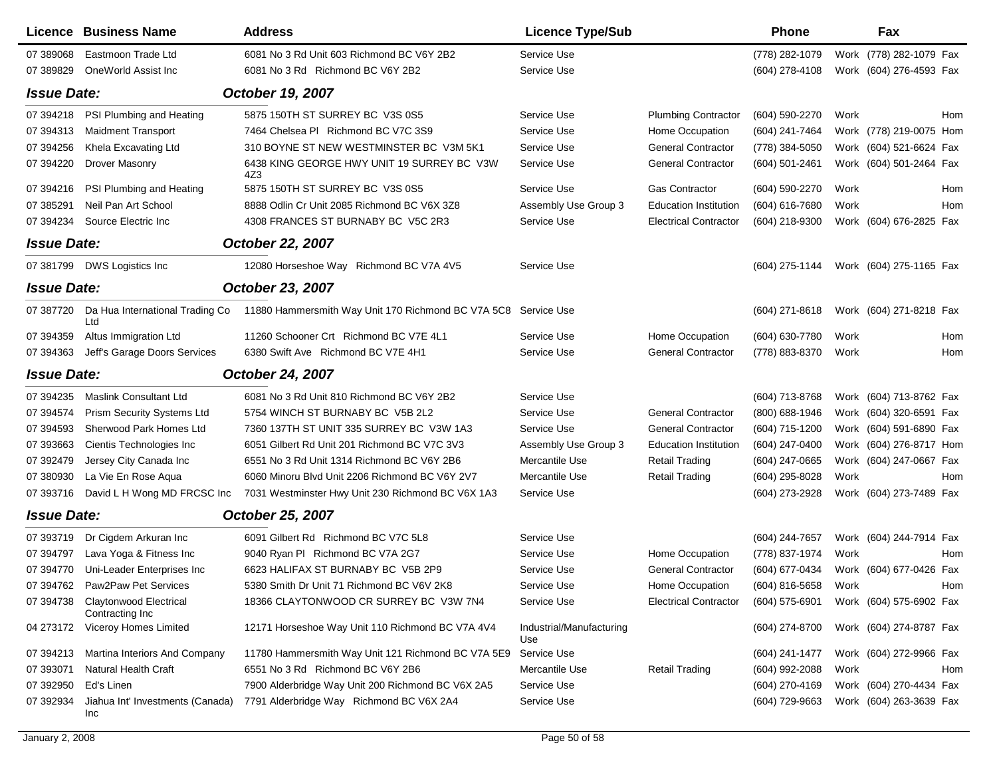|                    | Licence Business Name                               | <b>Address</b>                                                 | <b>Licence Type/Sub</b>         |                              | Phone               |      | Fax                     |
|--------------------|-----------------------------------------------------|----------------------------------------------------------------|---------------------------------|------------------------------|---------------------|------|-------------------------|
| 07 389068          | Eastmoon Trade Ltd                                  | 6081 No 3 Rd Unit 603 Richmond BC V6Y 2B2                      | Service Use                     |                              | (778) 282-1079      |      | Work (778) 282-1079 Fax |
| 07 389829          | OneWorld Assist Inc.                                | 6081 No 3 Rd Richmond BC V6Y 2B2                               | Service Use                     |                              | $(604)$ 278-4108    |      | Work (604) 276-4593 Fax |
| <b>Issue Date:</b> |                                                     | October 19, 2007                                               |                                 |                              |                     |      |                         |
| 07 394218          | PSI Plumbing and Heating                            | 5875 150TH ST SURREY BC V3S 0S5                                | Service Use                     | <b>Plumbing Contractor</b>   | (604) 590-2270      | Work | <b>Hom</b>              |
| 07 394313          | <b>Maidment Transport</b>                           | 7464 Chelsea PI Richmond BC V7C 3S9                            | Service Use                     | Home Occupation              | (604) 241-7464      |      | Work (778) 219-0075 Hom |
| 07 394256          | Khela Excavating Ltd                                | 310 BOYNE ST NEW WESTMINSTER BC V3M 5K1                        | Service Use                     | <b>General Contractor</b>    | (778) 384-5050      |      | Work (604) 521-6624 Fax |
| 07 394220          | <b>Drover Masonry</b>                               | 6438 KING GEORGE HWY UNIT 19 SURREY BC V3W<br>4Z3              | Service Use                     | <b>General Contractor</b>    | (604) 501-2461      |      | Work (604) 501-2464 Fax |
| 07 394216          | PSI Plumbing and Heating                            | 5875 150TH ST SURREY BC V3S 0S5                                | Service Use                     | <b>Gas Contractor</b>        | (604) 590-2270      | Work | Hom                     |
| 07 385291          | Neil Pan Art School                                 | 8888 Odlin Cr Unit 2085 Richmond BC V6X 3Z8                    | Assembly Use Group 3            | <b>Education Institution</b> | (604) 616-7680      | Work | Hom                     |
| 07 394234          | Source Electric Inc                                 | 4308 FRANCES ST BURNABY BC V5C 2R3                             | Service Use                     | <b>Electrical Contractor</b> | (604) 218-9300      |      | Work (604) 676-2825 Fax |
| <b>Issue Date:</b> |                                                     | October 22, 2007                                               |                                 |                              |                     |      |                         |
|                    | 07 381799 DWS Logistics Inc                         | 12080 Horseshoe Way Richmond BC V7A 4V5                        | Service Use                     |                              | (604) 275-1144      |      | Work (604) 275-1165 Fax |
| <b>Issue Date:</b> |                                                     | October 23, 2007                                               |                                 |                              |                     |      |                         |
| 07 387720          | Da Hua International Trading Co<br>Ltd              | 11880 Hammersmith Way Unit 170 Richmond BC V7A 5C8 Service Use |                                 |                              | (604) 271-8618      |      | Work (604) 271-8218 Fax |
| 07 394359          | Altus Immigration Ltd                               | 11260 Schooner Crt Richmond BC V7E 4L1                         | Service Use                     | Home Occupation              | (604) 630-7780      | Work | Hom                     |
| 07 394363          | Jeff's Garage Doors Services                        | 6380 Swift Ave Richmond BC V7E 4H1                             | Service Use                     | <b>General Contractor</b>    | (778) 883-8370      | Work | Hom                     |
| <b>Issue Date:</b> |                                                     | <b>October 24, 2007</b>                                        |                                 |                              |                     |      |                         |
| 07 394235          | <b>Maslink Consultant Ltd</b>                       | 6081 No 3 Rd Unit 810 Richmond BC V6Y 2B2                      | Service Use                     |                              | (604) 713-8768      |      | Work (604) 713-8762 Fax |
| 07 394574          | <b>Prism Security Systems Ltd</b>                   | 5754 WINCH ST BURNABY BC V5B 2L2                               | Service Use                     | <b>General Contractor</b>    | (800) 688-1946      |      | Work (604) 320-6591 Fax |
| 07 394593          | Sherwood Park Homes Ltd                             | 7360 137TH ST UNIT 335 SURREY BC V3W 1A3                       | Service Use                     | <b>General Contractor</b>    | (604) 715-1200      |      | Work (604) 591-6890 Fax |
| 07 393663          | Cientis Technologies Inc                            | 6051 Gilbert Rd Unit 201 Richmond BC V7C 3V3                   | Assembly Use Group 3            | <b>Education Institution</b> | (604) 247-0400      |      | Work (604) 276-8717 Hom |
| 07 392479          | Jersey City Canada Inc                              | 6551 No 3 Rd Unit 1314 Richmond BC V6Y 2B6                     | Mercantile Use                  | <b>Retail Trading</b>        | (604) 247-0665      |      | Work (604) 247-0667 Fax |
| 07 380930          | La Vie En Rose Aqua                                 | 6060 Minoru Blvd Unit 2206 Richmond BC V6Y 2V7                 | Mercantile Use                  | <b>Retail Trading</b>        | (604) 295-8028      | Work | Hom                     |
| 07 393716          | David L H Wong MD FRCSC Inc                         | 7031 Westminster Hwy Unit 230 Richmond BC V6X 1A3              | Service Use                     |                              | (604) 273-2928      |      | Work (604) 273-7489 Fax |
| <b>Issue Date:</b> |                                                     | October 25, 2007                                               |                                 |                              |                     |      |                         |
| 07 393719          | Dr Cigdem Arkuran Inc                               | 6091 Gilbert Rd Richmond BC V7C 5L8                            | Service Use                     |                              | (604) 244-7657      |      | Work (604) 244-7914 Fax |
| 07 394797          | Lava Yoga & Fitness Inc                             | 9040 Ryan PI Richmond BC V7A 2G7                               | Service Use                     | Home Occupation              | (778) 837-1974      | Work | Hom                     |
| 07 394770          | Uni-Leader Enterprises Inc                          | 6623 HALIFAX ST BURNABY BC V5B 2P9                             | Service Use                     | <b>General Contractor</b>    | (604) 677-0434      |      | Work (604) 677-0426 Fax |
|                    | 07 394762 Paw2Paw Pet Services                      | 5380 Smith Dr Unit 71 Richmond BC V6V 2K8                      | Service Use                     | Home Occupation              | (604) 816-5658 Work |      | Hom                     |
|                    | 07 394738 Claytonwood Electrical<br>Contracting Inc | 18366 CLAYTONWOOD CR SURREY BC V3W 7N4                         | Service Use                     | <b>Electrical Contractor</b> | $(604)$ 575-6901    |      | Work (604) 575-6902 Fax |
|                    | 04 273172 Viceroy Homes Limited                     | 12171 Horseshoe Way Unit 110 Richmond BC V7A 4V4               | Industrial/Manufacturing<br>Use |                              | (604) 274-8700      |      | Work (604) 274-8787 Fax |
| 07 394213          | Martina Interiors And Company                       | 11780 Hammersmith Way Unit 121 Richmond BC V7A 5E9             | Service Use                     |                              | (604) 241-1477      |      | Work (604) 272-9966 Fax |
| 07 393071          | <b>Natural Health Craft</b>                         | 6551 No 3 Rd Richmond BC V6Y 2B6                               | Mercantile Use                  | <b>Retail Trading</b>        | (604) 992-2088      | Work | Hom                     |
| 07 392950          | Ed's Linen                                          | 7900 Alderbridge Way Unit 200 Richmond BC V6X 2A5              | Service Use                     |                              | (604) 270-4169      |      | Work (604) 270-4434 Fax |
| 07 392934          | Jiahua Int' Investments (Canada)<br>Inc.            | 7791 Alderbridge Way Richmond BC V6X 2A4                       | Service Use                     |                              | (604) 729-9663      |      | Work (604) 263-3639 Fax |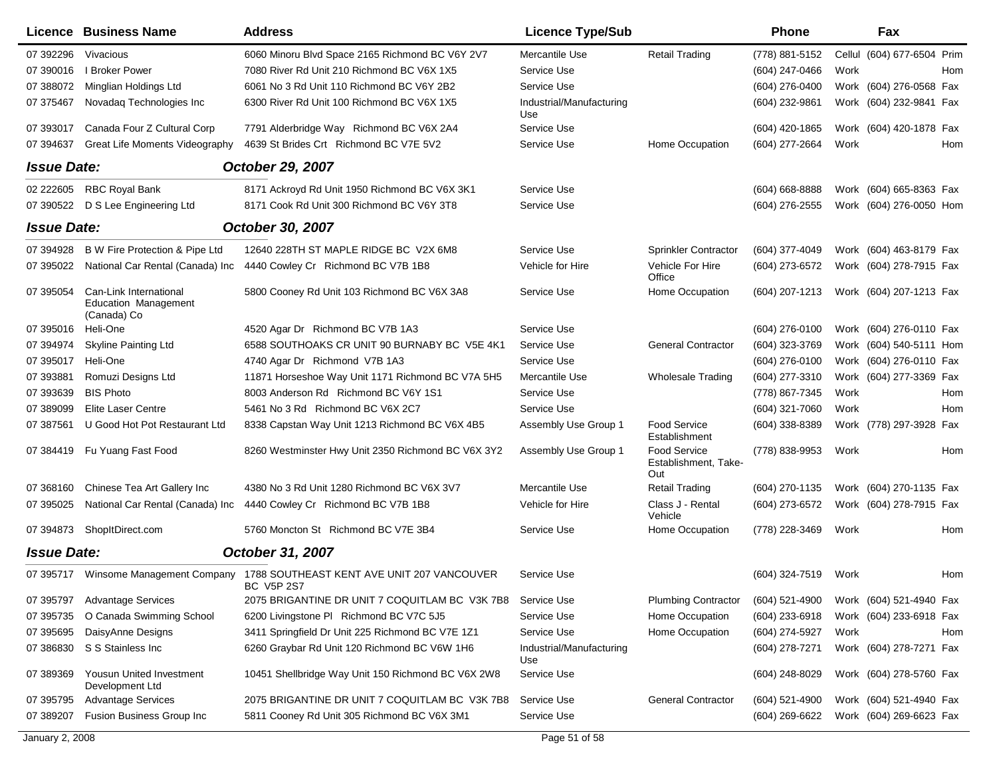|                    | <b>Licence Business Name</b>                                  | <b>Address</b>                                                                                | <b>Licence Type/Sub</b>         |                                                    | <b>Phone</b>       | Fax                        |     |
|--------------------|---------------------------------------------------------------|-----------------------------------------------------------------------------------------------|---------------------------------|----------------------------------------------------|--------------------|----------------------------|-----|
| 07 392296          | Vivacious                                                     | 6060 Minoru Blvd Space 2165 Richmond BC V6Y 2V7                                               | Mercantile Use                  | <b>Retail Trading</b>                              | (778) 881-5152     | Cellul (604) 677-6504 Prim |     |
| 07 390016          | I Broker Power                                                | 7080 River Rd Unit 210 Richmond BC V6X 1X5                                                    | Service Use                     |                                                    | (604) 247-0466     | Work                       | Hom |
| 07 388072          | Minglian Holdings Ltd                                         | 6061 No 3 Rd Unit 110 Richmond BC V6Y 2B2                                                     | Service Use                     |                                                    | (604) 276-0400     | Work (604) 276-0568 Fax    |     |
| 07 37 54 67        | Novadag Technologies Inc                                      | 6300 River Rd Unit 100 Richmond BC V6X 1X5                                                    | Industrial/Manufacturing<br>Use |                                                    | (604) 232-9861     | Work (604) 232-9841 Fax    |     |
| 07 393017          | Canada Four Z Cultural Corp                                   | 7791 Alderbridge Way Richmond BC V6X 2A4                                                      | Service Use                     |                                                    | (604) 420-1865     | Work (604) 420-1878 Fax    |     |
| 07 394637          | <b>Great Life Moments Videography</b>                         | 4639 St Brides Crt Richmond BC V7E 5V2                                                        | Service Use                     | Home Occupation                                    | (604) 277-2664     | Work                       | Hom |
| <b>Issue Date:</b> |                                                               | October 29, 2007                                                                              |                                 |                                                    |                    |                            |     |
| 02 222605          | <b>RBC Royal Bank</b>                                         | 8171 Ackroyd Rd Unit 1950 Richmond BC V6X 3K1                                                 | Service Use                     |                                                    | $(604) 668 - 8888$ | Work (604) 665-8363 Fax    |     |
| 07 390522          | D S Lee Engineering Ltd                                       | 8171 Cook Rd Unit 300 Richmond BC V6Y 3T8                                                     | Service Use                     |                                                    | (604) 276-2555     | Work (604) 276-0050 Hom    |     |
| <b>Issue Date:</b> |                                                               | October 30, 2007                                                                              |                                 |                                                    |                    |                            |     |
| 07 394928          | B W Fire Protection & Pipe Ltd                                | 12640 228TH ST MAPLE RIDGE BC V2X 6M8                                                         | Service Use                     | Sprinkler Contractor                               | (604) 377-4049     | Work (604) 463-8179 Fax    |     |
| 07 395022          | National Car Rental (Canada) Inc                              | 4440 Cowley Cr Richmond BC V7B 1B8                                                            | Vehicle for Hire                | Vehicle For Hire<br>Office                         | (604) 273-6572     | Work (604) 278-7915 Fax    |     |
| 07 395054          | Can-Link International<br>Education Management<br>(Canada) Co | 5800 Cooney Rd Unit 103 Richmond BC V6X 3A8                                                   | Service Use                     | Home Occupation                                    | (604) 207-1213     | Work (604) 207-1213 Fax    |     |
| 07 395016          | Heli-One                                                      | 4520 Agar Dr Richmond BC V7B 1A3                                                              | Service Use                     |                                                    | (604) 276-0100     | Work (604) 276-0110 Fax    |     |
| 07 394974          | <b>Skyline Painting Ltd</b>                                   | 6588 SOUTHOAKS CR UNIT 90 BURNABY BC V5E 4K1                                                  | Service Use                     | <b>General Contractor</b>                          | (604) 323-3769     | Work (604) 540-5111 Hom    |     |
| 07 395017          | Heli-One                                                      | 4740 Agar Dr Richmond V7B 1A3                                                                 | Service Use                     |                                                    | (604) 276-0100     | Work (604) 276-0110 Fax    |     |
| 07 393881          | Romuzi Designs Ltd                                            | 11871 Horseshoe Way Unit 1171 Richmond BC V7A 5H5                                             | Mercantile Use                  | <b>Wholesale Trading</b>                           | (604) 277-3310     | Work (604) 277-3369 Fax    |     |
| 07 393639          | <b>BIS Photo</b>                                              | 8003 Anderson Rd Richmond BC V6Y 1S1                                                          | Service Use                     |                                                    | (778) 867-7345     | Work                       | Hom |
| 07 389099          | <b>Elite Laser Centre</b>                                     | 5461 No 3 Rd Richmond BC V6X 2C7                                                              | Service Use                     |                                                    | (604) 321-7060     | Work                       | Hom |
| 07 387561          | U Good Hot Pot Restaurant Ltd                                 | 8338 Capstan Way Unit 1213 Richmond BC V6X 4B5                                                | Assembly Use Group 1            | Food Service<br>Establishment                      | (604) 338-8389     | Work (778) 297-3928 Fax    |     |
| 07 384419          | Fu Yuang Fast Food                                            | 8260 Westminster Hwy Unit 2350 Richmond BC V6X 3Y2                                            | Assembly Use Group 1            | <b>Food Service</b><br>Establishment, Take-<br>Out | (778) 838-9953     | Work                       | Hom |
| 07 368160          | Chinese Tea Art Gallery Inc                                   | 4380 No 3 Rd Unit 1280 Richmond BC V6X 3V7                                                    | Mercantile Use                  | <b>Retail Trading</b>                              | (604) 270-1135     | Work (604) 270-1135 Fax    |     |
| 07 395025          | National Car Rental (Canada) Inc                              | 4440 Cowley Cr Richmond BC V7B 1B8                                                            | Vehicle for Hire                | Class J - Rental<br>Vehicle                        | (604) 273-6572     | Work (604) 278-7915 Fax    |     |
| 07 394873          | ShopItDirect.com                                              | 5760 Moncton St Richmond BC V7E 3B4                                                           | Service Use                     | Home Occupation                                    | (778) 228-3469     | Work                       | Hom |
| <b>Issue Date:</b> |                                                               | October 31, 2007                                                                              |                                 |                                                    |                    |                            |     |
|                    |                                                               | 07 395717 Winsome Management Company 1788 SOUTHEAST KENT AVE UNIT 207 VANCOUVER<br>BC V5P 2S7 | Service Use                     |                                                    | (604) 324-7519     | Work                       | Hom |
| 07 395797          | <b>Advantage Services</b>                                     | 2075 BRIGANTINE DR UNIT 7 COQUITLAM BC V3K 7B8                                                | Service Use                     | <b>Plumbing Contractor</b>                         | (604) 521-4900     | Work (604) 521-4940 Fax    |     |
| 07 395735          | O Canada Swimming School                                      | 6200 Livingstone PI Richmond BC V7C 5J5                                                       | Service Use                     | Home Occupation                                    | (604) 233-6918     | Work (604) 233-6918 Fax    |     |
| 07 395695          | DaisyAnne Designs                                             | 3411 Springfield Dr Unit 225 Richmond BC V7E 1Z1                                              | Service Use                     | Home Occupation                                    | (604) 274-5927     | Work                       | Hom |
| 07 386830          | S S Stainless Inc                                             | 6260 Graybar Rd Unit 120 Richmond BC V6W 1H6                                                  | Industrial/Manufacturing<br>Use |                                                    | (604) 278-7271     | Work (604) 278-7271 Fax    |     |
| 07 389369          | Yousun United Investment<br>Development Ltd                   | 10451 Shellbridge Way Unit 150 Richmond BC V6X 2W8                                            | Service Use                     |                                                    | (604) 248-8029     | Work (604) 278-5760 Fax    |     |
| 07 395795          | <b>Advantage Services</b>                                     | 2075 BRIGANTINE DR UNIT 7 COQUITLAM BC V3K 7B8                                                | Service Use                     | <b>General Contractor</b>                          | $(604)$ 521-4900   | Work (604) 521-4940 Fax    |     |
| 07 389207          | Fusion Business Group Inc                                     | 5811 Cooney Rd Unit 305 Richmond BC V6X 3M1                                                   | Service Use                     |                                                    | (604) 269-6622     | Work (604) 269-6623 Fax    |     |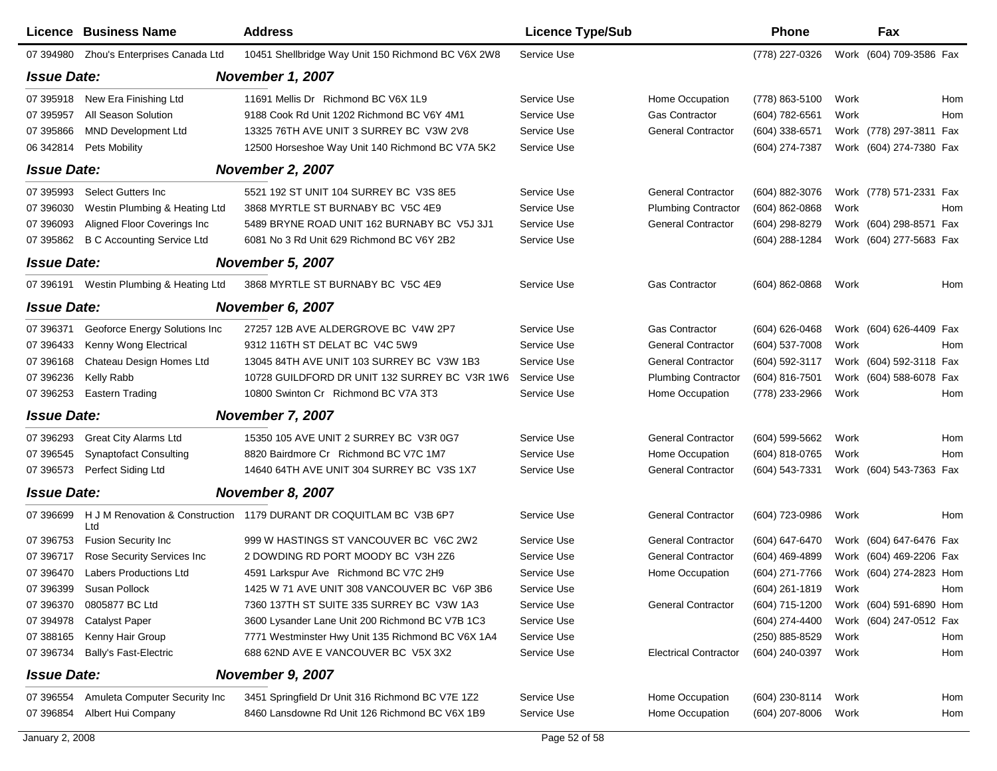|                    | Licence Business Name             | <b>Address</b>                                                      | <b>Licence Type/Sub</b> |                              | <b>Phone</b>     |      | Fax                     |     |
|--------------------|-----------------------------------|---------------------------------------------------------------------|-------------------------|------------------------------|------------------|------|-------------------------|-----|
| 07 394980          | Zhou's Enterprises Canada Ltd     | 10451 Shellbridge Way Unit 150 Richmond BC V6X 2W8                  | Service Use             |                              | (778) 227-0326   |      | Work (604) 709-3586 Fax |     |
| <b>Issue Date:</b> |                                   | <b>November 1, 2007</b>                                             |                         |                              |                  |      |                         |     |
| 07 395918          | New Era Finishing Ltd             | 11691 Mellis Dr Richmond BC V6X 1L9                                 | Service Use             | Home Occupation              | (778) 863-5100   | Work |                         | Hom |
| 07 395957          | All Season Solution               | 9188 Cook Rd Unit 1202 Richmond BC V6Y 4M1                          | Service Use             | Gas Contractor               | (604) 782-6561   | Work |                         | Hom |
| 07 395866          | <b>MND Development Ltd</b>        | 13325 76TH AVE UNIT 3 SURREY BC V3W 2V8                             | Service Use             | <b>General Contractor</b>    | (604) 338-6571   |      | Work (778) 297-3811 Fax |     |
| 06 34 28 14        | Pets Mobility                     | 12500 Horseshoe Way Unit 140 Richmond BC V7A 5K2                    | Service Use             |                              | (604) 274-7387   |      | Work (604) 274-7380 Fax |     |
| <b>Issue Date:</b> |                                   | <b>November 2, 2007</b>                                             |                         |                              |                  |      |                         |     |
| 07 395993          | Select Gutters Inc                | 5521 192 ST UNIT 104 SURREY BC V3S 8E5                              | Service Use             | <b>General Contractor</b>    | (604) 882-3076   |      | Work (778) 571-2331 Fax |     |
| 07 396030          | Westin Plumbing & Heating Ltd     | 3868 MYRTLE ST BURNABY BC V5C 4E9                                   | Service Use             | <b>Plumbing Contractor</b>   | $(604)$ 862-0868 | Work |                         | Hom |
| 07 39 6093         | Aligned Floor Coverings Inc       | 5489 BRYNE ROAD UNIT 162 BURNABY BC V5J 3J1                         | Service Use             | <b>General Contractor</b>    | (604) 298-8279   |      | Work (604) 298-8571 Fax |     |
| 07 395862          | <b>B C Accounting Service Ltd</b> | 6081 No 3 Rd Unit 629 Richmond BC V6Y 2B2                           | Service Use             |                              | (604) 288-1284   |      | Work (604) 277-5683 Fax |     |
| <b>Issue Date:</b> |                                   | <b>November 5, 2007</b>                                             |                         |                              |                  |      |                         |     |
| 07 39 6191         | Westin Plumbing & Heating Ltd     | 3868 MYRTLE ST BURNABY BC V5C 4E9                                   | Service Use             | <b>Gas Contractor</b>        | (604) 862-0868   | Work |                         | Hom |
| <b>Issue Date:</b> |                                   | November 6, 2007                                                    |                         |                              |                  |      |                         |     |
| 07 39 6371         | Geoforce Energy Solutions Inc     | 27257 12B AVE ALDERGROVE BC V4W 2P7                                 | Service Use             | <b>Gas Contractor</b>        | (604) 626-0468   |      | Work (604) 626-4409 Fax |     |
| 07 39 64 33        | Kenny Wong Electrical             | 9312 116TH ST DELAT BC V4C 5W9                                      | Service Use             | <b>General Contractor</b>    | (604) 537-7008   | Work |                         | Hom |
| 07 396168          | Chateau Design Homes Ltd          | 13045 84TH AVE UNIT 103 SURREY BC V3W 1B3                           | Service Use             | <b>General Contractor</b>    | (604) 592-3117   |      | Work (604) 592-3118 Fax |     |
| 07 396236          | Kelly Rabb                        | 10728 GUILDFORD DR UNIT 132 SURREY BC V3R 1W6                       | Service Use             | <b>Plumbing Contractor</b>   | (604) 816-7501   |      | Work (604) 588-6078 Fax |     |
| 07 396253          | <b>Eastern Trading</b>            | 10800 Swinton Cr Richmond BC V7A 3T3                                | Service Use             | Home Occupation              | (778) 233-2966   | Work |                         | Hom |
| <b>Issue Date:</b> |                                   | <b>November 7, 2007</b>                                             |                         |                              |                  |      |                         |     |
| 07 396293          | <b>Great City Alarms Ltd</b>      | 15350 105 AVE UNIT 2 SURREY BC V3R 0G7                              | Service Use             | <b>General Contractor</b>    | (604) 599-5662   | Work |                         | Hom |
| 07 39 6545         | <b>Synaptofact Consulting</b>     | 8820 Bairdmore Cr Richmond BC V7C 1M7                               | Service Use             | Home Occupation              | (604) 818-0765   | Work |                         | Hom |
| 07 39 6573         | Perfect Siding Ltd                | 14640 64TH AVE UNIT 304 SURREY BC V3S 1X7                           | Service Use             | <b>General Contractor</b>    | (604) 543-7331   |      | Work (604) 543-7363 Fax |     |
| <b>Issue Date:</b> |                                   | November 8, 2007                                                    |                         |                              |                  |      |                         |     |
| 07 39 6699         | Ltd                               | H J M Renovation & Construction 1179 DURANT DR COQUITLAM BC V3B 6P7 | Service Use             | <b>General Contractor</b>    | (604) 723-0986   | Work |                         | Hom |
| 07 39 6753         | <b>Fusion Security Inc</b>        | 999 W HASTINGS ST VANCOUVER BC V6C 2W2                              | Service Use             | <b>General Contractor</b>    | (604) 647-6470   |      | Work (604) 647-6476 Fax |     |
| 07 39 6717         | Rose Security Services Inc        | 2 DOWDING RD PORT MOODY BC V3H 2Z6                                  | Service Use             | <b>General Contractor</b>    | (604) 469-4899   |      | Work (604) 469-2206 Fax |     |
| 07 39 6470         | <b>Labers Productions Ltd</b>     | 4591 Larkspur Ave Richmond BC V7C 2H9                               | Service Use             | Home Occupation              | (604) 271-7766   |      | Work (604) 274-2823 Hom |     |
| 07 39 6399         | Susan Pollock                     | 1425 W 71 AVE UNIT 308 VANCOUVER BC V6P 3B6                         | Service Use             |                              | $(604)$ 261-1819 | Work |                         | Hom |
| 07 39 6370         | 0805877 BC Ltd                    | 7360 137TH ST SUITE 335 SURREY BC V3W 1A3                           | Service Use             | <b>General Contractor</b>    | (604) 715-1200   |      | Work (604) 591-6890 Hom |     |
| 07 394978          | <b>Catalyst Paper</b>             | 3600 Lysander Lane Unit 200 Richmond BC V7B 1C3                     | Service Use             |                              | (604) 274-4400   |      | Work (604) 247-0512 Fax |     |
| 07 388165          | Kenny Hair Group                  | 7771 Westminster Hwy Unit 135 Richmond BC V6X 1A4                   | Service Use             |                              | (250) 885-8529   | Work |                         | Hom |
| 07 39 6734         | <b>Bally's Fast-Electric</b>      | 688 62ND AVE E VANCOUVER BC V5X 3X2                                 | Service Use             | <b>Electrical Contractor</b> | (604) 240-0397   | Work |                         | Hom |
| <b>Issue Date:</b> |                                   | November 9, 2007                                                    |                         |                              |                  |      |                         |     |
| 07 39 6554         | Amuleta Computer Security Inc     | 3451 Springfield Dr Unit 316 Richmond BC V7E 1Z2                    | Service Use             | Home Occupation              | (604) 230-8114   | Work |                         | Hom |
| 07 39 6854         | Albert Hui Company                | 8460 Lansdowne Rd Unit 126 Richmond BC V6X 1B9                      | Service Use             | Home Occupation              | (604) 207-8006   | Work |                         | Hom |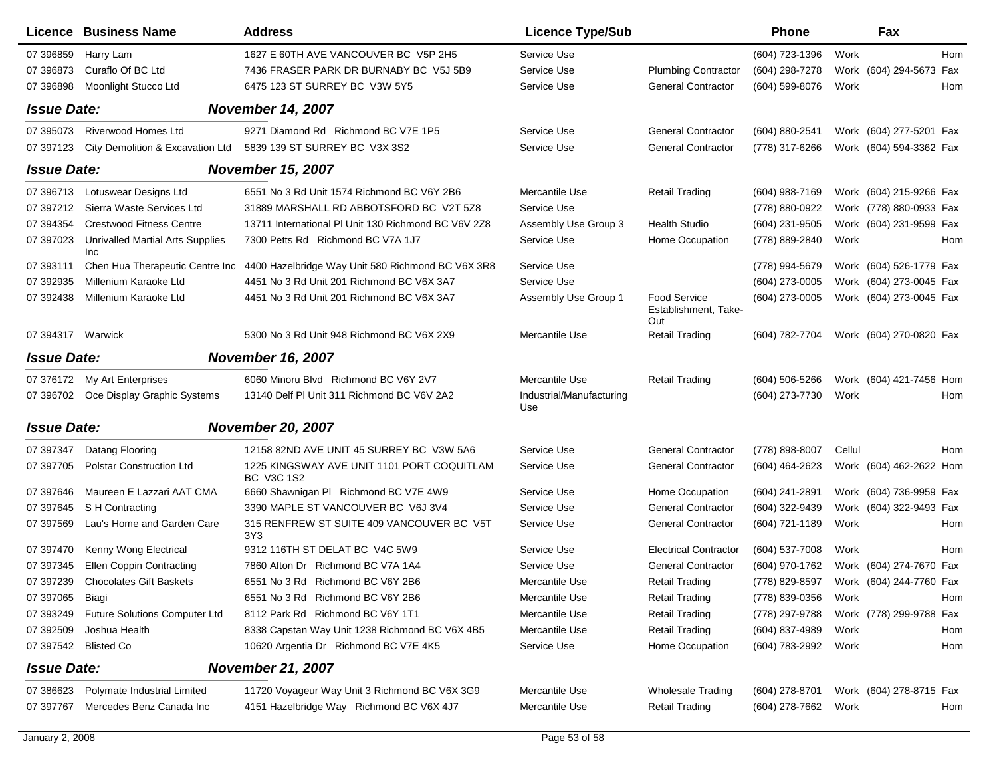|                    | Licence Business Name                          | <b>Address</b>                                                  | <b>Licence Type/Sub</b>         |                                                    | <b>Phone</b>     |        | Fax                     |
|--------------------|------------------------------------------------|-----------------------------------------------------------------|---------------------------------|----------------------------------------------------|------------------|--------|-------------------------|
| 07 39 6859         | Harry Lam                                      | 1627 E 60TH AVE VANCOUVER BC V5P 2H5                            | Service Use                     |                                                    | (604) 723-1396   | Work   | Hom                     |
| 07 39 6873         | Curaflo Of BC Ltd                              | 7436 FRASER PARK DR BURNABY BC V5J 5B9                          | Service Use                     | <b>Plumbing Contractor</b>                         | (604) 298-7278   |        | Work (604) 294-5673 Fax |
| 07 39 6898         | Moonlight Stucco Ltd                           | 6475 123 ST SURREY BC V3W 5Y5                                   | Service Use                     | <b>General Contractor</b>                          | (604) 599-8076   | Work   | Hom                     |
| <b>Issue Date:</b> |                                                | <b>November 14, 2007</b>                                        |                                 |                                                    |                  |        |                         |
| 07 395073          | <b>Riverwood Homes Ltd</b>                     | 9271 Diamond Rd Richmond BC V7E 1P5                             | Service Use                     | <b>General Contractor</b>                          | (604) 880-2541   |        | Work (604) 277-5201 Fax |
| 07 397123          | City Demolition & Excavation Ltd               | 5839 139 ST SURREY BC V3X 3S2                                   | Service Use                     | <b>General Contractor</b>                          | (778) 317-6266   |        | Work (604) 594-3362 Fax |
| <b>Issue Date:</b> |                                                | <b>November 15, 2007</b>                                        |                                 |                                                    |                  |        |                         |
| 07 39 6713         | Lotuswear Designs Ltd                          | 6551 No 3 Rd Unit 1574 Richmond BC V6Y 2B6                      | Mercantile Use                  | <b>Retail Trading</b>                              | $(604)$ 988-7169 |        | Work (604) 215-9266 Fax |
| 07 397212          | Sierra Waste Services Ltd                      | 31889 MARSHALL RD ABBOTSFORD BC V2T 5Z8                         | Service Use                     |                                                    | (778) 880-0922   |        | Work (778) 880-0933 Fax |
| 07 394354          | <b>Crestwood Fitness Centre</b>                | 13711 International PI Unit 130 Richmond BC V6V 2Z8             | Assembly Use Group 3            | Health Studio                                      | (604) 231-9505   |        | Work (604) 231-9599 Fax |
| 07 397023          | <b>Unrivalled Martial Arts Supplies</b><br>Inc | 7300 Petts Rd Richmond BC V7A 1J7                               | Service Use                     | Home Occupation                                    | (778) 889-2840   | Work   | Hom                     |
| 07 393111          | Chen Hua Therapeutic Centre Inc                | 4400 Hazelbridge Way Unit 580 Richmond BC V6X 3R8               | Service Use                     |                                                    | (778) 994-5679   |        | Work (604) 526-1779 Fax |
| 07 392935          | Millenium Karaoke Ltd                          | 4451 No 3 Rd Unit 201 Richmond BC V6X 3A7                       | Service Use                     |                                                    | (604) 273-0005   |        | Work (604) 273-0045 Fax |
| 07 392438          | Millenium Karaoke Ltd                          | 4451 No 3 Rd Unit 201 Richmond BC V6X 3A7                       | Assembly Use Group 1            | <b>Food Service</b><br>Establishment, Take-<br>Out | (604) 273-0005   |        | Work (604) 273-0045 Fax |
| 07 394317 Warwick  |                                                | 5300 No 3 Rd Unit 948 Richmond BC V6X 2X9                       | Mercantile Use                  | <b>Retail Trading</b>                              | (604) 782-7704   |        | Work (604) 270-0820 Fax |
| <b>Issue Date:</b> |                                                | <b>November 16, 2007</b>                                        |                                 |                                                    |                  |        |                         |
|                    | 07 376172 My Art Enterprises                   | 6060 Minoru Blvd Richmond BC V6Y 2V7                            | Mercantile Use                  | <b>Retail Trading</b>                              | (604) 506-5266   |        | Work (604) 421-7456 Hom |
|                    | 07 396702 Oce Display Graphic Systems          | 13140 Delf PI Unit 311 Richmond BC V6V 2A2                      | Industrial/Manufacturing<br>Use |                                                    | (604) 273-7730   | Work   | Hom                     |
| <b>Issue Date:</b> |                                                | <b>November 20, 2007</b>                                        |                                 |                                                    |                  |        |                         |
| 07 397347          | Datang Flooring                                | 12158 82ND AVE UNIT 45 SURREY BC V3W 5A6                        | Service Use                     | <b>General Contractor</b>                          | (778) 898-8007   | Cellul | Hom                     |
| 07 397705          | <b>Polstar Construction Ltd</b>                | 1225 KINGSWAY AVE UNIT 1101 PORT COQUITLAM<br><b>BC V3C 1S2</b> | Service Use                     | <b>General Contractor</b>                          | (604) 464-2623   |        | Work (604) 462-2622 Hom |
| 07 397646          | Maureen E Lazzari AAT CMA                      | 6660 Shawnigan PI Richmond BC V7E 4W9                           | Service Use                     | Home Occupation                                    | (604) 241-2891   |        | Work (604) 736-9959 Fax |
| 07 397645          | S H Contracting                                | 3390 MAPLE ST VANCOUVER BC V6J 3V4                              | Service Use                     | <b>General Contractor</b>                          | (604) 322-9439   |        | Work (604) 322-9493 Fax |
| 07 397569          | Lau's Home and Garden Care                     | 315 RENFREW ST SUITE 409 VANCOUVER BC V5T<br>3Y3                | Service Use                     | <b>General Contractor</b>                          | (604) 721-1189   | Work   | Hom                     |
| 07 397470          | Kenny Wong Electrical                          | 9312 116TH ST DELAT BC V4C 5W9                                  | Service Use                     | <b>Electrical Contractor</b>                       | (604) 537-7008   | Work   | Hom                     |
| 07 397345          | <b>Ellen Coppin Contracting</b>                | 7860 Afton Dr Richmond BC V7A 1A4                               | Service Use                     | <b>General Contractor</b>                          | (604) 970-1762   |        | Work (604) 274-7670 Fax |
| 07 397239          | <b>Chocolates Gift Baskets</b>                 | 6551 No 3 Rd Richmond BC V6Y 2B6                                | Mercantile Use                  | <b>Retail Trading</b>                              | (778) 829-8597   |        | Work (604) 244-7760 Fax |
| 07 397065          | Biagi                                          | 6551 No 3 Rd Richmond BC V6Y 2B6                                | Mercantile Use                  | Retail Trading                                     | (778) 839-0356   | Work   | Hom                     |
| 07 393249          | Future Solutions Computer Ltd                  | 8112 Park Rd Richmond BC V6Y 1T1                                | Mercantile Use                  | <b>Retail Trading</b>                              | (778) 297-9788   |        | Work (778) 299-9788 Fax |
| 07 392509          | Joshua Health                                  | 8338 Capstan Way Unit 1238 Richmond BC V6X 4B5                  | Mercantile Use                  | <b>Retail Trading</b>                              | (604) 837-4989   | Work   | Hom                     |
| 07 397542          | <b>Blisted Co</b>                              | 10620 Argentia Dr Richmond BC V7E 4K5                           | Service Use                     | Home Occupation                                    | (604) 783-2992   | Work   | Hom                     |
| <b>Issue Date:</b> |                                                | <b>November 21, 2007</b>                                        |                                 |                                                    |                  |        |                         |
| 07 386623          | Polymate Industrial Limited                    | 11720 Voyageur Way Unit 3 Richmond BC V6X 3G9                   | Mercantile Use                  | <b>Wholesale Trading</b>                           | $(604)$ 278-8701 |        | Work (604) 278-8715 Fax |
| 07 397767          | Mercedes Benz Canada Inc                       | 4151 Hazelbridge Way Richmond BC V6X 4J7                        | Mercantile Use                  | <b>Retail Trading</b>                              | (604) 278-7662   | Work   | Hom                     |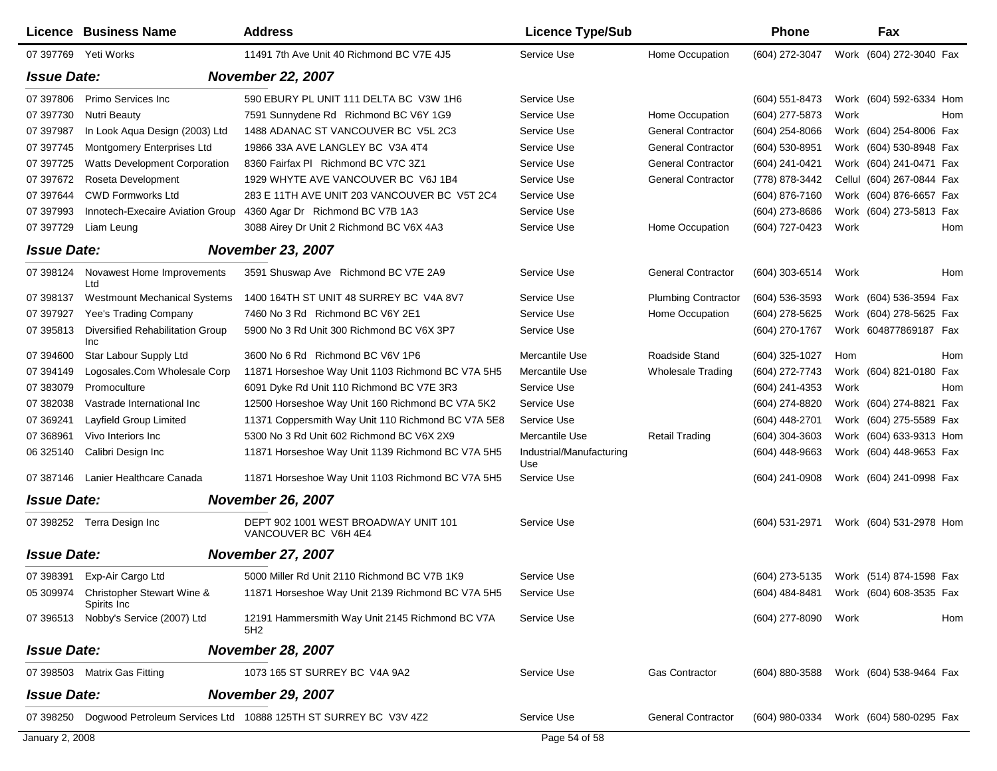|                    | <b>Licence Business Name</b>                         | <b>Address</b>                                                            | <b>Licence Type/Sub</b>         |                            | <b>Phone</b>        | Fax                                    |     |
|--------------------|------------------------------------------------------|---------------------------------------------------------------------------|---------------------------------|----------------------------|---------------------|----------------------------------------|-----|
|                    | 07 397769 Yeti Works                                 | 11491 7th Ave Unit 40 Richmond BC V7E 4J5                                 | Service Use                     | Home Occupation            | (604) 272-3047      | Work (604) 272-3040 Fax                |     |
| <b>Issue Date:</b> |                                                      | <b>November 22, 2007</b>                                                  |                                 |                            |                     |                                        |     |
| 07 397806          | Primo Services Inc                                   | 590 EBURY PL UNIT 111 DELTA BC V3W 1H6                                    | Service Use                     |                            | (604) 551-8473      | Work (604) 592-6334 Hom                |     |
| 07 397730          | <b>Nutri Beauty</b>                                  | 7591 Sunnydene Rd Richmond BC V6Y 1G9                                     | Service Use                     | Home Occupation            | (604) 277-5873      | Work                                   | Hom |
| 07 397987          | In Look Aqua Design (2003) Ltd                       | 1488 ADANAC ST VANCOUVER BC V5L 2C3                                       | Service Use                     | <b>General Contractor</b>  | (604) 254-8066      | Work (604) 254-8006 Fax                |     |
| 07 397745          | Montgomery Enterprises Ltd                           | 19866 33A AVE LANGLEY BC V3A 4T4                                          | Service Use                     | <b>General Contractor</b>  | (604) 530-8951      | Work (604) 530-8948 Fax                |     |
| 07 397725          | Watts Development Corporation                        | 8360 Fairfax PI Richmond BC V7C 3Z1                                       | Service Use                     | <b>General Contractor</b>  | (604) 241-0421      | Work (604) 241-0471 Fax                |     |
| 07 397672          | Roseta Development                                   | 1929 WHYTE AVE VANCOUVER BC V6J 1B4                                       | Service Use                     | <b>General Contractor</b>  | (778) 878-3442      | Cellul (604) 267-0844 Fax              |     |
| 07 397644          | <b>CWD Formworks Ltd</b>                             | 283 E 11TH AVE UNIT 203 VANCOUVER BC V5T 2C4                              | Service Use                     |                            | (604) 876-7160      | Work (604) 876-6657 Fax                |     |
| 07 397993          | Innotech-Execaire Aviation Group                     | 4360 Agar Dr Richmond BC V7B 1A3                                          | Service Use                     |                            | (604) 273-8686      | Work (604) 273-5813 Fax                |     |
| 07 397729          | Liam Leung                                           | 3088 Airey Dr Unit 2 Richmond BC V6X 4A3                                  | Service Use                     | Home Occupation            | (604) 727-0423      | Work                                   | Hom |
| <b>Issue Date:</b> |                                                      | <b>November 23, 2007</b>                                                  |                                 |                            |                     |                                        |     |
| 07 398124          | Novawest Home Improvements<br>Ltd                    | 3591 Shuswap Ave Richmond BC V7E 2A9                                      | Service Use                     | <b>General Contractor</b>  | (604) 303-6514      | Work                                   | Hom |
| 07 398137          | <b>Westmount Mechanical Systems</b>                  | 1400 164TH ST UNIT 48 SURREY BC V4A 8V7                                   | Service Use                     | <b>Plumbing Contractor</b> | (604) 536-3593      | Work (604) 536-3594 Fax                |     |
| 07 397927          | Yee's Trading Company                                | 7460 No 3 Rd Richmond BC V6Y 2E1                                          | Service Use                     | Home Occupation            | (604) 278-5625      | Work (604) 278-5625 Fax                |     |
| 07 395813          | Diversified Rehabilitation Group<br>Inc              | 5900 No 3 Rd Unit 300 Richmond BC V6X 3P7                                 | Service Use                     |                            | (604) 270-1767      | Work 604877869187 Fax                  |     |
| 07 394600          | Star Labour Supply Ltd                               | 3600 No 6 Rd Richmond BC V6V 1P6                                          | Mercantile Use                  | Roadside Stand             | (604) 325-1027      | Hom                                    | Hom |
| 07 394149          | Logosales.Com Wholesale Corp                         | 11871 Horseshoe Way Unit 1103 Richmond BC V7A 5H5                         | Mercantile Use                  | <b>Wholesale Trading</b>   | (604) 272-7743      | Work (604) 821-0180 Fax                |     |
| 07 383079          | Promoculture                                         | 6091 Dyke Rd Unit 110 Richmond BC V7E 3R3                                 | Service Use                     |                            | (604) 241-4353      | Work                                   | Hom |
| 07 382038          | Vastrade International Inc                           | 12500 Horseshoe Way Unit 160 Richmond BC V7A 5K2                          | Service Use                     |                            | (604) 274-8820      | Work (604) 274-8821 Fax                |     |
| 07 369241          | Layfield Group Limited                               | 11371 Coppersmith Way Unit 110 Richmond BC V7A 5E8                        | Service Use                     |                            | (604) 448-2701      | Work (604) 275-5589 Fax                |     |
| 07 368961          | Vivo Interiors Inc                                   | 5300 No 3 Rd Unit 602 Richmond BC V6X 2X9                                 | Mercantile Use                  | <b>Retail Trading</b>      | (604) 304-3603      | Work (604) 633-9313 Hom                |     |
| 06 325140          | Calibri Design Inc                                   | 11871 Horseshoe Way Unit 1139 Richmond BC V7A 5H5                         | Industrial/Manufacturing<br>Use |                            | (604) 448-9663      | Work (604) 448-9653 Fax                |     |
| 07 387146          | Lanier Healthcare Canada                             | 11871 Horseshoe Way Unit 1103 Richmond BC V7A 5H5                         | Service Use                     |                            | (604) 241-0908      | Work (604) 241-0998 Fax                |     |
| <b>Issue Date:</b> |                                                      | <b>November 26, 2007</b>                                                  |                                 |                            |                     |                                        |     |
|                    | 07 398252 Terra Design Inc                           | DEPT 902 1001 WEST BROADWAY UNIT 101<br>VANCOUVER BC V6H 4E4              | Service Use                     |                            | $(604)$ 531-2971    | Work (604) 531-2978 Hom                |     |
| <b>Issue Date:</b> |                                                      | <b>November 27, 2007</b>                                                  |                                 |                            |                     |                                        |     |
| 07 398391          | Exp-Air Cargo Ltd                                    | 5000 Miller Rd Unit 2110 Richmond BC V7B 1K9                              | Service Use                     |                            |                     | (604) 273-5135 Work (514) 874-1598 Fax |     |
| 05 309974          | <b>Christopher Stewart Wine &amp;</b><br>Spirits Inc | 11871 Horseshoe Way Unit 2139 Richmond BC V7A 5H5                         | Service Use                     |                            |                     | (604) 484-8481 Work (604) 608-3535 Fax |     |
|                    | 07 396513 Nobby's Service (2007) Ltd                 | 12191 Hammersmith Way Unit 2145 Richmond BC V7A<br>5H <sub>2</sub>        | Service Use                     |                            | (604) 277-8090 Work |                                        | Hom |
| <b>Issue Date:</b> |                                                      | <b>November 28, 2007</b>                                                  |                                 |                            |                     |                                        |     |
|                    | 07 398503 Matrix Gas Fitting                         | 1073 165 ST SURREY BC V4A 9A2                                             | Service Use                     | Gas Contractor             | (604) 880-3588      | Work (604) 538-9464 Fax                |     |
| <b>Issue Date:</b> |                                                      | <b>November 29, 2007</b>                                                  |                                 |                            |                     |                                        |     |
|                    |                                                      | 07 398250 Dogwood Petroleum Services Ltd 10888 125TH ST SURREY BC V3V 4Z2 | Service Use                     | <b>General Contractor</b>  |                     | (604) 980-0334 Work (604) 580-0295 Fax |     |
| January 2, 2008    |                                                      |                                                                           | Page 54 of 58                   |                            |                     |                                        |     |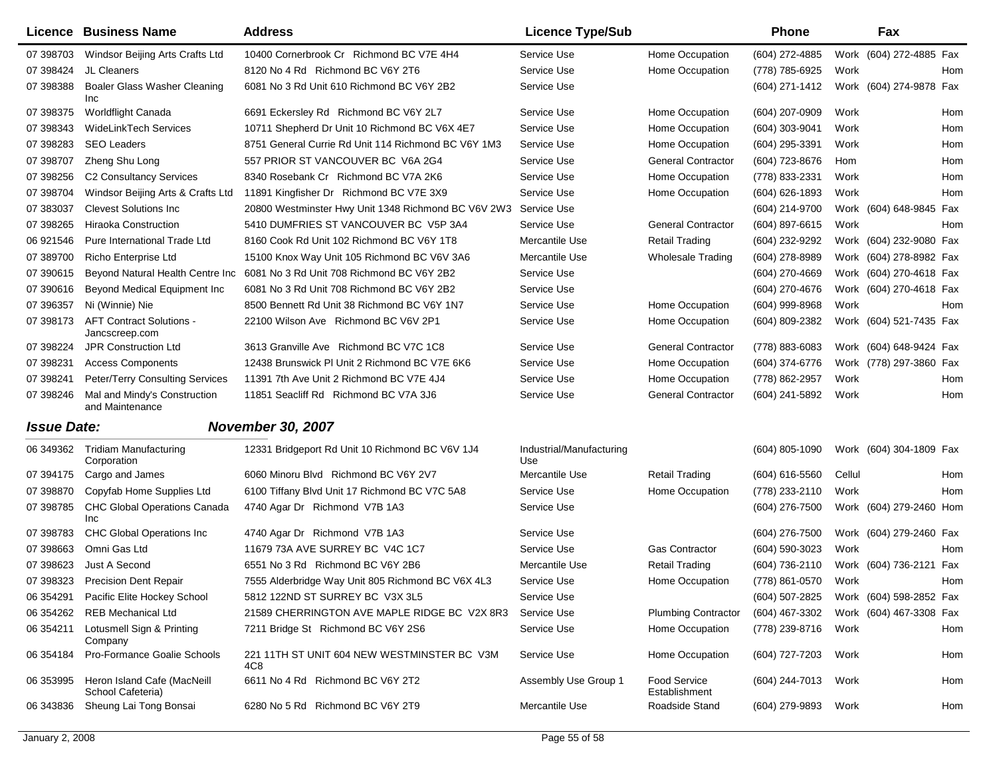|                    | Licence Business Name                             | <b>Address</b>                                      | <b>Licence Type/Sub</b>         |                               | Phone               | Fax                     |
|--------------------|---------------------------------------------------|-----------------------------------------------------|---------------------------------|-------------------------------|---------------------|-------------------------|
| 07 398703          | Windsor Beijing Arts Crafts Ltd                   | 10400 Cornerbrook Cr Richmond BC V7E 4H4            | Service Use                     | Home Occupation               | (604) 272-4885      | Work (604) 272-4885 Fax |
| 07 398424          | JL Cleaners                                       | 8120 No 4 Rd Richmond BC V6Y 2T6                    | Service Use                     | Home Occupation               | (778) 785-6925      | Work<br>Hom             |
| 07 398388          | <b>Boaler Glass Washer Cleaning</b><br>Inc        | 6081 No 3 Rd Unit 610 Richmond BC V6Y 2B2           | Service Use                     |                               | (604) 271-1412      | Work (604) 274-9878 Fax |
| 07 398375          | Worldflight Canada                                | 6691 Eckersley Rd Richmond BC V6Y 2L7               | Service Use                     | Home Occupation               | (604) 207-0909      | Work<br>Hom             |
| 07 398343          | <b>WideLinkTech Services</b>                      | 10711 Shepherd Dr Unit 10 Richmond BC V6X 4E7       | Service Use                     | Home Occupation               | (604) 303-9041      | Work<br>Hom             |
| 07 398283          | <b>SEO Leaders</b>                                | 8751 General Currie Rd Unit 114 Richmond BC V6Y 1M3 | Service Use                     | Home Occupation               | (604) 295-3391      | Work<br>Hom             |
| 07 398707          | Zheng Shu Long                                    | 557 PRIOR ST VANCOUVER BC V6A 2G4                   | Service Use                     | <b>General Contractor</b>     | (604) 723-8676      | Hom<br>Hom              |
| 07 398256          | C2 Consultancy Services                           | 8340 Rosebank Cr Richmond BC V7A 2K6                | Service Use                     | Home Occupation               | (778) 833-2331      | Work<br>Hom             |
| 07 398704          | Windsor Beijing Arts & Crafts Ltd                 | 11891 Kingfisher Dr Richmond BC V7E 3X9             | Service Use                     | Home Occupation               | (604) 626-1893      | Work<br>Hom             |
| 07 383037          | <b>Clevest Solutions Inc</b>                      | 20800 Westminster Hwy Unit 1348 Richmond BC V6V 2W3 | Service Use                     |                               | (604) 214-9700      | Work (604) 648-9845 Fax |
| 07 398265          | <b>Hiraoka Construction</b>                       | 5410 DUMFRIES ST VANCOUVER BC V5P 3A4               | Service Use                     | <b>General Contractor</b>     | (604) 897-6615      | Work<br>Hom             |
| 06 921546          | Pure International Trade Ltd                      | 8160 Cook Rd Unit 102 Richmond BC V6Y 1T8           | Mercantile Use                  | <b>Retail Trading</b>         | (604) 232-9292      | Work (604) 232-9080 Fax |
| 07 389700          | Richo Enterprise Ltd                              | 15100 Knox Way Unit 105 Richmond BC V6V 3A6         | Mercantile Use                  | <b>Wholesale Trading</b>      | (604) 278-8989      | Work (604) 278-8982 Fax |
| 07 390615          | Beyond Natural Health Centre Inc                  | 6081 No 3 Rd Unit 708 Richmond BC V6Y 2B2           | Service Use                     |                               | (604) 270-4669      | Work (604) 270-4618 Fax |
| 07 390616          | Beyond Medical Equipment Inc                      | 6081 No 3 Rd Unit 708 Richmond BC V6Y 2B2           | Service Use                     |                               | (604) 270-4676      | Work (604) 270-4618 Fax |
| 07 39 6357         | Ni (Winnie) Nie                                   | 8500 Bennett Rd Unit 38 Richmond BC V6Y 1N7         | Service Use                     | Home Occupation               | (604) 999-8968      | Work<br>Hom             |
| 07 398173          | <b>AFT Contract Solutions -</b><br>Jancscreep.com | 22100 Wilson Ave Richmond BC V6V 2P1                | Service Use                     | Home Occupation               | (604) 809-2382      | Work (604) 521-7435 Fax |
| 07 398224          | <b>JPR Construction Ltd</b>                       | 3613 Granville Ave Richmond BC V7C 1C8              | Service Use                     | <b>General Contractor</b>     | (778) 883-6083      | Work (604) 648-9424 Fax |
| 07 398231          | <b>Access Components</b>                          | 12438 Brunswick PI Unit 2 Richmond BC V7E 6K6       | Service Use                     | Home Occupation               | (604) 374-6776      | Work (778) 297-3860 Fax |
| 07 398241          | Peter/Terry Consulting Services                   | 11391 7th Ave Unit 2 Richmond BC V7E 4J4            | Service Use                     | Home Occupation               | (778) 862-2957      | Work<br>Hom             |
| 07 398246          | Mal and Mindy's Construction<br>and Maintenance   | 11851 Seacliff Rd Richmond BC V7A 3J6               | Service Use                     | <b>General Contractor</b>     | (604) 241-5892      | Hom<br>Work             |
| <b>Issue Date:</b> |                                                   | <b>November 30, 2007</b>                            |                                 |                               |                     |                         |
| 06 349362          | <b>Tridiam Manufacturing</b><br>Corporation       | 12331 Bridgeport Rd Unit 10 Richmond BC V6V 1J4     | Industrial/Manufacturing<br>Use |                               | (604) 805-1090      | Work (604) 304-1809 Fax |
| 07 394175          | Cargo and James                                   | 6060 Minoru Blvd Richmond BC V6Y 2V7                | Mercantile Use                  | <b>Retail Trading</b>         | $(604)$ 616-5560    | Cellul<br>Hom           |
| 07 398870          | Copyfab Home Supplies Ltd                         | 6100 Tiffany Blvd Unit 17 Richmond BC V7C 5A8       | Service Use                     | Home Occupation               | (778) 233-2110      | Work<br>Hom             |
| 07 398785          | <b>CHC Global Operations Canada</b><br>Inc.       | 4740 Agar Dr Richmond V7B 1A3                       | Service Use                     |                               | $(604)$ 276-7500    | Work (604) 279-2460 Hom |
| 07 398783          | <b>CHC Global Operations Inc</b>                  | 4740 Agar Dr Richmond V7B 1A3                       | Service Use                     |                               | (604) 276-7500      | Work (604) 279-2460 Fax |
| 07 398663          | Omni Gas Ltd                                      | 11679 73A AVE SURREY BC V4C 1C7                     | Service Use                     | <b>Gas Contractor</b>         | $(604)$ 590-3023    | Work<br>Hom             |
| 07 398623          | <b>Just A Second</b>                              | 6551 No 3 Rd Richmond BC V6Y 2B6                    | Mercantile Use                  | <b>Retail Trading</b>         | (604) 736-2110      | Work (604) 736-2121 Fax |
| 07 398323          | <b>Precision Dent Repair</b>                      | 7555 Alderbridge Way Unit 805 Richmond BC V6X 4L3   | Service Use                     | Home Occupation               | (778) 861-0570      | Work<br>Hom             |
| 06 354291          | Pacific Elite Hockey School                       | 5812 122ND ST SURREY BC V3X 3L5                     | Service Use                     |                               | (604) 507-2825      | Work (604) 598-2852 Fax |
| 06 354262          | <b>REB Mechanical Ltd</b>                         | 21589 CHERRINGTON AVE MAPLE RIDGE BC V2X 8R3        | Service Use                     | <b>Plumbing Contractor</b>    | (604) 467-3302      | Work (604) 467-3308 Fax |
| 06 354211          | Lotusmell Sign & Printing<br>Company              | 7211 Bridge St Richmond BC V6Y 2S6                  | Service Use                     | Home Occupation               | (778) 239-8716      | Work<br>Hom             |
| 06 354184          | Pro-Formance Goalie Schools                       | 221 11TH ST UNIT 604 NEW WESTMINSTER BC V3M<br>4C8  | Service Use                     | Home Occupation               | (604) 727-7203      | Work<br>Hom             |
| 06 353995          | Heron Island Cafe (MacNeill<br>School Cafeteria)  | 6611 No 4 Rd Richmond BC V6Y 2T2                    | Assembly Use Group 1            | Food Service<br>Establishment | (604) 244-7013 Work | Hom                     |
| 06 343836          | Sheung Lai Tong Bonsai                            | 6280 No 5 Rd Richmond BC V6Y 2T9                    | Mercantile Use                  | Roadside Stand                | (604) 279-9893      | Work<br>Hom             |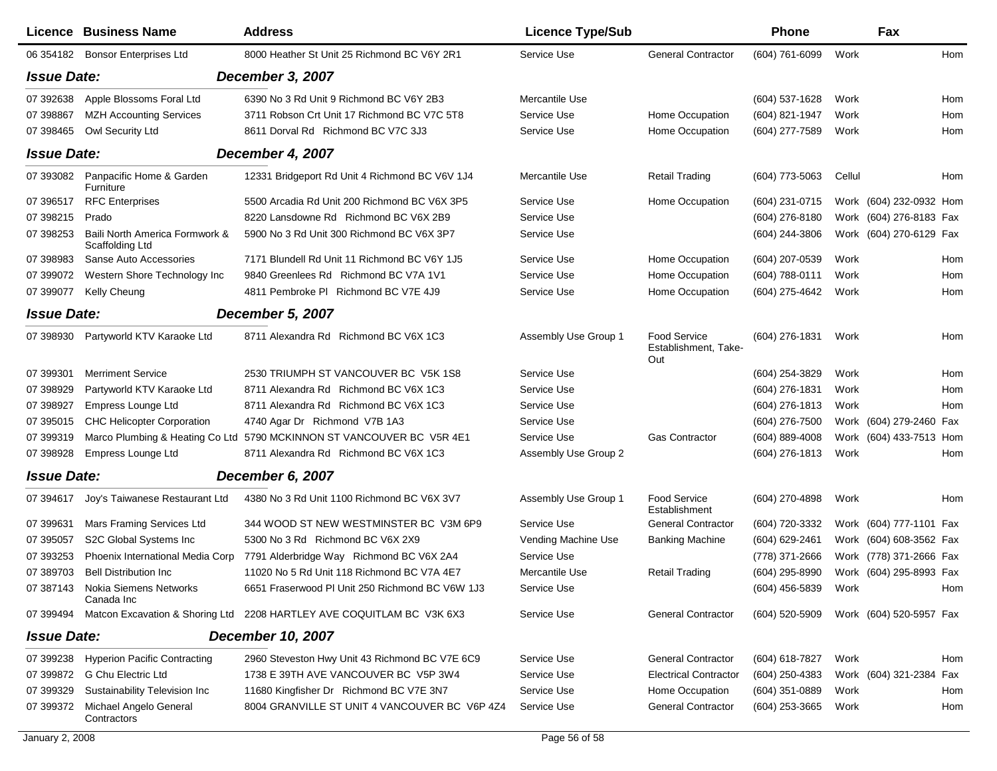|                    | <b>Licence Business Name</b>                      | <b>Address</b>                                                        | <b>Licence Type/Sub</b> |                                                    | Phone            |        | Fax                     |     |
|--------------------|---------------------------------------------------|-----------------------------------------------------------------------|-------------------------|----------------------------------------------------|------------------|--------|-------------------------|-----|
|                    | 06 354182 Bonsor Enterprises Ltd                  | 8000 Heather St Unit 25 Richmond BC V6Y 2R1                           | Service Use             | <b>General Contractor</b>                          | (604) 761-6099   | Work   |                         | Hom |
| <b>Issue Date:</b> |                                                   | <b>December 3, 2007</b>                                               |                         |                                                    |                  |        |                         |     |
| 07 392638          | Apple Blossoms Foral Ltd                          | 6390 No 3 Rd Unit 9 Richmond BC V6Y 2B3                               | Mercantile Use          |                                                    | (604) 537-1628   | Work   |                         | Hom |
| 07 398867          | <b>MZH Accounting Services</b>                    | 3711 Robson Crt Unit 17 Richmond BC V7C 5T8                           | Service Use             | Home Occupation                                    | (604) 821-1947   | Work   |                         | Hom |
| 07 398465          | Owl Security Ltd                                  | 8611 Dorval Rd Richmond BC V7C 3J3                                    | Service Use             | Home Occupation                                    | (604) 277-7589   | Work   |                         | Hom |
| <b>Issue Date:</b> |                                                   | December 4, 2007                                                      |                         |                                                    |                  |        |                         |     |
| 07 393082          | Panpacific Home & Garden<br>Furniture             | 12331 Bridgeport Rd Unit 4 Richmond BC V6V 1J4                        | Mercantile Use          | <b>Retail Trading</b>                              | (604) 773-5063   | Cellul |                         | Hom |
| 07 39 6517         | <b>RFC Enterprises</b>                            | 5500 Arcadia Rd Unit 200 Richmond BC V6X 3P5                          | Service Use             | Home Occupation                                    | (604) 231-0715   |        | Work (604) 232-0932 Hom |     |
| 07 398215          | Prado                                             | 8220 Lansdowne Rd Richmond BC V6X 2B9                                 | Service Use             |                                                    | (604) 276-8180   |        | Work (604) 276-8183 Fax |     |
| 07 398253          | Baili North America Formwork &<br>Scaffolding Ltd | 5900 No 3 Rd Unit 300 Richmond BC V6X 3P7                             | Service Use             |                                                    | $(604)$ 244-3806 |        | Work (604) 270-6129 Fax |     |
| 07 398983          | Sanse Auto Accessories                            | 7171 Blundell Rd Unit 11 Richmond BC V6Y 1J5                          | Service Use             | Home Occupation                                    | (604) 207-0539   | Work   |                         | Hom |
| 07 399072          | Western Shore Technology Inc                      | 9840 Greenlees Rd Richmond BC V7A 1V1                                 | Service Use             | Home Occupation                                    | (604) 788-0111   | Work   |                         | Hom |
| 07 399077          | Kelly Cheung                                      | 4811 Pembroke PI Richmond BC V7E 4J9                                  | Service Use             | Home Occupation                                    | (604) 275-4642   | Work   |                         | Hom |
| <b>Issue Date:</b> |                                                   | <b>December 5, 2007</b>                                               |                         |                                                    |                  |        |                         |     |
| 07 398930          | Partyworld KTV Karaoke Ltd                        | 8711 Alexandra Rd Richmond BC V6X 1C3                                 | Assembly Use Group 1    | <b>Food Service</b><br>Establishment, Take-<br>Out | (604) 276-1831   | Work   |                         | Hom |
| 07 399301          | <b>Merriment Service</b>                          | 2530 TRIUMPH ST VANCOUVER BC V5K 1S8                                  | Service Use             |                                                    | (604) 254-3829   | Work   |                         | Hom |
| 07 398929          | Partyworld KTV Karaoke Ltd                        | 8711 Alexandra Rd Richmond BC V6X 1C3                                 | Service Use             |                                                    | (604) 276-1831   | Work   |                         | Hom |
| 07 398927          | Empress Lounge Ltd                                | 8711 Alexandra Rd Richmond BC V6X 1C3                                 | Service Use             |                                                    | (604) 276-1813   | Work   |                         | Hom |
| 07 395015          | <b>CHC Helicopter Corporation</b>                 | 4740 Agar Dr Richmond V7B 1A3                                         | Service Use             |                                                    | (604) 276-7500   |        | Work (604) 279-2460 Fax |     |
| 07 399319          |                                                   | Marco Plumbing & Heating Co Ltd 5790 MCKINNON ST VANCOUVER BC V5R 4E1 | Service Use             | <b>Gas Contractor</b>                              | $(604)$ 889-4008 |        | Work (604) 433-7513 Hom |     |
| 07 398928          | Empress Lounge Ltd                                | 8711 Alexandra Rd Richmond BC V6X 1C3                                 | Assembly Use Group 2    |                                                    | (604) 276-1813   | Work   |                         | Hom |
| <b>Issue Date:</b> |                                                   | December 6, 2007                                                      |                         |                                                    |                  |        |                         |     |
|                    | 07 394617 Joy's Taiwanese Restaurant Ltd          | 4380 No 3 Rd Unit 1100 Richmond BC V6X 3V7                            | Assembly Use Group 1    | Food Service<br>Establishment                      | (604) 270-4898   | Work   |                         | Hom |
| 07 399631          | Mars Framing Services Ltd                         | 344 WOOD ST NEW WESTMINSTER BC V3M 6P9                                | Service Use             | <b>General Contractor</b>                          | (604) 720-3332   |        | Work (604) 777-1101 Fax |     |
| 07 395057          | S2C Global Systems Inc                            | 5300 No 3 Rd Richmond BC V6X 2X9                                      | Vending Machine Use     | <b>Banking Machine</b>                             | (604) 629-2461   |        | Work (604) 608-3562 Fax |     |
| 07 393253          | Phoenix International Media Corp                  | 7791 Alderbridge Way Richmond BC V6X 2A4                              | Service Use             |                                                    | (778) 371-2666   |        | Work (778) 371-2666 Fax |     |
| 07 389703          | <b>Bell Distribution Inc</b>                      | 11020 No 5 Rd Unit 118 Richmond BC V7A 4E7                            | Mercantile Use          | <b>Retail Trading</b>                              | (604) 295-8990   |        | Work (604) 295-8993 Fax |     |
|                    | 07 387143 Nokia Siemens Networks<br>Canada Inc    | 6651 Fraserwood PI Unit 250 Richmond BC V6W 1J3                       | Service Use             |                                                    | (604) 456-5839   | Work   |                         | Hom |
| 07 399494          |                                                   | Matcon Excavation & Shoring Ltd 2208 HARTLEY AVE COQUITLAM BC V3K 6X3 | Service Use             | <b>General Contractor</b>                          | (604) 520-5909   |        | Work (604) 520-5957 Fax |     |
| <b>Issue Date:</b> |                                                   | <b>December 10, 2007</b>                                              |                         |                                                    |                  |        |                         |     |
| 07 399238          | <b>Hyperion Pacific Contracting</b>               | 2960 Steveston Hwy Unit 43 Richmond BC V7E 6C9                        | Service Use             | <b>General Contractor</b>                          | (604) 618-7827   | Work   |                         | Hom |
| 07 399872          | <b>G Chu Electric Ltd</b>                         | 1738 E 39TH AVE VANCOUVER BC V5P 3W4                                  | Service Use             | <b>Electrical Contractor</b>                       | (604) 250-4383   |        | Work (604) 321-2384 Fax |     |
| 07 399329          | Sustainability Television Inc                     | 11680 Kingfisher Dr Richmond BC V7E 3N7                               | Service Use             | Home Occupation                                    | $(604)$ 351-0889 | Work   |                         | Hom |
| 07 399372          | Michael Angelo General<br>Contractors             | 8004 GRANVILLE ST UNIT 4 VANCOUVER BC V6P 4Z4                         | Service Use             | <b>General Contractor</b>                          | (604) 253-3665   | Work   |                         | Hom |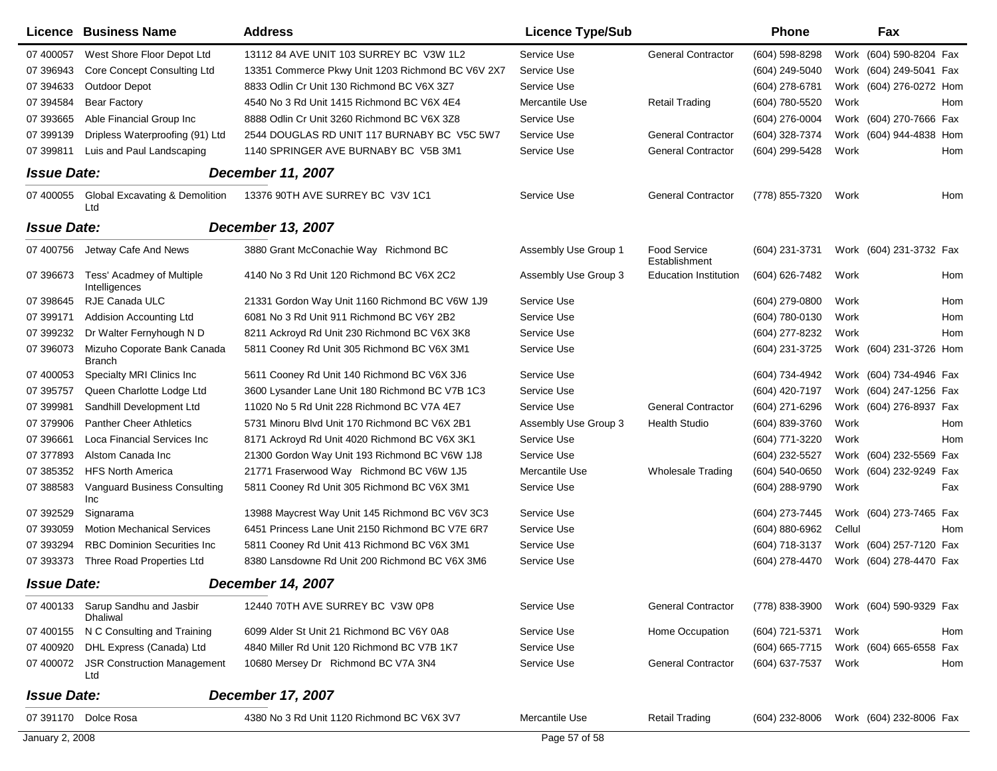|                    | <b>Licence Business Name</b>                     | <b>Address</b>                                    | <b>Licence Type/Sub</b> |                                      | <b>Phone</b>   | Fax                        |     |
|--------------------|--------------------------------------------------|---------------------------------------------------|-------------------------|--------------------------------------|----------------|----------------------------|-----|
| 07 400057          | West Shore Floor Depot Ltd                       | 13112 84 AVE UNIT 103 SURREY BC V3W 1L2           | Service Use             | <b>General Contractor</b>            | (604) 598-8298 | (604) 590-8204 Fax<br>Work |     |
| 07 39 6943         | <b>Core Concept Consulting Ltd</b>               | 13351 Commerce Pkwy Unit 1203 Richmond BC V6V 2X7 | Service Use             |                                      | (604) 249-5040 | Work (604) 249-5041 Fax    |     |
| 07 394633          | <b>Outdoor Depot</b>                             | 8833 Odlin Cr Unit 130 Richmond BC V6X 3Z7        | Service Use             |                                      | (604) 278-6781 | Work (604) 276-0272 Hom    |     |
| 07 394584          | <b>Bear Factory</b>                              | 4540 No 3 Rd Unit 1415 Richmond BC V6X 4E4        | Mercantile Use          | <b>Retail Trading</b>                | (604) 780-5520 | Work                       | Hom |
| 07 393665          | Able Financial Group Inc                         | 8888 Odlin Cr Unit 3260 Richmond BC V6X 3Z8       | Service Use             |                                      | (604) 276-0004 | Work (604) 270-7666 Fax    |     |
| 07 399139          | Dripless Waterproofing (91) Ltd                  | 2544 DOUGLAS RD UNIT 117 BURNABY BC V5C 5W7       | Service Use             | <b>General Contractor</b>            | (604) 328-7374 | Work (604) 944-4838 Hom    |     |
| 07 399811          | Luis and Paul Landscaping                        | 1140 SPRINGER AVE BURNABY BC V5B 3M1              | Service Use             | <b>General Contractor</b>            | (604) 299-5428 | Work                       | Hom |
| <b>Issue Date:</b> |                                                  | <b>December 11, 2007</b>                          |                         |                                      |                |                            |     |
| 07 400055          | <b>Global Excavating &amp; Demolition</b><br>Ltd | 13376 90TH AVE SURREY BC V3V 1C1                  | Service Use             | <b>General Contractor</b>            | (778) 855-7320 | Work                       | Hom |
| <b>Issue Date:</b> |                                                  | <b>December 13, 2007</b>                          |                         |                                      |                |                            |     |
| 07 400756          | Jetway Cafe And News                             | 3880 Grant McConachie Way Richmond BC             | Assembly Use Group 1    | <b>Food Service</b><br>Establishment | (604) 231-3731 | Work (604) 231-3732 Fax    |     |
| 07 39 6673         | Tess' Acadmey of Multiple<br>Intelligences       | 4140 No 3 Rd Unit 120 Richmond BC V6X 2C2         | Assembly Use Group 3    | <b>Education Institution</b>         | (604) 626-7482 | Work                       | Hom |
| 07 398645          | RJE Canada ULC                                   | 21331 Gordon Way Unit 1160 Richmond BC V6W 1J9    | Service Use             |                                      | (604) 279-0800 | Work                       | Hom |
| 07 399171          | Addision Accounting Ltd                          | 6081 No 3 Rd Unit 911 Richmond BC V6Y 2B2         | Service Use             |                                      | (604) 780-0130 | Work                       | Hom |
| 07 399232          | Dr Walter Fernyhough N D                         | 8211 Ackroyd Rd Unit 230 Richmond BC V6X 3K8      | Service Use             |                                      | (604) 277-8232 | Work                       | Hom |
| 07 39 60 73        | Mizuho Coporate Bank Canada<br><b>Branch</b>     | 5811 Cooney Rd Unit 305 Richmond BC V6X 3M1       | Service Use             |                                      | (604) 231-3725 | Work (604) 231-3726 Hom    |     |
| 07 400053          | Specialty MRI Clinics Inc                        | 5611 Cooney Rd Unit 140 Richmond BC V6X 3J6       | Service Use             |                                      | (604) 734-4942 | Work (604) 734-4946 Fax    |     |
| 07 395757          | Queen Charlotte Lodge Ltd                        | 3600 Lysander Lane Unit 180 Richmond BC V7B 1C3   | Service Use             |                                      | (604) 420-7197 | Work (604) 247-1256 Fax    |     |
| 07 399981          | Sandhill Development Ltd                         | 11020 No 5 Rd Unit 228 Richmond BC V7A 4E7        | Service Use             | <b>General Contractor</b>            | (604) 271-6296 | Work (604) 276-8937 Fax    |     |
| 07 379906          | <b>Panther Cheer Athletics</b>                   | 5731 Minoru Blvd Unit 170 Richmond BC V6X 2B1     | Assembly Use Group 3    | <b>Health Studio</b>                 | (604) 839-3760 | Work                       | Hom |
| 07 39 6661         | Loca Financial Services Inc                      | 8171 Ackroyd Rd Unit 4020 Richmond BC V6X 3K1     | Service Use             |                                      | (604) 771-3220 | Work                       | Hom |
| 07 377893          | Alstom Canada Inc                                | 21300 Gordon Way Unit 193 Richmond BC V6W 1J8     | Service Use             |                                      | (604) 232-5527 | Work (604) 232-5569 Fax    |     |
| 07 385352          | <b>HFS North America</b>                         | 21771 Fraserwood Way Richmond BC V6W 1J5          | Mercantile Use          | <b>Wholesale Trading</b>             | (604) 540-0650 | Work (604) 232-9249 Fax    |     |
| 07 388583          | <b>Vanguard Business Consulting</b><br>Inc       | 5811 Cooney Rd Unit 305 Richmond BC V6X 3M1       | Service Use             |                                      | (604) 288-9790 | Work                       | Fax |
| 07 392529          | Signarama                                        | 13988 Maycrest Way Unit 145 Richmond BC V6V 3C3   | Service Use             |                                      | (604) 273-7445 | Work (604) 273-7465 Fax    |     |
| 07 393059          | <b>Motion Mechanical Services</b>                | 6451 Princess Lane Unit 2150 Richmond BC V7E 6R7  | Service Use             |                                      | (604) 880-6962 | Cellul                     | Hom |
| 07 393294          | <b>RBC Dominion Securities Inc.</b>              | 5811 Cooney Rd Unit 413 Richmond BC V6X 3M1       | Service Use             |                                      | (604) 718-3137 | Work (604) 257-7120 Fax    |     |
| 07 393373          | Three Road Properties Ltd                        | 8380 Lansdowne Rd Unit 200 Richmond BC V6X 3M6    | Service Use             |                                      | (604) 278-4470 | Work (604) 278-4470 Fax    |     |
| <b>Issue Date:</b> |                                                  | <b>December 14, 2007</b>                          |                         |                                      |                |                            |     |
| 07 400133          | Sarup Sandhu and Jasbir<br><b>Dhaliwal</b>       | 12440 70TH AVE SURREY BC V3W 0P8                  | Service Use             | <b>General Contractor</b>            | (778) 838-3900 | Work (604) 590-9329 Fax    |     |
|                    | 07 400155 N C Consulting and Training            | 6099 Alder St Unit 21 Richmond BC V6Y 0A8         | Service Use             | Home Occupation                      | (604) 721-5371 | Work                       | Hom |
| 07 400920          | DHL Express (Canada) Ltd                         | 4840 Miller Rd Unit 120 Richmond BC V7B 1K7       | Service Use             |                                      | (604) 665-7715 | Work (604) 665-6558 Fax    |     |
| 07 400072          | <b>JSR Construction Management</b><br>Ltd        | 10680 Mersey Dr Richmond BC V7A 3N4               | Service Use             | <b>General Contractor</b>            | (604) 637-7537 | Work                       | Hom |
| <b>Issue Date:</b> |                                                  | <b>December 17, 2007</b>                          |                         |                                      |                |                            |     |
|                    | 07 391170 Dolce Rosa                             | 4380 No 3 Rd Unit 1120 Richmond BC V6X 3V7        | Mercantile Use          | <b>Retail Trading</b>                | (604) 232-8006 | Work (604) 232-8006 Fax    |     |
| January 2, 2008    |                                                  |                                                   | Page 57 of 58           |                                      |                |                            |     |